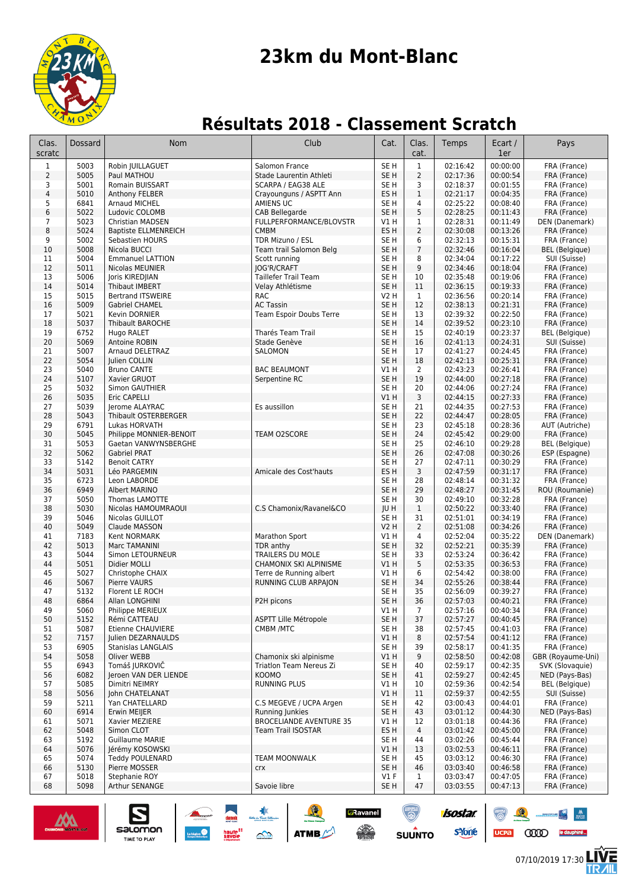

# **23km du Mont-Blanc**

# **Résultats 2018 - Classement Scratch**

| Clas.<br>scratc         | Dossard      | <b>Nom</b>                                | Club                                       | Cat.                               | Clas.<br>cat.        | Temps                | Ecart /<br>1er       | Pays                                    |
|-------------------------|--------------|-------------------------------------------|--------------------------------------------|------------------------------------|----------------------|----------------------|----------------------|-----------------------------------------|
| $\mathbf{1}$            | 5003         | Robin JUILLAGUET                          | Salomon France                             | SE <sub>H</sub>                    | $\mathbf{1}$         | 02:16:42             | 00:00:00             | FRA (France)                            |
| $\overline{2}$          | 5005         | Paul MATHOU                               | Stade Laurentin Athleti                    | SE <sub>H</sub>                    | $\overline{2}$       | 02:17:36             | 00:00:54             | FRA (France)                            |
| 3                       | 5001         | Romain BUISSART                           | SCARPA / EAG38 ALE                         | SE <sub>H</sub>                    | 3                    | 02:18:37             | 00:01:55             | FRA (France)                            |
| $\overline{\mathbf{4}}$ | 5010         | Anthony FELBER                            | Crayounguns / ASPTT Ann                    | ES <sub>H</sub>                    | $\mathbf{1}$         | 02:21:17             | 00:04:35             | FRA (France)                            |
| 5<br>6                  | 6841<br>5022 | Arnaud MICHEL<br>Ludovic COLOMB           | AMIENS UC<br>CAB Bellegarde                | SE <sub>H</sub><br>SE <sub>H</sub> | 4<br>5               | 02:25:22<br>02:28:25 | 00:08:40<br>00:11:43 | FRA (France)<br>FRA (France)            |
| $\overline{7}$          | 5023         | <b>Christian MADSEN</b>                   | FULLPERFORMANCE/BLOVSTR                    | V1H                                | 1                    | 02:28:31             | 00:11:49             | DEN (Danemark)                          |
| 8                       | 5024         | <b>Baptiste ELLMENREICH</b>               | <b>CMBM</b>                                | ES <sub>H</sub>                    | 2                    | 02:30:08             | 00:13:26             | FRA (France)                            |
| 9                       | 5002         | Sebastien HOURS                           | TDR Mizuno / ESL                           | SE H                               | 6                    | 02:32:13             | 00:15:31             | FRA (France)                            |
| 10                      | 5008         | Nicola BUCCI                              | Team trail Salomon Belg                    | SE <sub>H</sub>                    | $\overline{7}$       | 02:32:46             | 00:16:04             | <b>BEL</b> (Belgique)                   |
| 11                      | 5004         | <b>Emmanuel LATTION</b>                   | Scott running                              | SE H                               | 8                    | 02:34:04             | 00:17:22             | SUI (Suisse)                            |
| 12<br>13                | 5011<br>5006 | Nicolas MEUNIER<br>Joris KIREDJIAN        | JOG'R/CRAFT<br><b>Taillefer Trail Team</b> | SE <sub>H</sub><br>SE H            | 9<br>10              | 02:34:46<br>02:35:48 | 00:18:04<br>00:19:06 | FRA (France)<br>FRA (France)            |
| 14                      | 5014         | <b>Thibaut IMBERT</b>                     | Velay Athlétisme                           | SE <sub>H</sub>                    | 11                   | 02:36:15             | 00:19:33             | FRA (France)                            |
| 15                      | 5015         | <b>Bertrand ITSWEIRE</b>                  | <b>RAC</b>                                 | V2 H                               | 1                    | 02:36:56             | 00:20:14             | FRA (France)                            |
| 16                      | 5009         | <b>Gabriel CHAMEL</b>                     | <b>AC Tassin</b>                           | SE <sub>H</sub>                    | 12                   | 02:38:13             | 00:21:31             | FRA (France)                            |
| 17                      | 5021         | Kevin DORNIER                             | Team Espoir Doubs Terre                    | SE <sub>H</sub>                    | 13                   | 02:39:32             | 00:22:50             | FRA (France)                            |
| 18                      | 5037         | Thibault BAROCHE                          |                                            | SE <sub>H</sub>                    | 14                   | 02:39:52             | 00:23:10             | FRA (France)                            |
| 19                      | 6752<br>5069 | Hugo RALET<br>Antoine ROBIN               | Tharés Team Trail<br>Stade Genève          | SE <sub>H</sub><br>SE <sub>H</sub> | 15<br>16             | 02:40:19<br>02:41:13 | 00:23:37<br>00:24:31 | <b>BEL</b> (Belgique)                   |
| 20<br>21                | 5007         | Arnaud DELETRAZ                           | SALOMON                                    | SE H                               | 17                   | 02:41:27             | 00:24:45             | SUI (Suisse)<br>FRA (France)            |
| 22                      | 5054         | Julien COLLIN                             |                                            | SE <sub>H</sub>                    | 18                   | 02:42:13             | 00:25:31             | FRA (France)                            |
| 23                      | 5040         | <b>Bruno CANTE</b>                        | <b>BAC BEAUMONT</b>                        | V1 H                               | 2                    | 02:43:23             | 00:26:41             | FRA (France)                            |
| 24                      | 5107         | Xavier GRUOT                              | Serpentine RC                              | SE <sub>H</sub>                    | 19                   | 02:44:00             | 00:27:18             | FRA (France)                            |
| 25                      | 5032         | Simon GAUTHIER                            |                                            | SE <sub>H</sub>                    | 20                   | 02:44:06             | 00:27:24             | FRA (France)                            |
| 26                      | 5035         | <b>Eric CAPELLI</b>                       |                                            | V1 H                               | 3                    | 02:44:15             | 00:27:33             | FRA (France)                            |
| 27<br>28                | 5039<br>5043 | Jerome ALAYRAC<br>Thibault OSTERBERGER    | Es aussillon                               | SE <sub>H</sub><br>SE <sub>H</sub> | 21<br>22             | 02:44:35<br>02:44:47 | 00:27:53<br>00:28:05 | FRA (France)<br>FRA (France)            |
| 29                      | 6791         | Lukas HORVATH                             |                                            | SE <sub>H</sub>                    | 23                   | 02:45:18             | 00:28:36             | AUT (Autriche)                          |
| 30                      | 5045         | Philippe MONNIER-BENOIT                   | TEAM O2SCORE                               | SE <sub>H</sub>                    | 24                   | 02:45:42             | 00:29:00             | FRA (France)                            |
| 31                      | 5053         | Gaetan VANWYNSBERGHE                      |                                            | SE <sub>H</sub>                    | 25                   | 02:46:10             | 00:29:28             | <b>BEL</b> (Belgique)                   |
| 32                      | 5062         | <b>Gabriel PRAT</b>                       |                                            | SE <sub>H</sub>                    | 26                   | 02:47:08             | 00:30:26             | ESP (Espagne)                           |
| 33                      | 5142         | <b>Benoit CATRY</b>                       |                                            | SE H                               | 27                   | 02:47:11             | 00:30:29             | FRA (France)                            |
| 34                      | 5031<br>6723 | Léo PARGEMIN                              | Amicale des Cost'hauts                     | ES <sub>H</sub>                    | 3                    | 02:47:59             | 00:31:17             | FRA (France)                            |
| 35<br>36                | 6949         | Leon LABORDE<br>Albert MARINO             |                                            | SE H<br>SE <sub>H</sub>            | 28<br>29             | 02:48:14<br>02:48:27 | 00:31:32<br>00:31:45 | FRA (France)<br>ROU (Roumanie)          |
| 37                      | 5050         | Thomas LAMOTTE                            |                                            | SE H                               | 30                   | 02:49:10             | 00:32:28             | FRA (France)                            |
| 38                      | 5030         | Nicolas HAMOUMRAOUI                       | C.S Chamonix/Ravanel&CO                    | JU H                               | $\mathbf{1}$         | 02:50:22             | 00:33:40             | FRA (France)                            |
| 39                      | 5046         | Nicolas GUILLOT                           |                                            | SE <sub>H</sub>                    | 31                   | 02:51:01             | 00:34:19             | FRA (France)                            |
| 40                      | 5049         | Claude MASSON                             |                                            | <b>V2 H</b>                        | 2                    | 02:51:08             | 00:34:26             | FRA (France)                            |
| 41<br>42                | 7183<br>5013 | Kent NORMARK<br>Marc TAMANINI             | Marathon Sport<br>TDR anthy                | V1 H<br>SE <sub>H</sub>            | 4<br>32              | 02:52:04<br>02:52:21 | 00:35:22<br>00:35:39 | DEN (Danemark)<br>FRA (France)          |
| 43                      | 5044         | Simon LETOURNEUR                          | TRAILERS DU MOLE                           | SE <sub>H</sub>                    | 33                   | 02:53:24             | 00:36:42             | FRA (France)                            |
| 44                      | 5051         | Didier MOLLI                              | CHAMONIX SKI ALPINISME                     | VIH                                | 5                    | 02:53:35             | 00:36:53             | FRA (France)                            |
| 45                      | 5027         | Christophe CHAIX                          | Terre de Running albert                    | V1H                                | 6                    | 02:54:42             | 00:38:00             | FRA (France)                            |
| 46                      | 5067         | <b>Pierre VAURS</b>                       | RUNNING CLUB ARPAJON                       | SE <sub>H</sub>                    | 34                   | 02:55:26             | 00:38:44             | FRA (France)                            |
| 47                      | 5132         | Florent LE ROCH                           |                                            | SE H                               | 35                   | 02:56:09             | 00:39:27             | FRA (France)                            |
| 48                      | 6864         | Allan LONGHINI                            | P2H picons                                 | SE <sub>H</sub>                    | 36<br>$\overline{7}$ | 02:57:03             | 00:40:21             | FRA (France)                            |
| 49<br>50                | 5060<br>5152 | Philippe MERIEUX<br>Rémi CATTEAU          | <b>ASPTT Lille Métropole</b>               | V1 H<br>SE <sub>H</sub>            | 37                   | 02:57:16<br>02:57:27 | 00:40:34<br>00:40:45 | FRA (France)<br>FRA (France)            |
| 51                      | 5087         | Etienne CHAUVIERE                         | CMBM /MTC                                  | SE H                               | 38                   | 02:57:45             | 00:41:03             | FRA (France)                            |
| 52                      | 7157         | Julien DEZARNAULDS                        |                                            | V1H                                | 8                    | 02:57:54             | 00:41:12             | FRA (France)                            |
| 53                      | 6905         | Stanislas LANGLAIS                        |                                            | SE H                               | 39                   | 02:58:17             | 00:41:35             | FRA (France)                            |
| 54                      | 5058         | Oliver WEBB                               | Chamonix ski alpinisme                     | V1 H                               | 9                    | 02:58:50             | 00:42:08             | GBR (Royaume-Uni)                       |
| 55                      | 6943         | Tomáš JURKOVIČ                            | Triatlon Team Nereus Zi<br>KOOMO           | SE <sub>H</sub>                    | 40                   | 02:59:17             | 00:42:35             | SVK (Slovaquie)                         |
| 56<br>57                | 6082<br>5085 | Jeroen VAN DER LIENDE<br>Dimitri NEIMRY   | <b>RUNNING PLUS</b>                        | SE H<br>V1 H                       | 41<br>10             | 02:59:27<br>02:59:36 | 00:42:45<br>00:42:54 | NED (Pays-Bas)<br><b>BEL</b> (Belgique) |
| 58                      | 5056         | John CHATELANAT                           |                                            | V1 H                               | 11                   | 02:59:37             | 00:42:55             | SUI (Suisse)                            |
| 59                      | 5211         | Yan CHATELLARD                            | C.S MEGEVE / UCPA Argen                    | SE H                               | 42                   | 03:00:43             | 00:44:01             | FRA (France)                            |
| 60                      | 6914         | Erwin MEIJER                              | Running Junkies                            | SE <sub>H</sub>                    | 43                   | 03:01:12             | 00:44:30             | NED (Pays-Bas)                          |
| 61                      | 5071         | Xavier MEZIERE                            | <b>BROCELIANDE AVENTURE 35</b>             | V1 H                               | 12                   | 03:01:18             | 00:44:36             | FRA (France)                            |
| 62                      | 5048         | Simon CLOT                                | <b>Team Trail ISOSTAR</b>                  | ES H                               | 4                    | 03:01:42             | 00:45:00             | FRA (France)                            |
| 63<br>64                | 5192<br>5076 | <b>Guillaume MARIE</b><br>Jérémy KOSOWSKI |                                            | SE H<br>V1 H                       | 44<br>13             | 03:02:26<br>03:02:53 | 00:45:44<br>00:46:11 | FRA (France)<br>FRA (France)            |
| 65                      | 5074         | <b>Teddy POULENARD</b>                    | TEAM MOONWALK                              | SE H                               | 45                   | 03:03:12             | 00:46:30             | FRA (France)                            |
| 66                      | 5130         | Pierre MOSSER                             | crx                                        | SE <sub>H</sub>                    | 46                   | 03:03:40             | 00:46:58             | FRA (France)                            |
| 67                      | 5018         | Stephanie ROY                             |                                            | $VI$ F                             | $\mathbf{1}$         | 03:03:47             | 00:47:05             | FRA (France)                            |
| 68                      | 5098         | Arthur SENANGE                            | Savoie libre                               | SE H                               | 47                   | 03:03:55             | 00:47:13             | FRA (France)                            |

SELOMON **DE DE LA LA CRAVERE DE LA CRAVERE DE LA CRAVERE DE LA CRAVERE DE LA CRAVERE DE LA CRAVERE DE LA CRAVERE DE LA CRAVERE DE LA CRAVERE DE LA CRAVERE DE LA CRAVERE DE LA CRAVERE DE LA CRAVERE DE LA CRAVERE DE LA CRAVE** 



**CODO** le dauphiné...

 $\frac{1}{2}$   $\frac{M}{2002}$ 

isostar.

syone

ucpa

**SUUNTO**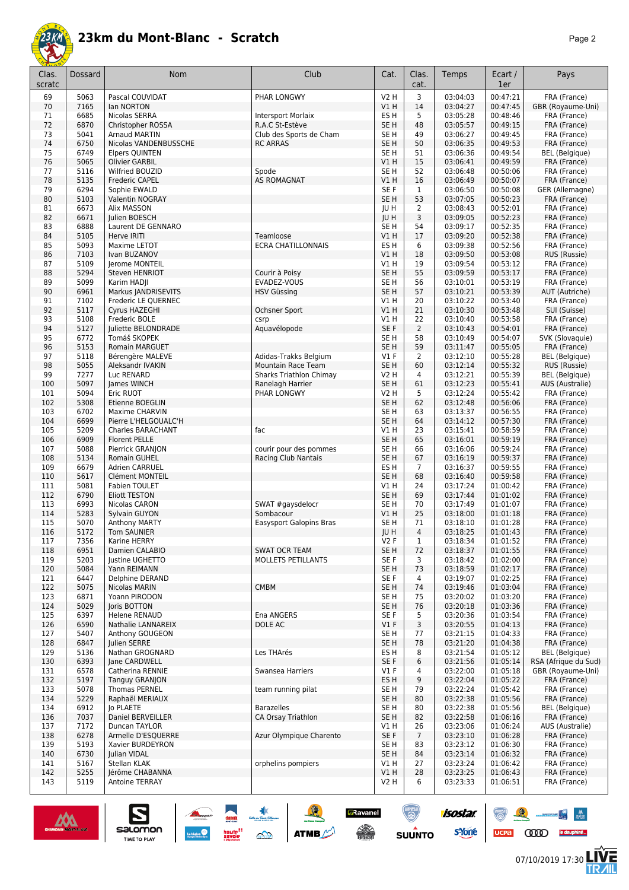

|--|--|

| 3<br><b>V2 H</b><br>03:04:03<br>00:47:21<br>FRA (France)<br>69<br>5063<br>Pascal COUVIDAT<br>PHAR LONGWY<br>00:47:45<br>70<br>7165<br>14<br>03:04:27<br>lan NORTON<br>VIH<br>GBR (Royaume-Uni)<br>71<br>6685<br>ES <sub>H</sub><br>5<br>03:05:28<br>00:48:46<br>FRA (France)<br>Nicolas SERRA<br><b>Intersport Morlaix</b><br>00:49:15<br>72<br>6870<br>SE <sub>H</sub><br>48<br>03:05:57<br>FRA (France)<br>Christopher ROSSA<br>R.A.C St-Estève<br>73<br>5041<br>Club des Sports de Cham<br>SE <sub>H</sub><br>49<br>03:06:27<br>00:49:45<br>FRA (France)<br><b>Arnaud MARTIN</b><br>74<br>6750<br>SE <sub>H</sub><br>50<br>03:06:35<br>00:49:53<br>FRA (France)<br>Nicolas VANDENBUSSCHE<br><b>RC ARRAS</b><br>75<br>6749<br>SE <sub>H</sub><br>51<br>03:06:36<br>00:49:54<br><b>BEL</b> (Belgique)<br><b>Elpers QUINTEN</b><br>76<br>5065<br>V1H<br>15<br>03:06:41<br>00:49:59<br>FRA (France)<br><b>Olivier GARBIL</b><br>77<br>5116<br>Spode<br>SE <sub>H</sub><br>52<br>00:50:06<br>Wilfried BOUZID<br>03:06:48<br>FRA (France)<br>78<br>5135<br><b>AS ROMAGNAT</b><br>V1H<br>16<br>00:50:07<br>FRA (France)<br>Frederic CAPEL<br>03:06:49<br>79<br>6294<br>SE <sub>F</sub><br>00:50:08<br>Sophie EWALD<br>$\mathbf{1}$<br>03:06:50<br>GER (Allemagne)<br>53<br>80<br>5103<br>SE <sub>H</sub><br>Valentin NOGRAY<br>03:07:05<br>00:50:23<br>FRA (France)<br>$\overline{2}$<br>6673<br>00:52:01<br>FRA (France)<br>81<br>Alix MASSON<br>JU H<br>03:08:43<br>3<br>82<br>6671<br>JU H<br>00:52:23<br>Julien BOESCH<br>03:09:05<br>FRA (France)<br>83<br>6888<br>SE <sub>H</sub><br>54<br>03:09:17<br>00:52:35<br>FRA (France)<br>Laurent DE GENNARO<br>84<br>5105<br>V1H<br>17<br>03:09:20<br>00:52:38<br>FRA (France)<br>Herve IRITI<br>Teamloose<br>00:52:56<br>5093<br>ES <sub>H</sub><br>6<br>03:09:38<br>FRA (France)<br>85<br>Maxime LETOT<br><b>ECRA CHATILLONNAIS</b><br>7103<br>V1H<br>18<br>03:09:50<br>00:53:08<br>RUS (Russie)<br>86<br>Ivan BUZANOV<br>5109<br>V1H<br>19<br>03:09:54<br>00:53:12<br>FRA (France)<br>87<br>Jerome MONTEIL<br>55<br>00:53:17<br>88<br>5294<br>Courir à Poisy<br>SE <sub>H</sub><br>03:09:59<br>FRA (France)<br>Steven HENRIOT<br>5099<br>EVADEZ-VOUS<br>SE <sub>H</sub><br>56<br>00:53:19<br>89<br>Karim HADJI<br>03:10:01<br>FRA (France)<br>90<br>6961<br>SE <sub>H</sub><br>57<br>00:53:39<br>AUT (Autriche)<br>Markus JANDRISEVITS<br><b>HSV Güssing</b><br>03:10:21<br>7102<br>20<br>00:53:40<br>91<br>Frederic LE QUERNEC<br>V1 H<br>03:10:22<br>FRA (France)<br>92<br>5117<br>21<br>00:53:48<br>Cyrus HAZEGHI<br>Ochsner Sport<br>VIH<br>03:10:30<br>SUI (Suisse)<br>93<br>5108<br>22<br>Frederic BOLE<br>V1 H<br>03:10:40<br>00:53:58<br>FRA (France)<br>csrp<br>$\overline{2}$<br>94<br>5127<br>SE <sub>F</sub><br>03:10:43<br>00:54:01<br>Juliette BELONDRADE<br>Aquavélopode<br>FRA (France)<br>95<br>6772<br>SE <sub>H</sub><br>58<br>SVK (Slovaquie)<br>Tomáš SKOPEK<br>03:10:49<br>00:54:07<br>96<br>5153<br>SE <sub>H</sub><br>59<br>03:11:47<br>00:55:05<br>FRA (France)<br><b>Romain MARGUET</b><br>5118<br>V1F<br>$\overline{2}$<br>03:12:10<br>00:55:28<br><b>BEL</b> (Belgique)<br>97<br>Bérengère MALEVE<br>Adidas-Trakks Belgium<br>5055<br>60<br>00:55:32<br>98<br>SE <sub>H</sub><br>03:12:14<br>RUS (Russie)<br>Aleksandr IVAKIN<br><b>Mountain Race Team</b><br>7277<br>Luc RENARD<br>V <sub>2</sub> H<br>4<br>03:12:21<br>00:55:39<br>99<br>Sharks Triathlon Chimay<br><b>BEL</b> (Belgique)<br>61<br>100<br>5097<br>SE <sub>H</sub><br>03:12:23<br>00:55:41<br>AUS (Australie)<br>James WINCH<br>Ranelagh Harrier<br>5094<br>Eric RUOT<br><b>V2 H</b><br>5<br>03:12:24<br>00:55:42<br>FRA (France)<br>101<br>PHAR LONGWY<br>5308<br>SE <sub>H</sub><br>62<br>03:12:48<br>00:56:06<br>102<br>Etienne BOEGLIN<br>FRA (France)<br>6702<br>63<br>00:56:55<br>103<br>Maxime CHARVIN<br>SE <sub>H</sub><br>03:13:37<br>FRA (France)<br>6699<br>64<br>00:57:30<br>104<br>Pierre L'HELGOUALC'H<br>SE <sub>H</sub><br>03:14:12<br>FRA (France)<br>5209<br>23<br>00:58:59<br><b>Charles BARACHANT</b><br>fac<br>V1 H<br>03:15:41<br>FRA (France)<br>105<br>65<br>6909<br>SE <sub>H</sub><br>00:59:19<br>106<br><b>Florent PELLE</b><br>03:16:01<br>FRA (France)<br>5088<br>SE <sub>H</sub><br>66<br>03:16:06<br>00:59:24<br>FRA (France)<br>107<br>Pierrick GRANJON<br>courir pour des pommes<br>108<br>5134<br>SE <sub>H</sub><br>67<br>03:16:19<br>00:59:37<br>FRA (France)<br>Romain GUHEL<br>Racing Club Nantais<br>6679<br>ES <sub>H</sub><br>$\overline{7}$<br>03:16:37<br>00:59:55<br>FRA (France)<br>109<br>Adrien CARRUEL<br>5617<br>SE <sub>H</sub><br>68<br>03:16:40<br>00:59:58<br>FRA (France)<br>110<br><b>Clément MONTEIL</b><br>5081<br>V1H<br>24<br>03:17:24<br>01:00:42<br>FRA (France)<br>111<br>Fabien TOULET<br>6790<br>SE <sub>H</sub><br>69<br>03:17:44<br>01:01:02<br>112<br><b>Eliott TESTON</b><br>FRA (France)<br>6993<br>SWAT #gaysdelocr<br>SE <sub>H</sub><br>70<br>03:17:49<br>01:01:07<br>FRA (France)<br>113<br>Nicolas CARON<br>5283<br>25<br>01:01:18<br>114<br>Sylvain GUYON<br>Sombacour<br>VIH<br>03:18:00<br>FRA (France)<br>5070<br>71<br>115<br><b>Easysport Galopins Bras</b><br>SE H<br>03:18:10<br>01:01:28<br>FRA (France)<br><b>Anthony MARTY</b><br>116<br>5172<br>Tom SAUNIER<br>4<br>03:18:25<br>01:01:43<br>FRA (France)<br>JU H<br>117<br>7356<br>Karine HERRY<br>V2 F<br>1<br>03:18:34<br>01:01:52<br>FRA (France)<br>118<br>6951<br><b>SWAT OCR TEAM</b><br>SE <sub>H</sub><br>72<br>03:18:37<br>01:01:55<br>FRA (France)<br>Damien CALABIO<br>MOLLETS PETILLANTS<br>SE F<br>01:02:00<br>FRA (France)<br>119<br>5203<br>Justine UGHETTO<br>3<br>03:18:42<br>5084<br>SE <sub>H</sub><br>73<br>01:02:17<br>FRA (France)<br>120<br>Yann REIMANN<br>03:18:59<br>SE F<br>121<br>6447<br>Delphine DERAND<br>03:19:07<br>01:02:25<br>FRA (France)<br>4<br>SE <sub>H</sub><br>74<br>03:19:46<br>01:03:04<br>FRA (France)<br>122<br>5075<br>Nicolas MARIN<br><b>CMBM</b><br>SE H<br>01:03:20<br>123<br>6871<br>Yoann PIRODON<br>75<br>03:20:02<br>FRA (France)<br>124<br>SE H<br>01:03:36<br>5029<br>Joris BOTTON<br>76<br>03:20:18<br>FRA (France)<br>SE F<br>03:20:36<br>01:03:54<br>125<br>6397<br><b>Helene RENAUD</b><br>Ena ANGERS<br>5<br>FRA (France)<br>3<br>126<br>6590<br>Nathalie LANNAREIX<br>DOLE AC<br>$VI$ F<br>03:20:55<br>01:04:13<br>FRA (France)<br>127<br>5407<br>Anthony GOUGEON<br>SE H<br>77<br>03:21:15<br>01:04:33<br>FRA (France)<br>78<br>FRA (France)<br>128<br>6847<br>Julien SERRE<br>SE H<br>03:21:20<br>01:04:38<br>129<br>5136<br>Nathan GROGNARD<br>Les THArés<br>ES H<br>03:21:54<br>01:05:12<br><b>BEL (Belgique)</b><br>8<br>6<br>RSA (Afrique du Sud)<br>130<br>6393<br>Jane CARDWELL<br>SE F<br>03:21:56<br>01:05:14<br>01:05:18<br>131<br>6578<br>Catherina RENNIE<br>Swansea Harriers<br>$VI$ F<br>4<br>03:22:00<br>GBR (Royaume-Uni)<br>132<br>ES H<br>9<br>01:05:22<br>5197<br>Tanguy GRANJON<br>03:22:04<br>FRA (France)<br>01:05:42<br>FRA (France)<br>133<br>5078<br>Thomas PERNEL<br>team running pilat<br>SE H<br>79<br>03:22:24<br>5229<br>SE <sub>H</sub><br>03:22:38<br>01:05:56<br>134<br>Raphaël MERIAUX<br>80<br>FRA (France)<br>03:22:38<br>01:05:56<br>6912<br><b>Barazelles</b><br>SE <sub>H</sub><br><b>BEL (Belgique)</b><br>134<br>Jo PLAETE<br>80<br>7037<br>CA Orsay Triathlon<br>SE <sub>H</sub><br>03:22:58<br>01:06:16<br>FRA (France)<br>136<br>Daniel BERVEILLER<br>82<br>03:23:06<br>01:06:24<br>137<br>7172<br>Duncan TAYLOR<br>V1 H<br>26<br>AUS (Australie)<br>138<br>6278<br>Armelle D'ESQUERRE<br>Azur Olympique Charento<br>SE F<br>$\overline{7}$<br>03:23:10<br>01:06:28<br>FRA (France)<br>01:06:30<br>FRA (France)<br>139<br>5193<br>Xavier BURDEYRON<br>SE H<br>83<br>03:23:12<br>140<br>6730<br>Julian VIDAL<br>SE <sub>H</sub><br>84<br>03:23:14<br>01:06:32<br>FRA (France)<br>orphelins pompiers<br>141<br>Stellan KLAK<br>V1 H<br>01:06:42<br>FRA (France)<br>5167<br>27<br>03:23:24<br>5255<br>01:06:43<br>142<br>Jérôme CHABANNA<br>V1 H<br>28<br>03:23:25<br>FRA (France)<br>143<br>5119<br>01:06:51<br>FRA (France)<br><b>Antoine TERRAY</b><br>V2 H<br>6<br>03:23:33 | Clas.<br>scratc | Dossard | <b>Nom</b> | Club | Cat. | Clas.<br>cat. | Temps | Ecart /<br>1er | Pays |
|-----------------------------------------------------------------------------------------------------------------------------------------------------------------------------------------------------------------------------------------------------------------------------------------------------------------------------------------------------------------------------------------------------------------------------------------------------------------------------------------------------------------------------------------------------------------------------------------------------------------------------------------------------------------------------------------------------------------------------------------------------------------------------------------------------------------------------------------------------------------------------------------------------------------------------------------------------------------------------------------------------------------------------------------------------------------------------------------------------------------------------------------------------------------------------------------------------------------------------------------------------------------------------------------------------------------------------------------------------------------------------------------------------------------------------------------------------------------------------------------------------------------------------------------------------------------------------------------------------------------------------------------------------------------------------------------------------------------------------------------------------------------------------------------------------------------------------------------------------------------------------------------------------------------------------------------------------------------------------------------------------------------------------------------------------------------------------------------------------------------------------------------------------------------------------------------------------------------------------------------------------------------------------------------------------------------------------------------------------------------------------------------------------------------------------------------------------------------------------------------------------------------------------------------------------------------------------------------------------------------------------------------------------------------------------------------------------------------------------------------------------------------------------------------------------------------------------------------------------------------------------------------------------------------------------------------------------------------------------------------------------------------------------------------------------------------------------------------------------------------------------------------------------------------------------------------------------------------------------------------------------------------------------------------------------------------------------------------------------------------------------------------------------------------------------------------------------------------------------------------------------------------------------------------------------------------------------------------------------------------------------------------------------------------------------------------------------------------------------------------------------------------------------------------------------------------------------------------------------------------------------------------------------------------------------------------------------------------------------------------------------------------------------------------------------------------------------------------------------------------------------------------------------------------------------------------------------------------------------------------------------------------------------------------------------------------------------------------------------------------------------------------------------------------------------------------------------------------------------------------------------------------------------------------------------------------------------------------------------------------------------------------------------------------------------------------------------------------------------------------------------------------------------------------------------------------------------------------------------------------------------------------------------------------------------------------------------------------------------------------------------------------------------------------------------------------------------------------------------------------------------------------------------------------------------------------------------------------------------------------------------------------------------------------------------------------------------------------------------------------------------------------------------------------------------------------------------------------------------------------------------------------------------------------------------------------------------------------------------------------------------------------------------------------------------------------------------------------------------------------------------------------------------------------------------------------------------------------------------------------------------------------------------------------------------------------------------------------------------------------------------------------------------------------------------------------------------------------------------------------------------------------------------------------------------------------------------------------------------------------------------------------------------------------------------------------------------------------------------------------------------------------------------------------------------------------------------------------------------------------------------------------------------------------------------------------------------------------------------------------------------------------------------------------------------------------------------------------------------------------------------------------------------------------------------------------------------------------------------------------------------------------------------------------------------------------------------------------------------------------------------------------------------------------------------------------------------------------------------------------------------------------------------------------------------------------------------------------------------------------------------------------------------------------------------------------------------------------------------------------------------------------------------------------------------------------------------------------------------------------------------------------------------------------------------------------------------------------------------------------------------------------------------------------------------------------------------------------------------------------------------------------------------------------------------------------------------------------------------------------------------------------------------------------------------------------------------------------------------------------------------------------------------------------------------------------------------------------------------------------------------------------------------------------------------|-----------------|---------|------------|------|------|---------------|-------|----------------|------|
|                                                                                                                                                                                                                                                                                                                                                                                                                                                                                                                                                                                                                                                                                                                                                                                                                                                                                                                                                                                                                                                                                                                                                                                                                                                                                                                                                                                                                                                                                                                                                                                                                                                                                                                                                                                                                                                                                                                                                                                                                                                                                                                                                                                                                                                                                                                                                                                                                                                                                                                                                                                                                                                                                                                                                                                                                                                                                                                                                                                                                                                                                                                                                                                                                                                                                                                                                                                                                                                                                                                                                                                                                                                                                                                                                                                                                                                                                                                                                                                                                                                                                                                                                                                                                                                                                                                                                                                                                                                                                                                                                                                                                                                                                                                                                                                                                                                                                                                                                                                                                                                                                                                                                                                                                                                                                                                                                                                                                                                                                                                                                                                                                                                                                                                                                                                                                                                                                                                                                                                                                                                                                                                                                                                                                                                                                                                                                                                                                                                                                                                                                                                                                                                                                                                                                                                                                                                                                                                                                                                                                                                                                                                                                                                                                                                                                                                                                                                                                                                                                                                                                                                                                                                                                                                                                                                                                                                                                                                                                                                                                                                                                                                                                                             |                 |         |            |      |      |               |       |                |      |
|                                                                                                                                                                                                                                                                                                                                                                                                                                                                                                                                                                                                                                                                                                                                                                                                                                                                                                                                                                                                                                                                                                                                                                                                                                                                                                                                                                                                                                                                                                                                                                                                                                                                                                                                                                                                                                                                                                                                                                                                                                                                                                                                                                                                                                                                                                                                                                                                                                                                                                                                                                                                                                                                                                                                                                                                                                                                                                                                                                                                                                                                                                                                                                                                                                                                                                                                                                                                                                                                                                                                                                                                                                                                                                                                                                                                                                                                                                                                                                                                                                                                                                                                                                                                                                                                                                                                                                                                                                                                                                                                                                                                                                                                                                                                                                                                                                                                                                                                                                                                                                                                                                                                                                                                                                                                                                                                                                                                                                                                                                                                                                                                                                                                                                                                                                                                                                                                                                                                                                                                                                                                                                                                                                                                                                                                                                                                                                                                                                                                                                                                                                                                                                                                                                                                                                                                                                                                                                                                                                                                                                                                                                                                                                                                                                                                                                                                                                                                                                                                                                                                                                                                                                                                                                                                                                                                                                                                                                                                                                                                                                                                                                                                                                             |                 |         |            |      |      |               |       |                |      |
|                                                                                                                                                                                                                                                                                                                                                                                                                                                                                                                                                                                                                                                                                                                                                                                                                                                                                                                                                                                                                                                                                                                                                                                                                                                                                                                                                                                                                                                                                                                                                                                                                                                                                                                                                                                                                                                                                                                                                                                                                                                                                                                                                                                                                                                                                                                                                                                                                                                                                                                                                                                                                                                                                                                                                                                                                                                                                                                                                                                                                                                                                                                                                                                                                                                                                                                                                                                                                                                                                                                                                                                                                                                                                                                                                                                                                                                                                                                                                                                                                                                                                                                                                                                                                                                                                                                                                                                                                                                                                                                                                                                                                                                                                                                                                                                                                                                                                                                                                                                                                                                                                                                                                                                                                                                                                                                                                                                                                                                                                                                                                                                                                                                                                                                                                                                                                                                                                                                                                                                                                                                                                                                                                                                                                                                                                                                                                                                                                                                                                                                                                                                                                                                                                                                                                                                                                                                                                                                                                                                                                                                                                                                                                                                                                                                                                                                                                                                                                                                                                                                                                                                                                                                                                                                                                                                                                                                                                                                                                                                                                                                                                                                                                                             |                 |         |            |      |      |               |       |                |      |
|                                                                                                                                                                                                                                                                                                                                                                                                                                                                                                                                                                                                                                                                                                                                                                                                                                                                                                                                                                                                                                                                                                                                                                                                                                                                                                                                                                                                                                                                                                                                                                                                                                                                                                                                                                                                                                                                                                                                                                                                                                                                                                                                                                                                                                                                                                                                                                                                                                                                                                                                                                                                                                                                                                                                                                                                                                                                                                                                                                                                                                                                                                                                                                                                                                                                                                                                                                                                                                                                                                                                                                                                                                                                                                                                                                                                                                                                                                                                                                                                                                                                                                                                                                                                                                                                                                                                                                                                                                                                                                                                                                                                                                                                                                                                                                                                                                                                                                                                                                                                                                                                                                                                                                                                                                                                                                                                                                                                                                                                                                                                                                                                                                                                                                                                                                                                                                                                                                                                                                                                                                                                                                                                                                                                                                                                                                                                                                                                                                                                                                                                                                                                                                                                                                                                                                                                                                                                                                                                                                                                                                                                                                                                                                                                                                                                                                                                                                                                                                                                                                                                                                                                                                                                                                                                                                                                                                                                                                                                                                                                                                                                                                                                                                             |                 |         |            |      |      |               |       |                |      |
|                                                                                                                                                                                                                                                                                                                                                                                                                                                                                                                                                                                                                                                                                                                                                                                                                                                                                                                                                                                                                                                                                                                                                                                                                                                                                                                                                                                                                                                                                                                                                                                                                                                                                                                                                                                                                                                                                                                                                                                                                                                                                                                                                                                                                                                                                                                                                                                                                                                                                                                                                                                                                                                                                                                                                                                                                                                                                                                                                                                                                                                                                                                                                                                                                                                                                                                                                                                                                                                                                                                                                                                                                                                                                                                                                                                                                                                                                                                                                                                                                                                                                                                                                                                                                                                                                                                                                                                                                                                                                                                                                                                                                                                                                                                                                                                                                                                                                                                                                                                                                                                                                                                                                                                                                                                                                                                                                                                                                                                                                                                                                                                                                                                                                                                                                                                                                                                                                                                                                                                                                                                                                                                                                                                                                                                                                                                                                                                                                                                                                                                                                                                                                                                                                                                                                                                                                                                                                                                                                                                                                                                                                                                                                                                                                                                                                                                                                                                                                                                                                                                                                                                                                                                                                                                                                                                                                                                                                                                                                                                                                                                                                                                                                                             |                 |         |            |      |      |               |       |                |      |
|                                                                                                                                                                                                                                                                                                                                                                                                                                                                                                                                                                                                                                                                                                                                                                                                                                                                                                                                                                                                                                                                                                                                                                                                                                                                                                                                                                                                                                                                                                                                                                                                                                                                                                                                                                                                                                                                                                                                                                                                                                                                                                                                                                                                                                                                                                                                                                                                                                                                                                                                                                                                                                                                                                                                                                                                                                                                                                                                                                                                                                                                                                                                                                                                                                                                                                                                                                                                                                                                                                                                                                                                                                                                                                                                                                                                                                                                                                                                                                                                                                                                                                                                                                                                                                                                                                                                                                                                                                                                                                                                                                                                                                                                                                                                                                                                                                                                                                                                                                                                                                                                                                                                                                                                                                                                                                                                                                                                                                                                                                                                                                                                                                                                                                                                                                                                                                                                                                                                                                                                                                                                                                                                                                                                                                                                                                                                                                                                                                                                                                                                                                                                                                                                                                                                                                                                                                                                                                                                                                                                                                                                                                                                                                                                                                                                                                                                                                                                                                                                                                                                                                                                                                                                                                                                                                                                                                                                                                                                                                                                                                                                                                                                                                             |                 |         |            |      |      |               |       |                |      |
|                                                                                                                                                                                                                                                                                                                                                                                                                                                                                                                                                                                                                                                                                                                                                                                                                                                                                                                                                                                                                                                                                                                                                                                                                                                                                                                                                                                                                                                                                                                                                                                                                                                                                                                                                                                                                                                                                                                                                                                                                                                                                                                                                                                                                                                                                                                                                                                                                                                                                                                                                                                                                                                                                                                                                                                                                                                                                                                                                                                                                                                                                                                                                                                                                                                                                                                                                                                                                                                                                                                                                                                                                                                                                                                                                                                                                                                                                                                                                                                                                                                                                                                                                                                                                                                                                                                                                                                                                                                                                                                                                                                                                                                                                                                                                                                                                                                                                                                                                                                                                                                                                                                                                                                                                                                                                                                                                                                                                                                                                                                                                                                                                                                                                                                                                                                                                                                                                                                                                                                                                                                                                                                                                                                                                                                                                                                                                                                                                                                                                                                                                                                                                                                                                                                                                                                                                                                                                                                                                                                                                                                                                                                                                                                                                                                                                                                                                                                                                                                                                                                                                                                                                                                                                                                                                                                                                                                                                                                                                                                                                                                                                                                                                                             |                 |         |            |      |      |               |       |                |      |
|                                                                                                                                                                                                                                                                                                                                                                                                                                                                                                                                                                                                                                                                                                                                                                                                                                                                                                                                                                                                                                                                                                                                                                                                                                                                                                                                                                                                                                                                                                                                                                                                                                                                                                                                                                                                                                                                                                                                                                                                                                                                                                                                                                                                                                                                                                                                                                                                                                                                                                                                                                                                                                                                                                                                                                                                                                                                                                                                                                                                                                                                                                                                                                                                                                                                                                                                                                                                                                                                                                                                                                                                                                                                                                                                                                                                                                                                                                                                                                                                                                                                                                                                                                                                                                                                                                                                                                                                                                                                                                                                                                                                                                                                                                                                                                                                                                                                                                                                                                                                                                                                                                                                                                                                                                                                                                                                                                                                                                                                                                                                                                                                                                                                                                                                                                                                                                                                                                                                                                                                                                                                                                                                                                                                                                                                                                                                                                                                                                                                                                                                                                                                                                                                                                                                                                                                                                                                                                                                                                                                                                                                                                                                                                                                                                                                                                                                                                                                                                                                                                                                                                                                                                                                                                                                                                                                                                                                                                                                                                                                                                                                                                                                                                             |                 |         |            |      |      |               |       |                |      |
|                                                                                                                                                                                                                                                                                                                                                                                                                                                                                                                                                                                                                                                                                                                                                                                                                                                                                                                                                                                                                                                                                                                                                                                                                                                                                                                                                                                                                                                                                                                                                                                                                                                                                                                                                                                                                                                                                                                                                                                                                                                                                                                                                                                                                                                                                                                                                                                                                                                                                                                                                                                                                                                                                                                                                                                                                                                                                                                                                                                                                                                                                                                                                                                                                                                                                                                                                                                                                                                                                                                                                                                                                                                                                                                                                                                                                                                                                                                                                                                                                                                                                                                                                                                                                                                                                                                                                                                                                                                                                                                                                                                                                                                                                                                                                                                                                                                                                                                                                                                                                                                                                                                                                                                                                                                                                                                                                                                                                                                                                                                                                                                                                                                                                                                                                                                                                                                                                                                                                                                                                                                                                                                                                                                                                                                                                                                                                                                                                                                                                                                                                                                                                                                                                                                                                                                                                                                                                                                                                                                                                                                                                                                                                                                                                                                                                                                                                                                                                                                                                                                                                                                                                                                                                                                                                                                                                                                                                                                                                                                                                                                                                                                                                                             |                 |         |            |      |      |               |       |                |      |
|                                                                                                                                                                                                                                                                                                                                                                                                                                                                                                                                                                                                                                                                                                                                                                                                                                                                                                                                                                                                                                                                                                                                                                                                                                                                                                                                                                                                                                                                                                                                                                                                                                                                                                                                                                                                                                                                                                                                                                                                                                                                                                                                                                                                                                                                                                                                                                                                                                                                                                                                                                                                                                                                                                                                                                                                                                                                                                                                                                                                                                                                                                                                                                                                                                                                                                                                                                                                                                                                                                                                                                                                                                                                                                                                                                                                                                                                                                                                                                                                                                                                                                                                                                                                                                                                                                                                                                                                                                                                                                                                                                                                                                                                                                                                                                                                                                                                                                                                                                                                                                                                                                                                                                                                                                                                                                                                                                                                                                                                                                                                                                                                                                                                                                                                                                                                                                                                                                                                                                                                                                                                                                                                                                                                                                                                                                                                                                                                                                                                                                                                                                                                                                                                                                                                                                                                                                                                                                                                                                                                                                                                                                                                                                                                                                                                                                                                                                                                                                                                                                                                                                                                                                                                                                                                                                                                                                                                                                                                                                                                                                                                                                                                                                             |                 |         |            |      |      |               |       |                |      |
|                                                                                                                                                                                                                                                                                                                                                                                                                                                                                                                                                                                                                                                                                                                                                                                                                                                                                                                                                                                                                                                                                                                                                                                                                                                                                                                                                                                                                                                                                                                                                                                                                                                                                                                                                                                                                                                                                                                                                                                                                                                                                                                                                                                                                                                                                                                                                                                                                                                                                                                                                                                                                                                                                                                                                                                                                                                                                                                                                                                                                                                                                                                                                                                                                                                                                                                                                                                                                                                                                                                                                                                                                                                                                                                                                                                                                                                                                                                                                                                                                                                                                                                                                                                                                                                                                                                                                                                                                                                                                                                                                                                                                                                                                                                                                                                                                                                                                                                                                                                                                                                                                                                                                                                                                                                                                                                                                                                                                                                                                                                                                                                                                                                                                                                                                                                                                                                                                                                                                                                                                                                                                                                                                                                                                                                                                                                                                                                                                                                                                                                                                                                                                                                                                                                                                                                                                                                                                                                                                                                                                                                                                                                                                                                                                                                                                                                                                                                                                                                                                                                                                                                                                                                                                                                                                                                                                                                                                                                                                                                                                                                                                                                                                                             |                 |         |            |      |      |               |       |                |      |
|                                                                                                                                                                                                                                                                                                                                                                                                                                                                                                                                                                                                                                                                                                                                                                                                                                                                                                                                                                                                                                                                                                                                                                                                                                                                                                                                                                                                                                                                                                                                                                                                                                                                                                                                                                                                                                                                                                                                                                                                                                                                                                                                                                                                                                                                                                                                                                                                                                                                                                                                                                                                                                                                                                                                                                                                                                                                                                                                                                                                                                                                                                                                                                                                                                                                                                                                                                                                                                                                                                                                                                                                                                                                                                                                                                                                                                                                                                                                                                                                                                                                                                                                                                                                                                                                                                                                                                                                                                                                                                                                                                                                                                                                                                                                                                                                                                                                                                                                                                                                                                                                                                                                                                                                                                                                                                                                                                                                                                                                                                                                                                                                                                                                                                                                                                                                                                                                                                                                                                                                                                                                                                                                                                                                                                                                                                                                                                                                                                                                                                                                                                                                                                                                                                                                                                                                                                                                                                                                                                                                                                                                                                                                                                                                                                                                                                                                                                                                                                                                                                                                                                                                                                                                                                                                                                                                                                                                                                                                                                                                                                                                                                                                                                             |                 |         |            |      |      |               |       |                |      |
|                                                                                                                                                                                                                                                                                                                                                                                                                                                                                                                                                                                                                                                                                                                                                                                                                                                                                                                                                                                                                                                                                                                                                                                                                                                                                                                                                                                                                                                                                                                                                                                                                                                                                                                                                                                                                                                                                                                                                                                                                                                                                                                                                                                                                                                                                                                                                                                                                                                                                                                                                                                                                                                                                                                                                                                                                                                                                                                                                                                                                                                                                                                                                                                                                                                                                                                                                                                                                                                                                                                                                                                                                                                                                                                                                                                                                                                                                                                                                                                                                                                                                                                                                                                                                                                                                                                                                                                                                                                                                                                                                                                                                                                                                                                                                                                                                                                                                                                                                                                                                                                                                                                                                                                                                                                                                                                                                                                                                                                                                                                                                                                                                                                                                                                                                                                                                                                                                                                                                                                                                                                                                                                                                                                                                                                                                                                                                                                                                                                                                                                                                                                                                                                                                                                                                                                                                                                                                                                                                                                                                                                                                                                                                                                                                                                                                                                                                                                                                                                                                                                                                                                                                                                                                                                                                                                                                                                                                                                                                                                                                                                                                                                                                                             |                 |         |            |      |      |               |       |                |      |
|                                                                                                                                                                                                                                                                                                                                                                                                                                                                                                                                                                                                                                                                                                                                                                                                                                                                                                                                                                                                                                                                                                                                                                                                                                                                                                                                                                                                                                                                                                                                                                                                                                                                                                                                                                                                                                                                                                                                                                                                                                                                                                                                                                                                                                                                                                                                                                                                                                                                                                                                                                                                                                                                                                                                                                                                                                                                                                                                                                                                                                                                                                                                                                                                                                                                                                                                                                                                                                                                                                                                                                                                                                                                                                                                                                                                                                                                                                                                                                                                                                                                                                                                                                                                                                                                                                                                                                                                                                                                                                                                                                                                                                                                                                                                                                                                                                                                                                                                                                                                                                                                                                                                                                                                                                                                                                                                                                                                                                                                                                                                                                                                                                                                                                                                                                                                                                                                                                                                                                                                                                                                                                                                                                                                                                                                                                                                                                                                                                                                                                                                                                                                                                                                                                                                                                                                                                                                                                                                                                                                                                                                                                                                                                                                                                                                                                                                                                                                                                                                                                                                                                                                                                                                                                                                                                                                                                                                                                                                                                                                                                                                                                                                                                             |                 |         |            |      |      |               |       |                |      |
|                                                                                                                                                                                                                                                                                                                                                                                                                                                                                                                                                                                                                                                                                                                                                                                                                                                                                                                                                                                                                                                                                                                                                                                                                                                                                                                                                                                                                                                                                                                                                                                                                                                                                                                                                                                                                                                                                                                                                                                                                                                                                                                                                                                                                                                                                                                                                                                                                                                                                                                                                                                                                                                                                                                                                                                                                                                                                                                                                                                                                                                                                                                                                                                                                                                                                                                                                                                                                                                                                                                                                                                                                                                                                                                                                                                                                                                                                                                                                                                                                                                                                                                                                                                                                                                                                                                                                                                                                                                                                                                                                                                                                                                                                                                                                                                                                                                                                                                                                                                                                                                                                                                                                                                                                                                                                                                                                                                                                                                                                                                                                                                                                                                                                                                                                                                                                                                                                                                                                                                                                                                                                                                                                                                                                                                                                                                                                                                                                                                                                                                                                                                                                                                                                                                                                                                                                                                                                                                                                                                                                                                                                                                                                                                                                                                                                                                                                                                                                                                                                                                                                                                                                                                                                                                                                                                                                                                                                                                                                                                                                                                                                                                                                                             |                 |         |            |      |      |               |       |                |      |
|                                                                                                                                                                                                                                                                                                                                                                                                                                                                                                                                                                                                                                                                                                                                                                                                                                                                                                                                                                                                                                                                                                                                                                                                                                                                                                                                                                                                                                                                                                                                                                                                                                                                                                                                                                                                                                                                                                                                                                                                                                                                                                                                                                                                                                                                                                                                                                                                                                                                                                                                                                                                                                                                                                                                                                                                                                                                                                                                                                                                                                                                                                                                                                                                                                                                                                                                                                                                                                                                                                                                                                                                                                                                                                                                                                                                                                                                                                                                                                                                                                                                                                                                                                                                                                                                                                                                                                                                                                                                                                                                                                                                                                                                                                                                                                                                                                                                                                                                                                                                                                                                                                                                                                                                                                                                                                                                                                                                                                                                                                                                                                                                                                                                                                                                                                                                                                                                                                                                                                                                                                                                                                                                                                                                                                                                                                                                                                                                                                                                                                                                                                                                                                                                                                                                                                                                                                                                                                                                                                                                                                                                                                                                                                                                                                                                                                                                                                                                                                                                                                                                                                                                                                                                                                                                                                                                                                                                                                                                                                                                                                                                                                                                                                             |                 |         |            |      |      |               |       |                |      |
|                                                                                                                                                                                                                                                                                                                                                                                                                                                                                                                                                                                                                                                                                                                                                                                                                                                                                                                                                                                                                                                                                                                                                                                                                                                                                                                                                                                                                                                                                                                                                                                                                                                                                                                                                                                                                                                                                                                                                                                                                                                                                                                                                                                                                                                                                                                                                                                                                                                                                                                                                                                                                                                                                                                                                                                                                                                                                                                                                                                                                                                                                                                                                                                                                                                                                                                                                                                                                                                                                                                                                                                                                                                                                                                                                                                                                                                                                                                                                                                                                                                                                                                                                                                                                                                                                                                                                                                                                                                                                                                                                                                                                                                                                                                                                                                                                                                                                                                                                                                                                                                                                                                                                                                                                                                                                                                                                                                                                                                                                                                                                                                                                                                                                                                                                                                                                                                                                                                                                                                                                                                                                                                                                                                                                                                                                                                                                                                                                                                                                                                                                                                                                                                                                                                                                                                                                                                                                                                                                                                                                                                                                                                                                                                                                                                                                                                                                                                                                                                                                                                                                                                                                                                                                                                                                                                                                                                                                                                                                                                                                                                                                                                                                                             |                 |         |            |      |      |               |       |                |      |
|                                                                                                                                                                                                                                                                                                                                                                                                                                                                                                                                                                                                                                                                                                                                                                                                                                                                                                                                                                                                                                                                                                                                                                                                                                                                                                                                                                                                                                                                                                                                                                                                                                                                                                                                                                                                                                                                                                                                                                                                                                                                                                                                                                                                                                                                                                                                                                                                                                                                                                                                                                                                                                                                                                                                                                                                                                                                                                                                                                                                                                                                                                                                                                                                                                                                                                                                                                                                                                                                                                                                                                                                                                                                                                                                                                                                                                                                                                                                                                                                                                                                                                                                                                                                                                                                                                                                                                                                                                                                                                                                                                                                                                                                                                                                                                                                                                                                                                                                                                                                                                                                                                                                                                                                                                                                                                                                                                                                                                                                                                                                                                                                                                                                                                                                                                                                                                                                                                                                                                                                                                                                                                                                                                                                                                                                                                                                                                                                                                                                                                                                                                                                                                                                                                                                                                                                                                                                                                                                                                                                                                                                                                                                                                                                                                                                                                                                                                                                                                                                                                                                                                                                                                                                                                                                                                                                                                                                                                                                                                                                                                                                                                                                                                             |                 |         |            |      |      |               |       |                |      |
|                                                                                                                                                                                                                                                                                                                                                                                                                                                                                                                                                                                                                                                                                                                                                                                                                                                                                                                                                                                                                                                                                                                                                                                                                                                                                                                                                                                                                                                                                                                                                                                                                                                                                                                                                                                                                                                                                                                                                                                                                                                                                                                                                                                                                                                                                                                                                                                                                                                                                                                                                                                                                                                                                                                                                                                                                                                                                                                                                                                                                                                                                                                                                                                                                                                                                                                                                                                                                                                                                                                                                                                                                                                                                                                                                                                                                                                                                                                                                                                                                                                                                                                                                                                                                                                                                                                                                                                                                                                                                                                                                                                                                                                                                                                                                                                                                                                                                                                                                                                                                                                                                                                                                                                                                                                                                                                                                                                                                                                                                                                                                                                                                                                                                                                                                                                                                                                                                                                                                                                                                                                                                                                                                                                                                                                                                                                                                                                                                                                                                                                                                                                                                                                                                                                                                                                                                                                                                                                                                                                                                                                                                                                                                                                                                                                                                                                                                                                                                                                                                                                                                                                                                                                                                                                                                                                                                                                                                                                                                                                                                                                                                                                                                                             |                 |         |            |      |      |               |       |                |      |
|                                                                                                                                                                                                                                                                                                                                                                                                                                                                                                                                                                                                                                                                                                                                                                                                                                                                                                                                                                                                                                                                                                                                                                                                                                                                                                                                                                                                                                                                                                                                                                                                                                                                                                                                                                                                                                                                                                                                                                                                                                                                                                                                                                                                                                                                                                                                                                                                                                                                                                                                                                                                                                                                                                                                                                                                                                                                                                                                                                                                                                                                                                                                                                                                                                                                                                                                                                                                                                                                                                                                                                                                                                                                                                                                                                                                                                                                                                                                                                                                                                                                                                                                                                                                                                                                                                                                                                                                                                                                                                                                                                                                                                                                                                                                                                                                                                                                                                                                                                                                                                                                                                                                                                                                                                                                                                                                                                                                                                                                                                                                                                                                                                                                                                                                                                                                                                                                                                                                                                                                                                                                                                                                                                                                                                                                                                                                                                                                                                                                                                                                                                                                                                                                                                                                                                                                                                                                                                                                                                                                                                                                                                                                                                                                                                                                                                                                                                                                                                                                                                                                                                                                                                                                                                                                                                                                                                                                                                                                                                                                                                                                                                                                                                             |                 |         |            |      |      |               |       |                |      |
|                                                                                                                                                                                                                                                                                                                                                                                                                                                                                                                                                                                                                                                                                                                                                                                                                                                                                                                                                                                                                                                                                                                                                                                                                                                                                                                                                                                                                                                                                                                                                                                                                                                                                                                                                                                                                                                                                                                                                                                                                                                                                                                                                                                                                                                                                                                                                                                                                                                                                                                                                                                                                                                                                                                                                                                                                                                                                                                                                                                                                                                                                                                                                                                                                                                                                                                                                                                                                                                                                                                                                                                                                                                                                                                                                                                                                                                                                                                                                                                                                                                                                                                                                                                                                                                                                                                                                                                                                                                                                                                                                                                                                                                                                                                                                                                                                                                                                                                                                                                                                                                                                                                                                                                                                                                                                                                                                                                                                                                                                                                                                                                                                                                                                                                                                                                                                                                                                                                                                                                                                                                                                                                                                                                                                                                                                                                                                                                                                                                                                                                                                                                                                                                                                                                                                                                                                                                                                                                                                                                                                                                                                                                                                                                                                                                                                                                                                                                                                                                                                                                                                                                                                                                                                                                                                                                                                                                                                                                                                                                                                                                                                                                                                                             |                 |         |            |      |      |               |       |                |      |
|                                                                                                                                                                                                                                                                                                                                                                                                                                                                                                                                                                                                                                                                                                                                                                                                                                                                                                                                                                                                                                                                                                                                                                                                                                                                                                                                                                                                                                                                                                                                                                                                                                                                                                                                                                                                                                                                                                                                                                                                                                                                                                                                                                                                                                                                                                                                                                                                                                                                                                                                                                                                                                                                                                                                                                                                                                                                                                                                                                                                                                                                                                                                                                                                                                                                                                                                                                                                                                                                                                                                                                                                                                                                                                                                                                                                                                                                                                                                                                                                                                                                                                                                                                                                                                                                                                                                                                                                                                                                                                                                                                                                                                                                                                                                                                                                                                                                                                                                                                                                                                                                                                                                                                                                                                                                                                                                                                                                                                                                                                                                                                                                                                                                                                                                                                                                                                                                                                                                                                                                                                                                                                                                                                                                                                                                                                                                                                                                                                                                                                                                                                                                                                                                                                                                                                                                                                                                                                                                                                                                                                                                                                                                                                                                                                                                                                                                                                                                                                                                                                                                                                                                                                                                                                                                                                                                                                                                                                                                                                                                                                                                                                                                                                             |                 |         |            |      |      |               |       |                |      |
|                                                                                                                                                                                                                                                                                                                                                                                                                                                                                                                                                                                                                                                                                                                                                                                                                                                                                                                                                                                                                                                                                                                                                                                                                                                                                                                                                                                                                                                                                                                                                                                                                                                                                                                                                                                                                                                                                                                                                                                                                                                                                                                                                                                                                                                                                                                                                                                                                                                                                                                                                                                                                                                                                                                                                                                                                                                                                                                                                                                                                                                                                                                                                                                                                                                                                                                                                                                                                                                                                                                                                                                                                                                                                                                                                                                                                                                                                                                                                                                                                                                                                                                                                                                                                                                                                                                                                                                                                                                                                                                                                                                                                                                                                                                                                                                                                                                                                                                                                                                                                                                                                                                                                                                                                                                                                                                                                                                                                                                                                                                                                                                                                                                                                                                                                                                                                                                                                                                                                                                                                                                                                                                                                                                                                                                                                                                                                                                                                                                                                                                                                                                                                                                                                                                                                                                                                                                                                                                                                                                                                                                                                                                                                                                                                                                                                                                                                                                                                                                                                                                                                                                                                                                                                                                                                                                                                                                                                                                                                                                                                                                                                                                                                                             |                 |         |            |      |      |               |       |                |      |
|                                                                                                                                                                                                                                                                                                                                                                                                                                                                                                                                                                                                                                                                                                                                                                                                                                                                                                                                                                                                                                                                                                                                                                                                                                                                                                                                                                                                                                                                                                                                                                                                                                                                                                                                                                                                                                                                                                                                                                                                                                                                                                                                                                                                                                                                                                                                                                                                                                                                                                                                                                                                                                                                                                                                                                                                                                                                                                                                                                                                                                                                                                                                                                                                                                                                                                                                                                                                                                                                                                                                                                                                                                                                                                                                                                                                                                                                                                                                                                                                                                                                                                                                                                                                                                                                                                                                                                                                                                                                                                                                                                                                                                                                                                                                                                                                                                                                                                                                                                                                                                                                                                                                                                                                                                                                                                                                                                                                                                                                                                                                                                                                                                                                                                                                                                                                                                                                                                                                                                                                                                                                                                                                                                                                                                                                                                                                                                                                                                                                                                                                                                                                                                                                                                                                                                                                                                                                                                                                                                                                                                                                                                                                                                                                                                                                                                                                                                                                                                                                                                                                                                                                                                                                                                                                                                                                                                                                                                                                                                                                                                                                                                                                                                             |                 |         |            |      |      |               |       |                |      |
|                                                                                                                                                                                                                                                                                                                                                                                                                                                                                                                                                                                                                                                                                                                                                                                                                                                                                                                                                                                                                                                                                                                                                                                                                                                                                                                                                                                                                                                                                                                                                                                                                                                                                                                                                                                                                                                                                                                                                                                                                                                                                                                                                                                                                                                                                                                                                                                                                                                                                                                                                                                                                                                                                                                                                                                                                                                                                                                                                                                                                                                                                                                                                                                                                                                                                                                                                                                                                                                                                                                                                                                                                                                                                                                                                                                                                                                                                                                                                                                                                                                                                                                                                                                                                                                                                                                                                                                                                                                                                                                                                                                                                                                                                                                                                                                                                                                                                                                                                                                                                                                                                                                                                                                                                                                                                                                                                                                                                                                                                                                                                                                                                                                                                                                                                                                                                                                                                                                                                                                                                                                                                                                                                                                                                                                                                                                                                                                                                                                                                                                                                                                                                                                                                                                                                                                                                                                                                                                                                                                                                                                                                                                                                                                                                                                                                                                                                                                                                                                                                                                                                                                                                                                                                                                                                                                                                                                                                                                                                                                                                                                                                                                                                                             |                 |         |            |      |      |               |       |                |      |
|                                                                                                                                                                                                                                                                                                                                                                                                                                                                                                                                                                                                                                                                                                                                                                                                                                                                                                                                                                                                                                                                                                                                                                                                                                                                                                                                                                                                                                                                                                                                                                                                                                                                                                                                                                                                                                                                                                                                                                                                                                                                                                                                                                                                                                                                                                                                                                                                                                                                                                                                                                                                                                                                                                                                                                                                                                                                                                                                                                                                                                                                                                                                                                                                                                                                                                                                                                                                                                                                                                                                                                                                                                                                                                                                                                                                                                                                                                                                                                                                                                                                                                                                                                                                                                                                                                                                                                                                                                                                                                                                                                                                                                                                                                                                                                                                                                                                                                                                                                                                                                                                                                                                                                                                                                                                                                                                                                                                                                                                                                                                                                                                                                                                                                                                                                                                                                                                                                                                                                                                                                                                                                                                                                                                                                                                                                                                                                                                                                                                                                                                                                                                                                                                                                                                                                                                                                                                                                                                                                                                                                                                                                                                                                                                                                                                                                                                                                                                                                                                                                                                                                                                                                                                                                                                                                                                                                                                                                                                                                                                                                                                                                                                                                             |                 |         |            |      |      |               |       |                |      |
|                                                                                                                                                                                                                                                                                                                                                                                                                                                                                                                                                                                                                                                                                                                                                                                                                                                                                                                                                                                                                                                                                                                                                                                                                                                                                                                                                                                                                                                                                                                                                                                                                                                                                                                                                                                                                                                                                                                                                                                                                                                                                                                                                                                                                                                                                                                                                                                                                                                                                                                                                                                                                                                                                                                                                                                                                                                                                                                                                                                                                                                                                                                                                                                                                                                                                                                                                                                                                                                                                                                                                                                                                                                                                                                                                                                                                                                                                                                                                                                                                                                                                                                                                                                                                                                                                                                                                                                                                                                                                                                                                                                                                                                                                                                                                                                                                                                                                                                                                                                                                                                                                                                                                                                                                                                                                                                                                                                                                                                                                                                                                                                                                                                                                                                                                                                                                                                                                                                                                                                                                                                                                                                                                                                                                                                                                                                                                                                                                                                                                                                                                                                                                                                                                                                                                                                                                                                                                                                                                                                                                                                                                                                                                                                                                                                                                                                                                                                                                                                                                                                                                                                                                                                                                                                                                                                                                                                                                                                                                                                                                                                                                                                                                                             |                 |         |            |      |      |               |       |                |      |
|                                                                                                                                                                                                                                                                                                                                                                                                                                                                                                                                                                                                                                                                                                                                                                                                                                                                                                                                                                                                                                                                                                                                                                                                                                                                                                                                                                                                                                                                                                                                                                                                                                                                                                                                                                                                                                                                                                                                                                                                                                                                                                                                                                                                                                                                                                                                                                                                                                                                                                                                                                                                                                                                                                                                                                                                                                                                                                                                                                                                                                                                                                                                                                                                                                                                                                                                                                                                                                                                                                                                                                                                                                                                                                                                                                                                                                                                                                                                                                                                                                                                                                                                                                                                                                                                                                                                                                                                                                                                                                                                                                                                                                                                                                                                                                                                                                                                                                                                                                                                                                                                                                                                                                                                                                                                                                                                                                                                                                                                                                                                                                                                                                                                                                                                                                                                                                                                                                                                                                                                                                                                                                                                                                                                                                                                                                                                                                                                                                                                                                                                                                                                                                                                                                                                                                                                                                                                                                                                                                                                                                                                                                                                                                                                                                                                                                                                                                                                                                                                                                                                                                                                                                                                                                                                                                                                                                                                                                                                                                                                                                                                                                                                                                             |                 |         |            |      |      |               |       |                |      |
|                                                                                                                                                                                                                                                                                                                                                                                                                                                                                                                                                                                                                                                                                                                                                                                                                                                                                                                                                                                                                                                                                                                                                                                                                                                                                                                                                                                                                                                                                                                                                                                                                                                                                                                                                                                                                                                                                                                                                                                                                                                                                                                                                                                                                                                                                                                                                                                                                                                                                                                                                                                                                                                                                                                                                                                                                                                                                                                                                                                                                                                                                                                                                                                                                                                                                                                                                                                                                                                                                                                                                                                                                                                                                                                                                                                                                                                                                                                                                                                                                                                                                                                                                                                                                                                                                                                                                                                                                                                                                                                                                                                                                                                                                                                                                                                                                                                                                                                                                                                                                                                                                                                                                                                                                                                                                                                                                                                                                                                                                                                                                                                                                                                                                                                                                                                                                                                                                                                                                                                                                                                                                                                                                                                                                                                                                                                                                                                                                                                                                                                                                                                                                                                                                                                                                                                                                                                                                                                                                                                                                                                                                                                                                                                                                                                                                                                                                                                                                                                                                                                                                                                                                                                                                                                                                                                                                                                                                                                                                                                                                                                                                                                                                                             |                 |         |            |      |      |               |       |                |      |
|                                                                                                                                                                                                                                                                                                                                                                                                                                                                                                                                                                                                                                                                                                                                                                                                                                                                                                                                                                                                                                                                                                                                                                                                                                                                                                                                                                                                                                                                                                                                                                                                                                                                                                                                                                                                                                                                                                                                                                                                                                                                                                                                                                                                                                                                                                                                                                                                                                                                                                                                                                                                                                                                                                                                                                                                                                                                                                                                                                                                                                                                                                                                                                                                                                                                                                                                                                                                                                                                                                                                                                                                                                                                                                                                                                                                                                                                                                                                                                                                                                                                                                                                                                                                                                                                                                                                                                                                                                                                                                                                                                                                                                                                                                                                                                                                                                                                                                                                                                                                                                                                                                                                                                                                                                                                                                                                                                                                                                                                                                                                                                                                                                                                                                                                                                                                                                                                                                                                                                                                                                                                                                                                                                                                                                                                                                                                                                                                                                                                                                                                                                                                                                                                                                                                                                                                                                                                                                                                                                                                                                                                                                                                                                                                                                                                                                                                                                                                                                                                                                                                                                                                                                                                                                                                                                                                                                                                                                                                                                                                                                                                                                                                                                             |                 |         |            |      |      |               |       |                |      |
|                                                                                                                                                                                                                                                                                                                                                                                                                                                                                                                                                                                                                                                                                                                                                                                                                                                                                                                                                                                                                                                                                                                                                                                                                                                                                                                                                                                                                                                                                                                                                                                                                                                                                                                                                                                                                                                                                                                                                                                                                                                                                                                                                                                                                                                                                                                                                                                                                                                                                                                                                                                                                                                                                                                                                                                                                                                                                                                                                                                                                                                                                                                                                                                                                                                                                                                                                                                                                                                                                                                                                                                                                                                                                                                                                                                                                                                                                                                                                                                                                                                                                                                                                                                                                                                                                                                                                                                                                                                                                                                                                                                                                                                                                                                                                                                                                                                                                                                                                                                                                                                                                                                                                                                                                                                                                                                                                                                                                                                                                                                                                                                                                                                                                                                                                                                                                                                                                                                                                                                                                                                                                                                                                                                                                                                                                                                                                                                                                                                                                                                                                                                                                                                                                                                                                                                                                                                                                                                                                                                                                                                                                                                                                                                                                                                                                                                                                                                                                                                                                                                                                                                                                                                                                                                                                                                                                                                                                                                                                                                                                                                                                                                                                                             |                 |         |            |      |      |               |       |                |      |
|                                                                                                                                                                                                                                                                                                                                                                                                                                                                                                                                                                                                                                                                                                                                                                                                                                                                                                                                                                                                                                                                                                                                                                                                                                                                                                                                                                                                                                                                                                                                                                                                                                                                                                                                                                                                                                                                                                                                                                                                                                                                                                                                                                                                                                                                                                                                                                                                                                                                                                                                                                                                                                                                                                                                                                                                                                                                                                                                                                                                                                                                                                                                                                                                                                                                                                                                                                                                                                                                                                                                                                                                                                                                                                                                                                                                                                                                                                                                                                                                                                                                                                                                                                                                                                                                                                                                                                                                                                                                                                                                                                                                                                                                                                                                                                                                                                                                                                                                                                                                                                                                                                                                                                                                                                                                                                                                                                                                                                                                                                                                                                                                                                                                                                                                                                                                                                                                                                                                                                                                                                                                                                                                                                                                                                                                                                                                                                                                                                                                                                                                                                                                                                                                                                                                                                                                                                                                                                                                                                                                                                                                                                                                                                                                                                                                                                                                                                                                                                                                                                                                                                                                                                                                                                                                                                                                                                                                                                                                                                                                                                                                                                                                                                             |                 |         |            |      |      |               |       |                |      |
|                                                                                                                                                                                                                                                                                                                                                                                                                                                                                                                                                                                                                                                                                                                                                                                                                                                                                                                                                                                                                                                                                                                                                                                                                                                                                                                                                                                                                                                                                                                                                                                                                                                                                                                                                                                                                                                                                                                                                                                                                                                                                                                                                                                                                                                                                                                                                                                                                                                                                                                                                                                                                                                                                                                                                                                                                                                                                                                                                                                                                                                                                                                                                                                                                                                                                                                                                                                                                                                                                                                                                                                                                                                                                                                                                                                                                                                                                                                                                                                                                                                                                                                                                                                                                                                                                                                                                                                                                                                                                                                                                                                                                                                                                                                                                                                                                                                                                                                                                                                                                                                                                                                                                                                                                                                                                                                                                                                                                                                                                                                                                                                                                                                                                                                                                                                                                                                                                                                                                                                                                                                                                                                                                                                                                                                                                                                                                                                                                                                                                                                                                                                                                                                                                                                                                                                                                                                                                                                                                                                                                                                                                                                                                                                                                                                                                                                                                                                                                                                                                                                                                                                                                                                                                                                                                                                                                                                                                                                                                                                                                                                                                                                                                                             |                 |         |            |      |      |               |       |                |      |
|                                                                                                                                                                                                                                                                                                                                                                                                                                                                                                                                                                                                                                                                                                                                                                                                                                                                                                                                                                                                                                                                                                                                                                                                                                                                                                                                                                                                                                                                                                                                                                                                                                                                                                                                                                                                                                                                                                                                                                                                                                                                                                                                                                                                                                                                                                                                                                                                                                                                                                                                                                                                                                                                                                                                                                                                                                                                                                                                                                                                                                                                                                                                                                                                                                                                                                                                                                                                                                                                                                                                                                                                                                                                                                                                                                                                                                                                                                                                                                                                                                                                                                                                                                                                                                                                                                                                                                                                                                                                                                                                                                                                                                                                                                                                                                                                                                                                                                                                                                                                                                                                                                                                                                                                                                                                                                                                                                                                                                                                                                                                                                                                                                                                                                                                                                                                                                                                                                                                                                                                                                                                                                                                                                                                                                                                                                                                                                                                                                                                                                                                                                                                                                                                                                                                                                                                                                                                                                                                                                                                                                                                                                                                                                                                                                                                                                                                                                                                                                                                                                                                                                                                                                                                                                                                                                                                                                                                                                                                                                                                                                                                                                                                                                             |                 |         |            |      |      |               |       |                |      |
|                                                                                                                                                                                                                                                                                                                                                                                                                                                                                                                                                                                                                                                                                                                                                                                                                                                                                                                                                                                                                                                                                                                                                                                                                                                                                                                                                                                                                                                                                                                                                                                                                                                                                                                                                                                                                                                                                                                                                                                                                                                                                                                                                                                                                                                                                                                                                                                                                                                                                                                                                                                                                                                                                                                                                                                                                                                                                                                                                                                                                                                                                                                                                                                                                                                                                                                                                                                                                                                                                                                                                                                                                                                                                                                                                                                                                                                                                                                                                                                                                                                                                                                                                                                                                                                                                                                                                                                                                                                                                                                                                                                                                                                                                                                                                                                                                                                                                                                                                                                                                                                                                                                                                                                                                                                                                                                                                                                                                                                                                                                                                                                                                                                                                                                                                                                                                                                                                                                                                                                                                                                                                                                                                                                                                                                                                                                                                                                                                                                                                                                                                                                                                                                                                                                                                                                                                                                                                                                                                                                                                                                                                                                                                                                                                                                                                                                                                                                                                                                                                                                                                                                                                                                                                                                                                                                                                                                                                                                                                                                                                                                                                                                                                                             |                 |         |            |      |      |               |       |                |      |
|                                                                                                                                                                                                                                                                                                                                                                                                                                                                                                                                                                                                                                                                                                                                                                                                                                                                                                                                                                                                                                                                                                                                                                                                                                                                                                                                                                                                                                                                                                                                                                                                                                                                                                                                                                                                                                                                                                                                                                                                                                                                                                                                                                                                                                                                                                                                                                                                                                                                                                                                                                                                                                                                                                                                                                                                                                                                                                                                                                                                                                                                                                                                                                                                                                                                                                                                                                                                                                                                                                                                                                                                                                                                                                                                                                                                                                                                                                                                                                                                                                                                                                                                                                                                                                                                                                                                                                                                                                                                                                                                                                                                                                                                                                                                                                                                                                                                                                                                                                                                                                                                                                                                                                                                                                                                                                                                                                                                                                                                                                                                                                                                                                                                                                                                                                                                                                                                                                                                                                                                                                                                                                                                                                                                                                                                                                                                                                                                                                                                                                                                                                                                                                                                                                                                                                                                                                                                                                                                                                                                                                                                                                                                                                                                                                                                                                                                                                                                                                                                                                                                                                                                                                                                                                                                                                                                                                                                                                                                                                                                                                                                                                                                                                             |                 |         |            |      |      |               |       |                |      |
|                                                                                                                                                                                                                                                                                                                                                                                                                                                                                                                                                                                                                                                                                                                                                                                                                                                                                                                                                                                                                                                                                                                                                                                                                                                                                                                                                                                                                                                                                                                                                                                                                                                                                                                                                                                                                                                                                                                                                                                                                                                                                                                                                                                                                                                                                                                                                                                                                                                                                                                                                                                                                                                                                                                                                                                                                                                                                                                                                                                                                                                                                                                                                                                                                                                                                                                                                                                                                                                                                                                                                                                                                                                                                                                                                                                                                                                                                                                                                                                                                                                                                                                                                                                                                                                                                                                                                                                                                                                                                                                                                                                                                                                                                                                                                                                                                                                                                                                                                                                                                                                                                                                                                                                                                                                                                                                                                                                                                                                                                                                                                                                                                                                                                                                                                                                                                                                                                                                                                                                                                                                                                                                                                                                                                                                                                                                                                                                                                                                                                                                                                                                                                                                                                                                                                                                                                                                                                                                                                                                                                                                                                                                                                                                                                                                                                                                                                                                                                                                                                                                                                                                                                                                                                                                                                                                                                                                                                                                                                                                                                                                                                                                                                                             |                 |         |            |      |      |               |       |                |      |
|                                                                                                                                                                                                                                                                                                                                                                                                                                                                                                                                                                                                                                                                                                                                                                                                                                                                                                                                                                                                                                                                                                                                                                                                                                                                                                                                                                                                                                                                                                                                                                                                                                                                                                                                                                                                                                                                                                                                                                                                                                                                                                                                                                                                                                                                                                                                                                                                                                                                                                                                                                                                                                                                                                                                                                                                                                                                                                                                                                                                                                                                                                                                                                                                                                                                                                                                                                                                                                                                                                                                                                                                                                                                                                                                                                                                                                                                                                                                                                                                                                                                                                                                                                                                                                                                                                                                                                                                                                                                                                                                                                                                                                                                                                                                                                                                                                                                                                                                                                                                                                                                                                                                                                                                                                                                                                                                                                                                                                                                                                                                                                                                                                                                                                                                                                                                                                                                                                                                                                                                                                                                                                                                                                                                                                                                                                                                                                                                                                                                                                                                                                                                                                                                                                                                                                                                                                                                                                                                                                                                                                                                                                                                                                                                                                                                                                                                                                                                                                                                                                                                                                                                                                                                                                                                                                                                                                                                                                                                                                                                                                                                                                                                                                             |                 |         |            |      |      |               |       |                |      |
|                                                                                                                                                                                                                                                                                                                                                                                                                                                                                                                                                                                                                                                                                                                                                                                                                                                                                                                                                                                                                                                                                                                                                                                                                                                                                                                                                                                                                                                                                                                                                                                                                                                                                                                                                                                                                                                                                                                                                                                                                                                                                                                                                                                                                                                                                                                                                                                                                                                                                                                                                                                                                                                                                                                                                                                                                                                                                                                                                                                                                                                                                                                                                                                                                                                                                                                                                                                                                                                                                                                                                                                                                                                                                                                                                                                                                                                                                                                                                                                                                                                                                                                                                                                                                                                                                                                                                                                                                                                                                                                                                                                                                                                                                                                                                                                                                                                                                                                                                                                                                                                                                                                                                                                                                                                                                                                                                                                                                                                                                                                                                                                                                                                                                                                                                                                                                                                                                                                                                                                                                                                                                                                                                                                                                                                                                                                                                                                                                                                                                                                                                                                                                                                                                                                                                                                                                                                                                                                                                                                                                                                                                                                                                                                                                                                                                                                                                                                                                                                                                                                                                                                                                                                                                                                                                                                                                                                                                                                                                                                                                                                                                                                                                                             |                 |         |            |      |      |               |       |                |      |
|                                                                                                                                                                                                                                                                                                                                                                                                                                                                                                                                                                                                                                                                                                                                                                                                                                                                                                                                                                                                                                                                                                                                                                                                                                                                                                                                                                                                                                                                                                                                                                                                                                                                                                                                                                                                                                                                                                                                                                                                                                                                                                                                                                                                                                                                                                                                                                                                                                                                                                                                                                                                                                                                                                                                                                                                                                                                                                                                                                                                                                                                                                                                                                                                                                                                                                                                                                                                                                                                                                                                                                                                                                                                                                                                                                                                                                                                                                                                                                                                                                                                                                                                                                                                                                                                                                                                                                                                                                                                                                                                                                                                                                                                                                                                                                                                                                                                                                                                                                                                                                                                                                                                                                                                                                                                                                                                                                                                                                                                                                                                                                                                                                                                                                                                                                                                                                                                                                                                                                                                                                                                                                                                                                                                                                                                                                                                                                                                                                                                                                                                                                                                                                                                                                                                                                                                                                                                                                                                                                                                                                                                                                                                                                                                                                                                                                                                                                                                                                                                                                                                                                                                                                                                                                                                                                                                                                                                                                                                                                                                                                                                                                                                                                             |                 |         |            |      |      |               |       |                |      |
|                                                                                                                                                                                                                                                                                                                                                                                                                                                                                                                                                                                                                                                                                                                                                                                                                                                                                                                                                                                                                                                                                                                                                                                                                                                                                                                                                                                                                                                                                                                                                                                                                                                                                                                                                                                                                                                                                                                                                                                                                                                                                                                                                                                                                                                                                                                                                                                                                                                                                                                                                                                                                                                                                                                                                                                                                                                                                                                                                                                                                                                                                                                                                                                                                                                                                                                                                                                                                                                                                                                                                                                                                                                                                                                                                                                                                                                                                                                                                                                                                                                                                                                                                                                                                                                                                                                                                                                                                                                                                                                                                                                                                                                                                                                                                                                                                                                                                                                                                                                                                                                                                                                                                                                                                                                                                                                                                                                                                                                                                                                                                                                                                                                                                                                                                                                                                                                                                                                                                                                                                                                                                                                                                                                                                                                                                                                                                                                                                                                                                                                                                                                                                                                                                                                                                                                                                                                                                                                                                                                                                                                                                                                                                                                                                                                                                                                                                                                                                                                                                                                                                                                                                                                                                                                                                                                                                                                                                                                                                                                                                                                                                                                                                                             |                 |         |            |      |      |               |       |                |      |
|                                                                                                                                                                                                                                                                                                                                                                                                                                                                                                                                                                                                                                                                                                                                                                                                                                                                                                                                                                                                                                                                                                                                                                                                                                                                                                                                                                                                                                                                                                                                                                                                                                                                                                                                                                                                                                                                                                                                                                                                                                                                                                                                                                                                                                                                                                                                                                                                                                                                                                                                                                                                                                                                                                                                                                                                                                                                                                                                                                                                                                                                                                                                                                                                                                                                                                                                                                                                                                                                                                                                                                                                                                                                                                                                                                                                                                                                                                                                                                                                                                                                                                                                                                                                                                                                                                                                                                                                                                                                                                                                                                                                                                                                                                                                                                                                                                                                                                                                                                                                                                                                                                                                                                                                                                                                                                                                                                                                                                                                                                                                                                                                                                                                                                                                                                                                                                                                                                                                                                                                                                                                                                                                                                                                                                                                                                                                                                                                                                                                                                                                                                                                                                                                                                                                                                                                                                                                                                                                                                                                                                                                                                                                                                                                                                                                                                                                                                                                                                                                                                                                                                                                                                                                                                                                                                                                                                                                                                                                                                                                                                                                                                                                                                             |                 |         |            |      |      |               |       |                |      |
|                                                                                                                                                                                                                                                                                                                                                                                                                                                                                                                                                                                                                                                                                                                                                                                                                                                                                                                                                                                                                                                                                                                                                                                                                                                                                                                                                                                                                                                                                                                                                                                                                                                                                                                                                                                                                                                                                                                                                                                                                                                                                                                                                                                                                                                                                                                                                                                                                                                                                                                                                                                                                                                                                                                                                                                                                                                                                                                                                                                                                                                                                                                                                                                                                                                                                                                                                                                                                                                                                                                                                                                                                                                                                                                                                                                                                                                                                                                                                                                                                                                                                                                                                                                                                                                                                                                                                                                                                                                                                                                                                                                                                                                                                                                                                                                                                                                                                                                                                                                                                                                                                                                                                                                                                                                                                                                                                                                                                                                                                                                                                                                                                                                                                                                                                                                                                                                                                                                                                                                                                                                                                                                                                                                                                                                                                                                                                                                                                                                                                                                                                                                                                                                                                                                                                                                                                                                                                                                                                                                                                                                                                                                                                                                                                                                                                                                                                                                                                                                                                                                                                                                                                                                                                                                                                                                                                                                                                                                                                                                                                                                                                                                                                                             |                 |         |            |      |      |               |       |                |      |
|                                                                                                                                                                                                                                                                                                                                                                                                                                                                                                                                                                                                                                                                                                                                                                                                                                                                                                                                                                                                                                                                                                                                                                                                                                                                                                                                                                                                                                                                                                                                                                                                                                                                                                                                                                                                                                                                                                                                                                                                                                                                                                                                                                                                                                                                                                                                                                                                                                                                                                                                                                                                                                                                                                                                                                                                                                                                                                                                                                                                                                                                                                                                                                                                                                                                                                                                                                                                                                                                                                                                                                                                                                                                                                                                                                                                                                                                                                                                                                                                                                                                                                                                                                                                                                                                                                                                                                                                                                                                                                                                                                                                                                                                                                                                                                                                                                                                                                                                                                                                                                                                                                                                                                                                                                                                                                                                                                                                                                                                                                                                                                                                                                                                                                                                                                                                                                                                                                                                                                                                                                                                                                                                                                                                                                                                                                                                                                                                                                                                                                                                                                                                                                                                                                                                                                                                                                                                                                                                                                                                                                                                                                                                                                                                                                                                                                                                                                                                                                                                                                                                                                                                                                                                                                                                                                                                                                                                                                                                                                                                                                                                                                                                                                             |                 |         |            |      |      |               |       |                |      |
|                                                                                                                                                                                                                                                                                                                                                                                                                                                                                                                                                                                                                                                                                                                                                                                                                                                                                                                                                                                                                                                                                                                                                                                                                                                                                                                                                                                                                                                                                                                                                                                                                                                                                                                                                                                                                                                                                                                                                                                                                                                                                                                                                                                                                                                                                                                                                                                                                                                                                                                                                                                                                                                                                                                                                                                                                                                                                                                                                                                                                                                                                                                                                                                                                                                                                                                                                                                                                                                                                                                                                                                                                                                                                                                                                                                                                                                                                                                                                                                                                                                                                                                                                                                                                                                                                                                                                                                                                                                                                                                                                                                                                                                                                                                                                                                                                                                                                                                                                                                                                                                                                                                                                                                                                                                                                                                                                                                                                                                                                                                                                                                                                                                                                                                                                                                                                                                                                                                                                                                                                                                                                                                                                                                                                                                                                                                                                                                                                                                                                                                                                                                                                                                                                                                                                                                                                                                                                                                                                                                                                                                                                                                                                                                                                                                                                                                                                                                                                                                                                                                                                                                                                                                                                                                                                                                                                                                                                                                                                                                                                                                                                                                                                                             |                 |         |            |      |      |               |       |                |      |
|                                                                                                                                                                                                                                                                                                                                                                                                                                                                                                                                                                                                                                                                                                                                                                                                                                                                                                                                                                                                                                                                                                                                                                                                                                                                                                                                                                                                                                                                                                                                                                                                                                                                                                                                                                                                                                                                                                                                                                                                                                                                                                                                                                                                                                                                                                                                                                                                                                                                                                                                                                                                                                                                                                                                                                                                                                                                                                                                                                                                                                                                                                                                                                                                                                                                                                                                                                                                                                                                                                                                                                                                                                                                                                                                                                                                                                                                                                                                                                                                                                                                                                                                                                                                                                                                                                                                                                                                                                                                                                                                                                                                                                                                                                                                                                                                                                                                                                                                                                                                                                                                                                                                                                                                                                                                                                                                                                                                                                                                                                                                                                                                                                                                                                                                                                                                                                                                                                                                                                                                                                                                                                                                                                                                                                                                                                                                                                                                                                                                                                                                                                                                                                                                                                                                                                                                                                                                                                                                                                                                                                                                                                                                                                                                                                                                                                                                                                                                                                                                                                                                                                                                                                                                                                                                                                                                                                                                                                                                                                                                                                                                                                                                                                             |                 |         |            |      |      |               |       |                |      |
|                                                                                                                                                                                                                                                                                                                                                                                                                                                                                                                                                                                                                                                                                                                                                                                                                                                                                                                                                                                                                                                                                                                                                                                                                                                                                                                                                                                                                                                                                                                                                                                                                                                                                                                                                                                                                                                                                                                                                                                                                                                                                                                                                                                                                                                                                                                                                                                                                                                                                                                                                                                                                                                                                                                                                                                                                                                                                                                                                                                                                                                                                                                                                                                                                                                                                                                                                                                                                                                                                                                                                                                                                                                                                                                                                                                                                                                                                                                                                                                                                                                                                                                                                                                                                                                                                                                                                                                                                                                                                                                                                                                                                                                                                                                                                                                                                                                                                                                                                                                                                                                                                                                                                                                                                                                                                                                                                                                                                                                                                                                                                                                                                                                                                                                                                                                                                                                                                                                                                                                                                                                                                                                                                                                                                                                                                                                                                                                                                                                                                                                                                                                                                                                                                                                                                                                                                                                                                                                                                                                                                                                                                                                                                                                                                                                                                                                                                                                                                                                                                                                                                                                                                                                                                                                                                                                                                                                                                                                                                                                                                                                                                                                                                                             |                 |         |            |      |      |               |       |                |      |
|                                                                                                                                                                                                                                                                                                                                                                                                                                                                                                                                                                                                                                                                                                                                                                                                                                                                                                                                                                                                                                                                                                                                                                                                                                                                                                                                                                                                                                                                                                                                                                                                                                                                                                                                                                                                                                                                                                                                                                                                                                                                                                                                                                                                                                                                                                                                                                                                                                                                                                                                                                                                                                                                                                                                                                                                                                                                                                                                                                                                                                                                                                                                                                                                                                                                                                                                                                                                                                                                                                                                                                                                                                                                                                                                                                                                                                                                                                                                                                                                                                                                                                                                                                                                                                                                                                                                                                                                                                                                                                                                                                                                                                                                                                                                                                                                                                                                                                                                                                                                                                                                                                                                                                                                                                                                                                                                                                                                                                                                                                                                                                                                                                                                                                                                                                                                                                                                                                                                                                                                                                                                                                                                                                                                                                                                                                                                                                                                                                                                                                                                                                                                                                                                                                                                                                                                                                                                                                                                                                                                                                                                                                                                                                                                                                                                                                                                                                                                                                                                                                                                                                                                                                                                                                                                                                                                                                                                                                                                                                                                                                                                                                                                                                             |                 |         |            |      |      |               |       |                |      |
|                                                                                                                                                                                                                                                                                                                                                                                                                                                                                                                                                                                                                                                                                                                                                                                                                                                                                                                                                                                                                                                                                                                                                                                                                                                                                                                                                                                                                                                                                                                                                                                                                                                                                                                                                                                                                                                                                                                                                                                                                                                                                                                                                                                                                                                                                                                                                                                                                                                                                                                                                                                                                                                                                                                                                                                                                                                                                                                                                                                                                                                                                                                                                                                                                                                                                                                                                                                                                                                                                                                                                                                                                                                                                                                                                                                                                                                                                                                                                                                                                                                                                                                                                                                                                                                                                                                                                                                                                                                                                                                                                                                                                                                                                                                                                                                                                                                                                                                                                                                                                                                                                                                                                                                                                                                                                                                                                                                                                                                                                                                                                                                                                                                                                                                                                                                                                                                                                                                                                                                                                                                                                                                                                                                                                                                                                                                                                                                                                                                                                                                                                                                                                                                                                                                                                                                                                                                                                                                                                                                                                                                                                                                                                                                                                                                                                                                                                                                                                                                                                                                                                                                                                                                                                                                                                                                                                                                                                                                                                                                                                                                                                                                                                                             |                 |         |            |      |      |               |       |                |      |
|                                                                                                                                                                                                                                                                                                                                                                                                                                                                                                                                                                                                                                                                                                                                                                                                                                                                                                                                                                                                                                                                                                                                                                                                                                                                                                                                                                                                                                                                                                                                                                                                                                                                                                                                                                                                                                                                                                                                                                                                                                                                                                                                                                                                                                                                                                                                                                                                                                                                                                                                                                                                                                                                                                                                                                                                                                                                                                                                                                                                                                                                                                                                                                                                                                                                                                                                                                                                                                                                                                                                                                                                                                                                                                                                                                                                                                                                                                                                                                                                                                                                                                                                                                                                                                                                                                                                                                                                                                                                                                                                                                                                                                                                                                                                                                                                                                                                                                                                                                                                                                                                                                                                                                                                                                                                                                                                                                                                                                                                                                                                                                                                                                                                                                                                                                                                                                                                                                                                                                                                                                                                                                                                                                                                                                                                                                                                                                                                                                                                                                                                                                                                                                                                                                                                                                                                                                                                                                                                                                                                                                                                                                                                                                                                                                                                                                                                                                                                                                                                                                                                                                                                                                                                                                                                                                                                                                                                                                                                                                                                                                                                                                                                                                             |                 |         |            |      |      |               |       |                |      |
|                                                                                                                                                                                                                                                                                                                                                                                                                                                                                                                                                                                                                                                                                                                                                                                                                                                                                                                                                                                                                                                                                                                                                                                                                                                                                                                                                                                                                                                                                                                                                                                                                                                                                                                                                                                                                                                                                                                                                                                                                                                                                                                                                                                                                                                                                                                                                                                                                                                                                                                                                                                                                                                                                                                                                                                                                                                                                                                                                                                                                                                                                                                                                                                                                                                                                                                                                                                                                                                                                                                                                                                                                                                                                                                                                                                                                                                                                                                                                                                                                                                                                                                                                                                                                                                                                                                                                                                                                                                                                                                                                                                                                                                                                                                                                                                                                                                                                                                                                                                                                                                                                                                                                                                                                                                                                                                                                                                                                                                                                                                                                                                                                                                                                                                                                                                                                                                                                                                                                                                                                                                                                                                                                                                                                                                                                                                                                                                                                                                                                                                                                                                                                                                                                                                                                                                                                                                                                                                                                                                                                                                                                                                                                                                                                                                                                                                                                                                                                                                                                                                                                                                                                                                                                                                                                                                                                                                                                                                                                                                                                                                                                                                                                                             |                 |         |            |      |      |               |       |                |      |
|                                                                                                                                                                                                                                                                                                                                                                                                                                                                                                                                                                                                                                                                                                                                                                                                                                                                                                                                                                                                                                                                                                                                                                                                                                                                                                                                                                                                                                                                                                                                                                                                                                                                                                                                                                                                                                                                                                                                                                                                                                                                                                                                                                                                                                                                                                                                                                                                                                                                                                                                                                                                                                                                                                                                                                                                                                                                                                                                                                                                                                                                                                                                                                                                                                                                                                                                                                                                                                                                                                                                                                                                                                                                                                                                                                                                                                                                                                                                                                                                                                                                                                                                                                                                                                                                                                                                                                                                                                                                                                                                                                                                                                                                                                                                                                                                                                                                                                                                                                                                                                                                                                                                                                                                                                                                                                                                                                                                                                                                                                                                                                                                                                                                                                                                                                                                                                                                                                                                                                                                                                                                                                                                                                                                                                                                                                                                                                                                                                                                                                                                                                                                                                                                                                                                                                                                                                                                                                                                                                                                                                                                                                                                                                                                                                                                                                                                                                                                                                                                                                                                                                                                                                                                                                                                                                                                                                                                                                                                                                                                                                                                                                                                                                             |                 |         |            |      |      |               |       |                |      |
|                                                                                                                                                                                                                                                                                                                                                                                                                                                                                                                                                                                                                                                                                                                                                                                                                                                                                                                                                                                                                                                                                                                                                                                                                                                                                                                                                                                                                                                                                                                                                                                                                                                                                                                                                                                                                                                                                                                                                                                                                                                                                                                                                                                                                                                                                                                                                                                                                                                                                                                                                                                                                                                                                                                                                                                                                                                                                                                                                                                                                                                                                                                                                                                                                                                                                                                                                                                                                                                                                                                                                                                                                                                                                                                                                                                                                                                                                                                                                                                                                                                                                                                                                                                                                                                                                                                                                                                                                                                                                                                                                                                                                                                                                                                                                                                                                                                                                                                                                                                                                                                                                                                                                                                                                                                                                                                                                                                                                                                                                                                                                                                                                                                                                                                                                                                                                                                                                                                                                                                                                                                                                                                                                                                                                                                                                                                                                                                                                                                                                                                                                                                                                                                                                                                                                                                                                                                                                                                                                                                                                                                                                                                                                                                                                                                                                                                                                                                                                                                                                                                                                                                                                                                                                                                                                                                                                                                                                                                                                                                                                                                                                                                                                                             |                 |         |            |      |      |               |       |                |      |
|                                                                                                                                                                                                                                                                                                                                                                                                                                                                                                                                                                                                                                                                                                                                                                                                                                                                                                                                                                                                                                                                                                                                                                                                                                                                                                                                                                                                                                                                                                                                                                                                                                                                                                                                                                                                                                                                                                                                                                                                                                                                                                                                                                                                                                                                                                                                                                                                                                                                                                                                                                                                                                                                                                                                                                                                                                                                                                                                                                                                                                                                                                                                                                                                                                                                                                                                                                                                                                                                                                                                                                                                                                                                                                                                                                                                                                                                                                                                                                                                                                                                                                                                                                                                                                                                                                                                                                                                                                                                                                                                                                                                                                                                                                                                                                                                                                                                                                                                                                                                                                                                                                                                                                                                                                                                                                                                                                                                                                                                                                                                                                                                                                                                                                                                                                                                                                                                                                                                                                                                                                                                                                                                                                                                                                                                                                                                                                                                                                                                                                                                                                                                                                                                                                                                                                                                                                                                                                                                                                                                                                                                                                                                                                                                                                                                                                                                                                                                                                                                                                                                                                                                                                                                                                                                                                                                                                                                                                                                                                                                                                                                                                                                                                             |                 |         |            |      |      |               |       |                |      |
|                                                                                                                                                                                                                                                                                                                                                                                                                                                                                                                                                                                                                                                                                                                                                                                                                                                                                                                                                                                                                                                                                                                                                                                                                                                                                                                                                                                                                                                                                                                                                                                                                                                                                                                                                                                                                                                                                                                                                                                                                                                                                                                                                                                                                                                                                                                                                                                                                                                                                                                                                                                                                                                                                                                                                                                                                                                                                                                                                                                                                                                                                                                                                                                                                                                                                                                                                                                                                                                                                                                                                                                                                                                                                                                                                                                                                                                                                                                                                                                                                                                                                                                                                                                                                                                                                                                                                                                                                                                                                                                                                                                                                                                                                                                                                                                                                                                                                                                                                                                                                                                                                                                                                                                                                                                                                                                                                                                                                                                                                                                                                                                                                                                                                                                                                                                                                                                                                                                                                                                                                                                                                                                                                                                                                                                                                                                                                                                                                                                                                                                                                                                                                                                                                                                                                                                                                                                                                                                                                                                                                                                                                                                                                                                                                                                                                                                                                                                                                                                                                                                                                                                                                                                                                                                                                                                                                                                                                                                                                                                                                                                                                                                                                                             |                 |         |            |      |      |               |       |                |      |
|                                                                                                                                                                                                                                                                                                                                                                                                                                                                                                                                                                                                                                                                                                                                                                                                                                                                                                                                                                                                                                                                                                                                                                                                                                                                                                                                                                                                                                                                                                                                                                                                                                                                                                                                                                                                                                                                                                                                                                                                                                                                                                                                                                                                                                                                                                                                                                                                                                                                                                                                                                                                                                                                                                                                                                                                                                                                                                                                                                                                                                                                                                                                                                                                                                                                                                                                                                                                                                                                                                                                                                                                                                                                                                                                                                                                                                                                                                                                                                                                                                                                                                                                                                                                                                                                                                                                                                                                                                                                                                                                                                                                                                                                                                                                                                                                                                                                                                                                                                                                                                                                                                                                                                                                                                                                                                                                                                                                                                                                                                                                                                                                                                                                                                                                                                                                                                                                                                                                                                                                                                                                                                                                                                                                                                                                                                                                                                                                                                                                                                                                                                                                                                                                                                                                                                                                                                                                                                                                                                                                                                                                                                                                                                                                                                                                                                                                                                                                                                                                                                                                                                                                                                                                                                                                                                                                                                                                                                                                                                                                                                                                                                                                                                             |                 |         |            |      |      |               |       |                |      |
|                                                                                                                                                                                                                                                                                                                                                                                                                                                                                                                                                                                                                                                                                                                                                                                                                                                                                                                                                                                                                                                                                                                                                                                                                                                                                                                                                                                                                                                                                                                                                                                                                                                                                                                                                                                                                                                                                                                                                                                                                                                                                                                                                                                                                                                                                                                                                                                                                                                                                                                                                                                                                                                                                                                                                                                                                                                                                                                                                                                                                                                                                                                                                                                                                                                                                                                                                                                                                                                                                                                                                                                                                                                                                                                                                                                                                                                                                                                                                                                                                                                                                                                                                                                                                                                                                                                                                                                                                                                                                                                                                                                                                                                                                                                                                                                                                                                                                                                                                                                                                                                                                                                                                                                                                                                                                                                                                                                                                                                                                                                                                                                                                                                                                                                                                                                                                                                                                                                                                                                                                                                                                                                                                                                                                                                                                                                                                                                                                                                                                                                                                                                                                                                                                                                                                                                                                                                                                                                                                                                                                                                                                                                                                                                                                                                                                                                                                                                                                                                                                                                                                                                                                                                                                                                                                                                                                                                                                                                                                                                                                                                                                                                                                                             |                 |         |            |      |      |               |       |                |      |
|                                                                                                                                                                                                                                                                                                                                                                                                                                                                                                                                                                                                                                                                                                                                                                                                                                                                                                                                                                                                                                                                                                                                                                                                                                                                                                                                                                                                                                                                                                                                                                                                                                                                                                                                                                                                                                                                                                                                                                                                                                                                                                                                                                                                                                                                                                                                                                                                                                                                                                                                                                                                                                                                                                                                                                                                                                                                                                                                                                                                                                                                                                                                                                                                                                                                                                                                                                                                                                                                                                                                                                                                                                                                                                                                                                                                                                                                                                                                                                                                                                                                                                                                                                                                                                                                                                                                                                                                                                                                                                                                                                                                                                                                                                                                                                                                                                                                                                                                                                                                                                                                                                                                                                                                                                                                                                                                                                                                                                                                                                                                                                                                                                                                                                                                                                                                                                                                                                                                                                                                                                                                                                                                                                                                                                                                                                                                                                                                                                                                                                                                                                                                                                                                                                                                                                                                                                                                                                                                                                                                                                                                                                                                                                                                                                                                                                                                                                                                                                                                                                                                                                                                                                                                                                                                                                                                                                                                                                                                                                                                                                                                                                                                                                             |                 |         |            |      |      |               |       |                |      |
|                                                                                                                                                                                                                                                                                                                                                                                                                                                                                                                                                                                                                                                                                                                                                                                                                                                                                                                                                                                                                                                                                                                                                                                                                                                                                                                                                                                                                                                                                                                                                                                                                                                                                                                                                                                                                                                                                                                                                                                                                                                                                                                                                                                                                                                                                                                                                                                                                                                                                                                                                                                                                                                                                                                                                                                                                                                                                                                                                                                                                                                                                                                                                                                                                                                                                                                                                                                                                                                                                                                                                                                                                                                                                                                                                                                                                                                                                                                                                                                                                                                                                                                                                                                                                                                                                                                                                                                                                                                                                                                                                                                                                                                                                                                                                                                                                                                                                                                                                                                                                                                                                                                                                                                                                                                                                                                                                                                                                                                                                                                                                                                                                                                                                                                                                                                                                                                                                                                                                                                                                                                                                                                                                                                                                                                                                                                                                                                                                                                                                                                                                                                                                                                                                                                                                                                                                                                                                                                                                                                                                                                                                                                                                                                                                                                                                                                                                                                                                                                                                                                                                                                                                                                                                                                                                                                                                                                                                                                                                                                                                                                                                                                                                                             |                 |         |            |      |      |               |       |                |      |
|                                                                                                                                                                                                                                                                                                                                                                                                                                                                                                                                                                                                                                                                                                                                                                                                                                                                                                                                                                                                                                                                                                                                                                                                                                                                                                                                                                                                                                                                                                                                                                                                                                                                                                                                                                                                                                                                                                                                                                                                                                                                                                                                                                                                                                                                                                                                                                                                                                                                                                                                                                                                                                                                                                                                                                                                                                                                                                                                                                                                                                                                                                                                                                                                                                                                                                                                                                                                                                                                                                                                                                                                                                                                                                                                                                                                                                                                                                                                                                                                                                                                                                                                                                                                                                                                                                                                                                                                                                                                                                                                                                                                                                                                                                                                                                                                                                                                                                                                                                                                                                                                                                                                                                                                                                                                                                                                                                                                                                                                                                                                                                                                                                                                                                                                                                                                                                                                                                                                                                                                                                                                                                                                                                                                                                                                                                                                                                                                                                                                                                                                                                                                                                                                                                                                                                                                                                                                                                                                                                                                                                                                                                                                                                                                                                                                                                                                                                                                                                                                                                                                                                                                                                                                                                                                                                                                                                                                                                                                                                                                                                                                                                                                                                             |                 |         |            |      |      |               |       |                |      |
|                                                                                                                                                                                                                                                                                                                                                                                                                                                                                                                                                                                                                                                                                                                                                                                                                                                                                                                                                                                                                                                                                                                                                                                                                                                                                                                                                                                                                                                                                                                                                                                                                                                                                                                                                                                                                                                                                                                                                                                                                                                                                                                                                                                                                                                                                                                                                                                                                                                                                                                                                                                                                                                                                                                                                                                                                                                                                                                                                                                                                                                                                                                                                                                                                                                                                                                                                                                                                                                                                                                                                                                                                                                                                                                                                                                                                                                                                                                                                                                                                                                                                                                                                                                                                                                                                                                                                                                                                                                                                                                                                                                                                                                                                                                                                                                                                                                                                                                                                                                                                                                                                                                                                                                                                                                                                                                                                                                                                                                                                                                                                                                                                                                                                                                                                                                                                                                                                                                                                                                                                                                                                                                                                                                                                                                                                                                                                                                                                                                                                                                                                                                                                                                                                                                                                                                                                                                                                                                                                                                                                                                                                                                                                                                                                                                                                                                                                                                                                                                                                                                                                                                                                                                                                                                                                                                                                                                                                                                                                                                                                                                                                                                                                                             |                 |         |            |      |      |               |       |                |      |
|                                                                                                                                                                                                                                                                                                                                                                                                                                                                                                                                                                                                                                                                                                                                                                                                                                                                                                                                                                                                                                                                                                                                                                                                                                                                                                                                                                                                                                                                                                                                                                                                                                                                                                                                                                                                                                                                                                                                                                                                                                                                                                                                                                                                                                                                                                                                                                                                                                                                                                                                                                                                                                                                                                                                                                                                                                                                                                                                                                                                                                                                                                                                                                                                                                                                                                                                                                                                                                                                                                                                                                                                                                                                                                                                                                                                                                                                                                                                                                                                                                                                                                                                                                                                                                                                                                                                                                                                                                                                                                                                                                                                                                                                                                                                                                                                                                                                                                                                                                                                                                                                                                                                                                                                                                                                                                                                                                                                                                                                                                                                                                                                                                                                                                                                                                                                                                                                                                                                                                                                                                                                                                                                                                                                                                                                                                                                                                                                                                                                                                                                                                                                                                                                                                                                                                                                                                                                                                                                                                                                                                                                                                                                                                                                                                                                                                                                                                                                                                                                                                                                                                                                                                                                                                                                                                                                                                                                                                                                                                                                                                                                                                                                                                             |                 |         |            |      |      |               |       |                |      |
|                                                                                                                                                                                                                                                                                                                                                                                                                                                                                                                                                                                                                                                                                                                                                                                                                                                                                                                                                                                                                                                                                                                                                                                                                                                                                                                                                                                                                                                                                                                                                                                                                                                                                                                                                                                                                                                                                                                                                                                                                                                                                                                                                                                                                                                                                                                                                                                                                                                                                                                                                                                                                                                                                                                                                                                                                                                                                                                                                                                                                                                                                                                                                                                                                                                                                                                                                                                                                                                                                                                                                                                                                                                                                                                                                                                                                                                                                                                                                                                                                                                                                                                                                                                                                                                                                                                                                                                                                                                                                                                                                                                                                                                                                                                                                                                                                                                                                                                                                                                                                                                                                                                                                                                                                                                                                                                                                                                                                                                                                                                                                                                                                                                                                                                                                                                                                                                                                                                                                                                                                                                                                                                                                                                                                                                                                                                                                                                                                                                                                                                                                                                                                                                                                                                                                                                                                                                                                                                                                                                                                                                                                                                                                                                                                                                                                                                                                                                                                                                                                                                                                                                                                                                                                                                                                                                                                                                                                                                                                                                                                                                                                                                                                                             |                 |         |            |      |      |               |       |                |      |
|                                                                                                                                                                                                                                                                                                                                                                                                                                                                                                                                                                                                                                                                                                                                                                                                                                                                                                                                                                                                                                                                                                                                                                                                                                                                                                                                                                                                                                                                                                                                                                                                                                                                                                                                                                                                                                                                                                                                                                                                                                                                                                                                                                                                                                                                                                                                                                                                                                                                                                                                                                                                                                                                                                                                                                                                                                                                                                                                                                                                                                                                                                                                                                                                                                                                                                                                                                                                                                                                                                                                                                                                                                                                                                                                                                                                                                                                                                                                                                                                                                                                                                                                                                                                                                                                                                                                                                                                                                                                                                                                                                                                                                                                                                                                                                                                                                                                                                                                                                                                                                                                                                                                                                                                                                                                                                                                                                                                                                                                                                                                                                                                                                                                                                                                                                                                                                                                                                                                                                                                                                                                                                                                                                                                                                                                                                                                                                                                                                                                                                                                                                                                                                                                                                                                                                                                                                                                                                                                                                                                                                                                                                                                                                                                                                                                                                                                                                                                                                                                                                                                                                                                                                                                                                                                                                                                                                                                                                                                                                                                                                                                                                                                                                             |                 |         |            |      |      |               |       |                |      |
|                                                                                                                                                                                                                                                                                                                                                                                                                                                                                                                                                                                                                                                                                                                                                                                                                                                                                                                                                                                                                                                                                                                                                                                                                                                                                                                                                                                                                                                                                                                                                                                                                                                                                                                                                                                                                                                                                                                                                                                                                                                                                                                                                                                                                                                                                                                                                                                                                                                                                                                                                                                                                                                                                                                                                                                                                                                                                                                                                                                                                                                                                                                                                                                                                                                                                                                                                                                                                                                                                                                                                                                                                                                                                                                                                                                                                                                                                                                                                                                                                                                                                                                                                                                                                                                                                                                                                                                                                                                                                                                                                                                                                                                                                                                                                                                                                                                                                                                                                                                                                                                                                                                                                                                                                                                                                                                                                                                                                                                                                                                                                                                                                                                                                                                                                                                                                                                                                                                                                                                                                                                                                                                                                                                                                                                                                                                                                                                                                                                                                                                                                                                                                                                                                                                                                                                                                                                                                                                                                                                                                                                                                                                                                                                                                                                                                                                                                                                                                                                                                                                                                                                                                                                                                                                                                                                                                                                                                                                                                                                                                                                                                                                                                                             |                 |         |            |      |      |               |       |                |      |

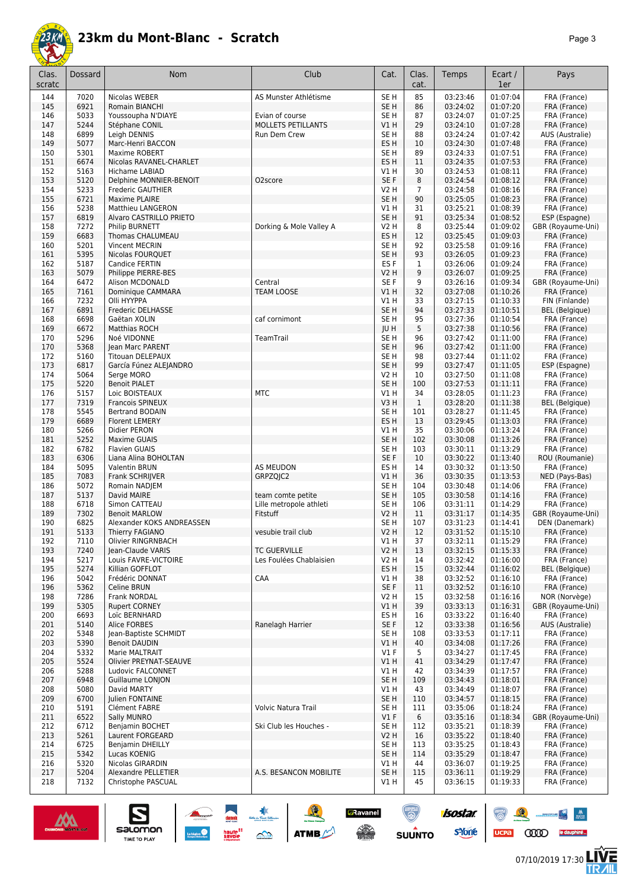

|--|--|

| Clas.<br>scratc | <b>Dossard</b> | Nom                                      | Club                    | Cat.                               | Clas.<br>cat.      | Temps                | Ecart /<br>1er       | Pays                              |
|-----------------|----------------|------------------------------------------|-------------------------|------------------------------------|--------------------|----------------------|----------------------|-----------------------------------|
| 144             | 7020           | Nicolas WEBER                            | AS Munster Athlétisme   | SE <sub>H</sub>                    | 85                 | 03:23:46             | 01:07:04             | FRA (France)                      |
| 145             | 6921           | Romain BIANCHI                           |                         | SE <sub>H</sub>                    | 86                 | 03:24:02             | 01:07:20             | FRA (France)                      |
| 146             | 5033           | Youssoupha N'DIAYE                       | Evian of course         | SE H                               | 87                 | 03:24:07             | 01:07:25             | FRA (France)                      |
| 147             | 5244           | Stéphane CONIL                           | MOLLETS PETILLANTS      | V1 H                               | 29                 | 03:24:10             | 01:07:28             | FRA (France)                      |
| 148             | 6899           | Leigh DENNIS                             | Run Dem Crew            | SE <sub>H</sub>                    | 88                 | 03:24:24             | 01:07:42             | AUS (Australie)                   |
| 149             | 5077           | Marc-Henri BACCON                        |                         | ES <sub>H</sub>                    | 10                 | 03:24:30             | 01:07:48             | FRA (France)                      |
| 150<br>151      | 5301<br>6674   | Maxime ROBERT<br>Nicolas RAVANEL-CHARLET |                         | SE <sub>H</sub><br>ES <sub>H</sub> | 89<br>11           | 03:24:33<br>03:24:35 | 01:07:51<br>01:07:53 | FRA (France)<br>FRA (France)      |
| 152             | 5163           | Hichame LABIAD                           |                         | V1 H                               | 30                 | 03:24:53             | 01:08:11             | FRA (France)                      |
| 153             | 5120           | Delphine MONNIER-BENOIT                  | O2score                 | SE F                               | 8                  | 03:24:54             | 01:08:12             | FRA (France)                      |
| 154             | 5233           | <b>Frederic GAUTHIER</b>                 |                         | V2 H                               | $\overline{7}$     | 03:24:58             | 01:08:16             | FRA (France)                      |
| 155             | 6721           | Maxime PLAIRE                            |                         | SE <sub>H</sub>                    | 90                 | 03:25:05             | 01:08:23             | FRA (France)                      |
| 156             | 5238           | Matthieu LANGERON                        |                         | V1 H                               | 31                 | 03:25:21             | 01:08:39             | FRA (France)                      |
| 157             | 6819           | Alvaro CASTRILLO PRIETO                  |                         | SE <sub>H</sub>                    | 91                 | 03:25:34             | 01:08:52             | ESP (Espagne)                     |
| 158             | 7272           | <b>Philip BURNETT</b>                    | Dorking & Mole Valley A | V2 H                               | 8                  | 03:25:44             | 01:09:02             | GBR (Royaume-Uni)                 |
| 159             | 6683           | Thomas CHALUMEAU                         |                         | ES H                               | 12                 | 03:25:45             | 01:09:03             | FRA (France)                      |
| 160             | 5201           | <b>Vincent MECRIN</b>                    |                         | SE <sub>H</sub>                    | 92                 | 03:25:58             | 01:09:16             | FRA (France)                      |
| 161             | 5395<br>5187   | Nicolas FOURQUET                         |                         | SE <sub>H</sub><br>ES <sub>F</sub> | 93<br>$\mathbf{1}$ | 03:26:05<br>03:26:06 | 01:09:23<br>01:09:24 | FRA (France)<br>FRA (France)      |
| 162<br>163      | 5079           | Candice FERTIN<br>Philippe PIERRE-BES    |                         | V2 H                               | 9                  | 03:26:07             | 01:09:25             | FRA (France)                      |
| 164             | 6472           | Alison MCDONALD                          | Central                 | SE F                               | 9                  | 03:26:16             | 01:09:34             | GBR (Royaume-Uni)                 |
| 165             | 7161           | Dominique CAMMARA                        | <b>TEAM LOOSE</b>       | VIH                                | 32                 | 03:27:08             | 01:10:26             | FRA (France)                      |
| 166             | 7232           | Olli HYYPPA                              |                         | V1 H                               | 33                 | 03:27:15             | 01:10:33             | FIN (Finlande)                    |
| 167             | 6891           | Frederic DELHASSE                        |                         | SE <sub>H</sub>                    | 94                 | 03:27:33             | 01:10:51             | <b>BEL</b> (Belgique)             |
| 168             | 6698           | Gaëtan XOLIN                             | caf cornimont           | SE H                               | 95                 | 03:27:36             | 01:10:54             | FRA (France)                      |
| 169             | 6672           | Matthias ROCH                            |                         | JU H                               | 5                  | 03:27:38             | 01:10:56             | FRA (France)                      |
| 170             | 5296           | Noé VIDONNE                              | TeamTrail               | SE H                               | 96                 | 03:27:42             | 01:11:00             | FRA (France)                      |
| 170             | 5368           | Jean Marc PARENT                         |                         | SE H                               | 96                 | 03:27:42             | 01:11:00             | FRA (France)                      |
| 172             | 5160           | <b>Titouan DELEPAUX</b>                  |                         | SE <sub>H</sub>                    | 98                 | 03:27:44             | 01:11:02             | FRA (France)                      |
| 173             | 6817           | García Fúnez ALEJANDRO                   |                         | SE <sub>H</sub>                    | 99                 | 03:27:47             | 01:11:05             | ESP (Espagne)                     |
| 174<br>175      | 5064<br>5220   | Serge MORO<br><b>Benoit PIALET</b>       |                         | <b>V2 H</b><br>SE <sub>H</sub>     | 10<br>100          | 03:27:50<br>03:27:53 | 01:11:08<br>01:11:11 | FRA (France)<br>FRA (France)      |
| 176             | 5157           | Loic BOISTEAUX                           | <b>MTC</b>              | V1 H                               | 34                 | 03:28:05             | 01:11:23             | FRA (France)                      |
| 177             | 7319           | Francois SPINEUX                         |                         | V3H                                | $\mathbf{1}$       | 03:28:20             | 01:11:38             | <b>BEL</b> (Belgique)             |
| 178             | 5545           | <b>Bertrand BODAIN</b>                   |                         | SE <sub>H</sub>                    | 101                | 03:28:27             | 01:11:45             | FRA (France)                      |
| 179             | 6689           | <b>Florent LEMERY</b>                    |                         | ES <sub>H</sub>                    | 13                 | 03:29:45             | 01:13:03             | FRA (France)                      |
| 180             | 5266           | Didier PERON                             |                         | V1 H                               | 35                 | 03:30:06             | 01:13:24             | FRA (France)                      |
| 181             | 5252           | <b>Maxime GUAIS</b>                      |                         | SE <sub>H</sub>                    | 102                | 03:30:08             | 01:13:26             | FRA (France)                      |
| 182             | 6782           | <b>Flavien GUAIS</b>                     |                         | SE H                               | 103                | 03:30:11             | 01:13:29             | FRA (France)                      |
| 183             | 6306           | Liana Alina BOHOLTAN                     |                         | SE F                               | 10                 | 03:30:22             | 01:13:40             | ROU (Roumanie)                    |
| 184             | 5095           | Valentin BRUN                            | AS MEUDON               | ES <sub>H</sub>                    | 14                 | 03:30:32             | 01:13:50             | FRA (France)                      |
| 185             | 7083           | Frank SCHRIJVER                          | GRPZQJC2                | V1H                                | 36                 | 03:30:35             | 01:13:53             | NED (Pays-Bas)                    |
| 186<br>187      | 5072<br>5137   | Romain NADJEM<br>David MAIRE             | team comte petite       | SE <sub>H</sub><br>SE <sub>H</sub> | 104<br>105         | 03:30:48<br>03:30:58 | 01:14:06<br>01:14:16 | FRA (France)<br>FRA (France)      |
| 188             | 6718           | Simon CATTEAU                            | Lille metropole athleti | SE H                               | 106                | 03:31:11             | 01:14:29             | FRA (France)                      |
| 189             | 7302           | <b>Benoit MARLOW</b>                     | Fitstuff                | V2 H                               | 11                 | 03:31:17             | 01:14:35             | GBR (Royaume-Uni)                 |
| 190             | 6825           | Alexander KOKS ANDREASSEN                |                         | SE <sub>H</sub>                    | 107                | 03:31:23             | 01:14:41             | DEN (Danemark)                    |
| 191             | 5133           | Thierry FAGIANO                          | vesubie trail club      | V2 H                               | 12                 | 03:31:52             | 01:15:10             | FRA (France)                      |
| 192             | 7110           | Olivier RINGRNBACH                       |                         | V1 H                               | 37                 | 03:32:11             | 01:15:29             | FRA (France)                      |
| 193             | 7240           | Jean-Claude VARIS                        | <b>TC GUERVILLE</b>     | <b>V2 H</b>                        | 13                 | 03:32:15             | 01:15:33             | FRA (France)                      |
| 194             | 5217           | Louis FAVRE-VICTOIRE                     | Les Foulées Chablaisien | V2 H                               | 14                 | 03:32:42             | 01:16:00             | FRA (France)                      |
| 195             | 5274           | Killian GOFFLOT                          |                         | ES H                               | 15                 | 03:32:44             | 01:16:02             | <b>BEL</b> (Belgique)             |
| 196             | 5042           | Frédéric DONNAT                          | CAA                     | V1 H                               | 38                 | 03:32:52             | 01:16:10             | FRA (France)                      |
| 196             | 5362           | Celine BRUN                              |                         | SE F                               | 11                 | 03:32:52             | 01:16:10             | FRA (France)                      |
| 198             | 7286           | Frank NORDAL                             |                         | V2 H                               | 15                 | 03:32:58             | 01:16:16<br>01:16:31 | NOR (Norvège)                     |
| 199<br>200      | 5305<br>6693   | <b>Rupert CORNEY</b><br>Loïc BERNHARD    |                         | V1 H<br>ES H                       | 39<br>16           | 03:33:13<br>03:33:22 | 01:16:40             | GBR (Royaume-Uni)<br>FRA (France) |
| 201             | 5140           | <b>Alice FORBES</b>                      | Ranelagh Harrier        | SE F                               | 12                 | 03:33:38             | 01:16:56             | AUS (Australie)                   |
| 202             | 5348           | Jean-Baptiste SCHMIDT                    |                         | SE H                               | 108                | 03:33:53             | 01:17:11             | FRA (France)                      |
| 203             | 5390           | <b>Benoit DAUDIN</b>                     |                         | V1 H                               | 40                 | 03:34:08             | 01:17:26             | FRA (France)                      |
| 204             | 5332           | Marie MALTRAIT                           |                         | $VI$ F                             | 5                  | 03:34:27             | 01:17:45             | FRA (France)                      |
| 205             | 5524           | Olivier PREYNAT-SEAUVE                   |                         | V1H                                | 41                 | 03:34:29             | 01:17:47             | FRA (France)                      |
| 206             | 5288           | Ludovic FALCONNET                        |                         | V1 H                               | 42                 | 03:34:39             | 01:17:57             | FRA (France)                      |
| 207             | 6948           | Guillaume LONJON                         |                         | SE <sub>H</sub>                    | 109                | 03:34:43             | 01:18:01             | FRA (France)                      |
| 208             | 5080           | David MARTY                              |                         | V1 H                               | 43                 | 03:34:49             | 01:18:07             | FRA (France)                      |
| 209             | 6700           | Julien FONTAINE                          |                         | SE <sub>H</sub>                    | 110                | 03:34:57             | 01:18:15             | FRA (France)                      |
| 210             | 5191           | Clément FABRE                            | Volvic Natura Trail     | SE H                               | 111                | 03:35:06             | 01:18:24             | FRA (France)                      |
| 211<br>212      | 6522<br>6712   | Sally MUNRO<br>Benjamin BOCHET           | Ski Club les Houches -  | V1F<br>SE H                        | 6<br>112           | 03:35:16<br>03:35:21 | 01:18:34<br>01:18:39 | GBR (Royaume-Uni)<br>FRA (France) |
| 213             | 5261           | Laurent FORGEARD                         |                         | <b>V2 H</b>                        | 16                 | 03:35:22             | 01:18:40             | FRA (France)                      |
| 214             | 6725           | Benjamin DHEILLY                         |                         | SE H                               | 113                | 03:35:25             | 01:18:43             | FRA (France)                      |
| 215             | 5342           | Lucas KOENIG                             |                         | SE <sub>H</sub>                    | 114                | 03:35:29             | 01:18:47             | FRA (France)                      |
| 216             | 5320           | Nicolas GIRARDIN                         |                         | V1 H                               | 44                 | 03:36:07             | 01:19:25             | FRA (France)                      |
| 217             | 5204           | Alexandre PELLETIER                      | A.S. BESANCON MOBILITE  | SE <sub>H</sub>                    | 115                | 03:36:11             | 01:19:29             | FRA (France)                      |
| 218             | 7132           | Christophe PASCUAL                       |                         | V1 H                               | 45                 | 03:36:15             | 01:19:33             | FRA (France)                      |
|                 |                |                                          |                         |                                    |                    |                      |                      |                                   |

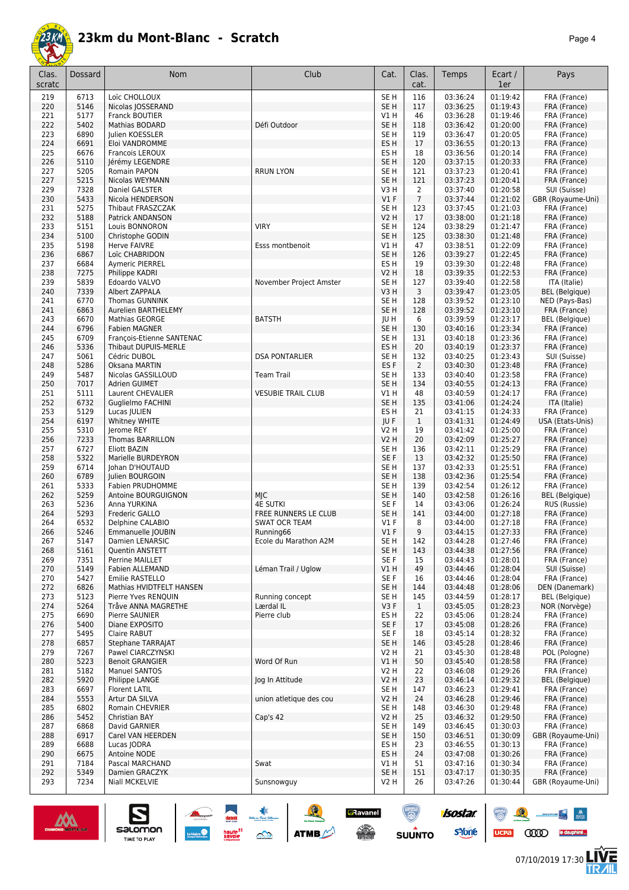

| Clas.<br>scratc | Dossard      | <b>Nom</b>                                        | Club                                    | Cat.                               | Clas.<br>cat.      | Temps                | Ecart /<br>1er       | Pays                              |
|-----------------|--------------|---------------------------------------------------|-----------------------------------------|------------------------------------|--------------------|----------------------|----------------------|-----------------------------------|
| 219             | 6713         | Loïc CHOLLOUX                                     |                                         | SE <sub>H</sub>                    | 116                | 03:36:24             | 01:19:42             | FRA (France)                      |
| 220             | 5146         | Nicolas JOSSERAND                                 |                                         | SE <sub>H</sub>                    | 117                | 03:36:25             | 01:19:43             | FRA (France)                      |
| 221             | 5177         | Franck BOUTIER                                    |                                         | V1H                                | 46                 | 03:36:28             | 01:19:46             | FRA (France)                      |
| 222             | 5402         | Mathias BODARD                                    | Défi Outdoor                            | SE <sub>H</sub>                    | 118                | 03:36:42             | 01:20:00             | FRA (France)                      |
| 223             | 6890         | <b>Iulien KOESSLER</b>                            |                                         | SE H                               | 119                | 03:36:47             | 01:20:05             | FRA (France)                      |
| 224             | 6691         | Eloi VANDROMME                                    |                                         | ES <sub>H</sub>                    | 17                 | 03:36:55             | 01:20:13             | FRA (France)                      |
| 225             | 6676<br>5110 | Francois LEROUX                                   |                                         | ES <sub>H</sub><br>SE <sub>H</sub> | 18                 | 03:36:56<br>03:37:15 | 01:20:14<br>01:20:33 | FRA (France)                      |
| 226<br>227      | 5205         | Jérémy LEGENDRE<br>Romain PAPON                   | <b>RRUN LYON</b>                        | SE H                               | 120<br>121         | 03:37:23             | 01:20:41             | FRA (France)<br>FRA (France)      |
| 227             | 5215         | Nicolas WEYMANN                                   |                                         | SE <sub>H</sub>                    | 121                | 03:37:23             | 01:20:41             | FRA (France)                      |
| 229             | 7328         | Daniel GALSTER                                    |                                         | V3 H                               | $\overline{2}$     | 03:37:40             | 01:20:58             | SUI (Suisse)                      |
| 230             | 5433         | Nicola HENDERSON                                  |                                         | $VI$ F                             | $\overline{7}$     | 03:37:44             | 01:21:02             | GBR (Royaume-Uni)                 |
| 231             | 5275         | Thibaut FRASZCZAK                                 |                                         | SE H                               | 123                | 03:37:45             | 01:21:03             | FRA (France)                      |
| 232             | 5188         | Patrick ANDANSON                                  |                                         | V2 H                               | 17                 | 03:38:00             | 01:21:18             | FRA (France)                      |
| 233             | 5151         | Louis BONNORON                                    | <b>VIRY</b>                             | SE H                               | 124                | 03:38:29             | 01:21:47             | FRA (France)                      |
| 234             | 5100<br>5198 | Christophe GODIN<br>Herve FAIVRE                  | Esss montbenoit                         | SE H                               | 125<br>47          | 03:38:30             | 01:21:48             | FRA (France)                      |
| 235<br>236      | 6867         | Loïc CHABRIDON                                    |                                         | V1 H<br>SE <sub>H</sub>            | 126                | 03:38:51<br>03:39:27 | 01:22:09<br>01:22:45 | FRA (France)<br>FRA (France)      |
| 237             | 6684         | <b>Aymeric PIERREL</b>                            |                                         | ES <sub>H</sub>                    | 19                 | 03:39:30             | 01:22:48             | FRA (France)                      |
| 238             | 7275         | Philippe KADRI                                    |                                         | V2 H                               | 18                 | 03:39:35             | 01:22:53             | FRA (France)                      |
| 239             | 5839         | Edoardo VALVO                                     | November Project Amster                 | SE H                               | 127                | 03:39:40             | 01:22:58             | ITA (Italie)                      |
| 240             | 7339         | Albert ZAPPALA                                    |                                         | V3H                                | 3                  | 03:39:47             | 01:23:05             | <b>BEL</b> (Belgique)             |
| 241             | 6770         | <b>Thomas GUNNINK</b>                             |                                         | SE H                               | 128                | 03:39:52             | 01:23:10             | NED (Pays-Bas)                    |
| 241             | 6863         | Aurelien BARTHELEMY                               |                                         | SE H                               | 128                | 03:39:52             | 01:23:10             | FRA (France)                      |
| 243             | 6670         | Mathias GEORGE                                    | <b>BATSTH</b>                           | JU H                               | 6                  | 03:39:59             | 01:23:17             | <b>BEL</b> (Belgique)             |
| 244<br>245      | 6796<br>6709 | <b>Fabien MAGNER</b><br>François-Etienne SANTENAC |                                         | SE <sub>H</sub><br>SE H            | 130<br>131         | 03:40:16<br>03:40:18 | 01:23:34<br>01:23:36 | FRA (France)<br>FRA (France)      |
| 246             | 5336         | Thibaut DUPUIS-MERLE                              |                                         | ES H                               | 20                 | 03:40:19             | 01:23:37             | FRA (France)                      |
| 247             | 5061         | Cédric DUBOL                                      | <b>DSA PONTARLIER</b>                   | SE H                               | 132                | 03:40:25             | 01:23:43             | SUI (Suisse)                      |
| 248             | 5286         | Oksana MARTIN                                     |                                         | ES <sub>F</sub>                    | $\overline{2}$     | 03:40:30             | 01:23:48             | FRA (France)                      |
| 249             | 5487         | Nicolas GASSILLOUD                                | <b>Team Trail</b>                       | SE H                               | 133                | 03:40:40             | 01:23:58             | FRA (France)                      |
| 250             | 7017         | Adrien GUIMET                                     |                                         | SE <sub>H</sub>                    | 134                | 03:40:55             | 01:24:13             | FRA (France)                      |
| 251             | 5111         | Laurent CHEVALIER                                 | <b>VESUBIE TRAIL CLUB</b>               | V1 H                               | 48                 | 03:40:59             | 01:24:17             | FRA (France)                      |
| 252             | 6732         | Guglielmo FACHINI                                 |                                         | SE <sub>H</sub>                    | 135                | 03:41:06             | 01:24:24             | ITA (Italie)                      |
| 253             | 5129         | Lucas JULIEN                                      |                                         | ES H                               | 21                 | 03:41:15             | 01:24:33             | FRA (France)                      |
| 254<br>255      | 6197<br>5310 | Whitney WHITE<br>Jerome REY                       |                                         | JUF<br>V2 H                        | $\mathbf{1}$<br>19 | 03:41:31<br>03:41:42 | 01:24:49<br>01:25:00 | USA (Etats-Unis)<br>FRA (France)  |
| 256             | 7233         | Thomas BARRILLON                                  |                                         | V2 H                               | 20                 | 03:42:09             | 01:25:27             | FRA (France)                      |
| 257             | 6727         | Eliott BAZIN                                      |                                         | SE H                               | 136                | 03:42:11             | 01:25:29             | FRA (France)                      |
| 258             | 5322         | Marielle BURDEYRON                                |                                         | SE F                               | 13                 | 03:42:32             | 01:25:50             | FRA (France)                      |
| 259             | 6714         | Johan D'HOUTAUD                                   |                                         | SE <sub>H</sub>                    | 137                | 03:42:33             | 01:25:51             | FRA (France)                      |
| 260             | 6789         | <b>Iulien BOURGOIN</b>                            |                                         | SE <sub>H</sub>                    | 138                | 03:42:36             | 01:25:54             | FRA (France)                      |
| 261             | 5333         | <b>Fabien PRUDHOMME</b>                           |                                         | SE <sub>H</sub>                    | 139                | 03:42:54             | 01:26:12             | FRA (France)                      |
| 262             | 5259<br>5236 | Antoine BOURGUIGNON                               | MJC                                     | SE H                               | 140                | 03:42:58             | 01:26:16<br>01:26:24 | <b>BEL</b> (Belgique)             |
| 263<br>264      | 5293         | Anna YURKINA<br>Frederic GALLO                    | <b>4E SUTKI</b><br>FREE RUNNERS LE CLUB | SE F<br>SE H                       | 14<br>141          | 03:43:06<br>03:44:00 | 01:27:18             | RUS (Russie)<br>FRA (France)      |
| 264             | 6532         | Delphine CALABIO                                  | <b>SWAT OCR TEAM</b>                    | $VI$ F                             | 8                  | 03:44:00             | 01:27:18             | FRA (France)                      |
| 266             | 5246         | Emmanuelle JOUBIN                                 | Running66                               | $VI$ F                             | 9                  | 03:44:15             | 01:27:33             | FRA (France)                      |
| 267             | 5147         | Damien LENARSIC                                   | Ecole du Marathon A2M                   | SE H                               | 142                | 03:44:28             | 01:27:46             | FRA (France)                      |
| 268             | 5161         | Quentin ANSTETT                                   |                                         | SE H                               | 143                | 03:44:38             | 01:27:56             | FRA (France)                      |
| 269             | 7351         | Perrine MAILLET                                   |                                         | SE F                               | 15                 | 03:44:43             | 01:28:01             | FRA (France)                      |
| 270             | 5149         | Fabien ALLEMAND                                   | Léman Trail / Uglow                     | V1 H                               | 49                 | 03:44:46             | 01:28:04             | SUI (Suisse)                      |
| 270<br>272      | 5427<br>6826 | Emilie RASTELLO<br>Mathias HVIDTFELT HANSEN       |                                         | SE F<br>SE <sub>H</sub>            | 16<br>144          | 03:44:46<br>03:44:48 | 01:28:04<br>01:28:06 | FRA (France)<br>DEN (Danemark)    |
| 273             | 5123         | Pierre Yves RENQUIN                               | Running concept                         | SE H                               | 145                | 03:44:59             | 01:28:17             | <b>BEL</b> (Belgique)             |
| 274             | 5264         | Tråve ANNA MAGRETHE                               | Lærdal IL                               | V3F                                | $\mathbf{1}$       | 03:45:05             | 01:28:23             | NOR (Norvège)                     |
| 275             | 6690         | Pierre SAUNIER                                    | Pierre club                             | ES H                               | 22                 | 03:45:06             | 01:28:24             | FRA (France)                      |
| 276             | 5400         | Diane EXPOSITO                                    |                                         | SE F                               | 17                 | 03:45:08             | 01:28:26             | FRA (France)                      |
| 277             | 5495         | Claire RABUT                                      |                                         | SE F                               | 18                 | 03:45:14             | 01:28:32             | FRA (France)                      |
| 278             | 6857         | Stephane TARRAJAT                                 |                                         | SE H                               | 146                | 03:45:28             | 01:28:46             | FRA (France)                      |
| 279             | 7267         | Pawel CIARCZYNSKI                                 |                                         | V2 H                               | 21                 | 03:45:30<br>03:45:40 | 01:28:48             | POL (Pologne)<br>FRA (France)     |
| 280<br>281      | 5223<br>5182 | <b>Benoit GRANGIER</b><br>Manuel SANTOS           | Word Of Run                             | V1 H<br>V2 H                       | 50<br>22           | 03:46:08             | 01:28:58<br>01:29:26 | FRA (France)                      |
| 282             | 5920         | Philippe LANGE                                    | Jog In Attitude                         | V2 H                               | 23                 | 03:46:14             | 01:29:32             | <b>BEL</b> (Belgique)             |
| 283             | 6697         | Florent LATIL                                     |                                         | SE H                               | 147                | 03:46:23             | 01:29:41             | FRA (France)                      |
| 284             | 5553         | Artur DA SILVA                                    | union atletique des cou                 | V2 H                               | 24                 | 03:46:28             | 01:29:46             | FRA (France)                      |
| 285             | 6802         | Romain CHEVRIER                                   |                                         | SE H                               | 148                | 03:46:30             | 01:29:48             | FRA (France)                      |
| 286             | 5452         | Christian BAY                                     | Cap's 42                                | <b>V2 H</b>                        | 25                 | 03:46:32             | 01:29:50             | FRA (France)                      |
| 287             | 6868         | David GARNIER                                     |                                         | SE H                               | 149                | 03:46:45             | 01:30:03             | FRA (France)                      |
| 288             | 6917<br>6688 | Carel VAN HEERDEN                                 |                                         | SE <sub>H</sub>                    | 150                | 03:46:51             | 01:30:09<br>01:30:13 | GBR (Royaume-Uni)<br>FRA (France) |
| 289<br>290      | 6675         | Lucas JODRA<br>Antoine NODE                       |                                         | ES H<br>ES H                       | 23<br>24           | 03:46:55<br>03:47:08 | 01:30:26             | FRA (France)                      |
| 291             | 7184         | Pascal MARCHAND                                   | Swat                                    | V1H                                | 51                 | 03:47:16             | 01:30:34             | FRA (France)                      |
| 292             | 5349         | Damien GRACZYK                                    |                                         | SE <sub>H</sub>                    | 151                | 03:47:17             | 01:30:35             | FRA (France)                      |
| 293             | 7234         | Niall MCKELVIE                                    | Sunsnowguy                              | V <sub>2</sub> H                   | 26                 | 03:47:26             | 01:30:44             | GBR (Royaume-Uni)                 |

SO THE SO ATME



 $\sum_{\text{SALOMOM}}$ 

 $\odot$ 

ucpa

 $\frac{1}{\sqrt{2}}\left|\frac{\partial}{\partial x}\right|=\frac{1}{\sqrt{2}}\left|\frac{\partial}{\partial x}\right|$ 

人<br>儿

**CODO** le dauphiné...

isostar.

**s**Yone

**D**Ravanel

 $\begin{array}{c} \sim \\ \sim \\ \sim \\ \end{array}$ 

 $\bigcirc$ 

**SUUNTO**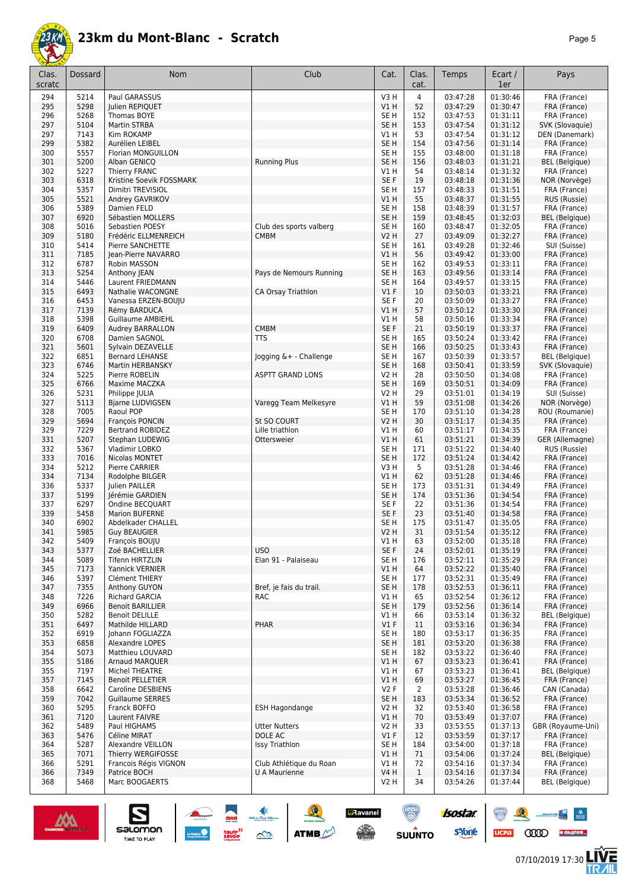

| Clas.<br>scratc | Dossard      | Nom                                          | Club                                     | Cat.                    | Clas.<br>cat.        | Temps                | Ecart /<br>1er       | Pays                                  |
|-----------------|--------------|----------------------------------------------|------------------------------------------|-------------------------|----------------------|----------------------|----------------------|---------------------------------------|
| 294             | 5214         | Paul GARASSUS                                |                                          | V <sub>3</sub> H        | $\overline{4}$       | 03:47:28             | 01:30:46             | FRA (France)                          |
| 295             | 5298         | Julien REPIQUET                              |                                          | V1 H                    | 52                   | 03:47:29             | 01:30:47             | FRA (France)                          |
| 296             | 5268         | Thomas BOYE                                  |                                          | SE H                    | 152                  | 03:47:53             | 01:31:11             | FRA (France)                          |
| 297             | 5104         | Martin STRBA                                 |                                          | SE H                    | 153                  | 03:47:54             | 01:31:12             | SVK (Slovaquie)                       |
| 297             | 7143         | Kim ROKAMP                                   |                                          | V1 H                    | 53                   | 03:47:54             | 01:31:12             | DEN (Danemark)                        |
| 299             | 5382         | Aurélien LEIBEL                              |                                          | SE <sub>H</sub>         | 154                  | 03:47:56             | 01:31:14             | FRA (France)                          |
| 300             | 5557         | Florian MONGUILLON                           |                                          | SE H                    | 155                  | 03:48:00             | 01:31:18             | FRA (France)                          |
| 301<br>302      | 5200<br>5227 | Alban GENICO<br>Thierry FRANC                | <b>Running Plus</b>                      | SE <sub>H</sub><br>V1 H | 156<br>54            | 03:48:03<br>03:48:14 | 01:31:21<br>01:31:32 | <b>BEL</b> (Belgique)<br>FRA (France) |
| 303             | 6318         | Kristine Soevik FOSSMARK                     |                                          | SE F                    | 19                   | 03:48:18             | 01:31:36             | NOR (Norvège)                         |
| 304             | 5357         | Dimitri TREVISIOL                            |                                          | SE H                    | 157                  | 03:48:33             | 01:31:51             | FRA (France)                          |
| 305             | 5521         | Andrey GAVRIKOV                              |                                          | V1 H                    | 55                   | 03:48:37             | 01:31:55             | RUS (Russie)                          |
| 306             | 5389         | Damien FELD                                  |                                          | SE <sub>H</sub>         | 158                  | 03:48:39             | 01:31:57             | FRA (France)                          |
| 307             | 6920         | Sébastien MOLLERS                            |                                          | SE H                    | 159                  | 03:48:45             | 01:32:03             | <b>BEL</b> (Belgique)                 |
| 308             | 5016         | Sebastien POESY                              | Club des sports valberg                  | SE H                    | 160                  | 03:48:47             | 01:32:05             | FRA (France)                          |
| 309             | 5180         | Frédéric ELLMENREICH                         | <b>CMBM</b>                              | V2 H                    | 27                   | 03:49:09             | 01:32:27             | FRA (France)                          |
| 310<br>311      | 5414<br>7185 | Pierre SANCHETTE                             |                                          | SE H<br>V1 H            | 161<br>56            | 03:49:28<br>03:49:42 | 01:32:46<br>01:33:00 | SUI (Suisse)                          |
| 312             | 6787         | Jean-Pierre NAVARRO<br>Robin MASSON          |                                          | SE H                    | 162                  | 03:49:53             | 01:33:11             | FRA (France)<br>FRA (France)          |
| 313             | 5254         | Anthony JEAN                                 | Pays de Nemours Running                  | SE <sub>H</sub>         | 163                  | 03:49:56             | 01:33:14             | FRA (France)                          |
| 314             | 5446         | Laurent FRIEDMANN                            |                                          | SE H                    | 164                  | 03:49:57             | 01:33:15             | FRA (France)                          |
| 315             | 6493         | Nathalie WACONGNE                            | CA Orsay Triathlon                       | V1F                     | 10                   | 03:50:03             | 01:33:21             | FRA (France)                          |
| 316             | 6453         | Vanessa ERZEN-BOUJU                          |                                          | SE F                    | 20                   | 03:50:09             | 01:33:27             | FRA (France)                          |
| 317             | 7139         | Rémy BARDUCA                                 |                                          | V1 H                    | 57                   | 03:50:12             | 01:33:30             | FRA (France)                          |
| 318             | 5398         | Guillaume AMBIEHL                            |                                          | V1 H                    | 58                   | 03:50:16             | 01:33:34             | FRA (France)                          |
| 319             | 6409         | Audrey BARRALLON                             | <b>CMBM</b>                              | SE <sub>F</sub>         | 21                   | 03:50:19             | 01:33:37             | FRA (France)                          |
| 320             | 6708         | Damien SAGNOL                                | <b>TTS</b>                               | SE H                    | 165                  | 03:50:24             | 01:33:42             | FRA (France)                          |
| 321<br>322      | 5601<br>6851 | Sylvain DEZAVELLE<br><b>Bernard LEHANSE</b>  | Jogging &+ - Challenge                   | SE H<br>SE H            | 166<br>167           | 03:50:25<br>03:50:39 | 01:33:43<br>01:33:57 | FRA (France)<br>BEL (Belgique)        |
| 323             | 6746         | Martin HERBANSKY                             |                                          | SE H                    | 168                  | 03:50:41             | 01:33:59             | SVK (Slovaquie)                       |
| 324             | 5225         | Pierre ROBELIN                               | <b>ASPTT GRAND LONS</b>                  | V2 H                    | 28                   | 03:50:50             | 01:34:08             | FRA (France)                          |
| 325             | 6766         | Maxime MACZKA                                |                                          | SE <sub>H</sub>         | 169                  | 03:50:51             | 01:34:09             | FRA (France)                          |
| 326             | 5231         | Philippe JULIA                               |                                          | V2 H                    | 29                   | 03:51:01             | 01:34:19             | SUI (Suisse)                          |
| 327             | 5113         | <b>Bjarne LUDVIGSEN</b>                      | Varegg Team Melkesyre                    | V1 H                    | 59                   | 03:51:08             | 01:34:26             | NOR (Norvège)                         |
| 328             | 7005         | Raoul POP                                    |                                          | SE H                    | 170                  | 03:51:10             | 01:34:28             | ROU (Roumanie)                        |
| 329             | 5694         | François PONCIN                              | St SO COURT                              | V2 H                    | 30                   | 03:51:17             | 01:34:35             | FRA (France)                          |
| 329<br>331      | 7229<br>5207 | Bertrand ROBIDEZ<br>Stephan LUDEWIG          | Lille triathlon<br>Ottersweier           | V1 H<br>V1 H            | 60<br>61             | 03:51:17<br>03:51:21 | 01:34:35<br>01:34:39 | FRA (France)<br>GER (Allemagne)       |
| 332             | 5367         | Vladimir LOBKO                               |                                          | SE H                    | 171                  | 03:51:22             | 01:34:40             | RUS (Russie)                          |
| 333             | 7016         | Nicolas MONTET                               |                                          | SE <sub>H</sub>         | 172                  | 03:51:24             | 01:34:42             | FRA (France)                          |
| 334             | 5212         | Pierre CARRIER                               |                                          | V3 H                    | 5                    | 03:51:28             | 01:34:46             | FRA (France)                          |
| 334             | 7134         | Rodolphe BILGER                              |                                          | V1 H                    | 62                   | 03:51:28             | 01:34:46             | FRA (France)                          |
| 336             | 5337         | <b>Iulien PAILLER</b>                        |                                          | SE H                    | 173                  | 03:51:31             | 01:34:49             | FRA (France)                          |
| 337             | 5199         | Jérémie GARDIEN                              |                                          | SE <sub>H</sub>         | 174                  | 03:51:36             | 01:34:54             | FRA (France)                          |
| 337             | 6297         | Ondine BECQUART                              |                                          | SE F                    | 22                   | 03:51:36             | 01:34:54             | FRA (France)                          |
| 339<br>340      | 5458<br>6902 | <b>Marion BUFERNE</b><br>Abdelkader CHALLEL  |                                          | SE <sub>F</sub><br>SE H | 23<br>175            | 03:51:40<br>03:51:47 | 01:34:58<br>01:35:05 | FRA (France)<br>FRA (France)          |
| 341             | 5985         | <b>Guy BEAUGIER</b>                          |                                          | V2 H                    | 31                   | 03:51:54             | 01:35:12             | FRA (France)                          |
| 342             | 5409         | François BOUJU                               |                                          | V1 H                    | 63                   | 03:52:00             | 01:35:18             | FRA (France)                          |
| 343             | 5377         | Zoé BACHELLIER                               | <b>USO</b>                               | SE F                    | 24                   | 03:52:01             | 01:35:19             | FRA (France)                          |
| 344             | 5089         | Tifenn HIRTZLIN                              | Elan 91 - Palaiseau                      | SE H                    | 176                  | 03:52:11             | 01:35:29             | FRA (France)                          |
| 345             | 7173         | Yannick VERNIER                              |                                          | V1 H                    | 64                   | 03:52:22             | 01:35:40             | FRA (France)                          |
| 346             | 5397         | Clément THIERY                               |                                          | SE H                    | 177                  | 03:52:31             | 01:35:49             | FRA (France)                          |
| 347             | 7355         | Anthony GUYON                                | Bref, je fais du trail.                  | SE H<br>V1 H            | 178<br>65            | 03:52:53             | 01:36:11             | FRA (France)                          |
| 348<br>349      | 7226<br>6966 | Richard GARCIA<br><b>Benoit BARILLIER</b>    | RAC                                      | SE <sub>H</sub>         | 179                  | 03:52:54<br>03:52:56 | 01:36:12<br>01:36:14 | FRA (France)<br>FRA (France)          |
| 350             | 5282         | <b>Benoit DELILLE</b>                        |                                          | V1 H                    | 66                   | 03:53:14             | 01:36:32             | <b>BEL</b> (Belgique)                 |
| 351             | 6497         | Mathilde HILLARD                             | PHAR                                     | $VI$ F                  | 11                   | 03:53:16             | 01:36:34             | FRA (France)                          |
| 352             | 6919         | Johann FOGLIAZZA                             |                                          | SE H                    | 180                  | 03:53:17             | 01:36:35             | FRA (France)                          |
| 353             | 6858         | Alexandre LOPES                              |                                          | SE <sub>H</sub>         | 181                  | 03:53:20             | 01:36:38             | FRA (France)                          |
| 354             | 5073         | Matthieu LOUVARD                             |                                          | SE H                    | 182                  | 03:53:22             | 01:36:40             | FRA (France)                          |
| 355             | 5186         | Arnaud MARQUER                               |                                          | V1 H                    | 67                   | 03:53:23             | 01:36:41             | FRA (France)                          |
| 355             | 7197         | Michel THEATRE                               |                                          | V1 H                    | 67                   | 03:53:23             | 01:36:41             | <b>BEL</b> (Belgique)                 |
| 357<br>358      | 7145<br>6642 | <b>Benoit PELLETIER</b><br>Caroline DESBIENS |                                          | V1 H<br>V2F             | 69<br>$\overline{2}$ | 03:53:27<br>03:53:28 | 01:36:45<br>01:36:46 | FRA (France)<br>CAN (Canada)          |
| 359             | 7042         | <b>Guillaume SERRES</b>                      |                                          | SE H                    | 183                  | 03:53:34             | 01:36:52             | FRA (France)                          |
| 360             | 5295         | Franck BOFFO                                 | <b>ESH Hagondange</b>                    | V2 H                    | 32                   | 03:53:40             | 01:36:58             | FRA (France)                          |
| 361             | 7120         | Laurent FAIVRE                               |                                          | V1 H                    | 70                   | 03:53:49             | 01:37:07             | FRA (France)                          |
| 362             | 5489         | Paul HIGHAMS                                 | <b>Utter Nutters</b>                     | V2 H                    | 33                   | 03:53:55             | 01:37:13             | GBR (Royaume-Uni)                     |
| 363             | 5476         | Céline MIRAT                                 | DOLE AC                                  | $VI$ F                  | 12                   | 03:53:59             | 01:37:17             | FRA (France)                          |
| 364             | 5287         | Alexandre VEILLON                            | Issy Triathlon                           | SE H                    | 184                  | 03:54:00             | 01:37:18             | FRA (France)                          |
| 365             | 7071         | Thierry WERGIFOSSE                           |                                          | V1 H                    | 71                   | 03:54:06             | 01:37:24             | <b>BEL</b> (Belgique)                 |
| 366<br>366      | 5291<br>7349 | Francois Régis VIGNON<br>Patrice BOCH        | Club Athlétique du Roan<br>U A Maurienne | V1 H<br><b>V4 H</b>     | 72<br>$\mathbf{1}$   | 03:54:16<br>03:54:16 | 01:37:34<br>01:37:34 | FRA (France)<br>FRA (France)          |
| 368             | 5468         | Marc BOOGAERTS                               |                                          | V2 H                    | 34                   | 03:54:26             | 01:37:44             | BEL (Belgique)                        |
|                 |              |                                              |                                          |                         |                      |                      |                      |                                       |

SO THE SO ATME



 $\sum_{\text{SALOMOM}}$ 



UCPa (ODI) le dauphiné.

isostar.

**s**Yone

**a**Ravanel

 $\begin{array}{c} \mathcal{N}^{\text{c}} \longrightarrow \\ \text{peritivity} \end{array}$ 

 $\odot$ 



 $\frac{1}{\sqrt{2}}\left|\frac{1}{\sqrt{2}}\right| = \frac{1}{2\sqrt{2}}$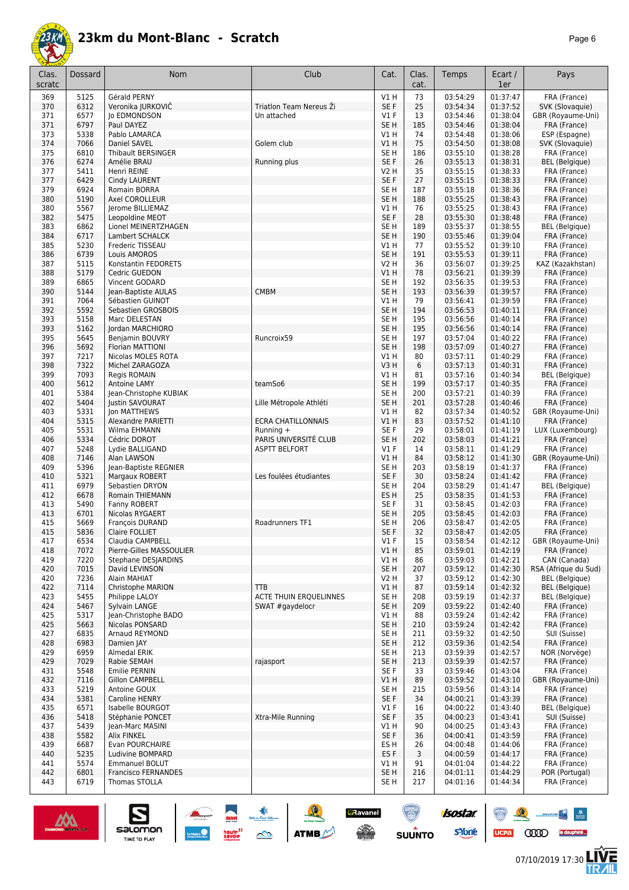

|--|--|

| Clas.<br>scratc | Dossard      | Nom                                           | Club                               | Cat.                      | Clas.<br>cat. | Temps                | Ecart /<br>1er       | Pays                                           |
|-----------------|--------------|-----------------------------------------------|------------------------------------|---------------------------|---------------|----------------------|----------------------|------------------------------------------------|
| 369             | 5125         | Gérald PERNY                                  |                                    | V1H                       | 73            | 03:54:29             | 01:37:47             | FRA (France)                                   |
| 370             | 6312         | Veronika JURKOVIČ                             | Triatlon Team Nereus Ži            | SE F                      | 25            | 03:54:34             | 01:37:52             | SVK (Slovaquie)                                |
| 371<br>371      | 6577<br>6797 | <b>Jo EDMONDSON</b><br>Paul DAYEZ             | Un attached                        | $VI$ F<br>SE <sub>H</sub> | 13<br>185     | 03:54:46<br>03:54:46 | 01:38:04<br>01:38:04 | GBR (Royaume-Uni)<br>FRA (France)              |
| 373             | 5338         | Pablo LAMARCA                                 |                                    | VIH                       | 74            | 03:54:48             | 01:38:06             | ESP (Espagne)                                  |
| 374             | 7066         | Daniel SAVEL                                  | Golem club                         | VIH                       | 75            | 03:54:50             | 01:38:08             | SVK (Slovaquie)                                |
| 375             | 6810         | <b>Thibault BERSINGER</b>                     |                                    | SE <sub>H</sub>           | 186           | 03:55:10             | 01:38:28             | FRA (France)                                   |
| 376             | 6274         | Amélie BRAU                                   | Running plus                       | SE <sub>F</sub>           | 26            | 03:55:13             | 01:38:31             | <b>BEL</b> (Belgique)                          |
| 377             | 5411         | Henri REINE                                   |                                    | V2 H                      | 35            | 03:55:15             | 01:38:33             | FRA (France)                                   |
| 377             | 6429<br>6924 | Cindy LAURENT<br>Romain BORRA                 |                                    | SE F<br>SE <sub>H</sub>   | 27            | 03:55:15<br>03:55:18 | 01:38:33<br>01:38:36 | FRA (France)                                   |
| 379<br>380      | 5190         | Axel COROLLEUR                                |                                    | SE H                      | 187<br>188    | 03:55:25             | 01:38:43             | FRA (France)<br>FRA (France)                   |
| 380             | 5567         | Jerome BILLIEMAZ                              |                                    | V1 H                      | 76            | 03:55:25             | 01:38:43             | FRA (France)                                   |
| 382             | 5475         | Leopoldine MEOT                               |                                    | SE F                      | 28            | 03:55:30             | 01:38:48             | FRA (France)                                   |
| 383             | 6862         | Lionel MEINERTZHAGEN                          |                                    | SE <sub>H</sub>           | 189           | 03:55:37             | 01:38:55             | <b>BEL</b> (Belgique)                          |
| 384             | 6717         | Lambert SCHALCK                               |                                    | SE <sub>H</sub>           | 190           | 03:55:46             | 01:39:04             | FRA (France)                                   |
| 385             | 5230         | Frederic TISSEAU                              |                                    | V1H                       | 77            | 03:55:52             | 01:39:10             | FRA (France)                                   |
| 386             | 6739<br>5115 | Louis AMOROS                                  |                                    | SE <sub>H</sub><br>V2 H   | 191<br>36     | 03:55:53<br>03:56:07 | 01:39:11<br>01:39:25 | FRA (France)<br>KAZ (Kazakhstan)               |
| 387<br>388      | 5179         | Konstantin FEDORETS<br>Cedric GUEDON          |                                    | VIH                       | 78            | 03:56:21             | 01:39:39             | FRA (France)                                   |
| 389             | 6865         | Vincent GODARD                                |                                    | SE <sub>H</sub>           | 192           | 03:56:35             | 01:39:53             | FRA (France)                                   |
| 390             | 5144         | Jean-Baptiste AULAS                           | <b>CMBM</b>                        | SE <sub>H</sub>           | 193           | 03:56:39             | 01:39:57             | FRA (France)                                   |
| 391             | 7064         | Sébastien GUINOT                              |                                    | V1 H                      | 79            | 03:56:41             | 01:39:59             | FRA (France)                                   |
| 392             | 5592         | Sebastien GROSBOIS                            |                                    | SE H                      | 194           | 03:56:53             | 01:40:11             | FRA (France)                                   |
| 393             | 5158         | Marc DELESTAN                                 |                                    | SE H                      | 195           | 03:56:56             | 01:40:14             | FRA (France)                                   |
| 393             | 5162         | Jordan MARCHIORO                              |                                    | SE <sub>H</sub>           | 195           | 03:56:56             | 01:40:14             | FRA (France)                                   |
| 395             | 5645         | Benjamin BOUVRY                               | Runcroix59                         | SE <sub>H</sub>           | 197           | 03:57:04             | 01:40:22             | FRA (France)                                   |
| 396<br>397      | 5692<br>7217 | <b>Florian MATTIONI</b><br>Nicolas MOLES ROTA |                                    | SE <sub>H</sub><br>V1H    | 198<br>80     | 03:57:09<br>03:57:11 | 01:40:27<br>01:40:29 | FRA (France)<br>FRA (France)                   |
| 398             | 7322         | Michel ZARAGOZA                               |                                    | V3H                       | 6             | 03:57:13             | 01:40:31             | FRA (France)                                   |
| 399             | 7093         | Regis ROMAIN                                  |                                    | V1H                       | 81            | 03:57:16             | 01:40:34             | <b>BEL</b> (Belgique)                          |
| 400             | 5612         | Antoine LAMY                                  | teamSo6                            | SE <sub>H</sub>           | 199           | 03:57:17             | 01:40:35             | FRA (France)                                   |
| 401             | 5384         | Jean-Christophe KUBIAK                        |                                    | SE <sub>H</sub>           | 200           | 03:57:21             | 01:40:39             | FRA (France)                                   |
| 402             | 5404         | Justin SAVOURAT                               | Lille Métropole Athléti            | SE <sub>H</sub>           | 201           | 03:57:28             | 01:40:46             | FRA (France)                                   |
| 403             | 5331         | <b>Jon MATTHEWS</b>                           |                                    | V1 H                      | 82            | 03:57:34             | 01:40:52             | GBR (Royaume-Uni)                              |
| 404             | 5315<br>5531 | Alexandre PARIETTI                            | <b>ECRA CHATILLONNAIS</b>          | VIH                       | 83<br>29      | 03:57:52             | 01:41:10<br>01:41:19 | FRA (France)<br>LUX (Luxembourg)               |
| 405<br>406      | 5334         | Wilma EHMANN<br>Cédric DOROT                  | Running +<br>PARIS UNIVERSITÉ CLUB | SE F<br>SE H              | 202           | 03:58:01<br>03:58:03 | 01:41:21             | FRA (France)                                   |
| 407             | 5248         | Lydie BALLIGAND                               | <b>ASPTT BELFORT</b>               | $VI$ F                    | 14            | 03:58:11             | 01:41:29             | FRA (France)                                   |
| 408             | 7146         | Alan LAWSON                                   |                                    | V1H                       | 84            | 03:58:12             | 01:41:30             | GBR (Royaume-Uni)                              |
| 409             | 5396         | Jean-Baptiste REGNIER                         |                                    | SE <sub>H</sub>           | 203           | 03:58:19             | 01:41:37             | FRA (France)                                   |
| 410             | 5321         | Margaux ROBERT                                | Les foulées étudiantes             | SE F                      | 30            | 03:58:24             | 01:41:42             | FRA (France)                                   |
| 411             | 6979         | Sebastien DRYON                               |                                    | SE <sub>H</sub>           | 204           | 03:58:29             | 01:41:47             | <b>BEL</b> (Belgique)                          |
| 412             | 6678         | Romain THIEMANN                               |                                    | ES H                      | 25            | 03:58:35             | 01:41:53             | FRA (France)                                   |
| 413<br>413      | 5490<br>6701 | Fanny ROBERT<br>Nicolas RYGAERT               |                                    | SE F<br>SE <sub>H</sub>   | 31<br>205     | 03:58:45<br>03:58:45 | 01:42:03<br>01:42:03 | FRA (France)<br>FRA (France)                   |
| 415             | 5669         | <b>François DURAND</b>                        | Roadrunners TF1                    | SE <sub>H</sub>           | 206           | 03:58:47             | 01:42:05             | FRA (France)                                   |
| 415             | 5836         | Claire FOLLIET                                |                                    | SE F                      | 32            | 03:58:47             | 01:42:05             | FRA (France)                                   |
| 417             | 6534         | Claudia CAMPBELL                              |                                    | V1 F                      | 15            | 03:58:54             | 01:42:12             | GBR (Royaume-Uni)                              |
| 418             | 7072         | Pierre-Gilles MASSOULIER                      |                                    | V1H                       | 85            | 03:59:01             | 01:42:19             | FRA (France)                                   |
| 419             | 7220         | Stephane DESJARDINS                           |                                    | V1 H                      | 86            | 03:59:03             | 01:42:21             | CAN (Canada)                                   |
| 420             | 7015         | David LEVINSON                                |                                    | SE <sub>H</sub>           | 207           | 03:59:12             | 01:42:30             | RSA (Afrique du Sud)                           |
| 420<br>422      | 7236<br>7114 | Alain MAHIAT<br>Christophe MARION             | <b>TTB</b>                         | V2 H<br>V1H               | 37<br>87      | 03:59:12<br>03:59:14 | 01:42:30<br>01:42:32 | <b>BEL</b> (Belgique)<br><b>BEL</b> (Belgique) |
| 423             | 5455         | Philippe LALOY                                | <b>ACTE THUIN ERQUELINNES</b>      | SE <sub>H</sub>           | 208           | 03:59:19             | 01:42:37             | <b>BEL</b> (Belgique)                          |
| 424             | 5467         | Sylvain LANGE                                 | SWAT #gaydelocr                    | SE <sub>H</sub>           | 209           | 03:59:22             | 01:42:40             | FRA (France)                                   |
| 425             | 5317         | Jean-Christophe BADO                          |                                    | V1H                       | 88            | 03:59:24             | 01:42:42             | FRA (France)                                   |
| 425             | 5663         | Nicolas PONSARD                               |                                    | SE <sub>H</sub>           | 210           | 03:59:24             | 01:42:42             | FRA (France)                                   |
| 427             | 6835         | Arnaud REYMOND                                |                                    | SE H                      | 211           | 03:59:32             | 01:42:50             | SUI (Suisse)                                   |
| 428             | 6983         | Damien JAY                                    |                                    | SE <sub>H</sub>           | 212           | 03:59:36             | 01:42:54             | FRA (France)                                   |
| 429<br>429      | 6959<br>7029 | Almedal ERIK<br>Rabie SEMAH                   | rajasport                          | SE H<br>SE H              | 213<br>213    | 03:59:39<br>03:59:39 | 01:42:57<br>01:42:57 | NOR (Norvège)<br>FRA (France)                  |
| 431             | 5548         | <b>Emilie PERNIN</b>                          |                                    | SE F                      | 33            | 03:59:46             | 01:43:04             | FRA (France)                                   |
| 432             | 7116         | <b>Gillon CAMPBELL</b>                        |                                    | V1H                       | 89            | 03:59:52             | 01:43:10             | GBR (Royaume-Uni)                              |
| 433             | 5219         | Antoine GOUX                                  |                                    | SE H                      | 215           | 03:59:56             | 01:43:14             | FRA (France)                                   |
| 434             | 5381         | Caroline HENRY                                |                                    | SE F                      | 34            | 04:00:21             | 01:43:39             | FRA (France)                                   |
| 435             | 6571         | Isabelle BOURGOT                              |                                    | $VI$ F                    | 16            | 04:00:22             | 01:43:40             | <b>BEL</b> (Belgique)                          |
| 436             | 5418         | Stéphanie PONCET                              | Xtra-Mile Running                  | SE F                      | 35            | 04:00:23             | 01:43:41             | SUI (Suisse)                                   |
| 437             | 5439<br>5582 | Jean-Marc MASINI                              |                                    | V1 H<br>SE F              | 90<br>36      | 04:00:25<br>04:00:41 | 01:43:43<br>01:43:59 | FRA (France)<br>FRA (France)                   |
| 438<br>439      | 6687         | Alix FINKEL<br>Evan POURCHAIRE                |                                    | ES H                      | 26            | 04:00:48             | 01:44:06             | FRA (France)                                   |
| 440             | 5235         | Ludivine BOMPARD                              |                                    | ES F                      | 3             | 04:00:59             | 01:44:17             | FRA (France)                                   |
| 441             | 5574         | Emmanuel BOLUT                                |                                    | V1 H                      | 91            | 04:01:04             | 01:44:22             | FRA (France)                                   |
| 442             | 6801         | <b>Francisco FERNANDES</b>                    |                                    | SE H                      | 216           | 04:01:11             | 01:44:29             | POR (Portugal)                                 |
| 443             | 6719         | Thomas STOLLA                                 |                                    | SE H                      | 217           | 04:01:16             | 01:44:34             | FRA (France)                                   |

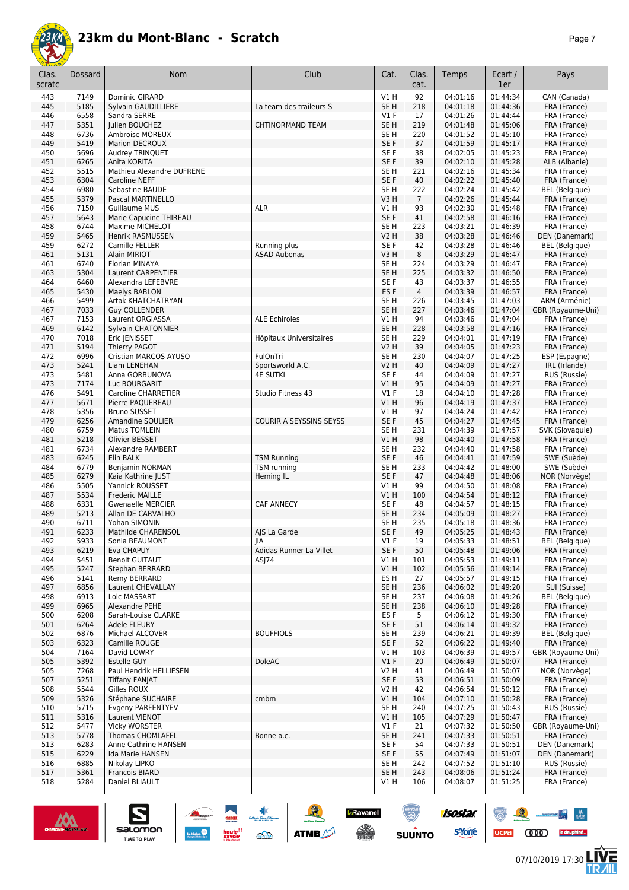

| Clas.<br>scratc | Dossard | Nom                       | Club                    | Cat.            | Clas.<br>cat.  | Temps    | Ecart /<br>1er | Pays                  |
|-----------------|---------|---------------------------|-------------------------|-----------------|----------------|----------|----------------|-----------------------|
| 443             | 7149    | Dominic GIRARD            |                         | VIH             | 92             | 04:01:16 | 01:44:34       | CAN (Canada)          |
| 445             | 5185    | Sylvain GAUDILLIERE       | La team des traileurs S | SE <sub>H</sub> | 218            | 04:01:18 | 01:44:36       | FRA (France)          |
| 446             | 6558    | Sandra SERRE              |                         | $VI$ F          | 17             | 04:01:26 | 01:44:44       | FRA (France)          |
| 447             | 5351    | Julien BOUCHEZ            | <b>CHTINORMAND TEAM</b> | SE <sub>H</sub> | 219            | 04:01:48 | 01:45:06       | FRA (France)          |
| 448             | 6736    | Ambroise MOREUX           |                         | SE H            | 220            | 04:01:52 | 01:45:10       | FRA (France)          |
| 449             | 5419    | Marion DECROUX            |                         | SE F            | 37             | 04:01:59 | 01:45:17       | FRA (France)          |
| 450             | 5696    | Audrey TRINQUET           |                         | SE <sub>F</sub> | 38             | 04:02:05 | 01:45:23       | FRA (France)          |
| 451             | 6265    | Anita KORITA              |                         | SE F            | 39             | 04:02:10 | 01:45:28       | ALB (Albanie)         |
| 452             | 5515    | Mathieu Alexandre DUFRENE |                         | SE <sub>H</sub> | 221            | 04:02:16 | 01:45:34       | FRA (France)          |
| 453             | 6304    | Caroline NEFF             |                         | SE F            | 40             | 04:02:22 | 01:45:40       | FRA (France)          |
| 454             | 6980    | Sebastine BAUDE           |                         | SE <sub>H</sub> | 222            | 04:02:24 | 01:45:42       | <b>BEL</b> (Belgique) |
| 455             | 5379    | Pascal MARTINELLO         |                         | V3H             | $\overline{7}$ | 04:02:26 | 01:45:44       | FRA (France)          |
| 456             | 7150    | Guillaume MUS             | <b>ALR</b>              | V1H             | 93             | 04:02:30 | 01:45:48       | FRA (France)          |
| 457             | 5643    | Marie Capucine THIREAU    |                         | SE F            | 41             | 04:02:58 | 01:46:16       | FRA (France)          |
| 458             | 6744    | Maxime MICHELOT           |                         | SE <sub>H</sub> | 223            | 04:03:21 | 01:46:39       | FRA (France)          |
| 459             | 5465    | Henrik RASMUSSEN          |                         | V2 H            | 38             | 04:03:28 | 01:46:46       | DEN (Danemark)        |
| 459             | 6272    | Camille FELLER            | Running plus            | SE F            | 42             | 04:03:28 | 01:46:46       | <b>BEL</b> (Belgique) |
| 461             | 5131    | Alain MIRIOT              | <b>ASAD Aubenas</b>     | V3H             | 8              | 04:03:29 | 01:46:47       | FRA (France)          |
| 461             | 6740    | Florian MINAYA            |                         | SE <sub>H</sub> | 224            | 04:03:29 | 01:46:47       | FRA (France)          |
| 463             | 5304    | <b>Laurent CARPENTIER</b> |                         | SE <sub>H</sub> | 225            | 04:03:32 | 01:46:50       | FRA (France)          |
| 464             | 6460    | Alexandra LEFEBVRE        |                         | SE <sub>F</sub> | 43             | 04:03:37 | 01:46:55       | FRA (France)          |
| 465             | 5430    | Maelys BABLON             |                         | ES <sub>F</sub> | $\overline{4}$ | 04:03:39 | 01:46:57       | FRA (France)          |
| 466             | 5499    | Artak KHATCHATRYAN        |                         | SE <sub>H</sub> | 226            | 04:03:45 | 01:47:03       | ARM (Arménie)         |
| 467             | 7033    | <b>Guy COLLENDER</b>      |                         | SE <sub>H</sub> | 227            | 04:03:46 | 01:47:04       | GBR (Royaume-Uni)     |
| 467             | 7153    | Laurent ORGIASSA          | <b>ALE Echiroles</b>    | VIH             | 94             | 04:03:46 | 01:47:04       | FRA (France)          |
| 469             | 6142    | Sylvain CHATONNIER        |                         | SE <sub>H</sub> | 228            | 04:03:58 | 01:47:16       | FRA (France)          |
| 470             | 7018    | Eric JENISSET             | Hôpitaux Universitaires | SE H            | 229            | 04:04:01 | 01:47:19       | FRA (France)          |
| 471             | 5194    | Thierry PAGOT             |                         | V2 H            | 39             | 04:04:05 | 01:47:23       | FRA (France)          |
| 472             | 6996    | Cristian MARCOS AYUSO     | FulOnTri                | SE H            | 230            | 04:04:07 | 01:47:25       | ESP (Espagne)         |
| 473             | 5241    | Liam LENEHAN              | Sportsworld A.C.        | <b>V2 H</b>     | 40             | 04:04:09 | 01:47:27       | IRL (Irlande)         |
| 473             | 5481    | Anna GORBUNOVA            | <b>4E SUTKI</b>         | SE F            | 44             | 04:04:09 | 01:47:27       | RUS (Russie)          |
| 473             | 7174    | Luc BOURGARIT             |                         | V1H             | 95             | 04:04:09 | 01:47:27       | FRA (France)          |
| 476             | 5491    | Caroline CHARRETIER       | Studio Fitness 43       | $VI$ F          | 18             | 04:04:10 | 01:47:28       | FRA (France)          |
| 477             | 5671    | Pierre PAQUEREAU          |                         | V1H             | 96             | 04:04:19 | 01:47:37       | FRA (France)          |
| 478             | 5356    | <b>Bruno SUSSET</b>       |                         | V1 H            | 97             | 04:04:24 | 01:47:42       | FRA (France)          |
| 479             | 6256    | Amandine SOULIER          | COURIR A SEYSSINS SEYSS | SE F            | 45             | 04:04:27 | 01:47:45       | FRA (France)          |
| 480             | 6759    | Matus TOMLEIN             |                         | SE <sub>H</sub> | 231            | 04:04:39 | 01:47:57       | SVK (Slovaquie)       |
| 481             | 5218    | Olivier BESSET            |                         | V1H             | 98             | 04:04:40 | 01:47:58       | FRA (France)          |
| 481             | 6734    | Alexandre RAMBERT         |                         | SE <sub>H</sub> | 232            | 04:04:40 | 01:47:58       | FRA (France)          |
| 483             | 6245    | Elin BALK                 | <b>TSM Running</b>      | SE F            | 46             | 04:04:41 | 01:47:59       | SWE (Suède)           |
| 484             | 6779    | Benjamin NORMAN           | TSM running             | SE H            | 233            | 04:04:42 | 01:48:00       | SWE (Suède)           |
| 485             | 6279    | Kaia Kathrine JUST        | Heming IL               | SE F            | 47             | 04:04:48 | 01:48:06       | NOR (Norvège)         |
| 486             | 5505    | Yannick ROUSSET           |                         | VIH             | 99             | 04:04:50 | 01:48:08       | FRA (France)          |
| 487             | 5534    | <b>Frederic MAILLE</b>    |                         | V1 H            | 100            | 04:04:54 | 01:48:12       | FRA (France)          |
| 488             | 6331    | <b>Gwenaelle MERCIER</b>  | CAF ANNECY              | SE F            | 48             | 04:04:57 | 01:48:15       | FRA (France)          |
| 489             | 5213    | Allan DE CARVALHO         |                         | SE <sub>H</sub> | 234            | 04:05:09 | 01:48:27       | FRA (France)          |
| 490             | 6711    | Yohan SIMONIN             |                         | SE <sub>H</sub> | 235            | 04:05:18 | 01:48:36       | FRA (France)          |
| 491             | 6233    | Mathilde CHARENSOL        | AJS La Garde            | SE F            | 49             | 04:05:25 | 01:48:43       | FRA (France)          |
| 492             | 5933    | Sonia BEAUMONT            | JIA                     | V1F             | 19             | 04:05:33 | 01:48:51       | <b>BEL</b> (Belgique) |
| 493             | 6219    | Eva CHAPUY                | Adidas Runner La Villet | SE F            | 50             | 04:05:48 | 01:49:06       | FRA (France)          |
| 494             | 5451    | <b>Benoit GUITAUT</b>     | ASJ74                   | VIH             | 101            | 04:05:53 | 01:49:11       | FRA (France)          |
| 495             | 5247    | Stephan BERRARD           |                         | VIH             | 102            | 04:05:56 | 01:49:14       | FRA (France)          |
| 496             | 5141    | Remy BERRARD              |                         | ES H            | 27             | 04:05:57 | 01:49:15       | FRA (France)          |
| 497             | 6856    | Laurent CHEVALLAY         |                         | SE H            | 236            | 04:06:02 | 01:49:20       | SUI (Suisse)          |
| 498             | 6913    | Loic MASSART              |                         | SE H            | 237            | 04:06:08 | 01:49:26       | <b>BEL</b> (Belgique) |
| 499             | 6965    | Alexandre PEHE            |                         | SE <sub>H</sub> | 238            | 04:06:10 | 01:49:28       | FRA (France)          |
| 500             | 6208    | Sarah-Louise CLARKE       |                         | ES F            | 5              | 04:06:12 | 01:49:30       | FRA (France)          |
| 501             | 6264    | Adele FLEURY              |                         | SE F            | 51             | 04:06:14 | 01:49:32       | FRA (France)          |
| 502             | 6876    | Michael ALCOVER           | <b>BOUFFIOLS</b>        | SE H            | 239            | 04:06:21 | 01:49:39       | <b>BEL</b> (Belgique) |
| 503             | 6323    | Camille ROUGE             |                         | SE F            | 52             | 04:06:22 | 01:49:40       | FRA (France)          |
| 504             | 7164    | David LOWRY               |                         | V1 H            | 103            | 04:06:39 | 01:49:57       | GBR (Royaume-Uni)     |
| 505             | 5392    | Estelle GUY               | <b>DoleAC</b>           | $VI$ F          | 20             | 04:06:49 | 01:50:07       | FRA (France)          |
| 505             | 7268    | Paul Hendrik HELLIESEN    |                         | V2 H            | 41             | 04:06:49 | 01:50:07       | NOR (Norvège)         |
| 507             | 5251    | <b>Tiffany FANJAT</b>     |                         | SE F            | 53             | 04:06:51 | 01:50:09       | FRA (France)          |
| 508             | 5544    | Gilles ROUX               |                         | V2 H            | 42             | 04:06:54 | 01:50:12       | FRA (France)          |
| 509             | 5326    | Stéphane SUCHAIRE         | cmbm                    | V1 H            | 104            | 04:07:10 | 01:50:28       | FRA (France)          |
| 510             | 5715    | Evgeny PARFENTYEV         |                         | SE H            | 240            | 04:07:25 | 01:50:43       | RUS (Russie)          |
| 511             | 5316    | Laurent VIENOT            |                         | V1H             | 105            | 04:07:29 | 01:50:47       | FRA (France)          |
| 512             | 5477    | <b>Vicky WORSTER</b>      |                         | $VI$ F          | 21             | 04:07:32 | 01:50:50       | GBR (Royaume-Uni)     |
| 513             | 5778    | Thomas CHOMLAFEL          | Bonne a.c.              | SE <sub>H</sub> | 241            | 04:07:33 | 01:50:51       | FRA (France)          |
| 513             | 6283    | Anne Cathrine HANSEN      |                         | SE F            | 54             | 04:07:33 | 01:50:51       | DEN (Danemark)        |
| 515             | 6229    | Ida Marie HANSEN          |                         | SE F            | 55             | 04:07:49 | 01:51:07       | DEN (Danemark)        |
| 516             | 6885    | Nikolay LIPKO             |                         | SE <sub>H</sub> | 242            | 04:07:52 | 01:51:10       | RUS (Russie)          |
| 517             | 5361    | Francois BIARD            |                         | SE <sub>H</sub> | 243            | 04:08:06 | 01:51:24       | FRA (France)          |
| 518             | 5284    | Daniel BLIAULT            |                         | V1 H            | 106            | 04:08:07 | 01:51:25       | FRA (France)          |

SO THE SO ATME



 $\sum_{\text{SALOMOM}}$ 



ucpa

isostar.

**s**Yone

**a**Ravanel

 $\begin{array}{c} \mathcal{N}^{\text{c}} \longrightarrow \\ \text{peritivity} \end{array}$ 

 $\odot$ 

 $suu$ <sup> $\Lambda$ </sup>TO

 $\begin{picture}(130,10) \put(0,0){\line(1,0){10}} \put(15,0){\line(1,0){10}} \put(15,0){\line(1,0){10}} \put(15,0){\line(1,0){10}} \put(15,0){\line(1,0){10}} \put(15,0){\line(1,0){10}} \put(15,0){\line(1,0){10}} \put(15,0){\line(1,0){10}} \put(15,0){\line(1,0){10}} \put(15,0){\line(1,0){10}} \put(15,0){\line(1,0){10}} \put(15,0){\line($ 

**CODO** le dauphiné...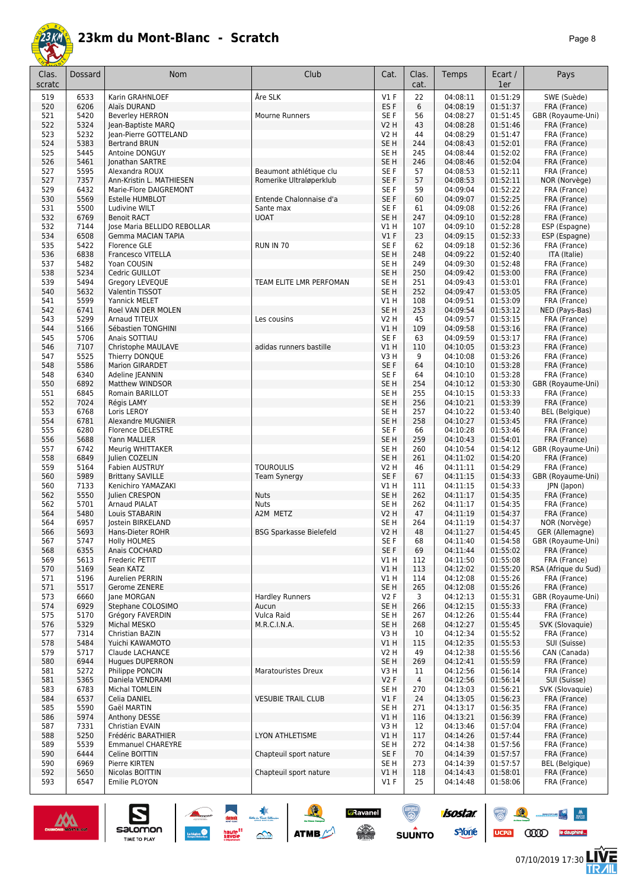

|--|--|

| Clas.<br>scratc | Dossard      | Nom                                                | Club                           | Cat.                               | Clas.<br>cat.  | Temps                | Ecart /<br>1er       | Pays                                  |
|-----------------|--------------|----------------------------------------------------|--------------------------------|------------------------------------|----------------|----------------------|----------------------|---------------------------------------|
| 519             | 6533         | Karin GRAHNLOEF                                    | Åre SLK                        | $VI$ F                             | 22             | 04:08:11             | 01:51:29             | SWE (Suède)                           |
| 520             | 6206         | Alaïs DURAND                                       |                                | ES <sub>F</sub>                    | 6              | 04:08:19             | 01:51:37             | FRA (France)                          |
| 521<br>522      | 5420<br>5324 | <b>Beverley HERRON</b>                             | Mourne Runners                 | SE <sub>F</sub><br><b>V2 H</b>     | 56<br>43       | 04:08:27<br>04:08:28 | 01:51:45<br>01:51:46 | GBR (Royaume-Uni)<br>FRA (France)     |
| 523             | 5232         | Jean-Baptiste MARQ<br>Jean-Pierre GOTTELAND        |                                | V2 H                               | 44             | 04:08:29             | 01:51:47             | FRA (France)                          |
| 524             | 5383         | <b>Bertrand BRUN</b>                               |                                | SE <sub>H</sub>                    | 244            | 04:08:43             | 01:52:01             | FRA (France)                          |
| 525             | 5445         | Antoine DONGUY                                     |                                | SE <sub>H</sub>                    | 245            | 04:08:44             | 01:52:02             | FRA (France)                          |
| 526             | 5461         | Jonathan SARTRE                                    |                                | SE <sub>H</sub>                    | 246            | 04:08:46             | 01:52:04             | FRA (France)                          |
| 527             | 5595         | Alexandra ROUX                                     | Beaumont athlétique clu        | SE <sub>F</sub>                    | 57             | 04:08:53             | 01:52:11             | FRA (France)                          |
| 527<br>529      | 7357<br>6432 | Ann-Kristin L. MATHIESEN<br>Marie-Flore DAIGREMONT | Romerike Ultraløperklub        | SE F<br>SE F                       | 57<br>59       | 04:08:53<br>04:09:04 | 01:52:11<br>01:52:22 | NOR (Norvège)<br>FRA (France)         |
| 530             | 5569         | Estelle HUMBLOT                                    | Entende Chalonnaise d'a        | SE F                               | 60             | 04:09:07             | 01:52:25             | FRA (France)                          |
| 531             | 5500         | Ludivine WILT                                      | Sante max                      | SE <sub>F</sub>                    | 61             | 04:09:08             | 01:52:26             | FRA (France)                          |
| 532             | 6769         | <b>Benoit RACT</b>                                 | <b>UOAT</b>                    | SE <sub>H</sub>                    | 247            | 04:09:10             | 01:52:28             | FRA (France)                          |
| 532             | 7144         | Jose Maria BELLIDO REBOLLAR                        |                                | V1H                                | 107            | 04:09:10             | 01:52:28             | ESP (Espagne)                         |
| 534             | 6508         | Gemma MACIAN TAPIA                                 |                                | $VI$ F                             | 23             | 04:09:15             | 01:52:33             | ESP (Espagne)                         |
| 535<br>536      | 5422<br>6838 | <b>Florence GLE</b><br>Francesco VITELLA           | <b>RUN IN 70</b>               | SE <sub>F</sub><br>SE <sub>H</sub> | 62<br>248      | 04:09:18<br>04:09:22 | 01:52:36<br>01:52:40 | FRA (France)<br>ITA (Italie)          |
| 537             | 5482         | Yoan COUSIN                                        |                                | SE <sub>H</sub>                    | 249            | 04:09:30             | 01:52:48             | FRA (France)                          |
| 538             | 5234         | Cedric GUILLOT                                     |                                | SE <sub>H</sub>                    | 250            | 04:09:42             | 01:53:00             | FRA (France)                          |
| 539             | 5494         | Gregory LEVEQUE                                    | TEAM ELITE LMR PERFOMAN        | SE <sub>H</sub>                    | 251            | 04:09:43             | 01:53:01             | FRA (France)                          |
| 540             | 5632         | Valentin TISSOT                                    |                                | SE <sub>H</sub>                    | 252            | 04:09:47             | 01:53:05             | FRA (France)                          |
| 541             | 5599         | Yannick MELET                                      |                                | V1 H                               | 108            | 04:09:51             | 01:53:09             | FRA (France)                          |
| 542<br>543      | 6741<br>5299 | Roel VAN DER MOLEN<br>Arnaud TITEUX                | Les cousins                    | SE H<br><b>V2 H</b>                | 253<br>45      | 04:09:54<br>04:09:57 | 01:53:12<br>01:53:15 | NED (Pays-Bas)<br>FRA (France)        |
| 544             | 5166         | Sébastien TONGHINI                                 |                                | <b>V1 H</b>                        | 109            | 04:09:58             | 01:53:16             | FRA (France)                          |
| 545             | 5706         | Anais SOTTIAU                                      |                                | SE <sub>F</sub>                    | 63             | 04:09:59             | 01:53:17             | FRA (France)                          |
| 546             | 7107         | Christophe MAULAVE                                 | adidas runners bastille        | V1H                                | 110            | 04:10:05             | 01:53:23             | FRA (France)                          |
| 547             | 5525         | Thierry DONQUE                                     |                                | V3H                                | 9              | 04:10:08             | 01:53:26             | FRA (France)                          |
| 548             | 5586         | <b>Marion GIRARDET</b>                             |                                | SE F                               | 64             | 04:10:10             | 01:53:28             | FRA (France)                          |
| 548<br>550      | 6340<br>6892 | Adeline JEANNIN<br><b>Matthew WINDSOR</b>          |                                | SE F<br>SE <sub>H</sub>            | 64<br>254      | 04:10:10<br>04:10:12 | 01:53:28<br>01:53:30 | FRA (France)<br>GBR (Royaume-Uni)     |
| 551             | 6845         | Romain BARILLOT                                    |                                | SE <sub>H</sub>                    | 255            | 04:10:15             | 01:53:33             | FRA (France)                          |
| 552             | 7024         | Régis LAMY                                         |                                | SE <sub>H</sub>                    | 256            | 04:10:21             | 01:53:39             | FRA (France)                          |
| 553             | 6768         | Loris LEROY                                        |                                | SE H                               | 257            | 04:10:22             | 01:53:40             | BEL (Belgique)                        |
| 554             | 6781         | Alexandre MUGNIER                                  |                                | SE <sub>H</sub>                    | 258            | 04:10:27             | 01:53:45             | FRA (France)                          |
| 555             | 6280         | Florence DELESTRE                                  |                                | SE F                               | 66             | 04:10:28             | 01:53:46             | FRA (France)                          |
| 556<br>557      | 5688<br>6742 | Yann MALLIER<br>Meurig WHITTAKER                   |                                | SE <sub>H</sub><br>SE <sub>H</sub> | 259<br>260     | 04:10:43<br>04:10:54 | 01:54:01<br>01:54:12 | FRA (France)<br>GBR (Royaume-Uni)     |
| 558             | 6849         | Julien COZELIN                                     |                                | SE <sub>H</sub>                    | 261            | 04:11:02             | 01:54:20             | FRA (France)                          |
| 559             | 5164         | Fabien AUSTRUY                                     | <b>TOUROULIS</b>               | <b>V2 H</b>                        | 46             | 04:11:11             | 01:54:29             | FRA (France)                          |
| 560             | 5989         | <b>Brittany SAVILLE</b>                            | <b>Team Synergy</b>            | SE F                               | 67             | 04:11:15             | 01:54:33             | GBR (Royaume-Uni)                     |
| 560             | 7133         | Kenichiro YAMAZAKI                                 |                                | V1H                                | 111            | 04:11:15             | 01:54:33             | JPN (Japon)                           |
| 562             | 5550         | Julien CRESPON                                     | <b>Nuts</b><br><b>Nuts</b>     | SE <sub>H</sub>                    | 262            | 04:11:17             | 01:54:35             | FRA (France)                          |
| 562<br>564      | 5701<br>5480 | Arnaud PIALAT<br>Louis STABARIN                    | A2M METZ                       | SE <sub>H</sub><br>V2 H            | 262<br>47      | 04:11:17<br>04:11:19 | 01:54:35<br>01:54:37 | FRA (France)<br>FRA (France)          |
| 564             | 6957         | Jostein BIRKELAND                                  |                                | SE H                               | 264            | 04:11:19             | 01:54:37             | NOR (Norvège)                         |
| 566             | 5693         | Hans-Dieter ROHR                                   | <b>BSG Sparkasse Bielefeld</b> | V2 H                               | 48             | 04:11:27             | 01:54:45             | GER (Allemagne)                       |
| 567             | 5747         | Holly HOLMES                                       |                                | SE F                               | 68             | 04:11:40             | 01:54:58             | GBR (Royaume-Uni)                     |
| 568             | 6355         | Anais COCHARD                                      |                                | SE F                               | 69             | 04:11:44             | 01:55:02             | FRA (France)                          |
| 569             | 5613         | Frederic PETIT                                     |                                | V1 H                               | 112            | 04:11:50             | 01:55:08             | FRA (France)                          |
| 570<br>571      | 5169<br>5196 | Sean KATZ<br>Aurelien PERRIN                       |                                | V1H<br>V1 H                        | 113<br>114     | 04:12:02<br>04:12:08 | 01:55:20<br>01:55:26 | RSA (Afrique du Sud)<br>FRA (France)  |
| 571             | 5517         | Gerome ZENERE                                      |                                | SE <sub>H</sub>                    | 265            | 04:12:08             | 01:55:26             | FRA (France)                          |
| 573             | 6660         | Jane MORGAN                                        | <b>Hardley Runners</b>         | V2F                                | 3              | 04:12:13             | 01:55:31             | GBR (Royaume-Uni)                     |
| 574             | 6929         | Stephane COLOSIMO                                  | Aucun                          | SE <sub>H</sub>                    | 266            | 04:12:15             | 01:55:33             | FRA (France)                          |
| 575             | 5170         | Grégory FAVERDIN                                   | Vulca Raid                     | SE <sub>H</sub>                    | 267            | 04:12:26             | 01:55:44             | FRA (France)                          |
| 576<br>577      | 5329         | Michal MESKO<br>Christian BAZIN                    | M.R.C.I.N.A.                   | SE <sub>H</sub><br>V3H             | 268<br>10      | 04:12:27             | 01:55:45             | SVK (Slovaquie)                       |
| 578             | 7314<br>5484 | Yuichi KAWAMOTO                                    |                                | V1H                                | 115            | 04:12:34<br>04:12:35 | 01:55:52<br>01:55:53 | FRA (France)<br>SUI (Suisse)          |
| 579             | 5717         | Claude LACHANCE                                    |                                | V2 H                               | 49             | 04:12:38             | 01:55:56             | CAN (Canada)                          |
| 580             | 6944         | <b>Hugues DUPERRON</b>                             |                                | SE <sub>H</sub>                    | 269            | 04:12:41             | 01:55:59             | FRA (France)                          |
| 581             | 5272         | Philippe PONCIN                                    | <b>Maratouristes Dreux</b>     | V3H                                | 11             | 04:12:56             | 01:56:14             | FRA (France)                          |
| 581             | 5365         | Daniela VENDRAMI                                   |                                | V2F                                | $\overline{4}$ | 04:12:56             | 01:56:14             | SUI (Suisse)                          |
| 583             | 6783         | Michal TOMLEIN                                     |                                | SE <sub>H</sub>                    | 270            | 04:13:03             | 01:56:21             | SVK (Slovaquie)                       |
| 584<br>585      | 6537<br>5590 | Celia DANIEL<br>Gaël MARTIN                        | <b>VESUBIE TRAIL CLUB</b>      | V1F<br>SE <sub>H</sub>             | 24<br>271      | 04:13:05<br>04:13:17 | 01:56:23<br>01:56:35 | FRA (France)<br>FRA (France)          |
| 586             | 5974         | Anthony DESSE                                      |                                | V1 H                               | 116            | 04:13:21             | 01:56:39             | FRA (France)                          |
| 587             | 7331         | Christian EVAIN                                    |                                | V3H                                | 12             | 04:13:46             | 01:57:04             | FRA (France)                          |
| 588             | 5250         | Frédéric BARATHIER                                 | LYON ATHLETISME                | V1H                                | 117            | 04:14:26             | 01:57:44             | FRA (France)                          |
| 589             | 5539         | <b>Emmanuel CHAREYRE</b>                           |                                | SE <sub>H</sub>                    | 272            | 04:14:38             | 01:57:56             | FRA (France)                          |
| 590             | 6444         | Celine BOITTIN                                     | Chapteuil sport nature         | SE F                               | 70             | 04:14:39             | 01:57:57             | FRA (France)                          |
| 590<br>592      | 6969<br>5650 | Pierre KIRTEN<br>Nicolas BOITTIN                   | Chapteuil sport nature         | SE H<br>V1H                        | 273<br>118     | 04:14:39<br>04:14:43 | 01:57:57<br>01:58:01 | <b>BEL</b> (Belgique)<br>FRA (France) |
| 593             | 6547         | Emilie PLOYON                                      |                                | $VI$ F                             | 25             | 04:14:48             | 01:58:06             | FRA (France)                          |
|                 |              |                                                    |                                |                                    |                |                      |                      |                                       |



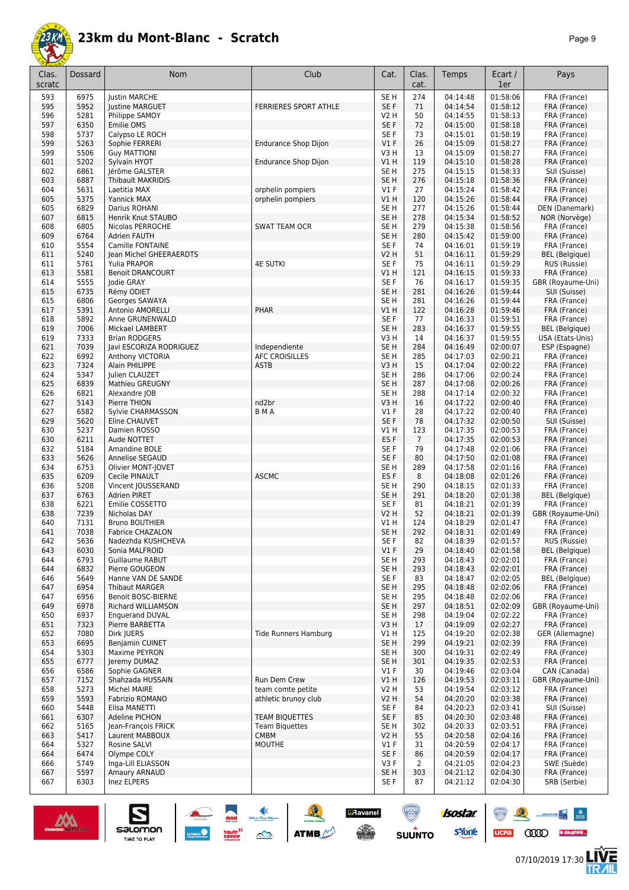

| Clas.<br>scratc | <b>Dossard</b> | <b>Nom</b>                                   | Club                        | Cat.            | Clas.<br>cat.  | Temps                | Ecart /<br>1er       | Pays                              |
|-----------------|----------------|----------------------------------------------|-----------------------------|-----------------|----------------|----------------------|----------------------|-----------------------------------|
|                 |                |                                              |                             |                 |                |                      |                      |                                   |
| 593             | 6975           | <b>Justin MARCHE</b>                         |                             | SE H            | 274            | 04:14:48             | 01:58:06             | FRA (France)                      |
| 595             | 5952           | Justine MARGUET                              | FERRIERES SPORT ATHLE       | SE F            | 71             | 04:14:54             | 01:58:12             | FRA (France)                      |
| 596             | 5281           | Philippe SAMOY                               |                             | V2 H            | 50             | 04:14:55             | 01:58:13             | FRA (France)<br>FRA (France)      |
| 597<br>598      | 6350<br>5737   | Emilie OMS<br>Calypso LE ROCH                |                             | SE F<br>SE F    | 72<br>73       | 04:15:00<br>04:15:01 | 01:58:18<br>01:58:19 | FRA (France)                      |
| 599             | 5263           | Sophie FERRERI                               | <b>Endurance Shop Dijon</b> | $VI$ F          | 26             | 04:15:09             | 01:58:27             | FRA (France)                      |
| 599             | 5506           | <b>Guy MATTIONI</b>                          |                             | V3 H            | 13             | 04:15:09             | 01:58:27             | FRA (France)                      |
| 601             | 5202           | Sylvain HYOT                                 | <b>Endurance Shop Dijon</b> | V1 H            | 119            | 04:15:10             | 01:58:28             | FRA (France)                      |
| 602             | 6861           | Jérôme GALSTER                               |                             | SE H            | 275            | 04:15:15             | 01:58:33             | SUI (Suisse)                      |
| 603             | 6887           | <b>Thibault MAKRIDIS</b>                     |                             | SE <sub>H</sub> | 276            | 04:15:18             | 01:58:36             | FRA (France)                      |
| 604             | 5631           | Laetitia MAX                                 | orphelin pompiers           | $VI$ F          | 27             | 04:15:24             | 01:58:42             | FRA (France)                      |
| 605             | 5375           | Yannick MAX                                  | orphelin pompiers           | V1 H            | 120            | 04:15:26             | 01:58:44             | FRA (France)                      |
| 605             | 6829           | Darius ROHANI                                |                             | SE <sub>H</sub> | 277            | 04:15:26             | 01:58:44             | DEN (Danemark)                    |
| 607             | 6815           | Henrik Knut STAUBO                           |                             | SE <sub>H</sub> | 278            | 04:15:34             | 01:58:52             | NOR (Norvège)                     |
| 608             | 6805           | Nicolas PERROCHE                             | <b>SWAT TEAM OCR</b>        | SE H            | 279            | 04:15:38             | 01:58:56             | FRA (France)                      |
| 609             | 6764           | <b>Adrien FAUTH</b>                          |                             | SE <sub>H</sub> | 280            | 04:15:42             | 01:59:00             | FRA (France)                      |
| 610             | 5554           | Camille FONTAINE                             |                             | SE F            | 74             | 04:16:01             | 01:59:19             | FRA (France)                      |
| 611             | 5240           | Jean Michel GHEERAERDTS                      |                             | V2 H            | 51             | 04:16:11             | 01:59:29             | BEL (Belgique)                    |
| 611             | 5761           | Yulia PRAPOR                                 | <b>4E SUTKI</b>             | SE <sub>F</sub> | 75             | 04:16:11             | 01:59:29             | RUS (Russie)                      |
| 613             | 5581           | <b>Benoit DRANCOURT</b>                      |                             | VIH             | 121            | 04:16:15             | 01:59:33             | FRA (France)                      |
| 614             | 5555           | Jodie GRAY                                   |                             | SE F            | 76             | 04:16:17             | 01:59:35             | GBR (Royaume-Uni)                 |
| 615             | 6735           | Rémy ODIET                                   |                             | SE <sub>H</sub> | 281            | 04:16:26             | 01:59:44             | SUI (Suisse)                      |
| 615             | 6806           | Georges SAWAYA                               |                             | SE H            | 281            | 04:16:26             | 01:59:44             | FRA (France)                      |
| 617             | 5391           | <b>Antonio AMORELLI</b>                      | PHAR                        | V1 H            | 122            | 04:16:28             | 01:59:46             | FRA (France)                      |
| 618             | 5892           | Anne GRUNENWALD                              |                             | SE F            | 77             | 04:16:33             | 01:59:51             | FRA (France)                      |
| 619             | 7006           | Mickael LAMBERT                              |                             | SE <sub>H</sub> | 283            | 04:16:37             | 01:59:55             | <b>BEL</b> (Belgique)             |
| 619             | 7333           | <b>Brian RODGERS</b>                         |                             | V3 H            | 14             | 04:16:37             | 01:59:55             | USA (Etats-Unis)                  |
| 621             | 7039           | Javi ESCORIZA RODRIGUEZ                      | Independiente               | SE <sub>H</sub> | 284            | 04:16:49             | 02:00:07             | ESP (Espagne)                     |
| 622             | 6992           | Anthony VICTORIA                             | <b>AFC CROISILLES</b>       | SE H            | 285            | 04:17:03             | 02:00:21             | FRA (France)                      |
| 623             | 7324           | Alain PHILIPPE                               | <b>ASTB</b>                 | V3 H            | 15             | 04:17:04             | 02:00:22             | FRA (France)                      |
| 624             | 5347           | Julien CLAUZET                               |                             | SE H            | 286            | 04:17:06             | 02:00:24             | FRA (France)                      |
| 625             | 6839           | Mathieu GREUGNY                              |                             | SE <sub>H</sub> | 287            | 04:17:08             | 02:00:26             | FRA (France)                      |
| 626             | 6821           | Alexandre JOB                                |                             | SE H            | 288            | 04:17:14             | 02:00:32             | FRA (France)                      |
| 627             | 5143           | Pierre THION                                 | nd2br                       | V3H             | 16             | 04:17:22             | 02:00:40             | FRA (France)                      |
| 627             | 6582           | Sylvie CHARMASSON                            | <b>BMA</b>                  | $VI$ F          | 28             | 04:17:22             | 02:00:40             | FRA (France)                      |
| 629             | 5620           | Eline CHAUVET                                |                             | SE F            | 78             | 04:17:32             | 02:00:50             | SUI (Suisse)                      |
| 630             | 5237           | Damien ROSSO                                 |                             | V1 H            | 123            | 04:17:35             | 02:00:53             | FRA (France)                      |
| 630             | 6211           | Aude NOTTET                                  |                             | ES F            | $\overline{7}$ | 04:17:35             | 02:00:53             | FRA (France)                      |
| 632             | 5184           | Amandine BOLE                                |                             | SE F            | 79             | 04:17:48             | 02:01:06             | FRA (France)                      |
| 633             | 5626           | Annelise SEGAUD                              |                             | SE F            | 80             | 04:17:50             | 02:01:08             | FRA (France)                      |
| 634             | 6753           | Olivier MONT-JOVET                           |                             | SE H            | 289            | 04:17:58             | 02:01:16             | FRA (France)                      |
| 635             | 6209           | Cecile PINAULT                               | <b>ASCMC</b>                | ES <sub>F</sub> | 8              | 04:18:08             | 02:01:26             | FRA (France)                      |
| 636             | 5208           | Vincent JOUSSERAND                           |                             | SE H            | 290            | 04:18:15             | 02:01:33             | FRA (France)                      |
| 637             | 6763           | <b>Adrien PIRET</b>                          |                             | SE <sub>H</sub> | 291            | 04:18:20             | 02:01:38             | <b>BEL</b> (Belgique)             |
| 638             | 6221           | Emilie COSSETTO                              |                             | SE <sub>F</sub> | 81             | 04:18:21             | 02:01:39             | FRA (France)                      |
| 638             | 7239           | Nicholas DAY                                 |                             | V2 H            | 52             | 04:18:21             | 02:01:39             | GBR (Royaume-Uni)                 |
| 640             | 7131           | <b>Bruno BOUTHIER</b>                        |                             | V1 H            | 124            | 04:18:29             | 02:01:47             | FRA (France)                      |
| 641             | 7038           | <b>Fabrice CHAZALON</b>                      |                             | SE <sub>H</sub> | 292            | 04:18:31             | 02:01:49             | FRA (France)                      |
| 642             | 5636           | Nadezhda KUSHCHEVA                           |                             | SE F            | 82             | 04:18:39             | 02:01:57             | RUS (Russie)                      |
| 643             | 6030           | Sonia MALFROID                               |                             | V1F             | 29             | 04:18:40             | 02:01:58             | <b>BEL</b> (Belgique)             |
| 644             | 6793           | <b>Guillaume RABUT</b>                       |                             | SE <sub>H</sub> | 293            | 04:18:43             | 02:02:01             | FRA (France)                      |
| 644             | 6832           | Pierre GOUGEON                               |                             | SE H            | 293            | 04:18:43             | 02:02:01             | FRA (France)                      |
| 646             | 5649<br>6954   | Hanne VAN DE SANDE<br><b>Thibaut MARGER</b>  |                             | SE F            | 83             | 04:18:47             | 02:02:05<br>02:02:06 | <b>BEL</b> (Belgique)             |
| 647             |                |                                              |                             | SE H            | 295            | 04:18:48             |                      | FRA (France)                      |
| 647<br>649      | 6956<br>6978   | Benoit BOSC-BIERNE                           |                             | SE H<br>SE H    | 295<br>297     | 04:18:48<br>04:18:51 | 02:02:06<br>02:02:09 | FRA (France)                      |
|                 | 6937           | Richard WILLIAMSON<br><b>Enguerand DUVAL</b> |                             |                 | 298            |                      | 02:02:22             | GBR (Royaume-Uni)<br>FRA (France) |
| 650<br>651      | 7323           | Pierre BARBETTA                              |                             | SE H<br>V3H     | 17             | 04:19:04<br>04:19:09 | 02:02:27             | FRA (France)                      |
| 652             | 7080           | Dirk JUERS                                   | <b>Tide Runners Hamburg</b> | V1 H            | 125            | 04:19:20             | 02:02:38             | GER (Allemagne)                   |
| 653             | 6695           | Benjamin CUINET                              |                             | SE <sub>H</sub> | 299            | 04:19:21             | 02:02:39             | FRA (France)                      |
| 654             | 5303           | Maxime PEYRON                                |                             | SE H            | 300            | 04:19:31             | 02:02:49             | FRA (France)                      |
| 655             | 6777           | Jeremy DUMAZ                                 |                             | SE <sub>H</sub> | 301            | 04:19:35             | 02:02:53             | FRA (France)                      |
| 656             | 6586           | Sophie GAGNER                                |                             | $VI$ F          | 30             | 04:19:46             | 02:03:04             | CAN (Canada)                      |
| 657             | 7152           | Shahzada HUSSAIN                             | Run Dem Crew                | V1 H            | 126            | 04:19:53             | 02:03:11             | GBR (Royaume-Uni)                 |
| 658             | 5273           | Michel MAIRE                                 | team comte petite           | V2 H            | 53             | 04:19:54             | 02:03:12             | FRA (France)                      |
| 659             | 5593           | Fabrizio ROMANO                              | athletic brunoy club        | V2 H            | 54             | 04:20:20             | 02:03:38             | FRA (France)                      |
| 660             | 5448           | Elisa MANETTI                                |                             | SE F            | 84             | 04:20:23             | 02:03:41             | SUI (Suisse)                      |
| 661             | 6307           | Adeline PICHON                               | <b>TEAM BIQUETTES</b>       | SE F            | 85             | 04:20:30             | 02:03:48             | FRA (France)                      |
| 662             | 5165           | Jean-François FRICK                          | <b>Team Biquettes</b>       | SE H            | 302            | 04:20:33             | 02:03:51             | FRA (France)                      |
| 663             | 5417           | Laurent MABBOUX                              | <b>CMBM</b>                 | V2 H            | 55             | 04:20:58             | 02:04:16             | FRA (France)                      |
| 664             | 5327           | Rosine SALVI                                 | MOUTHE                      | $VI$ F          | 31             | 04:20:59             | 02:04:17             | FRA (France)                      |
| 664             | 6474           | Olympe COLY                                  |                             | SE F            | 86             | 04:20:59             | 02:04:17             | FRA (France)                      |
| 666             | 5749           | Inga-Lill ELIASSON                           |                             | V3F             | $\overline{2}$ | 04:21:05             | 02:04:23             | SWE (Suède)                       |
| 667             | 5597           | Amaury ARNAUD                                |                             | SE <sub>H</sub> | 303            | 04:21:12             | 02:04:30             | FRA (France)                      |
| 667             | 6303           | Inez ELPERS                                  |                             | SE F            | 87             | 04:21:12             | 02:04:30             | SRB (Serbie)                      |



 $\sum_{\text{SALOMOM}}$ 



 $\bigcirc$ 

**a**Ravanel

isostar.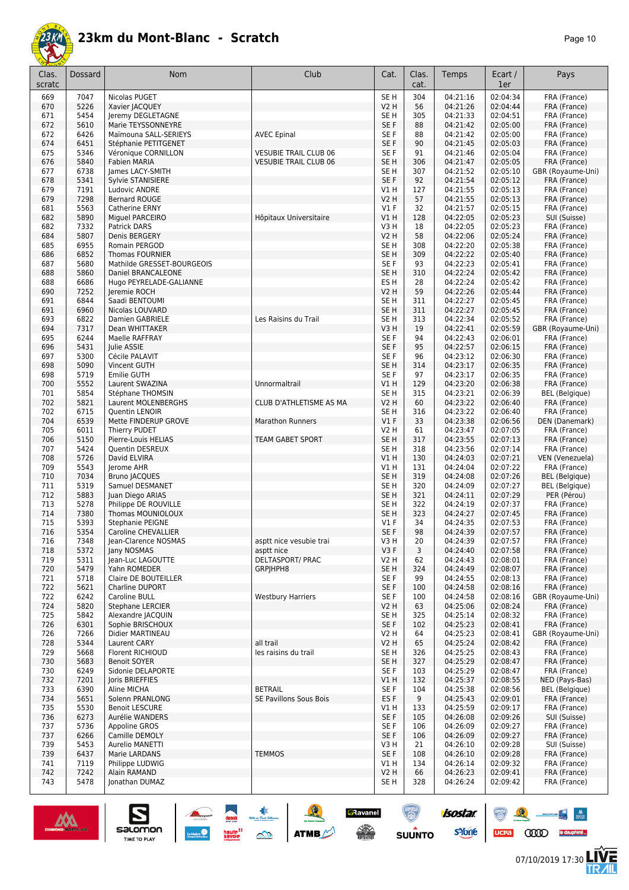

| age | Ω |
|-----|---|
|     | 1 |

| Clas.<br>scratc | Dossard      | Nom                                           | Club                         | Cat.                               | Clas.<br>cat. | Temps                | Ecart /<br>1er       | Pays                              |
|-----------------|--------------|-----------------------------------------------|------------------------------|------------------------------------|---------------|----------------------|----------------------|-----------------------------------|
| 669             | 7047         | Nicolas PUGET                                 |                              | SE <sub>H</sub>                    | 304           | 04:21:16             | 02:04:34             | FRA (France)                      |
| 670             | 5226         | Xavier JACQUEY                                |                              | <b>V2 H</b>                        | 56            | 04:21:26             | 02:04:44             | FRA (France)                      |
| 671             | 5454         | Jeremy DEGLETAGNE                             |                              | SE H                               | 305           | 04:21:33             | 02:04:51             | FRA (France)                      |
| 672<br>672      | 5610<br>6426 | Marie TEYSSONNEYRE<br>Maïmouna SALL-SERIEYS   | <b>AVEC Epinal</b>           | SE F<br>SE F                       | 88<br>88      | 04:21:42<br>04:21:42 | 02:05:00<br>02:05:00 | FRA (France)<br>FRA (France)      |
| 674             | 6451         | Stéphanie PETITGENET                          |                              | SE F                               | 90            | 04:21:45             | 02:05:03             | FRA (France)                      |
| 675             | 5346         | Véronique CORNILLON                           | <b>VESUBIE TRAIL CLUB 06</b> | SE F                               | 91            | 04:21:46             | 02:05:04             | FRA (France)                      |
| 676             | 5840         | <b>Fabien MARIA</b>                           | <b>VESUBIE TRAIL CLUB 06</b> | SE <sub>H</sub>                    | 306           | 04:21:47             | 02:05:05             | FRA (France)                      |
| 677             | 6738         | James LACY-SMITH                              |                              | SE <sub>H</sub>                    | 307           | 04:21:52             | 02:05:10             | GBR (Royaume-Uni)                 |
| 678             | 5341<br>7191 | Sylvie STANISIERE<br>Ludovic ANDRE            |                              | SE F<br>V1H                        | 92<br>127     | 04:21:54<br>04:21:55 | 02:05:12<br>02:05:13 | FRA (France)<br>FRA (France)      |
| 679<br>679      | 7298         | <b>Bernard ROUGE</b>                          |                              | V <sub>2</sub> H                   | 57            | 04:21:55             | 02:05:13             | FRA (France)                      |
| 681             | 5563         | Catherine ERNY                                |                              | $VI$ F                             | 32            | 04:21:57             | 02:05:15             | FRA (France)                      |
| 682             | 5890         | Miguel PARCEIRO                               | Hôpitaux Universitaire       | <b>V1 H</b>                        | 128           | 04:22:05             | 02:05:23             | SUI (Suisse)                      |
| 682             | 7332         | <b>Patrick DARS</b>                           |                              | V3H                                | 18            | 04:22:05             | 02:05:23             | FRA (France)                      |
| 684             | 5807         | Denis BERGERY                                 |                              | V2 H                               | 58            | 04:22:06             | 02:05:24             | FRA (France)                      |
| 685             | 6955         | Romain PERGOD                                 |                              | SE <sub>H</sub>                    | 308           | 04:22:20             | 02:05:38             | FRA (France)                      |
| 686<br>687      | 6852<br>5680 | Thomas FOURNIER<br>Mathilde GRESSET-BOURGEOIS |                              | SE <sub>H</sub><br>SE <sub>F</sub> | 309<br>93     | 04:22:22<br>04:22:23 | 02:05:40<br>02:05:41 | FRA (France)<br>FRA (France)      |
| 688             | 5860         | Daniel BRANCALEONE                            |                              | SE <sub>H</sub>                    | 310           | 04:22:24             | 02:05:42             | FRA (France)                      |
| 688             | 6686         | Hugo PEYRELADE-GALIANNE                       |                              | ES <sub>H</sub>                    | 28            | 04:22:24             | 02:05:42             | FRA (France)                      |
| 690             | 7252         | Jeremie ROCH                                  |                              | V2 H                               | 59            | 04:22:26             | 02:05:44             | FRA (France)                      |
| 691             | 6844         | Saadi BENTOUMI                                |                              | SE <sub>H</sub>                    | 311           | 04:22:27             | 02:05:45             | FRA (France)                      |
| 691             | 6960         | Nicolas LOUVARD                               |                              | SE <sub>H</sub>                    | 311           | 04:22:27             | 02:05:45             | FRA (France)                      |
| 693             | 6822         | Damien GABRIELE                               | Les Raisins du Trail         | SE <sub>H</sub>                    | 313           | 04:22:34             | 02:05:52             | FRA (France)                      |
| 694             | 7317         | Dean WHITTAKER                                |                              | V3H                                | 19            | 04:22:41             | 02:05:59             | GBR (Royaume-Uni)                 |
| 695<br>696      | 6244<br>5431 | Maelle RAFFRAY<br><b>Iulie ASSIE</b>          |                              | SE F<br>SE F                       | 94<br>95      | 04:22:43<br>04:22:57 | 02:06:01<br>02:06:15 | FRA (France)<br>FRA (France)      |
| 697             | 5300         | Cécile PALAVIT                                |                              | SE F                               | 96            | 04:23:12             | 02:06:30             | FRA (France)                      |
| 698             | 5090         | Vincent GUTH                                  |                              | SE <sub>H</sub>                    | 314           | 04:23:17             | 02:06:35             | FRA (France)                      |
| 698             | 5719         | <b>Emilie GUTH</b>                            |                              | SE F                               | 97            | 04:23:17             | 02:06:35             | FRA (France)                      |
| 700             | 5552         | Laurent SWAZINA                               | Unnormaltrail                | V1H                                | 129           | 04:23:20             | 02:06:38             | FRA (France)                      |
| 701             | 5854         | Stéphane THOMSIN                              |                              | SE <sub>H</sub>                    | 315           | 04:23:21             | 02:06:39             | <b>BEL</b> (Belgique)             |
| 702             | 5821         | Laurent MOLENBERGHS                           | CLUB D'ATHLETISME AS MA      | V2 H                               | 60            | 04:23:22             | 02:06:40             | FRA (France)                      |
| 702<br>704      | 6715<br>6539 | Quentin LENOIR                                |                              | SE H<br>V1F                        | 316<br>33     | 04:23:22<br>04:23:38 | 02:06:40<br>02:06:56 | FRA (France)                      |
| 705             | 6011         | Mette FINDERUP GROVE<br>Thierry PUDET         | Marathon Runners             | <b>V2 H</b>                        | 61            | 04:23:47             | 02:07:05             | DEN (Danemark)<br>FRA (France)    |
| 706             | 5150         | Pierre-Louis HELIAS                           | <b>TEAM GABET SPORT</b>      | SE <sub>H</sub>                    | 317           | 04:23:55             | 02:07:13             | FRA (France)                      |
| 707             | 5424         | Quentin DESREUX                               |                              | SE <sub>H</sub>                    | 318           | 04:23:56             | 02:07:14             | FRA (France)                      |
| 708             | 5726         | David ELVIRA                                  |                              | <b>V1 H</b>                        | 130           | 04:24:03             | 02:07:21             | VEN (Venezuela)                   |
| 709             | 5543         | Jerome AHR                                    |                              | V1 H                               | 131           | 04:24:04             | 02:07:22             | FRA (France)                      |
| 710             | 7034         | <b>Bruno JACQUES</b>                          |                              | SE <sub>H</sub>                    | 319           | 04:24:08             | 02:07:26             | <b>BEL</b> (Belgique)             |
| 711<br>712      | 5319<br>5883 | Samuel DESMANET                               |                              | SE <sub>H</sub><br>SE <sub>H</sub> | 320<br>321    | 04:24:09             | 02:07:27<br>02:07:29 | <b>BEL</b> (Belgique)             |
| 713             | 5278         | Juan Diego ARIAS<br>Philippe DE ROUVILLE      |                              | SE <sub>H</sub>                    | 322           | 04:24:11<br>04:24:19 | 02:07:37             | PER (Pérou)<br>FRA (France)       |
| 714             | 7380         | Thomas MOUNIOLOUX                             |                              | SE <sub>H</sub>                    | 323           | 04:24:27             | 02:07:45             | FRA (France)                      |
| 715             | 5393         | Stephanie PEIGNE                              |                              | $VI$ F                             | 34            | 04:24:35             | 02:07:53             | FRA (France)                      |
| 716             | 5354         | Caroline CHEVALLIER                           |                              | SE F                               | 98            | 04:24:39             | 02:07:57             | FRA (France)                      |
| 716             | 7348         | Jean-Clarence NOSMAS                          | asptt nice vesubie trai      | V3H                                | 20            | 04:24:39             | 02:07:57             | FRA (France)                      |
| 718             | 5372         | Jany NOSMAS                                   | asptt nice                   | V3F                                | 3             | 04:24:40             | 02:07:58             | FRA (France)                      |
| 719             | 5311         | lean-Luc LAGOUTTE<br>Yahn ROMEDER             | <b>DELTASPORT/ PRAC</b>      | V2 H<br>SE H                       | 62<br>324     | 04:24:43             | 02:08:01             | FRA (France)                      |
| 720<br>721      | 5479<br>5718 | Claire DE BOUTEILLER                          | GRPJHPH8                     | SE F                               | 99            | 04:24:49<br>04:24:55 | 02:08:07<br>02:08:13 | FRA (France)<br>FRA (France)      |
| 722             | 5621         | Charline DUPORT                               |                              | SE F                               | 100           | 04:24:58             | 02:08:16             | FRA (France)                      |
| 722             | 6242         | Caroline BULL                                 | <b>Westbury Harriers</b>     | SE F                               | 100           | 04:24:58             | 02:08:16             | GBR (Royaume-Uni)                 |
| 724             | 5820         | <b>Stephane LERCIER</b>                       |                              | V2 H                               | 63            | 04:25:06             | 02:08:24             | FRA (France)                      |
| 725             | 5842         | Alexandre IACOUIN                             |                              | SE H                               | 325           | 04:25:14             | 02:08:32             | FRA (France)                      |
| 726<br>726      | 6301<br>7266 | Sophie BRISCHOUX<br>Didier MARTINEAU          |                              | SE F<br>V2 H                       | 102<br>64     | 04:25:23<br>04:25:23 | 02:08:41<br>02:08:41 | FRA (France)<br>GBR (Royaume-Uni) |
| 728             | 5344         | Laurent CARY                                  | all trail                    | V2H                                | 65            | 04:25:24             | 02:08:42             | FRA (France)                      |
| 729             | 5668         | Florent RICHIOUD                              | les raisins du trail         | SE H                               | 326           | 04:25:25             | 02:08:43             | FRA (France)                      |
| 730             | 5683         | <b>Benoit SOYER</b>                           |                              | SE H                               | 327           | 04:25:29             | 02:08:47             | FRA (France)                      |
| 730             | 6249         | Sidonie DELAPORTE                             |                              | SE F                               | 103           | 04:25:29             | 02:08:47             | FRA (France)                      |
| 732             | 7201         | Joris BRIEFFIES                               |                              | V1 H                               | 132           | 04:25:37             | 02:08:55             | NED (Pays-Bas)                    |
| 733             | 6390         | Aline MICHA                                   | <b>BETRAIL</b>               | SE F                               | 104           | 04:25:38             | 02:08:56             | <b>BEL</b> (Belgique)             |
| 734<br>735      | 5651<br>5530 | Solenn PRANLONG<br><b>Benoit LESCURE</b>      | SE Pavillons Sous Bois       | ES F<br>V1 H                       | 9<br>133      | 04:25:43<br>04:25:59 | 02:09:01<br>02:09:17 | FRA (France)<br>FRA (France)      |
| 736             | 6273         | Aurélie WANDERS                               |                              | SE F                               | 105           | 04:26:08             | 02:09:26             | SUI (Suisse)                      |
| 737             | 5736         | Appoline GROS                                 |                              | SE F                               | 106           | 04:26:09             | 02:09:27             | FRA (France)                      |
| 737             | 6266         | Camille DEMOLY                                |                              | SE F                               | 106           | 04:26:09             | 02:09:27             | FRA (France)                      |
| 739             | 5453         | Aurelio MANETTI                               |                              | V3H                                | 21            | 04:26:10             | 02:09:28             | SUI (Suisse)                      |
| 739             | 6437         | Marie LARDANS                                 | <b>TEMMOS</b>                | SE F                               | 108           | 04:26:10             | 02:09:28             | FRA (France)                      |
| 741             | 7119         | Philippe LUDWIG                               |                              | V1 H                               | 134           | 04:26:14             | 02:09:32             | FRA (France)                      |
| 742<br>743      | 7242<br>5478 | Alain RAMAND<br>Jonathan DUMAZ                |                              | V2H<br>SE H                        | 66<br>328     | 04:26:23<br>04:26:24 | 02:09:41<br>02:09:42 | FRA (France)<br>FRA (France)      |
|                 |              |                                               |                              |                                    |               |                      |                      |                                   |



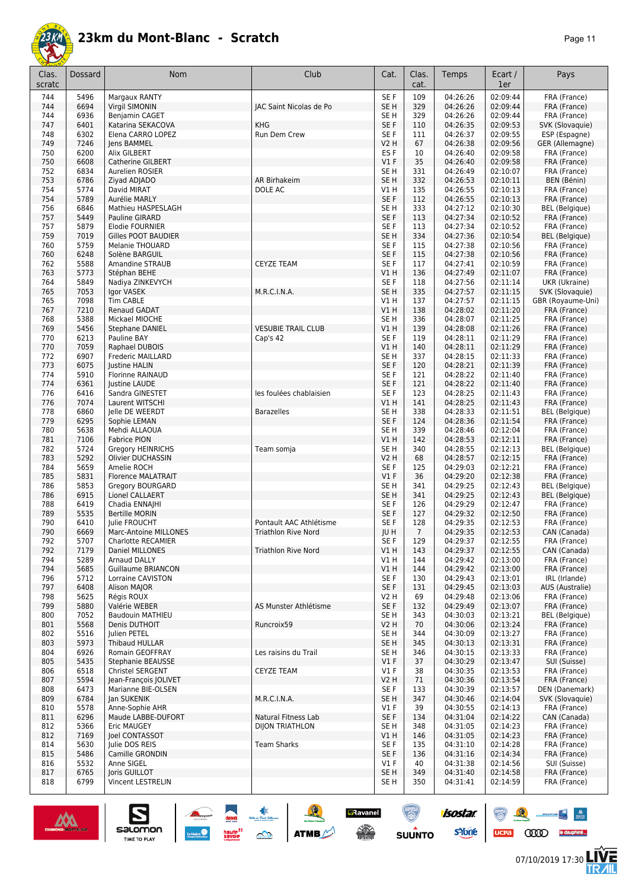

| age |  |  |
|-----|--|--|
|-----|--|--|

| Clas.<br>scratc | Dossard      | <b>Nom</b>                               | Club                       | Cat.                               | Clas.<br>cat.  | Temps                | Ecart /<br>1er       | Pays                                  |
|-----------------|--------------|------------------------------------------|----------------------------|------------------------------------|----------------|----------------------|----------------------|---------------------------------------|
| 744             | 5496         | Margaux RANTY                            |                            | SE <sub>F</sub>                    | 109            | 04:26:26             | 02:09:44             | FRA (France)                          |
| 744             | 6694         | Virgil SIMONIN                           | JAC Saint Nicolas de Po    | SE <sub>H</sub>                    | 329            | 04:26:26             | 02:09:44             | FRA (France)                          |
| 744             | 6936         | Benjamin CAGET                           |                            | SE H                               | 329            | 04:26:26             | 02:09:44             | FRA (France)                          |
| 747             | 6401         | Katarina SEKACOVA                        | <b>KHG</b>                 | SE F                               | 110            | 04:26:35             | 02:09:53             | SVK (Slovaquie)                       |
| 748<br>749      | 6302<br>7246 | Elena CARRO LOPEZ<br>Jens BAMMEL         | Run Dem Crew               | SE F<br>V2 H                       | 111<br>67      | 04:26:37<br>04:26:38 | 02:09:55<br>02:09:56 | ESP (Espagne)<br>GER (Allemagne)      |
| 750             | 6200         | Alix GILBERT                             |                            | ES <sub>F</sub>                    | 10             | 04:26:40             | 02:09:58             | FRA (France)                          |
| 750             | 6608         | Catherine GILBERT                        |                            | V1F                                | 35             | 04:26:40             | 02:09:58             | FRA (France)                          |
| 752             | 6834         | <b>Aurelien ROSIER</b>                   |                            | SE <sub>H</sub>                    | 331            | 04:26:49             | 02:10:07             | FRA (France)                          |
| 753             | 6786         | Ziyad ADJADO                             | <b>AR Birhakeim</b>        | SE <sub>H</sub>                    | 332            | 04:26:53             | 02:10:11             | BEN (Bénin)                           |
| 754             | 5774         | David MIRAT                              | DOLE AC                    | V1 H                               | 135            | 04:26:55             | 02:10:13             | FRA (France)                          |
| 754<br>756      | 5789<br>6846 | Aurélie MARLY<br>Mathieu HASPESLAGH      |                            | SE <sub>F</sub><br>SE <sub>H</sub> | 112<br>333     | 04:26:55<br>04:27:12 | 02:10:13<br>02:10:30 | FRA (France)<br><b>BEL</b> (Belgique) |
| 757             | 5449         | <b>Pauline GIRARD</b>                    |                            | SE <sub>F</sub>                    | 113            | 04:27:34             | 02:10:52             | FRA (France)                          |
| 757             | 5879         | <b>Elodie FOURNIER</b>                   |                            | SE F                               | 113            | 04:27:34             | 02:10:52             | FRA (France)                          |
| 759             | 7019         | <b>Gilles POOT BAUDIER</b>               |                            | SE <sub>H</sub>                    | 334            | 04:27:36             | 02:10:54             | <b>BEL</b> (Belgique)                 |
| 760             | 5759         | <b>Melanie THOUARD</b>                   |                            | SE <sub>F</sub>                    | 115            | 04:27:38             | 02:10:56             | FRA (France)                          |
| 760             | 6248         | Solène BARGUIL                           |                            | SE F                               | 115            | 04:27:38             | 02:10:56             | FRA (France)                          |
| 762<br>763      | 5588<br>5773 | <b>Amandine STRAUB</b><br>Stéphan BEHE   | <b>CEYZE TEAM</b>          | SE <sub>F</sub><br>VIH             | 117<br>136     | 04:27:41<br>04:27:49 | 02:10:59<br>02:11:07 | FRA (France)<br>FRA (France)          |
| 764             | 5849         | Nadiya ZINKEVYCH                         |                            | SE F                               | 118            | 04:27:56             | 02:11:14             | UKR (Ukraine)                         |
| 765             | 7053         | laor VASEK                               | M.R.C.I.N.A.               | SE <sub>H</sub>                    | 335            | 04:27:57             | 02:11:15             | SVK (Slovaquie)                       |
| 765             | 7098         | <b>Tim CABLE</b>                         |                            | V1 H                               | 137            | 04:27:57             | 02:11:15             | GBR (Royaume-Uni)                     |
| 767             | 7210         | <b>Renaud GADAT</b>                      |                            | V1H                                | 138            | 04:28:02             | 02:11:20             | FRA (France)                          |
| 768             | 5388         | Mickael MIOCHE                           |                            | SE <sub>H</sub>                    | 336            | 04:28:07             | 02:11:25             | FRA (France)                          |
| 769             | 5456         | <b>Stephane DANIEL</b>                   | <b>VESUBIE TRAIL CLUB</b>  | V1H                                | 139            | 04:28:08             | 02:11:26             | FRA (France)                          |
| 770<br>770      | 6213<br>7059 | Pauline BAY<br>Raphael DUBOIS            | Cap's 42                   | SE <sub>F</sub><br>VIH             | 119<br>140     | 04:28:11<br>04:28:11 | 02:11:29<br>02:11:29 | FRA (France)<br>FRA (France)          |
| 772             | 6907         | Frederic MAILLARD                        |                            | SE <sub>H</sub>                    | 337            | 04:28:15             | 02:11:33             | FRA (France)                          |
| 773             | 6075         | <b>Justine HALIN</b>                     |                            | SE <sub>F</sub>                    | 120            | 04:28:21             | 02:11:39             | FRA (France)                          |
| 774             | 5910         | Florinne RAINAUD                         |                            | SE F                               | 121            | 04:28:22             | 02:11:40             | FRA (France)                          |
| 774             | 6361         | Justine LAUDE                            |                            | SE F                               | 121            | 04:28:22             | 02:11:40             | FRA (France)                          |
| 776             | 6416         | Sandra GINESTET                          | les foulées chablaisien    | SE <sub>F</sub>                    | 123            | 04:28:25             | 02:11:43             | FRA (France)                          |
| 776             | 7074         | Laurent WITSCHI                          |                            | V1H                                | 141            | 04:28:25             | 02:11:43             | FRA (France)                          |
| 778             | 6860         | Jelle DE WEERDT                          | <b>Barazelles</b>          | SE <sub>H</sub>                    | 338            | 04:28:33             | 02:11:51             | <b>BEL</b> (Belgique)                 |
| 779<br>780      | 6295         | Sophie LEMAN<br>Mehdi ALLAOUA            |                            | SE <sub>F</sub><br>SE <sub>H</sub> | 124<br>339     | 04:28:36<br>04:28:46 | 02:11:54<br>02:12:04 | FRA (France)                          |
| 781             | 5638<br>7106 | Fabrice PION                             |                            | V1H                                | 142            | 04:28:53             | 02:12:11             | FRA (France)<br>FRA (France)          |
| 782             | 5724         | <b>Gregory HEINRICHS</b>                 | Team somja                 | SE <sub>H</sub>                    | 340            | 04:28:55             | 02:12:13             | BEL (Belgique)                        |
| 783             | 5292         | Olivier DUCHASSIN                        |                            | V2 H                               | 68             | 04:28:57             | 02:12:15             | FRA (France)                          |
| 784             | 5659         | Amelie ROCH                              |                            | SE F                               | 125            | 04:29:03             | 02:12:21             | FRA (France)                          |
| 785             | 5831         | <b>Florence MALATRAIT</b>                |                            | $VI$ F                             | 36             | 04:29:20             | 02:12:38             | FRA (France)                          |
| 786             | 5853         | Gregory BOURGARD                         |                            | SE <sub>H</sub>                    | 341            | 04:29:25             | 02:12:43             | <b>BEL</b> (Belgique)                 |
| 786             | 6915         | Lionel CALLAERT                          |                            | SE <sub>H</sub>                    | 341            | 04:29:25             | 02:12:43             | <b>BEL</b> (Belgique)                 |
| 788<br>789      | 6419<br>5535 | Chadia ENNAJHI<br><b>Bertille MORIN</b>  |                            | SE F<br>SE F                       | 126<br>127     | 04:29:29<br>04:29:32 | 02:12:47<br>02:12:50 | FRA (France)<br>FRA (France)          |
| 790             | 6410         | Julie FROUCHT                            | Pontault AAC Athlétisme    | SE <sub>F</sub>                    | 128            | 04:29:35             | 02:12:53             | FRA (France)                          |
| 790             | 6669         | Marc-Antoine MILLONES                    | <b>Triathlon Rive Nord</b> | JU H                               | $\overline{7}$ | 04:29:35             | 02:12:53             | CAN (Canada)                          |
| 792             | 5707         | Charlotte RECAMIER                       |                            | SE F                               | 129            | 04:29:37             | 02:12:55             | FRA (France)                          |
| 792             | 7179         | Daniel MILLONES                          | <b>Triathlon Rive Nord</b> | V1H                                | 143            | 04:29:37             | 02:12:55             | CAN (Canada)                          |
| 794             | 5289         | Arnaud DALLY                             |                            | V1 H                               | 144            | 04:29:42             | 02:13:00             | FRA (France)                          |
| 794             | 5685         | <b>Guillaume BRIANCON</b>                |                            | VIH                                | 144            | 04:29:42             | 02:13:00             | FRA (France)                          |
| 796<br>797      | 5712<br>6408 | Lorraine CAVISTON<br><b>Alison MAIOR</b> |                            | SE F<br>SE F                       | 130<br>131     | 04:29:43<br>04:29:45 | 02:13:01<br>02:13:03 | IRL (Irlande)<br>AUS (Australie)      |
| 798             | 5625         | Régis ROUX                               |                            | V2 H                               | 69             | 04:29:48             | 02:13:06             | FRA (France)                          |
| 799             | 5880         | Valérie WEBER                            | AS Munster Athlétisme      | SE F                               | 132            | 04:29:49             | 02:13:07             | FRA (France)                          |
| 800             | 7052         | <b>Baudouin MATHIEU</b>                  |                            | SE H                               | 343            | 04:30:03             | 02:13:21             | <b>BEL</b> (Belgique)                 |
| 801             | 5568         | Denis DUTHOIT                            | Runcroix59                 | V2 H                               | 70             | 04:30:06             | 02:13:24             | FRA (France)                          |
| 802             | 5516         | Julien PETEL                             |                            | SE H                               | 344            | 04:30:09             | 02:13:27             | FRA (France)                          |
| 803             | 5973         | Thibaud HULLAR                           |                            | SE H                               | 345            | 04:30:13             | 02:13:31             | FRA (France)                          |
| 804             | 6926         | Romain GEOFFRAY                          | Les raisins du Trail       | SE H                               | 346            | 04:30:15             | 02:13:33             | FRA (France)                          |
| 805<br>806      | 5435<br>6518 | Stephanie BEAUSSE<br>Christel SERGENT    | <b>CEYZE TEAM</b>          | $VI$ F<br>$VI$ F                   | 37<br>38       | 04:30:29<br>04:30:35 | 02:13:47<br>02:13:53 | SUI (Suisse)<br>FRA (France)          |
| 807             | 5594         | Jean-François JOLIVET                    |                            | <b>V2 H</b>                        | 71             | 04:30:36             | 02:13:54             | FRA (France)                          |
| 808             | 6473         | Marianne BIE-OLSEN                       |                            | SE F                               | 133            | 04:30:39             | 02:13:57             | DEN (Danemark)                        |
| 809             | 6784         | Jan SUKENIK                              | M.R.C.I.N.A.               | SE H                               | 347            | 04:30:46             | 02:14:04             | SVK (Slovaquie)                       |
| 810             | 5578         | Anne-Sophie AHR                          |                            | $VI$ F                             | 39             | 04:30:55             | 02:14:13             | FRA (France)                          |
| 811             | 6296         | Maude LABBE-DUFORT                       | Natural Fitness Lab        | SE F                               | 134            | 04:31:04             | 02:14:22             | CAN (Canada)                          |
| 812             | 5366         | Eric MAUGEY                              | <b>DIJON TRIATHLON</b>     | SE H                               | 348            | 04:31:05             | 02:14:23             | FRA (France)                          |
| 812<br>814      | 7169<br>5630 | Joel CONTASSOT<br>Julie DOS REIS         | <b>Team Sharks</b>         | V1H<br>SE F                        | 146<br>135     | 04:31:05<br>04:31:10 | 02:14:23<br>02:14:28 | FRA (France)<br>FRA (France)          |
| 815             | 5486         | Camille GRONDIN                          |                            | SE F                               | 136            | 04:31:16             | 02:14:34             | FRA (France)                          |
| 816             | 5532         | Anne SIGEL                               |                            | $VI$ F                             | 40             | 04:31:38             | 02:14:56             | SUI (Suisse)                          |
| 817             | 6765         | Joris GUILLOT                            |                            | SE <sub>H</sub>                    | 349            | 04:31:40             | 02:14:58             | FRA (France)                          |
| 818             | 6799         | Vincent LESTRELIN                        |                            | SE H                               | 350            | 04:31:41             | 02:14:59             | FRA (France)                          |
|                 |              |                                          |                            |                                    |                |                      |                      |                                       |



UCPa **COOD** le dauphiné...

 $\mathbb{R}$ 

**IVE**<br>RAIL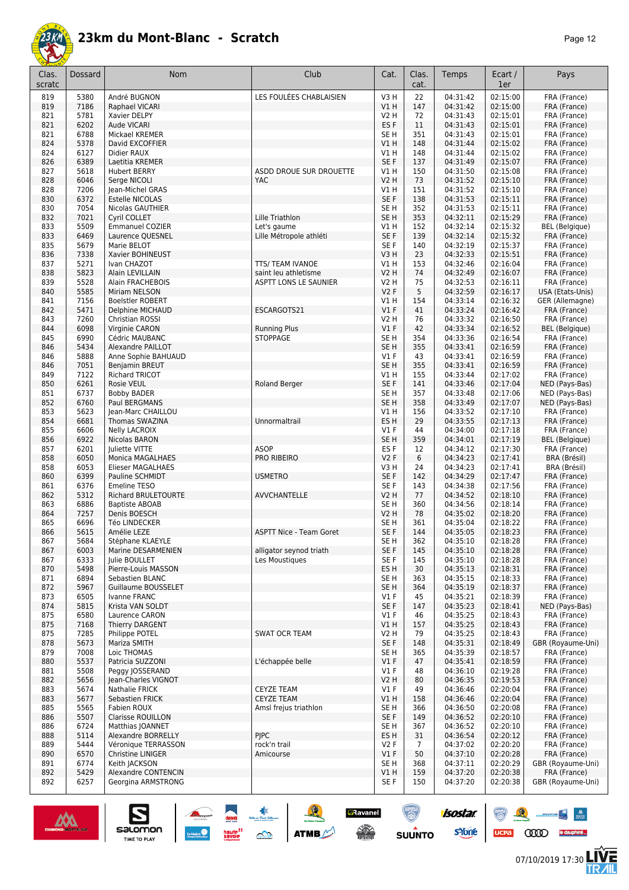

| Clas.<br>scratc | Dossard      | Nom                                 | Club                                     | Cat.                    | Clas.<br>cat.  | Temps                | Ecart /<br>1er       | Pays                           |
|-----------------|--------------|-------------------------------------|------------------------------------------|-------------------------|----------------|----------------------|----------------------|--------------------------------|
| 819             | 5380         | André BUGNON                        | LES FOULÉES CHABLAISIEN                  | V <sub>3</sub> H        | 22             | 04:31:42             | 02:15:00             | FRA (France)                   |
| 819             | 7186         | Raphael VICARI                      |                                          | V1H                     | 147            | 04:31:42             | 02:15:00             | FRA (France)                   |
| 821             | 5781         | Xavier DELPY                        |                                          | <b>V2 H</b>             | 72             | 04:31:43             | 02:15:01             | FRA (France)                   |
| 821             | 6202         | Aude VICARI                         |                                          | ES <sub>F</sub>         | 11             | 04:31:43             | 02:15:01             | FRA (France)                   |
| 821             | 6788         | Mickael KREMER                      |                                          | SE <sub>H</sub>         | 351            | 04:31:43             | 02:15:01             | FRA (France)<br>FRA (France)   |
| 824<br>824      | 5378<br>6127 | David EXCOFFIER<br>Didier RAUX      |                                          | V1H<br>V1H              | 148<br>148     | 04:31:44<br>04:31:44 | 02:15:02<br>02:15:02 |                                |
| 826             | 6389         | Laetitia KREMER                     |                                          | SE F                    | 137            | 04:31:49             | 02:15:07             | FRA (France)<br>FRA (France)   |
| 827             | 5618         | <b>Hubert BERRY</b>                 | ASDD DROUE SUR DROUETTE                  | V1 H                    | 150            | 04:31:50             | 02:15:08             | FRA (France)                   |
| 828             | 6046         | Serge NICOLI                        | <b>YAC</b>                               | <b>V2 H</b>             | 73             | 04:31:52             | 02:15:10             | FRA (France)                   |
| 828             | 7206         | Jean-Michel GRAS                    |                                          | V1 H                    | 151            | 04:31:52             | 02:15:10             | FRA (France)                   |
| 830             | 6372         | <b>Estelle NICOLAS</b>              |                                          | SE F                    | 138            | 04:31:53             | 02:15:11             | FRA (France)                   |
| 830             | 7054         | Nicolas GAUTHIER                    |                                          | SE <sub>H</sub>         | 352            | 04:31:53             | 02:15:11             | FRA (France)                   |
| 832             | 7021         | Cyril COLLET                        | Lille Triathlon                          | SE <sub>H</sub>         | 353            | 04:32:11             | 02:15:29             | FRA (France)                   |
| 833             | 5509         | <b>Emmanuel COZIER</b>              | Let's gaume                              | V1 H                    | 152            | 04:32:14             | 02:15:32             | <b>BEL</b> (Belgique)          |
| 833             | 6469         | Laurence QUESNEL                    | Lille Métropole athléti                  | SE <sub>F</sub>         | 139            | 04:32:14             | 02:15:32             | FRA (France)                   |
| 835             | 5679         | Marie BELOT                         |                                          | SE <sub>F</sub>         | 140            | 04:32:19             | 02:15:37             | FRA (France)                   |
| 836<br>837      | 7338<br>5271 | Xavier BOHINEUST                    |                                          | V3H<br>V1H              | 23<br>153      | 04:32:33<br>04:32:46 | 02:15:51<br>02:16:04 | FRA (France)                   |
| 838             | 5823         | Ivan CHAZOT<br>Alain LEVILLAIN      | TTS/ TEAM IVANOE<br>saint leu athletisme | V2H                     | 74             | 04:32:49             | 02:16:07             | FRA (France)<br>FRA (France)   |
| 839             | 5528         | <b>Alain FRACHEBOIS</b>             | ASPTT LONS LE SAUNIER                    | <b>V2 H</b>             | 75             | 04:32:53             | 02:16:11             | FRA (France)                   |
| 840             | 5585         | Miriam NELSON                       |                                          | <b>V2F</b>              | 5              | 04:32:59             | 02:16:17             | USA (Etats-Unis)               |
| 841             | 7156         | Boelstler ROBERT                    |                                          | V1 H                    | 154            | 04:33:14             | 02:16:32             | GER (Allemagne)                |
| 842             | 5471         | Delphine MICHAUD                    | ESCARGOTS21                              | V1F                     | 41             | 04:33:24             | 02:16:42             | FRA (France)                   |
| 843             | 7260         | Christian ROSSI                     |                                          | <b>V2 H</b>             | 76             | 04:33:32             | 02:16:50             | FRA (France)                   |
| 844             | 6098         | Virginie CARON                      | <b>Running Plus</b>                      | V1F                     | 42             | 04:33:34             | 02:16:52             | <b>BEL</b> (Belgique)          |
| 845             | 6990         | Cédric MAUBANC                      | <b>STOPPAGE</b>                          | SE H                    | 354            | 04:33:36             | 02:16:54             | FRA (France)                   |
| 846             | 5434         | Alexandre PAILLOT                   |                                          | SE <sub>H</sub>         | 355            | 04:33:41             | 02:16:59             | FRA (France)                   |
| 846             | 5888         | Anne Sophie BAHUAUD                 |                                          | $VI$ F                  | 43             | 04:33:41             | 02:16:59             | FRA (France)                   |
| 846             | 7051         | Benjamin BREUT                      |                                          | SE <sub>H</sub>         | 355            | 04:33:41             | 02:16:59             | FRA (France)                   |
| 849<br>850      | 7122<br>6261 | <b>Richard TRICOT</b><br>Rosie VEUL | Roland Berger                            | V1H<br>SE F             | 155<br>141     | 04:33:44<br>04:33:46 | 02:17:02<br>02:17:04 | FRA (France)<br>NED (Pays-Bas) |
| 851             | 6737         | <b>Bobby BADER</b>                  |                                          | SE <sub>H</sub>         | 357            | 04:33:48             | 02:17:06             | NED (Pays-Bas)                 |
| 852             | 6760         | Paul BERGMANS                       |                                          | SE <sub>H</sub>         | 358            | 04:33:49             | 02:17:07             | NED (Pays-Bas)                 |
| 853             | 5623         | Jean-Marc CHAILLOU                  |                                          | V1 H                    | 156            | 04:33:52             | 02:17:10             | FRA (France)                   |
| 854             | 6681         | Thomas SWAZINA                      | Unnormaltrail                            | ES H                    | 29             | 04:33:55             | 02:17:13             | FRA (France)                   |
| 855             | 6606         | <b>Nelly LACROIX</b>                |                                          | $VI$ F                  | 44             | 04:34:00             | 02:17:18             | FRA (France)                   |
| 856             | 6922         | Nicolas BARON                       |                                          | SE <sub>H</sub>         | 359            | 04:34:01             | 02:17:19             | <b>BEL</b> (Belgique)          |
| 857             | 6201         | <b>Iuliette VITTE</b>               | <b>ASOP</b>                              | ES <sub>F</sub>         | 12             | 04:34:12             | 02:17:30             | FRA (France)                   |
| 858             | 6050         | Monica MAGALHAES                    | PRO RIBEIRO                              | <b>V2F</b>              | 6              | 04:34:23             | 02:17:41             | BRA (Brésil)                   |
| 858             | 6053         | Elieser MAGALHAES                   |                                          | V3H                     | 24             | 04:34:23             | 02:17:41             | BRA (Brésil)                   |
| 860             | 6399         | Pauline SCHMIDT<br>Emeline TESO     | <b>USMETRO</b>                           | SE <sub>F</sub>         | 142            | 04:34:29             | 02:17:47             | FRA (France)                   |
| 861<br>862      | 6376<br>5312 | <b>Richard BRULETOURTE</b>          | <b>AVVCHANTELLE</b>                      | SE <sub>F</sub><br>V2 H | 143<br>77      | 04:34:38<br>04:34:52 | 02:17:56<br>02:18:10 | FRA (France)<br>FRA (France)   |
| 863             | 6886         | <b>Baptiste ABOAB</b>               |                                          | SE H                    | 360            | 04:34:56             | 02:18:14             | FRA (France)                   |
| 864             | 7257         | Denis BOESCH                        |                                          | V2 H                    | 78             | 04:35:02             | 02:18:20             | FRA (France)                   |
| 865             | 6696         | Téo LINDECKER                       |                                          | SE H                    | 361            | 04:35:04             | 02:18:22             | FRA (France)                   |
| 866             | 5615         | Amélie LEZE                         | <b>ASPTT Nice - Team Goret</b>           | SE F                    | 144            | 04:35:05             | 02:18:23             | FRA (France)                   |
| 867             | 5684         | Stéphane KLAEYLE                    |                                          | SE H                    | 362            | 04:35:10             | 02:18:28             | FRA (France)                   |
| 867             | 6003         | Marine DESARMENIEN                  | alligator seynod triath                  | SE F                    | 145            | 04:35:10             | 02:18:28             | FRA (France)                   |
| 867             | 6333         | Julie BOULLET                       | Les Moustiques                           | SE F                    | 145            | 04:35:10             | 02:18:28             | FRA (France)                   |
| 870             | 5498         | Pierre-Louis MASSON                 |                                          | ES H                    | 30             | 04:35:13             | 02:18:31             | FRA (France)                   |
| 871             | 6894         | Sebastien BLANC                     |                                          | SE H                    | 363            | 04:35:15<br>04:35:19 | 02:18:33<br>02:18:37 | FRA (France)                   |
| 872<br>873      | 5967<br>6505 | Guillaume BOUSSELET<br>Ivanne FRANC |                                          | SE H<br>$VI$ F          | 364<br>45      | 04:35:21             | 02:18:39             | FRA (France)<br>FRA (France)   |
| 874             | 5815         | Krista VAN SOLDT                    |                                          | SE F                    | 147            | 04:35:23             | 02:18:41             | NED (Pays-Bas)                 |
| 875             | 6580         | Laurence CARON                      |                                          | $VI$ F                  | 46             | 04:35:25             | 02:18:43             | FRA (France)                   |
| 875             | 7168         | Thierry DARGENT                     |                                          | V1 H                    | 157            | 04:35:25             | 02:18:43             | FRA (France)                   |
| 875             | 7285         | Philippe POTEL                      | <b>SWAT OCR TEAM</b>                     | V2 H                    | 79             | 04:35:25             | 02:18:43             | FRA (France)                   |
| 878             | 5673         | Mariza SMITH                        |                                          | SE F                    | 148            | 04:35:31             | 02:18:49             | GBR (Royaume-Uni)              |
| 879             | 7008         | Loic THOMAS                         |                                          | SE H                    | 365            | 04:35:39             | 02:18:57             | FRA (France)                   |
| 880             | 5537         | Patricia SUZZONI                    | L'échappée belle                         | $VI$ F                  | 47             | 04:35:41             | 02:18:59             | FRA (France)                   |
| 881             | 5508         | Peggy IOSSERAND                     |                                          | $VI$ F                  | 48             | 04:36:10             | 02:19:28             | FRA (France)                   |
| 882             | 5656         | Jean-Charles VIGNOT                 |                                          | V2 H                    | 80             | 04:36:35             | 02:19:53             | FRA (France)                   |
| 883             | 5674<br>5677 | Nathalie FRICK                      | <b>CEYZE TEAM</b><br><b>CEYZE TEAM</b>   | $VI$ F                  | 49             | 04:36:46<br>04:36:46 | 02:20:04<br>02:20:04 | FRA (France)                   |
| 883<br>885      | 5565         | Sebastien FRICK<br>Fabien ROUX      | Amsl frejus triathlon                    | V1H<br>SE H             | 158<br>366     | 04:36:50             | 02:20:08             | FRA (France)<br>FRA (France)   |
| 886             | 5507         | <b>Clarisse ROUILLON</b>            |                                          | SE F                    | 149            | 04:36:52             | 02:20:10             | FRA (France)                   |
| 886             | 6724         | Matthias JOANNET                    |                                          | SE H                    | 367            | 04:36:52             | 02:20:10             | FRA (France)                   |
| 888             | 5114         | Alexandre BORRELLY                  | <b>PIPC</b>                              | ES H                    | 31             | 04:36:54             | 02:20:12             | FRA (France)                   |
| 889             | 5444         | Véronique TERRASSON                 | rock'n trail                             | V2F                     | $\overline{7}$ | 04:37:02             | 02:20:20             | FRA (France)                   |
| 890             | 6570         | <b>Christine LINIGER</b>            | Amicourse                                | $VI$ F                  | 50             | 04:37:10             | 02:20:28             | FRA (France)                   |
| 891             | 6774         | Keith JACKSON                       |                                          | SE H                    | 368            | 04:37:11             | 02:20:29             | GBR (Royaume-Uni)              |
| 892             | 5429         | Alexandre CONTENCIN                 |                                          | V1 H                    | 159            | 04:37:20             | 02:20:38             | FRA (France)                   |
| 892             | 6257         | Georgina ARMSTRONG                  |                                          | SE F                    | 150            | 04:37:20             | 02:20:38             | GBR (Royaume-Uni)              |



 $\sum_{\text{SALOMOM}}$ 

**A** 

ATMB

**a**Ravanel

 $\begin{array}{c} \mathcal{N}^{\text{c}} \longrightarrow \\ \text{peritivity} \end{array}$ 

 $\overline{\odot}$ 

**SUUNTO** 

**CODO** le dauphiné...

 $\mathcal{R}$ 

 $\binom{m}{\binom{n}{2}}$ 

 $ucpa$ 

 $\frac{1}{2} \frac{1}{2} \frac{1}{2} \frac{1}{2} \frac{1}{2} \frac{1}{2} \frac{1}{2} \frac{1}{2} \frac{1}{2} \frac{1}{2} \frac{1}{2} \frac{1}{2} \frac{1}{2} \frac{1}{2} \frac{1}{2} \frac{1}{2} \frac{1}{2} \frac{1}{2} \frac{1}{2} \frac{1}{2} \frac{1}{2} \frac{1}{2} \frac{1}{2} \frac{1}{2} \frac{1}{2} \frac{1}{2} \frac{1}{2} \frac{1}{2} \frac{1}{2} \frac{1}{2} \frac{1}{2} \frac{$ 

左<br>孤

isostar.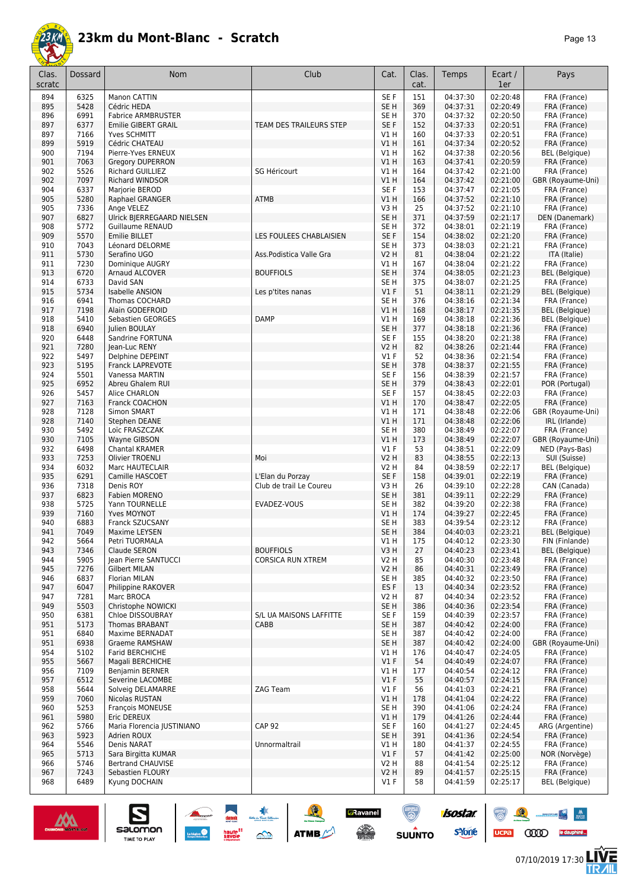

| Nom<br>Club<br>Clas.<br>Dossard<br>Cat.<br>Clas.<br>cat.<br>scratc                                                                    | Temps                | Ecart /<br>1er       | Pays                                  |
|---------------------------------------------------------------------------------------------------------------------------------------|----------------------|----------------------|---------------------------------------|
| 151<br>894<br>6325<br>Manon CATTIN<br>SE F                                                                                            | 04:37:30             | 02:20:48             | FRA (France)                          |
| 5428<br>SE <sub>H</sub><br>369<br>895<br>Cédric HEDA                                                                                  | 04:37:31             | 02:20:49             | FRA (France)                          |
| 6991<br>SE <sub>H</sub><br>370<br>896<br><b>Fabrice ARMBRUSTER</b>                                                                    | 04:37:32             | 02:20:50             | FRA (France)                          |
| 897<br>6377<br>TEAM DES TRAILEURS STEP<br>SE F<br>152<br><b>Emilie GIBERT GRAIL</b>                                                   | 04:37:33             | 02:20:51             | FRA (France)                          |
| 7166<br>897<br>Yves SCHMITT<br>V1 H<br>160                                                                                            | 04:37:33             | 02:20:51             | FRA (France)                          |
| 5919<br>899<br>Cédric CHATEAU<br>VIH<br>161                                                                                           | 04:37:34             | 02:20:52             | FRA (France)                          |
| 7194<br>900<br>Pierre-Yves ERNEUX<br>V1 H<br>162                                                                                      | 04:37:38             | 02:20:56             | <b>BEL</b> (Belgique)                 |
| 7063<br>901<br>VIH<br>163<br><b>Gregory DUPERRON</b><br>5526<br>SG Héricourt<br>$VI$ H                                                | 04:37:41             | 02:20:59<br>02:21:00 | FRA (France)                          |
| 902<br>Richard GUILLIEZ<br>164<br>7097<br>902<br>V1H<br>164<br><b>Richard WINDSOR</b>                                                 | 04:37:42<br>04:37:42 | 02:21:00             | FRA (France)<br>GBR (Royaume-Uni)     |
| 904<br>6337<br>SE F<br>Marjorie BEROD<br>153                                                                                          | 04:37:47             | 02:21:05             | FRA (France)                          |
| 5280<br><b>ATMB</b><br>166<br>905<br>VIH<br>Raphael GRANGER                                                                           | 04:37:52             | 02:21:10             | FRA (France)                          |
| 7336<br>V3H<br>25<br>905<br>Ange VELEZ                                                                                                | 04:37:52             | 02:21:10             | FRA (France)                          |
| 907<br>6827<br>SE <sub>H</sub><br>371<br>Ulrick BJERREGAARD NIELSEN                                                                   | 04:37:59             | 02:21:17             | DEN (Danemark)                        |
| 908<br>5772<br>SE <sub>H</sub><br>372<br><b>Guillaume RENAUD</b>                                                                      | 04:38:01             | 02:21:19             | FRA (France)                          |
| 909<br>5570<br><b>Emilie BILLET</b><br>LES FOULEES CHABLAISIEN<br>SE F<br>154                                                         | 04:38:02             | 02:21:20             | FRA (France)                          |
| 7043<br>SE <sub>H</sub><br>373<br>910<br>Léonard DELORME                                                                              | 04:38:03             | 02:21:21             | FRA (France)                          |
| 5730<br>911<br>Serafino UGO<br>Ass.Podistica Valle Gra<br><b>V2 H</b><br>81                                                           | 04:38:04             | 02:21:22             | ITA (Italie)                          |
| 7230<br>911<br>Dominique AUGRY<br>V1 H<br>167<br>6720<br>374<br>913<br>Arnaud ALCOVER<br><b>BOUFFIOLS</b><br>SE <sub>H</sub>          | 04:38:04<br>04:38:05 | 02:21:22<br>02:21:23 | FRA (France)<br><b>BEL</b> (Belgique) |
| 914<br>6733<br>SE <sub>H</sub><br>375<br>David SAN                                                                                    | 04:38:07             | 02:21:25             | FRA (France)                          |
| 915<br>5734<br>V1F<br>51<br>Isabelle ANSION<br>Les p'tites nanas                                                                      | 04:38:11             | 02:21:29             | <b>BEL</b> (Belgique)                 |
| 916<br>6941<br>SE <sub>H</sub><br>376<br>Thomas COCHARD                                                                               | 04:38:16             | 02:21:34             | FRA (France)                          |
| 917<br>7198<br>Alain GODEFROID<br>VIH<br>168                                                                                          | 04:38:17             | 02:21:35             | <b>BEL</b> (Belgique)                 |
| 5410<br><b>DAMP</b><br>169<br>918<br>Sebastien GEORGES<br>V1 H                                                                        | 04:38:18             | 02:21:36             | <b>BEL</b> (Belgique)                 |
| 6940<br>SE <sub>H</sub><br>377<br>918<br>Julien BOULAY                                                                                | 04:38:18             | 02:21:36             | FRA (France)                          |
| 920<br>6448<br>SE F<br>155<br>Sandrine FORTUNA                                                                                        | 04:38:20             | 02:21:38             | FRA (France)                          |
| 921<br>7280<br><b>V2 H</b><br>82<br>Jean-Luc RENY                                                                                     | 04:38:26             | 02:21:44             | FRA (France)                          |
| 5497<br>52<br>922<br>Delphine DEPEINT<br>$VI$ F                                                                                       | 04:38:36             | 02:21:54             | FRA (France)                          |
| 923<br>5195<br>SE <sub>H</sub><br>378<br><b>Franck LAPREVOTE</b>                                                                      | 04:38:37             | 02:21:55             | FRA (France)                          |
| 5501<br>924<br>Vanessa MARTIN<br>SE F<br>156<br>6952<br>SE <sub>H</sub><br>925<br>379                                                 | 04:38:39<br>04:38:43 | 02:21:57<br>02:22:01 | FRA (France)<br>POR (Portugal)        |
| Abreu Ghalem RUI<br>5457<br>SE F<br>926<br>Alice CHARLON<br>157                                                                       | 04:38:45             | 02:22:03             | FRA (France)                          |
| 927<br>7163<br>V1H<br>170<br>Franck COACHON                                                                                           | 04:38:47             | 02:22:05             | FRA (France)                          |
| 7128<br>$VI$ H<br>928<br>Simon SMART<br>171                                                                                           | 04:38:48             | 02:22:06             | GBR (Royaume-Uni)                     |
| 928<br>7140<br>V1H<br>171<br>Stephen DEANE                                                                                            | 04:38:48             | 02:22:06             | IRL (Irlande)                         |
| 5492<br>380<br>930<br>Loïc FRASZCZAK<br>SE H                                                                                          | 04:38:49             | 02:22:07             | FRA (France)                          |
| 7105<br>930<br>Wayne GIBSON<br>VIH<br>173                                                                                             | 04:38:49             | 02:22:07             | GBR (Royaume-Uni)                     |
| 6498<br>$VI$ F<br>932<br>Chantal KRAMER<br>53                                                                                         | 04:38:51             | 02:22:09             | NED (Pays-Bas)                        |
| 933<br>7253<br><b>V2 H</b><br>83<br><b>Olivier TROENLI</b><br>Moi                                                                     | 04:38:55             | 02:22:13             | SUI (Suisse)                          |
| 6032<br>934<br>Marc HAUTECLAIR<br>V2 H<br>84                                                                                          | 04:38:59             | 02:22:17             | <b>BEL</b> (Belgique)                 |
| 6291<br>SE F<br>158<br>935<br>Camille HASCOET<br>L'Elan du Porzay<br>936<br>7318<br>Denis ROY<br>Club de trail Le Coureu<br>V3H<br>26 | 04:39:01<br>04:39:10 | 02:22:19             | FRA (France)<br>CAN (Canada)          |
| 381<br>937<br>6823<br>Fabien MORENO<br>SE <sub>H</sub>                                                                                | 04:39:11             | 02:22:28<br>02:22:29 | FRA (France)                          |
| 5725<br>382<br>938<br>Yann TOURNELLE<br>EVADEZ-VOUS<br>SE H                                                                           | 04:39:20             | 02:22:38             | FRA (France)                          |
| 7160<br>939<br>Yves MOYNOT<br>VIH<br>174                                                                                              | 04:39:27             | 02:22:45             | FRA (France)                          |
| 940<br>6883<br>SE <sub>H</sub><br>383<br>Franck SZUCSANY                                                                              | 04:39:54             | 02:23:12             | FRA (France)                          |
| 941<br>7049<br>SE <sub>H</sub><br>384<br>Maxime LEYSEN                                                                                | 04:40:03             | 02:23:21             | <b>BEL</b> (Belgique)                 |
| 5664<br>175<br>942<br>V1 H<br>Petri TUORMALA                                                                                          | 04:40:12             | 02:23:30             | FIN (Finlande)                        |
| 943<br><b>BOUFFIOLS</b><br>V3H<br>7346<br>Claude SERON<br>27                                                                          | 04:40:23             | 02:23:41             | <b>BEL</b> (Belgique)                 |
| V2 H<br>944<br>5905<br>Jean Pierre SANTUCCI<br><b>CORSICA RUN XTREM</b><br>85                                                         | 04:40:30             | 02:23:48             | FRA (France)                          |
| 945<br>7276<br>86<br><b>Gilbert MILAN</b><br><b>V2 H</b>                                                                              | 04:40:31             | 02:23:49             | FRA (France)                          |
| 946<br>6837<br><b>Florian MILAN</b><br>SE H<br>385<br>947<br>6047<br>Philippine RAKOVER<br>ES F<br>13                                 | 04:40:32<br>04:40:34 | 02:23:50<br>02:23:52 | FRA (France)<br>FRA (France)          |
| 947<br>7281<br>Marc BROCA<br>V2 H<br>87                                                                                               | 04:40:34             | 02:23:52             | FRA (France)                          |
| 949<br>5503<br>Christophe NOWICKI<br>SE <sub>H</sub><br>386                                                                           | 04:40:36             | 02:23:54             | FRA (France)                          |
| 950<br>6381<br>Chloe DISSOUBRAY<br>S/L UA MAISONS LAFFITTE<br>SE F<br>159                                                             | 04:40:39             | 02:23:57             | FRA (France)                          |
| SE <sub>H</sub><br>387<br>951<br>5173<br><b>Thomas BRABANT</b><br>CABB                                                                | 04:40:42             | 02:24:00             | FRA (France)                          |
| 951<br>6840<br>Maxime BERNADAT<br>SE <sub>H</sub><br>387                                                                              | 04:40:42             | 02:24:00             | FRA (France)                          |
| 951<br>6938<br>SE <sub>H</sub><br>387<br><b>Graeme RAMSHAW</b>                                                                        | 04:40:42             | 02:24:00             | GBR (Royaume-Uni)                     |
| 954<br>5102<br>Farid BERCHICHE<br>V1 H<br>176                                                                                         | 04:40:47             | 02:24:05             | FRA (France)                          |
| 5667<br>V1F<br>54<br>955<br>Magali BERCHICHE                                                                                          | 04:40:49             | 02:24:07             | FRA (France)                          |
| 956<br>7109<br>Benjamin BERNER<br>V1 H<br>177<br>6512<br>V1F<br>55                                                                    | 04:40:54             | 02:24:12             | FRA (France)                          |
| 957<br>Severine LACOMBE<br>5644<br>958<br>Solveig DELAMARRE<br>ZAG Team<br>$VI$ F<br>56                                               | 04:40:57<br>04:41:03 | 02:24:15<br>02:24:21 | FRA (France)<br>FRA (France)          |
| 959<br>7060<br>Nicolas RUSTAN<br>V1H<br>178                                                                                           | 04:41:04             | 02:24:22             | FRA (France)                          |
| 960<br>5253<br>François MONEUSE<br>SE H<br>390                                                                                        |                      |                      |                                       |
| 961<br>5980<br>Eric DEREUX<br>V1H<br>179                                                                                              |                      |                      |                                       |
| <b>CAP 92</b><br>962<br>5766<br>Maria Florencia JUSTINIANO<br>SE F<br>160                                                             | 04:41:06<br>04:41:26 | 02:24:24<br>02:24:44 | FRA (France)<br>FRA (France)          |
| 5923<br>963<br>Adrien ROUX<br>SE <sub>H</sub><br>391                                                                                  | 04:41:27             | 02:24:45             | ARG (Argentine)                       |
|                                                                                                                                       | 04:41:36             | 02:24:54             | FRA (France)                          |
| Unnormaltrail<br>964<br>5546<br>Denis NARAT<br>V1 H<br>180                                                                            | 04:41:37             | 02:24:55             | FRA (France)                          |
| $VI$ F<br>965<br>5713<br>Sara Birgitta KUMAR<br>57                                                                                    | 04:41:42             | 02:25:00             | NOR (Norvège)                         |
| 966<br>5746<br>Bertrand CHAUVISE<br>V2 H<br>88<br>7243<br><b>V2 H</b><br>89<br>967<br>Sebastien FLOURY                                | 04:41:54<br>04:41:57 | 02:25:12<br>02:25:15 | FRA (France)<br>FRA (France)          |



 $\sum_{\text{SALOMOM}}$ 

**A** 

ATMB

**a**Ravanel

 $\begin{array}{c} \mathcal{N}^{\text{c}} \longrightarrow \\ \text{peritivity} \end{array}$ 

 $\overline{\odot}$ 

**SUUNTO** 

**COOD** 

 $\mathcal{R}$ 

 $ucpa$ 

 $\begin{array}{|c|c|c|c|}\hline \mathbf{N} & \mathbf{M} \\ \hline \mathbf{M} & \mathbf{M} \end{array}$ 

le dauphiné...

左<br>孤

isostar.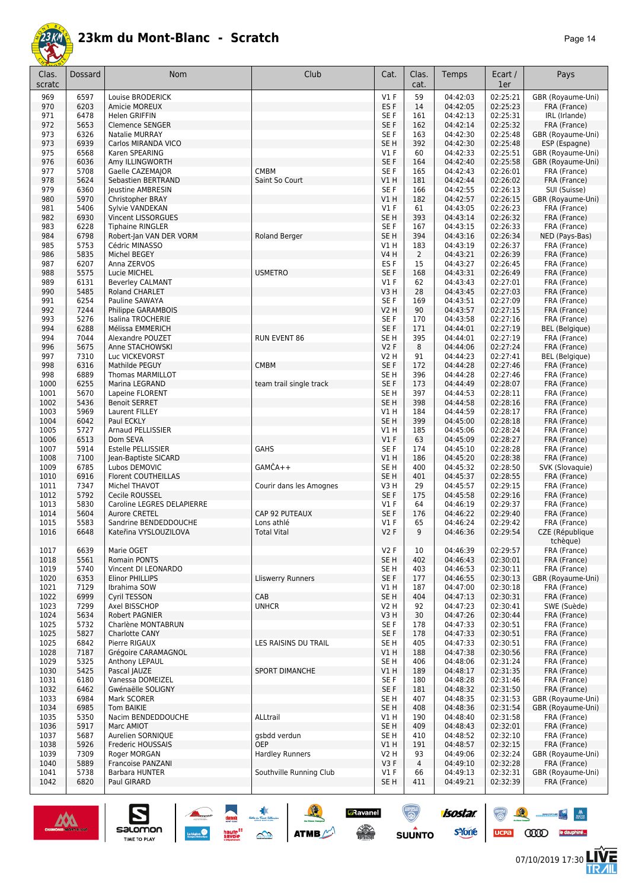

| Clas.<br>scratc | Dossard      | Nom                                             | Club                     | Cat.                               | Clas.<br>cat.        | Temps                | Ecart /<br>1er       | Pays                                  |
|-----------------|--------------|-------------------------------------------------|--------------------------|------------------------------------|----------------------|----------------------|----------------------|---------------------------------------|
| 969             | 6597         | Louise BRODERICK                                |                          | $VI$ F                             | 59                   | 04:42:03             | 02:25:21             | GBR (Royaume-Uni)                     |
| 970             | 6203         | <b>Amicie MOREUX</b>                            |                          | ES <sub>F</sub>                    | 14                   | 04:42:05             | 02:25:23             | FRA (France)                          |
| 971             | 6478<br>5653 | Helen GRIFFIN                                   |                          | SE F<br>SE F                       | 161                  | 04:42:13<br>04:42:14 | 02:25:31<br>02:25:32 | IRL (Irlande)<br>FRA (France)         |
| 972<br>973      | 6326         | <b>Clemence SENGER</b><br><b>Natalie MURRAY</b> |                          | SE F                               | 162<br>163           | 04:42:30             | 02:25:48             | GBR (Royaume-Uni)                     |
| 973             | 6939         | Carlos MIRANDA VICO                             |                          | SE <sub>H</sub>                    | 392                  | 04:42:30             | 02:25:48             | ESP (Espagne)                         |
| 975             | 6568         | Karen SPEARING                                  |                          | $VI$ F                             | 60                   | 04:42:33             | 02:25:51             | GBR (Royaume-Uni)                     |
| 976             | 6036         | Amy ILLINGWORTH                                 |                          | SE F                               | 164                  | 04:42:40             | 02:25:58             | GBR (Royaume-Uni)                     |
| 977             | 5708         | Gaelle CAZEMAJOR                                | CMBM                     | SE <sub>F</sub>                    | 165                  | 04:42:43             | 02:26:01             | FRA (France)                          |
| 978             | 5624         | Sebastien BERTRAND                              | Saint So Court           | V1 H                               | 181                  | 04:42:44             | 02:26:02             | FRA (France)                          |
| 979<br>980      | 6360<br>5970 | <b>leustine AMBRESIN</b><br>Christopher BRAY    |                          | SE <sub>F</sub><br><b>V1 H</b>     | 166<br>182           | 04:42:55<br>04:42:57 | 02:26:13<br>02:26:15 | SUI (Suisse)<br>GBR (Royaume-Uni)     |
| 981             | 5406         | Sylvie VANDEKAN                                 |                          | $VI$ F                             | 61                   | 04:43:05             | 02:26:23             | FRA (France)                          |
| 982             | 6930         | <b>Vincent LISSORGUES</b>                       |                          | SE <sub>H</sub>                    | 393                  | 04:43:14             | 02:26:32             | FRA (France)                          |
| 983             | 6228         | <b>Tiphaine RINGLER</b>                         |                          | SE <sub>F</sub>                    | 167                  | 04:43:15             | 02:26:33             | FRA (France)                          |
| 984             | 6798         | Robert-Jan VAN DER VORM                         | Roland Berger            | SE <sub>H</sub>                    | 394                  | 04:43:16             | 02:26:34             | NED (Pays-Bas)                        |
| 985             | 5753         | Cédric MINASSO                                  |                          | V1H                                | 183                  | 04:43:19             | 02:26:37             | FRA (France)                          |
| 986<br>987      | 5835<br>6207 | Michel BEGEY<br>Anna ZERVOS                     |                          | V4 H<br>ES F                       | $\overline{2}$<br>15 | 04:43:21<br>04:43:27 | 02:26:39<br>02:26:45 | FRA (France)<br>FRA (France)          |
| 988             | 5575         | Lucie MICHEL                                    | <b>USMETRO</b>           | SE F                               | 168                  | 04:43:31             | 02:26:49             | FRA (France)                          |
| 989             | 6131         | <b>Beverley CALMANT</b>                         |                          | V1 F                               | 62                   | 04:43:43             | 02:27:01             | FRA (France)                          |
| 990             | 5485         | Roland CHARLET                                  |                          | V3 H                               | 28                   | 04:43:45             | 02:27:03             | FRA (France)                          |
| 991             | 6254         | Pauline SAWAYA                                  |                          | SE F                               | 169                  | 04:43:51             | 02:27:09             | FRA (France)                          |
| 992             | 7244         | <b>Philippe GARAMBOIS</b>                       |                          | V <sub>2</sub> H                   | 90                   | 04:43:57             | 02:27:15             | FRA (France)                          |
| 993<br>994      | 5276         | <b>Isalina TROCHERIE</b>                        |                          | SE F                               | 170                  | 04:43:58             | 02:27:16             | FRA (France)                          |
| 994             | 6288<br>7044 | Mélissa EMMERICH<br>Alexandre POUZET            | <b>RUN EVENT 86</b>      | SE F<br>SE H                       | 171<br>395           | 04:44:01<br>04:44:01 | 02:27:19<br>02:27:19 | <b>BEL</b> (Belgique)<br>FRA (France) |
| 996             | 5675         | Anne STACHOWSKI                                 |                          | <b>V2F</b>                         | 8                    | 04:44:06             | 02:27:24             | FRA (France)                          |
| 997             | 7310         | Luc VICKEVORST                                  |                          | V2 H                               | 91                   | 04:44:23             | 02:27:41             | <b>BEL</b> (Belgique)                 |
| 998             | 6316         | Mathilde PEGUY                                  | <b>CMBM</b>              | SE F                               | 172                  | 04:44:28             | 02:27:46             | FRA (France)                          |
| 998             | 6889         | <b>Thomas MARMILLOT</b>                         |                          | SE <sub>H</sub>                    | 396                  | 04:44:28             | 02:27:46             | FRA (France)                          |
| 1000            | 6255         | Marina LEGRAND                                  | team trail single track  | SE F                               | 173                  | 04:44:49             | 02:28:07             | FRA (France)                          |
| 1001<br>1002    | 5670<br>5436 | Lapeine FLORENT<br><b>Benoit SERRET</b>         |                          | SE <sub>H</sub><br>SE <sub>H</sub> | 397<br>398           | 04:44:53<br>04:44:58 | 02:28:11<br>02:28:16 | FRA (France)<br>FRA (France)          |
| 1003            | 5969         | Laurent FILLEY                                  |                          | V1H                                | 184                  | 04:44:59             | 02:28:17             | FRA (France)                          |
| 1004            | 6042         | Paul ECKLY                                      |                          | SE <sub>H</sub>                    | 399                  | 04:45:00             | 02:28:18             | FRA (France)                          |
| 1005            | 5727         | Arnaud PELLISSIER                               |                          | V1H                                | 185                  | 04:45:06             | 02:28:24             | FRA (France)                          |
| 1006            | 6513         | Dom SEVA                                        |                          | $VI$ F                             | 63                   | 04:45:09             | 02:28:27             | FRA (France)                          |
| 1007            | 5914         | Estelle PELLISSIER                              | <b>GAHS</b>              | SE F                               | 174                  | 04:45:10             | 02:28:28             | FRA (France)                          |
| 1008            | 7100         | Jean-Baptiste SICARD                            | GAMČA++                  | V1 H                               | 186                  | 04:45:20             | 02:28:38             | FRA (France)                          |
| 1009<br>1010    | 6785<br>6916 | Lubos DEMOVIC<br><b>Florent COUTHEILLAS</b>     |                          | SE H<br>SE <sub>H</sub>            | 400<br>401           | 04:45:32<br>04:45:37 | 02:28:50<br>02:28:55 | SVK (Slovaquie)<br>FRA (France)       |
| 1011            | 7347         | Michel THAVOT                                   | Courir dans les Amognes  | V3H                                | 29                   | 04:45:57             | 02:29:15             | FRA (France)                          |
| 1012            | 5792         | Cecile ROUSSEL                                  |                          | SE F                               | 175                  | 04:45:58             | 02:29:16             | FRA (France)                          |
| 1013            | 5830         | Caroline LEGRES DELAPIERRE                      |                          | $VI$ F                             | 64                   | 04:46:19             | 02:29:37             | FRA (France)                          |
| 1014            | 5604         | <b>Aurore CRETEL</b>                            | CAP 92 PUTEAUX           | SE F                               | 176                  | 04:46:22             | 02:29:40             | FRA (France)                          |
| 1015            | 5583         | Sandrine BENDEDDOUCHE                           | Lons athlé               | V1 F                               | 65                   | 04:46:24             | 02:29:42             | FRA (France)                          |
| 1016            | 6648         | Kateřina VYSLOUZILOVA                           | <b>Total Vital</b>       | V2F                                | 9                    | 04:46:36             | 02:29:54             | CZE (République<br>tchèque)           |
| 1017<br>1018    | 6639<br>5561 | Marie OGET<br><b>Romain PONTS</b>               |                          | V2F<br>SE <sub>H</sub>             | 10<br>402            | 04:46:39<br>04:46:43 | 02:29:57<br>02:30:01 | FRA (France)<br>FRA (France)          |
| 1019            | 5740         | Vincent DI LEONARDO                             |                          | SE H                               | 403                  | 04:46:53             | 02:30:11             | FRA (France)                          |
| 1020            | 6353         | Elinor PHILLIPS                                 | <b>Lliswerry Runners</b> | SE F                               | 177                  | 04:46:55             | 02:30:13             | GBR (Royaume-Uni)                     |
| 1021            | 7129         | Ibrahima SOW                                    |                          | V1 H                               | 187                  | 04:47:00             | 02:30:18             | FRA (France)                          |
| 1022            | 6999         | Cyril TESSON                                    | CAB                      | SE <sub>H</sub>                    | 404                  | 04:47:13             | 02:30:31             | FRA (France)                          |
| 1023            | 7299         | Axel BISSCHOP                                   | <b>UNHCR</b>             | <b>V2 H</b>                        | 92                   | 04:47:23             | 02:30:41             | SWE (Suède)                           |
| 1024            | 5634         | <b>Robert PAGNIER</b>                           |                          | V3H                                | 30                   | 04:47:26             | 02:30:44             | FRA (France)                          |
| 1025<br>1025    | 5732<br>5827 | Charlène MONTABRUN                              |                          | SE F<br>SE F                       | 178<br>178           | 04:47:33<br>04:47:33 | 02:30:51<br>02:30:51 | FRA (France)                          |
| 1025            | 6842         | Charlotte CANY<br>Pierre RIGAUX                 | LES RAISINS DU TRAIL     | SE H                               | 405                  | 04:47:33             | 02:30:51             | FRA (France)<br>FRA (France)          |
| 1028            | 7187         | Grégoire CARAMAGNOL                             |                          | V1H                                | 188                  | 04:47:38             | 02:30:56             | FRA (France)                          |
| 1029            | 5325         | Anthony LEPAUL                                  |                          | SE <sub>H</sub>                    | 406                  | 04:48:06             | 02:31:24             | FRA (France)                          |
| 1030            | 5425         | Pascal IAUZE                                    | SPORT DIMANCHE           | V1H                                | 189                  | 04:48:17             | 02:31:35             | FRA (France)                          |
| 1031            | 6180         | Vanessa DOMEIZEL                                |                          | SE F                               | 180                  | 04:48:28             | 02:31:46             | FRA (France)                          |
| 1032            | 6462         | Gwénaëlle SOLIGNY                               |                          | SE F                               | 181                  | 04:48:32             | 02:31:50             | FRA (France)                          |
| 1033<br>1034    | 6984<br>6985 | Mark SCORER                                     |                          | SE <sub>H</sub><br>SE <sub>H</sub> | 407                  | 04:48:35<br>04:48:36 | 02:31:53<br>02:31:54 | GBR (Royaume-Uni)                     |
| 1035            | 5350         | Tom BAIKIE<br>Nacim BENDEDDOUCHE                | ALLtrail                 | V1 H                               | 408<br>190           | 04:48:40             | 02:31:58             | GBR (Royaume-Uni)<br>FRA (France)     |
| 1036            | 5917         | Marc AMIOT                                      |                          | SE <sub>H</sub>                    | 409                  | 04:48:43             | 02:32:01             | FRA (France)                          |
| 1037            | 5687         | Aurelien SORNIQUE                               | gsbdd verdun             | SE H                               | 410                  | 04:48:52             | 02:32:10             | FRA (France)                          |
| 1038            | 5926         | Frederic HOUSSAIS                               | <b>OEP</b>               | V1H                                | 191                  | 04:48:57             | 02:32:15             | FRA (France)                          |
| 1039            | 7309         | Roger MORGAN                                    | <b>Hardley Runners</b>   | V2 H                               | 93                   | 04:49:06             | 02:32:24             | GBR (Royaume-Uni)                     |
| 1040            | 5889         | Francoise PANZANI                               |                          | V3F                                | $\overline{4}$       | 04:49:10             | 02:32:28             | FRA (France)                          |
| 1041            | 5738         | Barbara HUNTER                                  | Southville Running Club  | $VI$ F                             | 66                   | 04:49:13             | 02:32:31             | GBR (Royaume-Uni)                     |
| 1042            | 6820         | Paul GIRARD                                     |                          | SE H                               | 411                  | 04:49:21             | 02:32:39             | FRA (France)                          |



 $\sum_{\text{SALOMOM}}$ 

**A** 

ATMB

**a**Ravanel

 $\begin{array}{c} \mathcal{N}^{\text{c}} \longrightarrow \\ \text{peritivity} \end{array}$ 

 $\overline{\odot}$ 

**SUUNTO** 



**COOD** 

 $\mathcal{R}$ 

 $ucpa$ 

 $\begin{array}{|c|c|c|c|}\hline \mathbf{N} & \mathbf{M} \\ \hline \mathbf{M} & \mathbf{M} \end{array}$ 

le dauphiné...

isostar.

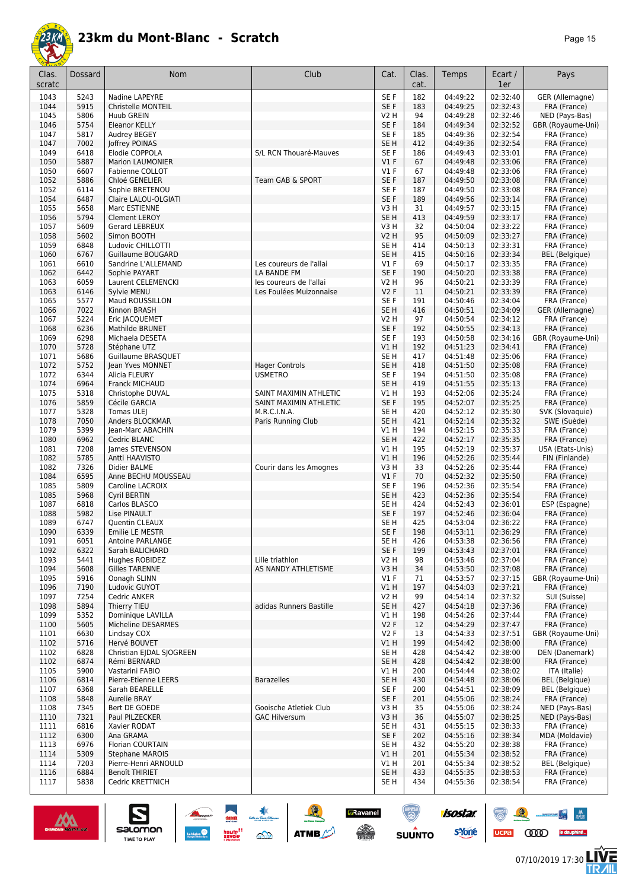

| Clas.        | Dossard      | Nom                                        | Club                                   | Cat.                    | Clas.      | Temps                | Ecart /              | Pays                            |
|--------------|--------------|--------------------------------------------|----------------------------------------|-------------------------|------------|----------------------|----------------------|---------------------------------|
| scratc       |              |                                            |                                        |                         | cat.       |                      | 1er                  |                                 |
| 1043         | 5243         | Nadine LAPEYRE                             |                                        | SE F                    | 182        | 04:49:22             | 02:32:40             | GER (Allemagne)                 |
| 1044         | 5915         | Christelle MONTEIL                         |                                        | SE F                    | 183        | 04:49:25             | 02:32:43             | FRA (France)                    |
| 1045         | 5806         | Huub GREIN                                 |                                        | V2 H                    | 94         | 04:49:28             | 02:32:46             | NED (Pays-Bas)                  |
| 1046         | 5754         | <b>Eleanor KELLY</b>                       |                                        | SE F                    | 184        | 04:49:34             | 02:32:52             | GBR (Royaume-Uni)               |
| 1047         | 5817         | Audrey BEGEY                               |                                        | SE <sub>F</sub>         | 185        | 04:49:36             | 02:32:54             | FRA (France)                    |
| 1047         | 7002         | Joffrey POINAS                             |                                        | SE <sub>H</sub>         | 412        | 04:49:36             | 02:32:54             | FRA (France)                    |
| 1049<br>1050 | 6418<br>5887 | Elodie COPPOLA<br><b>Marion LAUMONIER</b>  | S/L RCN Thouaré-Mauves                 | SE <sub>F</sub><br>V1F  | 186<br>67  | 04:49:43<br>04:49:48 | 02:33:01<br>02:33:06 | FRA (France)<br>FRA (France)    |
| 1050         | 6607         | Fabienne COLLOT                            |                                        | <b>V1 F</b>             | 67         | 04:49:48             | 02:33:06             | FRA (France)                    |
| 1052         | 5886         | Chloé GENELIER                             | Team GAB & SPORT                       | SE F                    | 187        | 04:49:50             | 02:33:08             | FRA (France)                    |
| 1052         | 6114         | Sophie BRETENOU                            |                                        | SE F                    | 187        | 04:49:50             | 02:33:08             | FRA (France)                    |
| 1054         | 6487         | Claire LALOU-OLGIATI                       |                                        | SE F                    | 189        | 04:49:56             | 02:33:14             | FRA (France)                    |
| 1055         | 5658         | Marc ESTIENNE                              |                                        | V3 H                    | 31         | 04:49:57             | 02:33:15             | FRA (France)                    |
| 1056         | 5794         | <b>Clement LEROY</b>                       |                                        | SE <sub>H</sub>         | 413        | 04:49:59             | 02:33:17             | FRA (France)                    |
| 1057         | 5609         | Gerard LEBREUX                             |                                        | V3 H                    | 32         | 04:50:04             | 02:33:22             | FRA (France)                    |
| 1058         | 5602         | Simon BOOTH                                |                                        | <b>V2 H</b>             | 95         | 04:50:09             | 02:33:27             | FRA (France)                    |
| 1059         | 6848         | Ludovic CHILLOTTI                          |                                        | SE <sub>H</sub>         | 414        | 04:50:13             | 02:33:31             | FRA (France)                    |
| 1060         | 6767         | Guillaume BOUGARD                          |                                        | SE <sub>H</sub>         | 415        | 04:50:16             | 02:33:34             | BEL (Belgique)                  |
| 1061         | 6610         | Sandrine L'ALLEMAND<br>Sophie PAYART       | Les coureurs de l'allai<br>LA BANDE FM | $VI$ F<br>SE F          | 69         | 04:50:17             | 02:33:35<br>02:33:38 | FRA (France)                    |
| 1062<br>1063 | 6442<br>6059 | Laurent CELEMENCKI                         | les coureurs de l'allai                | V2 H                    | 190<br>96  | 04:50:20<br>04:50:21 | 02:33:39             | FRA (France)<br>FRA (France)    |
| 1063         | 6146         | Sylvie MENU                                | Les Foulées Muizonnaise                | V2F                     | 11         | 04:50:21             | 02:33:39             | FRA (France)                    |
| 1065         | 5577         | Maud ROUSSILLON                            |                                        | SE <sub>F</sub>         | 191        | 04:50:46             | 02:34:04             | FRA (France)                    |
| 1066         | 7022         | Kinnon BRASH                               |                                        | SE <sub>H</sub>         | 416        | 04:50:51             | 02:34:09             | GER (Allemagne)                 |
| 1067         | 5224         | Eric JACQUEMET                             |                                        | V2 H                    | 97         | 04:50:54             | 02:34:12             | FRA (France)                    |
| 1068         | 6236         | Mathilde BRUNET                            |                                        | SE F                    | 192        | 04:50:55             | 02:34:13             | FRA (France)                    |
| 1069         | 6298         | Michaela DESETA                            |                                        | SE F                    | 193        | 04:50:58             | 02:34:16             | GBR (Royaume-Uni)               |
| 1070         | 5728         | Stéphane UTZ                               |                                        | VIH                     | 192        | 04:51:23             | 02:34:41             | FRA (France)                    |
| 1071         | 5686         | Guillaume BRASQUET                         |                                        | SE <sub>H</sub>         | 417        | 04:51:48             | 02:35:06             | FRA (France)                    |
| 1072         | 5752         | lean Yves MONNET                           | <b>Hager Controls</b>                  | SE <sub>H</sub>         | 418        | 04:51:50             | 02:35:08             | FRA (France)                    |
| 1072         | 6344         | Alicia FLEURY                              | <b>USMETRO</b>                         | SE F                    | 194        | 04:51:50             | 02:35:08             | FRA (France)                    |
| 1074         | 6964         | Franck MICHAUD                             |                                        | SE <sub>H</sub>         | 419        | 04:51:55             | 02:35:13             | FRA (France)                    |
| 1075         | 5318<br>5859 | Christophe DUVAL                           | SAINT MAXIMIN ATHLETIC                 | V1 H<br>SE F            | 193        | 04:52:06             | 02:35:24             | FRA (France)                    |
| 1076<br>1077 | 5328         | Cécile GARCIA<br>Tomas ULEI                | SAINT MAXIMIN ATHLETIC<br>M.R.C.I.N.A. | SE H                    | 195<br>420 | 04:52:07<br>04:52:12 | 02:35:25<br>02:35:30 | FRA (France)<br>SVK (Slovaquie) |
| 1078         | 7050         | Anders BLOCKMAR                            | Paris Running Club                     | SE <sub>H</sub>         | 421        | 04:52:14             | 02:35:32             | SWE (Suède)                     |
| 1079         | 5399         | Jean-Marc ABACHIN                          |                                        | V1 H                    | 194        | 04:52:15             | 02:35:33             | FRA (France)                    |
| 1080         | 6962         | Cedric BLANC                               |                                        | SE <sub>H</sub>         | 422        | 04:52:17             | 02:35:35             | FRA (France)                    |
| 1081         | 7208         | James STEVENSON                            |                                        | V1 H                    | 195        | 04:52:19             | 02:35:37             | USA (Etats-Unis)                |
| 1082         | 5785         | Antti HAAVISTO                             |                                        | V1H                     | 196        | 04:52:26             | 02:35:44             | FIN (Finlande)                  |
| 1082         | 7326         | Didier BALME                               | Courir dans les Amognes                | V3H                     | 33         | 04:52:26             | 02:35:44             | FRA (France)                    |
| 1084         | 6595         | Anne BECHU MOUSSEAU                        |                                        | $VI$ F                  | 70         | 04:52:32             | 02:35:50             | FRA (France)                    |
| 1085         | 5809         | Caroline LACROIX                           |                                        | SE <sub>F</sub>         | 196        | 04:52:36             | 02:35:54             | FRA (France)                    |
| 1085         | 5968         | Cyril BERTIN                               |                                        | SE <sub>H</sub>         | 423        | 04:52:36             | 02:35:54             | FRA (France)                    |
| 1087         | 6818         | Carlos BLASCO                              |                                        | SE <sub>H</sub>         | 424        | 04:52:43             | 02:36:01             | ESP (Espagne)                   |
| 1088         | 5982         | Lise PINAULT                               |                                        | SE F                    | 197        | 04:52:46             | 02:36:04             | FRA (France)                    |
| 1089         | 6747         | Quentin CLEAUX                             |                                        | SE H                    | 425        | 04:53:04             | 02:36:22             | FRA (France)                    |
| 1090<br>1091 | 6339<br>6051 | <b>Emilie LE MESTR</b><br>Antoine PARLANGE |                                        | SE <sub>F</sub><br>SE H | 198<br>426 | 04:53:11<br>04:53:38 | 02:36:29<br>02:36:56 | FRA (France)<br>FRA (France)    |
| 1092         | 6322         | Sarah BALICHARD                            |                                        | SE F                    | 199        | 04:53:43             | 02:37:01             | FRA (France)                    |
| 1093         | 5441         | Hughes ROBIDEZ                             | Lille triathlon                        | V2 H                    | 98         | 04:53:46             | 02:37:04             | FRA (France)                    |
| 1094         | 5608         | <b>Gilles TARENNE</b>                      | AS NANDY ATHLETISME                    | V3H                     | 34         | 04:53:50             | 02:37:08             | FRA (France)                    |
| 1095         | 5916         | Oonagh SLINN                               |                                        | $VI$ F                  | 71         | 04:53:57             | 02:37:15             | GBR (Royaume-Uni)               |
| 1096         | 7190         | Ludovic GUYOT                              |                                        | V1H                     | 197        | 04:54:03             | 02:37:21             | FRA (France)                    |
| 1097         | 7254         | Cedric ANKER                               |                                        | V2 H                    | 99         | 04:54:14             | 02:37:32             | SUI (Suisse)                    |
| 1098         | 5894         | Thierry TIEU                               | adidas Runners Bastille                | SE <sub>H</sub>         | 427        | 04:54:18             | 02:37:36             | FRA (France)                    |
| 1099         | 5352         | Dominique LAVILLA                          |                                        | V1 H                    | 198        | 04:54:26             | 02:37:44             | FRA (France)                    |
| 1100         | 5605         | Micheline DESARMES                         |                                        | V2F                     | 12         | 04:54:29             | 02:37:47             | FRA (France)                    |
| 1101         | 6630         | Lindsay COX                                |                                        | V2F                     | 13         | 04:54:33             | 02:37:51             | GBR (Royaume-Uni)               |
| 1102         | 5716         | Hervé BOUVET                               |                                        | V1 H                    | 199        | 04:54:42             | 02:38:00             | FRA (France)                    |
| 1102         | 6828         | Christian EJDAL SJOGREEN<br>Rémi BERNARD   |                                        | SE H                    | 428        | 04:54:42             | 02:38:00             | DEN (Danemark)                  |
| 1102<br>1105 | 6874<br>5900 | Vastarini FABIO                            |                                        | SE H<br>V1 H            | 428<br>200 | 04:54:42<br>04:54:44 | 02:38:00<br>02:38:02 | FRA (France)<br>ITA (Italie)    |
| 1106         | 6814         | Pierre-Etienne LEERS                       | <b>Barazelles</b>                      | SE <sub>H</sub>         | 430        | 04:54:48             | 02:38:06             | BEL (Belgique)                  |
| 1107         | 6368         | Sarah BEARELLE                             |                                        | SE F                    | 200        | 04:54:51             | 02:38:09             | BEL (Belgique)                  |
| 1108         | 5848         | <b>Aurelie BRAY</b>                        |                                        | SE F                    | 201        | 04:55:06             | 02:38:24             | FRA (France)                    |
| 1108         | 7345         | Bert DE GOEDE                              | Gooische Atletiek Club                 | V3 H                    | 35         | 04:55:06             | 02:38:24             | NED (Pays-Bas)                  |
| 1110         | 7321         | Paul PILZECKER                             | <b>GAC Hilversum</b>                   | V3H                     | 36         | 04:55:07             | 02:38:25             | NED (Pays-Bas)                  |
| 1111         | 6816         | Xavier RODAT                               |                                        | SE H                    | 431        | 04:55:15             | 02:38:33             | FRA (France)                    |
| 1112         | 6300         | Ana GRAMA                                  |                                        | SE F                    | 202        | 04:55:16             | 02:38:34             | MDA (Moldavie)                  |
| 1113         | 6976         | Florian COURTAIN                           |                                        | SE H                    | 432        | 04:55:20             | 02:38:38             | FRA (France)                    |
| 1114         | 5309         | <b>Stephane MAROIS</b>                     |                                        | V1 H                    | 201        | 04:55:34             | 02:38:52             | FRA (France)                    |
| 1114         | 7203         | Pierre-Henri ARNOULD                       |                                        | V1 H                    | 201        | 04:55:34             | 02:38:52             | BEL (Belgique)                  |
| 1116         | 6884<br>5838 | Benoît THIRIET                             |                                        | SE H                    | 433<br>434 | 04:55:35             | 02:38:53             | FRA (France)                    |
| 1117         |              | Cedric KRETTNICH                           |                                        | SE H                    |            | 04:55:36             | 02:38:54             | FRA (France)                    |

SO THE STREET



 $\sum_{\text{SALOMOM}}$ 

 $\frac{\sqrt{2}}{2}$ 

 $ucpa$ 

isostar.

**s**Yone

**D**Ravanel

 $\begin{array}{c} \mathcal{N}^{\text{c}} \longrightarrow \\ \text{peritivity} \end{array}$ 

 $\odot$ 

**SUUNTO** 

 $\begin{picture}(180,10) \put(0,0){\line(1,0){10}} \put(10,0){\line(1,0){10}} \put(10,0){\line(1,0){10}} \put(10,0){\line(1,0){10}} \put(10,0){\line(1,0){10}} \put(10,0){\line(1,0){10}} \put(10,0){\line(1,0){10}} \put(10,0){\line(1,0){10}} \put(10,0){\line(1,0){10}} \put(10,0){\line(1,0){10}} \put(10,0){\line(1,0){10}} \put(10,0){\line($ 

人<br>儿

**COOD** le dauphiné...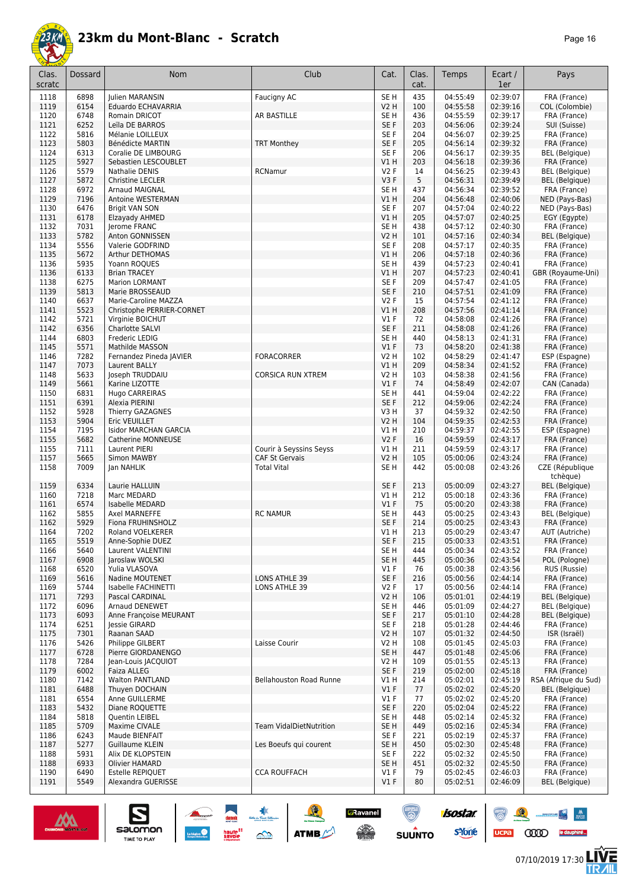

| Page | 16 |
|------|----|
|------|----|

| Clas.<br>scratc | Dossard      | Nom                                           | Club                           | Cat.                      | Clas.<br>cat. | Temps                | Ecart /<br>1er       | Pays                                           |
|-----------------|--------------|-----------------------------------------------|--------------------------------|---------------------------|---------------|----------------------|----------------------|------------------------------------------------|
| 1118            | 6898         | Julien MARANSIN                               | Faucigny AC                    | SE <sub>H</sub>           | 435           | 04:55:49             | 02:39:07             | FRA (France)                                   |
| 1119            | 6154         | Eduardo ECHAVARRIA                            |                                | <b>V2 H</b>               | 100           | 04:55:58             | 02:39:16             | COL (Colombie)                                 |
| 1120            | 6748         | Romain DRICOT                                 | AR BASTILLE                    | SE <sub>H</sub>           | 436           | 04:55:59             | 02:39:17             | FRA (France)                                   |
| 1121            | 6252         | Leïla DE BARROS                               |                                | SE F                      | 203           | 04:56:06             | 02:39:24             | SUI (Suisse)                                   |
| 1122<br>1123    | 5816         | Mélanie LOILLEUX<br>Bénédicte MARTIN          | <b>TRT Monthey</b>             | SE F<br>SE F              | 204<br>205    | 04:56:07<br>04:56:14 | 02:39:25<br>02:39:32 | FRA (France)                                   |
| 1124            | 5803<br>6313 | Coralie DE LIMBOURG                           |                                | SE F                      | 206           | 04:56:17             | 02:39:35             | FRA (France)<br><b>BEL</b> (Belgique)          |
| 1125            | 5927         | Sebastien LESCOUBLET                          |                                | V1 H                      | 203           | 04:56:18             | 02:39:36             | FRA (France)                                   |
| 1126            | 5579         | Nathalie DENIS                                | RCNamur                        | V2F                       | 14            | 04:56:25             | 02:39:43             | <b>BEL</b> (Belgique)                          |
| 1127            | 5872         | <b>Christine LECLER</b>                       |                                | V3F                       | 5             | 04:56:31             | 02:39:49             | BEL (Belgique)                                 |
| 1128            | 6972         | <b>Arnaud MAIGNAL</b>                         |                                | SE <sub>H</sub>           | 437           | 04:56:34             | 02:39:52             | FRA (France)                                   |
| 1129            | 7196         | Antoine WESTERMAN                             |                                | V1H                       | 204           | 04:56:48             | 02:40:06             | NED (Pays-Bas)                                 |
| 1130            | 6476         | <b>Brigit VAN SON</b>                         |                                | SE F                      | 207           | 04:57:04             | 02:40:22             | NED (Pays-Bas)                                 |
| 1131            | 6178         | Elzayady AHMED                                |                                | V1H                       | 205           | 04:57:07             | 02:40:25             | EGY (Egypte)                                   |
| 1132<br>1133    | 7031<br>5782 | Jerome FRANC<br>Anton GONNISSEN               |                                | SE <sub>H</sub><br>V2 H   | 438<br>101    | 04:57:12<br>04:57:16 | 02:40:30<br>02:40:34 | FRA (France)<br><b>BEL</b> (Belgique)          |
| 1134            | 5556         | Valerie GODFRIND                              |                                | SE F                      | 208           | 04:57:17             | 02:40:35             | FRA (France)                                   |
| 1135            | 5672         | Arthur DETHOMAS                               |                                | V1H                       | 206           | 04:57:18             | 02:40:36             | FRA (France)                                   |
| 1136            | 5935         | Yoann ROQUES                                  |                                | SE <sub>H</sub>           | 439           | 04:57:23             | 02:40:41             | FRA (France)                                   |
| 1136            | 6133         | <b>Brian TRACEY</b>                           |                                | V1 H                      | 207           | 04:57:23             | 02:40:41             | GBR (Royaume-Uni)                              |
| 1138            | 6275         | Marion LORMANT                                |                                | SE F                      | 209           | 04:57:47             | 02:41:05             | FRA (France)                                   |
| 1139            | 5813         | Marie BROSSEAUD                               |                                | SE F                      | 210           | 04:57:51             | 02:41:09             | FRA (France)                                   |
| 1140            | 6637         | Marie-Caroline MAZZA                          |                                | <b>V2F</b>                | 15            | 04:57:54             | 02:41:12             | FRA (France)                                   |
| 1141<br>1142    | 5523<br>5721 | Christophe PERRIER-CORNET<br>Virginie BOICHUT |                                | V1 H<br>$VI$ F            | 208<br>72     | 04:57:56<br>04:58:08 | 02:41:14<br>02:41:26 | FRA (France)<br>FRA (France)                   |
| 1142            | 6356         | Charlotte SALVI                               |                                | SE F                      | 211           | 04:58:08             | 02:41:26             | FRA (France)                                   |
| 1144            | 6803         | Frederic LEDIG                                |                                | SE <sub>H</sub>           | 440           | 04:58:13             | 02:41:31             | FRA (France)                                   |
| 1145            | 5571         | Mathilde MASSON                               |                                | $VI$ F                    | 73            | 04:58:20             | 02:41:38             | FRA (France)                                   |
| 1146            | 7282         | Fernandez Pineda JAVIER                       | <b>FORACORRER</b>              | <b>V2 H</b>               | 102           | 04:58:29             | 02:41:47             | ESP (Espagne)                                  |
| 1147            | 7073         | Laurent BALLY                                 |                                | <b>V1 H</b>               | 209           | 04:58:34             | 02:41:52             | FRA (France)                                   |
| 1148            | 5633         | Joseph TRUDDAIU                               | <b>CORSICA RUN XTREM</b>       | V2 H                      | 103           | 04:58:38             | 02:41:56             | FRA (France)                                   |
| 1149            | 5661         | Karine LIZOTTE                                |                                | $VI$ F                    | 74            | 04:58:49             | 02:42:07             | CAN (Canada)                                   |
| 1150            | 6831<br>6391 | Hugo CARREIRAS                                |                                | SE H<br>SE F              | 441<br>212    | 04:59:04             | 02:42:22             | FRA (France)                                   |
| 1151<br>1152    | 5928         | Alexia PIERINI<br>Thierry GAZAGNES            |                                | V3H                       | 37            | 04:59:06<br>04:59:32 | 02:42:24<br>02:42:50 | FRA (France)<br>FRA (France)                   |
| 1153            | 5904         | Eric VEUILLET                                 |                                | <b>V2 H</b>               | 104           | 04:59:35             | 02:42:53             | FRA (France)                                   |
| 1154            | 7195         | <b>Isidor MARCHAN GARCIA</b>                  |                                | V1H                       | 210           | 04:59:37             | 02:42:55             | ESP (Espagne)                                  |
| 1155            | 5682         | Catherine MONNEUSE                            |                                | V2F                       | 16            | 04:59:59             | 02:43:17             | FRA (France)                                   |
| 1155            | 7111         | Laurent PIERI                                 | Courir à Seyssins Seyss        | V1H                       | 211           | 04:59:59             | 02:43:17             | FRA (France)                                   |
| 1157            | 5665         | Simon MAWBY                                   | <b>CAF St Gervais</b>          | V2 H                      | 105           | 05:00:06             | 02:43:24             | FRA (France)                                   |
| 1158            | 7009         | Jan NAHLIK                                    | <b>Total Vital</b>             | SE <sub>H</sub>           | 442           | 05:00:08             | 02:43:26             | CZE (République<br>tchèque)                    |
| 1159            | 6334         | Laurie HALLUIN                                |                                | SE F                      | 213           | 05:00:09             | 02:43:27             | <b>BEL</b> (Belgique)                          |
| 1160            | 7218         | Marc MEDARD                                   |                                | VIH                       | 212           | 05:00:18             | 02:43:36             | FRA (France)                                   |
| 1161            | 6574         | Isabelle MEDARD                               |                                | $VI$ F                    | 75            | 05:00:20             | 02:43:38             | FRA (France)                                   |
| 1162            | 5855         | Axel MARNEFFE                                 | <b>RC NAMUR</b>                | SE H                      | 443           | 05:00:25             | 02:43:43             | <b>BEL</b> (Belgique)                          |
| 1162            | 5929         | Fiona FRUHINSHOLZ                             |                                | SE F                      | 214           | 05:00:25             | 02:43:43             | FRA (France)                                   |
| 1164            | 7202<br>5519 | <b>Roland VOELKERER</b>                       |                                | V1 H<br>SE F              | 213<br>215    | 05:00:29             | 02:43:47<br>02:43:51 | AUT (Autriche)<br>FRA (France)                 |
| 1165<br>1166    | 5640         | Anne-Sophie DUEZ<br>Laurent VALENTINI         |                                | SE H                      | 444           | 05:00:33<br>05:00:34 | 02:43:52             | FRA (France)                                   |
| 1167            | 6908         | laroslaw WOLSKI                               |                                | SE H                      | 445           | 05:00:36             | 02:43:54             | POL (Pologne)                                  |
| 1168            | 6520         | Yulia VLASOVA                                 |                                | $VI$ F                    | 76            | 05:00:38             | 02:43:56             | RUS (Russie)                                   |
| 1169            | 5616         | Nadine MOUTENET                               | LONS ATHLE 39                  | SE F                      | 216           | 05:00:56             | 02:44:14             | FRA (France)                                   |
| 1169            | 5744         | Isabelle FACHINETTI                           | LONS ATHLE 39                  | V2F                       | 17            | 05:00:56             | 02:44:14             | FRA (France)                                   |
| 1171            | 7293         | Pascal CARDINAL                               |                                | V2 H                      | 106           | 05:01:01             | 02:44:19             | <b>BEL</b> (Belgique)                          |
| 1172<br>1173    | 6096<br>6093 | Arnaud DENEWET<br>Anne Françoise MEURANT      |                                | SE H<br>SE F              | 446<br>217    | 05:01:09<br>05:01:10 | 02:44:27<br>02:44:28 | <b>BEL</b> (Belgique)<br><b>BEL</b> (Belgique) |
| 1174            | 6251         | <b>Jessie GIRARD</b>                          |                                | SE F                      | 218           | 05:01:28             | 02:44:46             | FRA (France)                                   |
| 1175            | 7301         | Raanan SAAD                                   |                                | V2 H                      | 107           | 05:01:32             | 02:44:50             | ISR (Israël)                                   |
| 1176            | 5426         | Philippe GILBERT                              | Laisse Courir                  | V2 H                      | 108           | 05:01:45             | 02:45:03             | FRA (France)                                   |
| 1177            | 6728         | Pierre GIORDANENGO                            |                                | SE <sub>H</sub>           | 447           | 05:01:48             | 02:45:06             | FRA (France)                                   |
| 1178            | 7284         | Jean-Louis JACQUIOT                           |                                | V2 H                      | 109           | 05:01:55             | 02:45:13             | FRA (France)                                   |
| 1179            | 6002         | Faiza ALLEG                                   |                                | SE F                      | 219           | 05:02:00             | 02:45:18             | FRA (France)                                   |
| 1180            | 7142         | <b>Walton PANTLAND</b>                        | <b>Bellahouston Road Runne</b> | V1 H                      | 214           | 05:02:01             | 02:45:19             | RSA (Afrique du Sud)                           |
| 1181<br>1181    | 6488<br>6554 | Thuyen DOCHAIN<br>Anne GUILLERME              |                                | V1F<br>V1F                | 77<br>77      | 05:02:02<br>05:02:02 | 02:45:20<br>02:45:20 | BEL (Belgique)<br>FRA (France)                 |
| 1183            | 5432         | Diane ROQUETTE                                |                                | SE F                      | 220           | 05:02:04             | 02:45:22             | FRA (France)                                   |
| 1184            | 5818         | Quentin LEIBEL                                |                                | SE H                      | 448           | 05:02:14             | 02:45:32             | FRA (France)                                   |
| 1185            | 5709         | Maxime CIVALE                                 | <b>Team VidalDietNutrition</b> | SE H                      | 449           | 05:02:16             | 02:45:34             | FRA (France)                                   |
| 1186            | 6243         | Maude BIENFAIT                                |                                | SE F                      | 221           | 05:02:19             | 02:45:37             | FRA (France)                                   |
| 1187            | 5277         | Guillaume KLEIN                               | Les Boeufs qui courent         | SE H                      | 450           | 05:02:30             | 02:45:48             | FRA (France)                                   |
| 1188            | 5931         | Alix DE KLOPSTEIN                             |                                | SE F                      | 222           | 05:02:32             | 02:45:50             | FRA (France)                                   |
| 1188<br>1190    | 6933<br>6490 | Olivier HAMARD<br>Estelle REPIQUET            | <b>CCA ROUFFACH</b>            | SE <sub>H</sub><br>$VI$ F | 451<br>79     | 05:02:32<br>05:02:45 | 02:45:50<br>02:46:03 | FRA (France)<br>FRA (France)                   |
| 1191            | 5549         | Alexandra GUERISSE                            |                                | $VI$ F                    | 80            | 05:02:51             | 02:46:09             | <b>BEL</b> (Belgique)                          |
|                 |              |                                               |                                |                           |               |                      |                      |                                                |



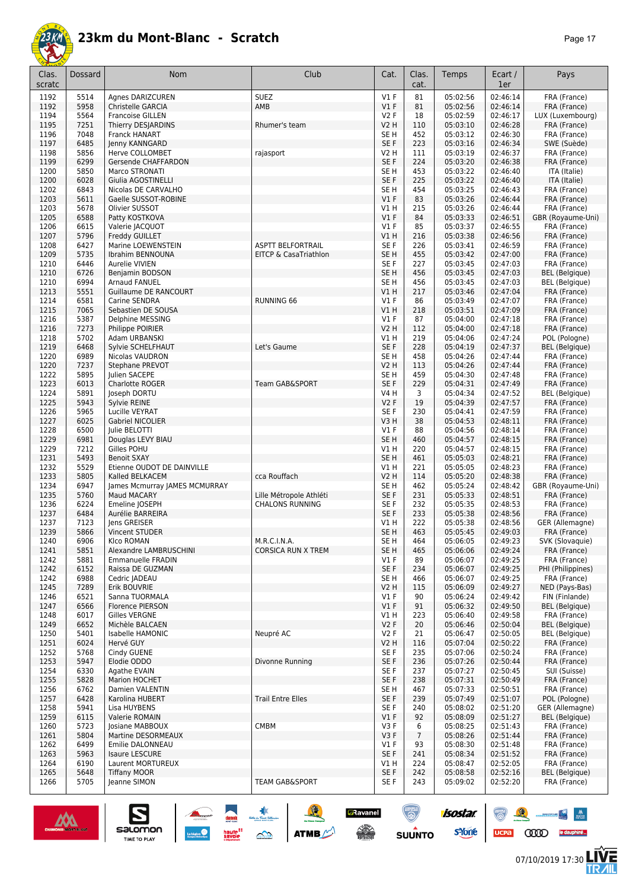

| Clas.<br>scratc | Dossard      | Nom                                    | Club                      | Cat.                    | Clas.<br>cat.        | Temps                | Ecart /<br>1er       | Pays                                  |
|-----------------|--------------|----------------------------------------|---------------------------|-------------------------|----------------------|----------------------|----------------------|---------------------------------------|
| 1192            | 5514         | Agnes DARIZCUREN                       | <b>SUEZ</b>               | $VI$ F                  | 81                   | 05:02:56             | 02:46:14             | FRA (France)                          |
| 1192            | 5958         | Christelle GARCIA                      | AMB                       | V1F                     | 81                   | 05:02:56             | 02:46:14             | FRA (France)                          |
| 1194            | 5564         | <b>Francoise GILLEN</b>                |                           | V2F                     | 18                   | 05:02:59             | 02:46:17             | LUX (Luxembourg)                      |
| 1195            | 7251         | Thierry DESJARDINS                     | Rhumer's team             | <b>V2 H</b>             | 110                  | 05:03:10             | 02:46:28             | FRA (France)                          |
| 1196            | 7048         | Franck HANART                          |                           | SE <sub>H</sub>         | 452                  | 05:03:12             | 02:46:30             | FRA (France)                          |
| 1197            | 6485         | Jenny KANNGARD                         |                           | SE F                    | 223                  | 05:03:16             | 02:46:34             | SWE (Suède)                           |
| 1198<br>1199    | 5856<br>6299 | Herve COLLOMBET<br>Gersende CHAFFARDON | rajasport                 | V2 H<br>SE F            | 111<br>224           | 05:03:19<br>05:03:20 | 02:46:37<br>02:46:38 | FRA (France)                          |
| 1200            | 5850         | Marco STRONATI                         |                           | SE H                    | 453                  | 05:03:22             | 02:46:40             | FRA (France)<br>ITA (Italie)          |
| 1200            | 6028         | Giulia AGOSTINELLI                     |                           | SE F                    | 225                  | 05:03:22             | 02:46:40             | ITA (Italie)                          |
| 1202            | 6843         | Nicolas DE CARVALHO                    |                           | SE H                    | 454                  | 05:03:25             | 02:46:43             | FRA (France)                          |
| 1203            | 5611         | Gaelle SUSSOT-ROBINE                   |                           | V1F                     | 83                   | 05:03:26             | 02:46:44             | FRA (France)                          |
| 1203            | 5678         | Olivier SUSSOT                         |                           | V1 H                    | 215                  | 05:03:26             | 02:46:44             | FRA (France)                          |
| 1205            | 6588         | Patty KOSTKOVA                         |                           | $VI$ F                  | 84                   | 05:03:33             | 02:46:51             | GBR (Royaume-Uni)                     |
| 1206            | 6615         | Valerie JACQUOT                        |                           | $VI$ F<br>V1H           | 85                   | 05:03:37<br>05:03:38 | 02:46:55<br>02:46:56 | FRA (France)                          |
| 1207<br>1208    | 5796<br>6427 | Freddy GUILLET<br>Marine LOEWENSTEIN   | <b>ASPTT BELFORTRAIL</b>  | SE F                    | 216<br>226           | 05:03:41             | 02:46:59             | FRA (France)<br>FRA (France)          |
| 1209            | 5735         | Ibrahim BENNOUNA                       | EITCP & CasaTriathlon     | SE <sub>H</sub>         | 455                  | 05:03:42             | 02:47:00             | FRA (France)                          |
| 1210            | 6446         | Aurelie VIVIEN                         |                           | SE F                    | 227                  | 05:03:45             | 02:47:03             | FRA (France)                          |
| 1210            | 6726         | Benjamin BODSON                        |                           | SE <sub>H</sub>         | 456                  | 05:03:45             | 02:47:03             | <b>BEL</b> (Belgique)                 |
| 1210            | 6994         | <b>Arnaud FANUEL</b>                   |                           | SE H                    | 456                  | 05:03:45             | 02:47:03             | <b>BEL</b> (Belgique)                 |
| 1213            | 5551         | <b>Guillaume DE RANCOURT</b>           |                           | V1 H                    | 217                  | 05:03:46             | 02:47:04             | FRA (France)                          |
| 1214<br>1215    | 6581<br>7065 | Carine SENDRA                          | RUNNING 66                | $VI$ F<br>V1H           | 86                   | 05:03:49             | 02:47:07<br>02:47:09 | FRA (France)<br>FRA (France)          |
| 1216            | 5387         | Sebastien DE SOUSA<br>Delphine MESSING |                           | $VI$ F                  | 218<br>87            | 05:03:51<br>05:04:00 | 02:47:18             | FRA (France)                          |
| 1216            | 7273         | Philippe POIRIER                       |                           | V2 H                    | 112                  | 05:04:00             | 02:47:18             | FRA (France)                          |
| 1218            | 5702         | Adam URBANSKI                          |                           | V1 H                    | 219                  | 05:04:06             | 02:47:24             | POL (Pologne)                         |
| 1219            | 6468         | Sylvie SCHELFHAUT                      | Let's Gaume               | SE F                    | 228                  | 05:04:19             | 02:47:37             | <b>BEL</b> (Belgique)                 |
| 1220            | 6989         | Nicolas VAUDRON                        |                           | SE <sub>H</sub>         | 458                  | 05:04:26             | 02:47:44             | FRA (France)                          |
| 1220            | 7237         | Stephane PREVOT                        |                           | <b>V2 H</b>             | 113                  | 05:04:26             | 02:47:44             | FRA (France)                          |
| 1222            | 5895         | Julien SACEPE                          |                           | SE H                    | 459                  | 05:04:30             | 02:47:48             | FRA (France)                          |
| 1223<br>1224    | 6013<br>5891 | Charlotte ROGER<br>Joseph DORTU        | Team GAB&SPORT            | SE F<br>V4 H            | 229<br>3             | 05:04:31<br>05:04:34 | 02:47:49<br>02:47:52 | FRA (France)<br><b>BEL</b> (Belgique) |
| 1225            | 5943         | Sylvie REINE                           |                           | V2F                     | 19                   | 05:04:39             | 02:47:57             | FRA (France)                          |
| 1226            | 5965         | Lucille VEYRAT                         |                           | SE F                    | 230                  | 05:04:41             | 02:47:59             | FRA (France)                          |
| 1227            | 6025         | Gabriel NICOLIER                       |                           | V3H                     | 38                   | 05:04:53             | 02:48:11             | FRA (France)                          |
| 1228            | 6500         | Julie BELOTTI                          |                           | $VI$ F                  | 88                   | 05:04:56             | 02:48:14             | FRA (France)                          |
| 1229            | 6981         | Douglas LEVY BIAU                      |                           | SE <sub>H</sub>         | 460                  | 05:04:57             | 02:48:15             | FRA (France)                          |
| 1229<br>1231    | 7212<br>5493 | Gilles POHU<br><b>Benoit SXAY</b>      |                           | V1 H<br>SE <sub>H</sub> | 220<br>461           | 05:04:57<br>05:05:03 | 02:48:15<br>02:48:21 | FRA (France)<br>FRA (France)          |
| 1232            | 5529         | Etienne OUDOT DE DAINVILLE             |                           | V1H                     | 221                  | 05:05:05             | 02:48:23             | FRA (France)                          |
| 1233            | 5805         | Kalled BELKACEM                        | cca Rouffach              | <b>V2 H</b>             | 114                  | 05:05:20             | 02:48:38             | FRA (France)                          |
| 1234            | 6947         | James Mcmurray JAMES MCMURRAY          |                           | SE H                    | 462                  | 05:05:24             | 02:48:42             | GBR (Royaume-Uni)                     |
| 1235            | 5760         | Maud MACARY                            | Lille Métropole Athléti   | SE F                    | 231                  | 05:05:33             | 02:48:51             | FRA (France)                          |
| 1236            | 6224         | Emeline JOSEPH                         | <b>CHALONS RUNNING</b>    | SE F                    | 232                  | 05:05:35             | 02:48:53             | FRA (France)                          |
| 1237<br>1237    | 6484<br>7123 | Aurélie BARREIRA<br>Jens GREISER       |                           | SE F<br>VIH             | 233<br>222           | 05:05:38<br>05:05:38 | 02:48:56<br>02:48:56 | FRA (France)<br>GER (Allemagne)       |
| 1239            | 5866         | <b>Vincent STUDER</b>                  |                           | SE <sub>H</sub>         | 463                  | 05:05:45             | 02:49:03             | FRA (France)                          |
| 1240            | 6906         | KIco ROMAN                             | M.R.C.I.N.A.              | SE <sub>H</sub>         | 464                  | 05:06:05             | 02:49:23             | SVK (Slovaquie)                       |
| 1241            | 5851         | Alexandre LAMBRUSCHINI                 | <b>CORSICA RUN X TREM</b> | SE <sub>H</sub>         | 465                  | 05:06:06             | 02:49:24             | FRA (France)                          |
| 1242            | 5881         | <b>Emmanuelle FRADIN</b>               |                           | $VI$ F                  | 89                   | 05:06:07             | 02:49:25             | FRA (France)                          |
| 1242            | 6152         | Raissa DE GUZMAN                       |                           | SE F                    | 234                  | 05:06:07             | 02:49:25             | PHI (Philippines)                     |
| 1242            | 6988         | Cedric JADEAU                          |                           | SE H                    | 466                  | 05:06:07<br>05:06:09 | 02:49:25             | FRA (France)                          |
| 1245<br>1246    | 7289<br>6521 | Erik BOUVRIE<br>Sanna TUORMALA         |                           | <b>V2 H</b><br>$VI$ F   | 115<br>90            | 05:06:24             | 02:49:27<br>02:49:42 | NED (Pays-Bas)<br>FIN (Finlande)      |
| 1247            | 6566         | Florence PIERSON                       |                           | $VI$ F                  | 91                   | 05:06:32             | 02:49:50             | <b>BEL</b> (Belgique)                 |
| 1248            | 6017         | Gilles VERGNE                          |                           | V1 H                    | 223                  | 05:06:40             | 02:49:58             | FRA (France)                          |
| 1249            | 6652         | Michèle BALCAEN                        |                           | V2F                     | 20                   | 05:06:46             | 02:50:04             | <b>BEL</b> (Belgique)                 |
| 1250            | 5401         | Isabelle HAMONIC                       | Neupré AC                 | V2F                     | 21                   | 05:06:47             | 02:50:05             | <b>BEL</b> (Belgique)                 |
| 1251            | 6024         | Hervé GUY                              |                           | V2 H                    | 116                  | 05:07:04             | 02:50:22             | FRA (France)                          |
| 1252            | 5768         | Cindy GUENE                            |                           | SE F                    | 235                  | 05:07:06             | 02:50:24<br>02:50:44 | FRA (France)                          |
| 1253<br>1254    | 5947<br>6330 | Elodie ODDO<br>Agathe EVAIN            | Divonne Running           | SE F<br>SE F            | 236<br>237           | 05:07:26<br>05:07:27 | 02:50:45             | FRA (France)<br>SUI (Suisse)          |
| 1255            | 5828         | Marion HOCHET                          |                           | SE F                    | 238                  | 05:07:31             | 02:50:49             | FRA (France)                          |
| 1256            | 6762         | Damien VALENTIN                        |                           | SE <sub>H</sub>         | 467                  | 05:07:33             | 02:50:51             | FRA (France)                          |
| 1257            | 6428         | Karolina HUBERT                        | <b>Trail Entre Elles</b>  | SE F                    | 239                  | 05:07:49             | 02:51:07             | POL (Pologne)                         |
| 1258            | 5941         | Lisa HUYBENS                           |                           | SE F                    | 240                  | 05:08:02             | 02:51:20             | GER (Allemagne)                       |
| 1259            | 6115         | Valerie ROMAIN                         |                           | $VI$ F                  | 92                   | 05:08:09             | 02:51:27             | <b>BEL</b> (Belgique)                 |
| 1260            | 5723         | <b>Josiane MABBOUX</b>                 | CMBM                      | V3F                     | 6                    | 05:08:25             | 02:51:43             | FRA (France)                          |
| 1261<br>1262    | 5804<br>6499 | Martine DESORMEAUX<br>Emilie DALONNEAU |                           | V3F<br>$VI$ F           | $\overline{7}$<br>93 | 05:08:26<br>05:08:30 | 02:51:44<br>02:51:48 | FRA (France)<br>FRA (France)          |
| 1263            | 5963         | <b>Isaure LESCURE</b>                  |                           | SE F                    | 241                  | 05:08:34             | 02:51:52             | FRA (France)                          |
| 1264            | 6190         | Laurent MORTUREUX                      |                           | V1 H                    | 224                  | 05:08:47             | 02:52:05             | FRA (France)                          |
| 1265            | 5648         | <b>Tiffany MOOR</b>                    |                           | SE F                    | 242                  | 05:08:58             | 02:52:16             | <b>BEL</b> (Belgique)                 |
| 1266            | 5705         | Jeanne SIMON                           | <b>TEAM GAB&amp;SPORT</b> | SE F                    | 243                  | 05:09:02             | 02:52:20             | FRA (France)                          |
|                 |              |                                        |                           |                         |                      |                      |                      |                                       |



UCPa **COD** le dauphiné...

 $\mathbb{R}$ 

/后<br>⁄IIL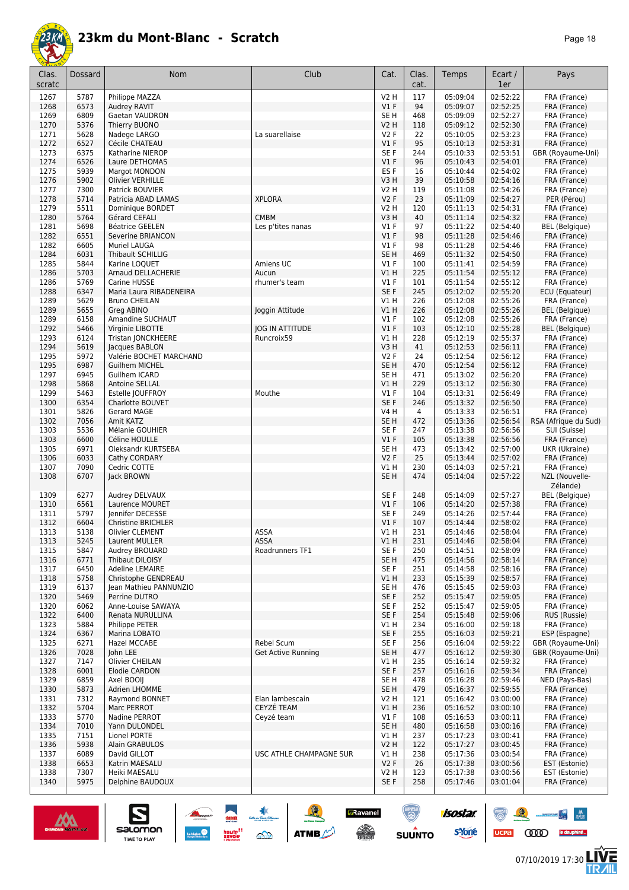

| Clas.<br>scratc | Dossard      | Nom                                         | Club                      | Cat.             | Clas.<br>cat. | Temps                | Ecart /<br>1er       | Pays                                  |
|-----------------|--------------|---------------------------------------------|---------------------------|------------------|---------------|----------------------|----------------------|---------------------------------------|
| 1267            | 5787         | Philippe MAZZA                              |                           | <b>V2 H</b>      | 117           | 05:09:04             | 02:52:22             | FRA (France)                          |
| 1268            | 6573         | Audrey RAVIT                                |                           | $VI$ F           | 94            | 05:09:07             | 02:52:25             | FRA (France)                          |
| 1269            | 6809         | Gaetan VAUDRON                              |                           | SE H             | 468           | 05:09:09             | 02:52:27             | FRA (France)                          |
| 1270            | 5376         | Thierry BUONO                               |                           | <b>V2 H</b>      | 118           | 05:09:12             | 02:52:30             | FRA (France)                          |
| 1271            | 5628         | Nadege LARGO                                | La suarellaise            | V2F              | 22            | 05:10:05             | 02:53:23             | FRA (France)                          |
| 1272            | 6527         | Cécile CHATEAU                              |                           | $VI$ F           | 95            | 05:10:13             | 02:53:31             | FRA (France)                          |
| 1273<br>1274    | 6375<br>6526 | Katharine NIEROP<br>Laure DETHOMAS          |                           | SE F<br>$VI$ F   | 244<br>96     | 05:10:33<br>05:10:43 | 02:53:51<br>02:54:01 | GBR (Royaume-Uni)<br>FRA (France)     |
| 1275            | 5939         | Margot MONDON                               |                           | ES <sub>F</sub>  | 16            | 05:10:44             | 02:54:02             | FRA (France)                          |
| 1276            | 5902         | <b>Olivier VERHILLE</b>                     |                           | V3H              | 39            | 05:10:58             | 02:54:16             | FRA (France)                          |
| 1277            | 7300         | Patrick BOUVIER                             |                           | <b>V2 H</b>      | 119           | 05:11:08             | 02:54:26             | FRA (France)                          |
| 1278            | 5714         | Patricia ABAD LAMAS                         | <b>XPLORA</b>             | <b>V2F</b>       | 23            | 05:11:09             | 02:54:27             | PER (Pérou)                           |
| 1279            | 5511         | Dominique BORDET                            |                           | V2 H             | 120           | 05:11:13             | 02:54:31             | FRA (France)                          |
| 1280            | 5764         | Gérard CEFALI                               | <b>CMBM</b>               | V3 H             | 40            | 05:11:14             | 02:54:32             | FRA (France)                          |
| 1281<br>1282    | 5698<br>6551 | <b>Béatrice GEELEN</b><br>Severine BRIANCON | Les p'tites nanas         | V1 F<br>$VI$ F   | 97<br>98      | 05:11:22<br>05:11:28 | 02:54:40<br>02:54:46 | <b>BEL</b> (Belgique)<br>FRA (France) |
| 1282            | 6605         | Muriel LAUGA                                |                           | $VI$ F           | 98            | 05:11:28             | 02:54:46             | FRA (France)                          |
| 1284            | 6031         | <b>Thibault SCHILLIG</b>                    |                           | SE <sub>H</sub>  | 469           | 05:11:32             | 02:54:50             | FRA (France)                          |
| 1285            | 5844         | Karine LOQUET                               | Amiens UC                 | $VI$ F           | 100           | 05:11:41             | 02:54:59             | FRA (France)                          |
| 1286            | 5703         | Arnaud DELLACHERIE                          | Aucun                     | V1 H             | 225           | 05:11:54             | 02:55:12             | FRA (France)                          |
| 1286            | 5769         | Carine HUSSE                                | rhumer's team             | V1 F             | 101           | 05:11:54             | 02:55:12             | FRA (France)                          |
| 1288            | 6347         | Maria Laura RIBADENEIRA                     |                           | SE F             | 245           | 05:12:02             | 02:55:20             | ECU (Equateur)                        |
| 1289            | 5629         | <b>Bruno CHEILAN</b>                        |                           | V1 H             | 226           | 05:12:08             | 02:55:26             | FRA (France)                          |
| 1289<br>1289    | 5655<br>6158 | Greg ABINO<br>Amandine SUCHAUT              | Joggin Attitude           | VIH<br>$VI$ F    | 226<br>102    | 05:12:08<br>05:12:08 | 02:55:26<br>02:55:26 | <b>BEL</b> (Belgique)<br>FRA (France) |
| 1292            | 5466         | Virginie LIBOTTE                            | <b>JOG IN ATTITUDE</b>    | $VI$ F           | 103           | 05:12:10             | 02:55:28             | <b>BEL</b> (Belgique)                 |
| 1293            | 6124         | Tristan JONCKHEERE                          | Runcroix59                | V1 H             | 228           | 05:12:19             | 02:55:37             | FRA (France)                          |
| 1294            | 5619         | Jacques BABLON                              |                           | V3H              | 41            | 05:12:53             | 02:56:11             | FRA (France)                          |
| 1295            | 5972         | Valérie BOCHET MARCHAND                     |                           | V2F              | 24            | 05:12:54             | 02:56:12             | FRA (France)                          |
| 1295            | 6987         | <b>Guilhem MICHEL</b>                       |                           | SE <sub>H</sub>  | 470           | 05:12:54             | 02:56:12             | FRA (France)                          |
| 1297            | 6945         | Guilhem ICARD                               |                           | SE <sub>H</sub>  | 471           | 05:13:02             | 02:56:20             | FRA (France)                          |
| 1298            | 5868         | Antoine SELLAL                              |                           | V1 H             | 229           | 05:13:12             | 02:56:30             | FRA (France)                          |
| 1299<br>1300    | 5463<br>6354 | Estelle JOUFFROY<br>Charlotte BOUVET        | Mouthe                    | $VI$ F<br>SE F   | 104<br>246    | 05:13:31<br>05:13:32 | 02:56:49<br>02:56:50 | FRA (France)<br>FRA (France)          |
| 1301            | 5826         | Gerard MAGE                                 |                           | <b>V4 H</b>      | 4             | 05:13:33             | 02:56:51             | FRA (France)                          |
| 1302            | 7056         | Amit KATZ                                   |                           | SE <sub>H</sub>  | 472           | 05:13:36             | 02:56:54             | RSA (Afrique du Sud)                  |
| 1303            | 5536         | Mélanie GOUHIER                             |                           | SE F             | 247           | 05:13:38             | 02:56:56             | SUI (Suisse)                          |
| 1303            | 6600         | Céline HOULLE                               |                           | $VI$ F           | 105           | 05:13:38             | 02:56:56             | FRA (France)                          |
| 1305            | 6971         | Oleksandr KURTSEBA                          |                           | SE H             | 473           | 05:13:42             | 02:57:00             | UKR (Ukraine)                         |
| 1306            | 6033         | Cathy CORDARY                               |                           | V <sub>2</sub> F | 25            | 05:13:44             | 02:57:02             | FRA (France)                          |
| 1307            | 7090         | Cedric COTTE                                |                           | V1 H             | 230           | 05:14:03             | 02:57:21             | FRA (France)                          |
| 1308            | 6707         | Jack BROWN                                  |                           | SE <sub>H</sub>  | 474           | 05:14:04             | 02:57:22             | NZL (Nouvelle-<br>Zélande)            |
| 1309            | 6277         | Audrey DELVAUX                              |                           | SE F             | 248           | 05:14:09             | 02:57:27             | <b>BEL</b> (Belgique)                 |
| 1310<br>1311    | 6561<br>5797 | <b>Laurence MOURET</b><br>Jennifer DECESSE  |                           | $VI$ F<br>SE F   | 106<br>249    | 05:14:20<br>05:14:26 | 02:57:38<br>02:57:44 | FRA (France)<br>FRA (France)          |
| 1312            | 6604         | <b>Christine BRICHLER</b>                   |                           | $VI$ F           | 107           | 05:14:44             | 02:58:02             | FRA (France)                          |
| 1313            | 5138         | <b>Olivier CLEMENT</b>                      | ASSA                      | <b>V1 H</b>      | 231           | 05:14:46             | 02:58:04             | FRA (France)                          |
| 1313            | 5245         | Laurent MULLER                              | ASSA                      | V1 H             | 231           | 05:14:46             | 02:58:04             | FRA (France)                          |
| 1315            | 5847         | Audrey BROUARD                              | Roadrunners TF1           | SE F             | 250           | 05:14:51             | 02:58:09             | FRA (France)                          |
| 1316            | 6771         | Thibaut DILOISY                             |                           | SE H             | 475           | 05:14:56             | 02:58:14             | FRA (France)                          |
| 1317            | 6450         | <b>Adeline LEMAIRE</b>                      |                           | SE F             | 251           | 05:14:58             | 02:58:16             | FRA (France)                          |
| 1318            | 5758         | Christophe GENDREAU                         |                           | V1 H             | 233           | 05:15:39             | 02:58:57             | FRA (France)                          |
| 1319<br>1320    | 6137<br>5469 | Jean Mathieu PANNUNZIO<br>Perrine DUTRO     |                           | SE H<br>SE F     | 476<br>252    | 05:15:45<br>05:15:47 | 02:59:03<br>02:59:05 | FRA (France)<br>FRA (France)          |
| 1320            | 6062         | Anne-Louise SAWAYA                          |                           | SE F             | 252           | 05:15:47             | 02:59:05             | FRA (France)                          |
| 1322            | 6400         | Renata NURULLINA                            |                           | SE F             | 254           | 05:15:48             | 02:59:06             | RUS (Russie)                          |
| 1323            | 5884         | Philippe PETER                              |                           | V1 H             | 234           | 05:16:00             | 02:59:18             | FRA (France)                          |
| 1324            | 6367         | Marina LOBATO                               |                           | SE F             | 255           | 05:16:03             | 02:59:21             | ESP (Espagne)                         |
| 1325            | 6271         | Hazel MCCABE                                | Rebel Scum                | SE F             | 256           | 05:16:04             | 02:59:22             | GBR (Royaume-Uni)                     |
| 1326            | 7028         | John LEE                                    | <b>Get Active Running</b> | SE H             | 477           | 05:16:12             | 02:59:30             | GBR (Royaume-Uni)                     |
| 1327            | 7147         | Olivier CHEILAN                             |                           | V1 H             | 235           | 05:16:14             | 02:59:32             | FRA (France)                          |
| 1328<br>1329    | 6001<br>6859 | Elodie CARDON<br>Axel BOOIJ                 |                           | SE F<br>SE H     | 257<br>478    | 05:16:16<br>05:16:28 | 02:59:34<br>02:59:46 | FRA (France)<br>NED (Pays-Bas)        |
| 1330            | 5873         | Adrien LHOMME                               |                           | SE H             | 479           | 05:16:37             | 02:59:55             | FRA (France)                          |
| 1331            | 7312         | Raymond BONNET                              | Elan lambescain           | V2 H             | 121           | 05:16:42             | 03:00:00             | FRA (France)                          |
| 1332            | 5704         | Marc PERROT                                 | CEYZÉ TEAM                | V1H              | 236           | 05:16:52             | 03:00:10             | FRA (France)                          |
| 1333            | 5770         | Nadine PERROT                               | Ceyzé team                | $VI$ F           | 108           | 05:16:53             | 03:00:11             | FRA (France)                          |
| 1334            | 7010         | Yann DULONDEL                               |                           | SE H             | 480           | 05:16:58             | 03:00:16             | FRA (France)                          |
| 1335            | 7151         | Lionel PORTE                                |                           | V1 H             | 237           | 05:17:23             | 03:00:41             | FRA (France)                          |
| 1336            | 5938         | Alain GRABULOS                              |                           | <b>V2 H</b>      | 122           | 05:17:27             | 03:00:45             | FRA (France)                          |
| 1337<br>1338    | 6089<br>6653 | David GILLOT<br>Katrin MAESALU              | USC ATHLE CHAMPAGNE SUR   | V1 H<br>V2F      | 238<br>26     | 05:17:36<br>05:17:38 | 03:00:54<br>03:00:56 | FRA (France)<br>EST (Estonie)         |
| 1338            | 7307         | Heiki MAESALU                               |                           | V2 H             | 123           | 05:17:38             | 03:00:56             | EST (Estonie)                         |
| 1340            | 5975         | Delphine BAUDOUX                            |                           | SE F             | 258           | 05:17:46             | 03:01:04             | FRA (France)                          |
|                 |              |                                             |                           |                  |               |                      |                      |                                       |



 $\sum_{\text{SALOMOM}}$ 

SO THE SO ATME



ucpa

 $\begin{array}{c|c} \mathbf{W} & \mathbf{W} \\ \hline \mathbf{W} & \mathbf{W} \end{array}$ 

**CODO** le dauphiné...

isostar.

**s**Yone

**D**Ravanel

 $\begin{array}{c} \sim \\ \sim \\ \sim \\ \end{array}$ 

 $\odot$ 

**SUUNTO**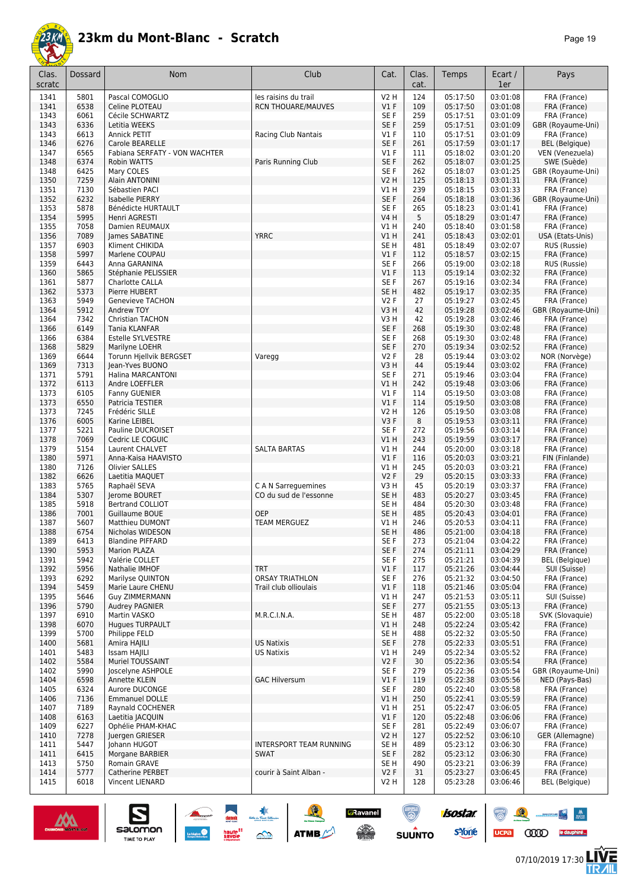

| Clas.<br>scratc | Dossard      | Nom                                       | Club                      | Cat.                | Clas.<br>cat. | Temps                | Ecart /<br>1er       | Pays                                  |
|-----------------|--------------|-------------------------------------------|---------------------------|---------------------|---------------|----------------------|----------------------|---------------------------------------|
| 1341            | 5801         | Pascal COMOGLIO                           | les raisins du trail      | <b>V2 H</b>         | 124           | 05:17:50             | 03:01:08             | FRA (France)                          |
| 1341            | 6538         | Celine PLOTEAU                            | <b>RCN THOUARE/MAUVES</b> | $VI$ F              | 109           | 05:17:50             | 03:01:08             | FRA (France)                          |
| 1343            | 6061         | Cécile SCHWARTZ                           |                           | SE F                | 259           | 05:17:51             | 03:01:09             | FRA (France)                          |
| 1343            | 6336         | Letitia WEEKS                             |                           | SE F                | 259           | 05:17:51             | 03:01:09             | GBR (Royaume-Uni)                     |
| 1343            | 6613         | Annick PETIT                              | Racing Club Nantais       | $VI$ F              | 110           | 05:17:51             | 03:01:09             | FRA (France)                          |
| 1346            | 6276         | Carole BEARELLE                           |                           | SE F                | 261           | 05:17:59             | 03:01:17             | BEL (Belgique)                        |
| 1347            | 6565         | Fabiana SERFATY - VON WACHTER             |                           | $VI$ F              | 111           | 05:18:02             | 03:01:20             | VEN (Venezuela)                       |
| 1348            | 6374         | <b>Robin WATTS</b>                        | Paris Running Club        | SE F                | 262           | 05:18:07             | 03:01:25             | SWE (Suède)                           |
| 1348            | 6425         | Mary COLES                                |                           | SE F                | 262           | 05:18:07             | 03:01:25             | GBR (Royaume-Uni)                     |
| 1350            | 7259         | Alain ANTONINI                            |                           | <b>V2 H</b>         | 125           | 05:18:13             | 03:01:31             | FRA (France)                          |
| 1351            | 7130         | Sébastien PACI                            |                           | V1H                 | 239           | 05:18:15             | 03:01:33             | FRA (France)                          |
| 1352            | 6232         | <b>Isabelle PIERRY</b>                    |                           | SE F                | 264           | 05:18:18             | 03:01:36             | GBR (Royaume-Uni)                     |
| 1353<br>1354    | 5878<br>5995 | Bénédicte HURTAULT                        |                           | SE F<br><b>V4 H</b> | 265<br>5      | 05:18:23<br>05:18:29 | 03:01:41<br>03:01:47 | FRA (France)<br>FRA (France)          |
| 1355            | 7058         | Henri AGRESTI<br>Damien REUMAUX           |                           | V1H                 | 240           | 05:18:40             | 03:01:58             | FRA (France)                          |
| 1356            | 7089         | James SABATINE                            | <b>YRRC</b>               | VIH                 | 241           | 05:18:43             | 03:02:01             | USA (Etats-Unis)                      |
| 1357            | 6903         | Kliment CHIKIDA                           |                           | SE <sub>H</sub>     | 481           | 05:18:49             | 03:02:07             | RUS (Russie)                          |
| 1358            | 5997         | Marlene COUPAU                            |                           | $VI$ F              | 112           | 05:18:57             | 03:02:15             | FRA (France)                          |
| 1359            | 6443         | Anna GARANINA                             |                           | SE F                | 266           | 05:19:00             | 03:02:18             | RUS (Russie)                          |
| 1360            | 5865         | Stéphanie PELISSIER                       |                           | $VI$ F              | 113           | 05:19:14             | 03:02:32             | FRA (France)                          |
| 1361            | 5877         | Charlotte CALLA                           |                           | SE F                | 267           | 05:19:16             | 03:02:34             | FRA (France)                          |
| 1362            | 5373         | Pierre HUBERT                             |                           | SE <sub>H</sub>     | 482           | 05:19:17             | 03:02:35             | FRA (France)                          |
| 1363            | 5949         | <b>Genevieve TACHON</b>                   |                           | V2F                 | 27            | 05:19:27             | 03:02:45             | FRA (France)                          |
| 1364            | 5912         | Andrew TOY                                |                           | V3H                 | 42            | 05:19:28             | 03:02:46             | GBR (Royaume-Uni)                     |
| 1364            | 7342         | <b>Christian TACHON</b>                   |                           | V3 H                | 42            | 05:19:28             | 03:02:46             | FRA (France)                          |
| 1366            | 6149         | Tania KLANFAR                             |                           | SE F                | 268           | 05:19:30             | 03:02:48             | FRA (France)                          |
| 1366            | 6384         | Estelle SYLVESTRE                         |                           | SE F                | 268           | 05:19:30             | 03:02:48             | FRA (France)                          |
| 1368            | 5829         | Marilyne LOEHR                            |                           | SE F                | 270           | 05:19:34             | 03:02:52             | FRA (France)                          |
| 1369            | 6644         | Torunn Hjellvik BERGSET                   | Varegg                    | V2F                 | 28            | 05:19:44             | 03:03:02             | NOR (Norvège)                         |
| 1369            | 7313         | Jean-Yves BUONO                           |                           | V3H                 | 44            | 05:19:44             | 03:03:02             | FRA (France)                          |
| 1371            | 5791         | Halina MARCANTONI                         |                           | SE F                | 271           | 05:19:46             | 03:03:04             | FRA (France)                          |
| 1372            | 6113         | Andre LOEFFLER                            |                           | V1H                 | 242           | 05:19:48             | 03:03:06             | FRA (France)                          |
| 1373<br>1373    | 6105<br>6550 | Fanny GUENIER<br>Patricia TESTIER         |                           | $VI$ F<br>$VI$ F    | 114<br>114    | 05:19:50<br>05:19:50 | 03:03:08<br>03:03:08 | FRA (France)                          |
| 1373            | 7245         | Frédéric SILLE                            |                           | <b>V2 H</b>         | 126           | 05:19:50             | 03:03:08             | FRA (France)<br>FRA (France)          |
| 1376            | 6005         | Karine LEIBEL                             |                           | V3F                 | 8             | 05:19:53             | 03:03:11             | FRA (France)                          |
| 1377            | 5221         | Pauline DUCROISET                         |                           | SE F                | 272           | 05:19:56             | 03:03:14             | FRA (France)                          |
| 1378            | 7069         | Cedric LE COGUIC                          |                           | V1H                 | 243           | 05:19:59             | 03:03:17             | FRA (France)                          |
| 1379            | 5154         | Laurent CHALVET                           | <b>SALTA BARTAS</b>       | V1H                 | 244           | 05:20:00             | 03:03:18             | FRA (France)                          |
| 1380            | 5971         | Anna-Kaisa HAAVISTO                       |                           | V1F                 | 116           | 05:20:03             | 03:03:21             | FIN (Finlande)                        |
| 1380            | 7126         | Olivier SALLES                            |                           | V1 H                | 245           | 05:20:03             | 03:03:21             | FRA (France)                          |
| 1382            | 6626         | Laetitia MAQUET                           |                           | V2F                 | 29            | 05:20:15             | 03:03:33             | FRA (France)                          |
| 1383            | 5765         | Raphaël SEVA                              | C A N Sarreguemines       | V3H                 | 45            | 05:20:19             | 03:03:37             | FRA (France)                          |
| 1384            | 5307         | Jerome BOURET                             | CO du sud de l'essonne    | SE <sub>H</sub>     | 483           | 05:20:27             | 03:03:45             | FRA (France)                          |
| 1385            | 5918         | <b>Bertrand COLLIOT</b>                   |                           | SE H                | 484           | 05:20:30             | 03:03:48             | FRA (France)                          |
| 1386            | 7001         | Guillaume BOUE                            | OEP                       | SE <sub>H</sub>     | 485           | 05:20:43             | 03:04:01             | FRA (France)                          |
| 1387            | 5607         | <b>Matthieu DUMONT</b>                    | <b>TEAM MERGUEZ</b>       | V1 H                | 246           | 05:20:53             | 03:04:11             | FRA (France)                          |
| 1388            | 6754         | Nicholas WIDESON                          |                           | SE <sub>H</sub>     | 486           | 05:21:00             | 03:04:18             | FRA (France)                          |
| 1389            | 6413         | Blandine PIFFARD                          |                           | SE F                | 273           | 05:21:04             | 03:04:22             | FRA (France)                          |
| 1390<br>1391    | 5953<br>5942 | Marion PLAZA<br>Valérie COLLET            |                           | SE F<br>SE F        | 274<br>275    | 05:21:11<br>05:21:21 | 03:04:29<br>03:04:39 | FRA (France)<br><b>BEL</b> (Belgique) |
| 1392            | 5956         | Nathalie IMHOF                            | <b>TRT</b>                | $VI$ F              | 117           | 05:21:26             | 03:04:44             | SUI (Suisse)                          |
| 1393            | 6292         | Marilyse QUINTON                          | <b>ORSAY TRIATHLON</b>    | SE F                | 276           | 05:21:32             | 03:04:50             | FRA (France)                          |
| 1394            | 5459         | Marie Laure CHENU                         | Trail club ollioulais     | $VI$ F              | 118           | 05:21:46             | 03:05:04             | FRA (France)                          |
| 1395            | 5646         | <b>Guy ZIMMERMANN</b>                     |                           | V1 H                | 247           | 05:21:53             | 03:05:11             | SUI (Suisse)                          |
| 1396            | 5790         | <b>Audrey PAGNIER</b>                     |                           | SE F                | 277           | 05:21:55             | 03:05:13             | FRA (France)                          |
| 1397            | 6910         | Martin VASKO                              | M.R.C.I.N.A.              | SE H                | 487           | 05:22:00             | 03:05:18             | SVK (Slovaquie)                       |
| 1398            | 6070         | <b>Hugues TURPAULT</b>                    |                           | V1H                 | 248           | 05:22:24             | 03:05:42             | FRA (France)                          |
| 1399            | 5700         | Philippe FELD                             |                           | SE H                | 488           | 05:22:32             | 03:05:50             | FRA (France)                          |
| 1400            | 5681         | Amira HAJILI                              | <b>US Natixis</b>         | SE F                | 278           | 05:22:33             | 03:05:51             | FRA (France)                          |
| 1401            | 5483         | Issam HAJILI                              | <b>US Natixis</b>         | V1 H                | 249           | 05:22:34             | 03:05:52             | FRA (France)                          |
| 1402            | 5584         | Muriel TOUSSAINT                          |                           | V2F                 | 30            | 05:22:36             | 03:05:54             | FRA (France)                          |
| 1402            | 5990         | Joscelyne ASHPOLE                         |                           | SE F                | 279           | 05:22:36             | 03:05:54             | GBR (Royaume-Uni)                     |
| 1404            | 6598         | Annette KLEIN                             | <b>GAC Hilversum</b>      | $VI$ F              | 119           | 05:22:38             | 03:05:56             | NED (Pays-Bas)                        |
| 1405            | 6324         | Aurore DUCONGE                            |                           | SE F                | 280           | 05:22:40             | 03:05:58             | FRA (France)                          |
| 1406<br>1407    | 7136<br>7189 | <b>Emmanuel DOLLE</b><br>Raynald COCHENER |                           | V1 H                | 250<br>251    | 05:22:41<br>05:22:47 | 03:05:59<br>03:06:05 | FRA (France)<br>FRA (France)          |
| 1408            | 6163         | Laetitia JACQUIN                          |                           | V1 H<br>$VI$ F      | 120           | 05:22:48             | 03:06:06             | FRA (France)                          |
| 1409            | 6227         | Ophélie PHAM-KHAC                         |                           | SE F                | 281           | 05:22:49             | 03:06:07             | FRA (France)                          |
| 1410            | 7278         | Juergen GRIESER                           |                           | V2 H                | 127           | 05:22:52             | 03:06:10             | GER (Allemagne)                       |
| 1411            | 5447         | Johann HUGOT                              | INTERSPORT TEAM RUNNING   | SE H                | 489           | 05:23:12             | 03:06:30             | FRA (France)                          |
| 1411            | 6415         | Morgane BARBIER                           | <b>SWAT</b>               | SE F                | 282           | 05:23:12             | 03:06:30             | FRA (France)                          |
| 1413            | 5750         | Romain GRAVE                              |                           | SE H                | 490           | 05:23:21             | 03:06:39             | FRA (France)                          |
| 1414            | 5777         | <b>Catherine PERBET</b>                   | courir à Saint Alban -    | V2F                 | 31            | 05:23:27             | 03:06:45             | FRA (France)                          |
| 1415            | 6018         | Vincent LIENARD                           |                           | V2 H                | 128           | 05:23:28             | 03:06:46             | <b>BEL</b> (Belgique)                 |



 $\sum_{\text{SALOMOM}}$ 

**A** 

ATMB

**a**Ravanel

 $\begin{array}{c} \mathcal{N}^{\text{c}} \longrightarrow \\ \text{peritivity} \end{array}$ 

 $\overline{\odot}$ 

**SUUNTO** 



**COOD** 

 $\mathcal{R}$ 

 $ucpa$ 

 $\begin{array}{|c|c|c|c|}\hline \mathbf{N} & \mathbf{M} \\ \hline \mathbf{M} & \mathbf{M} \end{array}$ 

le dauphiné...

左<br>孤

isostar.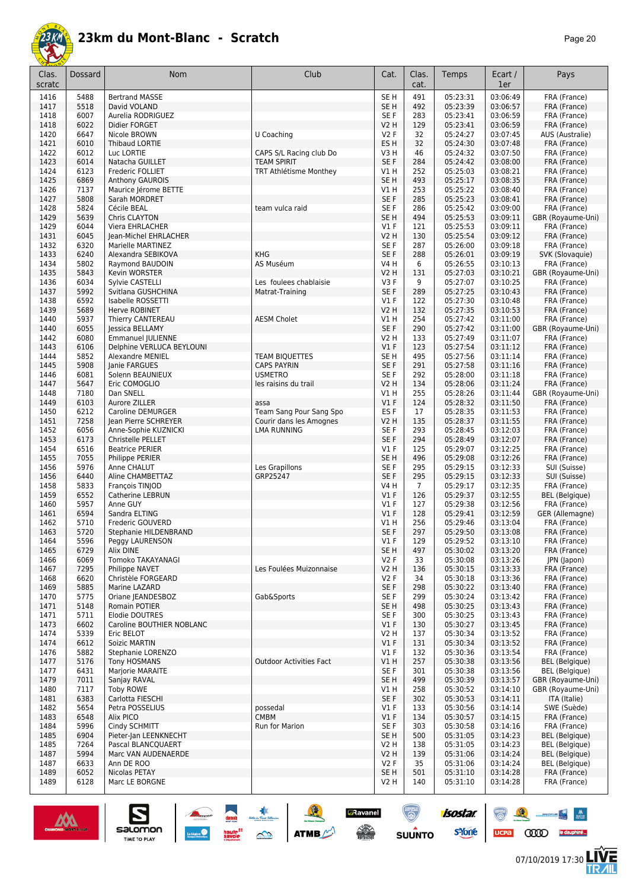

| 491<br>1416<br>5488<br><b>Bertrand MASSE</b><br>SE H<br>05:23:31<br>03:06:49<br>FRA (France)<br>5518<br>492<br>05:23:39<br>03:06:57<br>1417<br>David VOLAND<br>SE <sub>H</sub><br>FRA (France)<br>6007<br>SE F<br>283<br>1418<br>Aurelia RODRIGUEZ<br>05:23:41<br>03:06:59<br>FRA (France)<br>6022<br><b>V2 H</b><br>129<br>05:23:41<br>03:06:59<br>1418<br>Didier FORGET<br>FRA (France)<br>1420<br>6647<br>U Coaching<br>V2F<br>32<br>05:24:27<br>03:07:45<br>Nicole BROWN<br>AUS (Australie)<br>6010<br>ES <sub>H</sub><br>32<br>05:24:30<br>03:07:48<br>FRA (France)<br>1421<br>Thibaud LORTIE<br>1422<br>6012<br>CAPS S/L Racing club Do<br>46<br>05:24:32<br>03:07:50<br>Luc LORTIE<br>V3H<br>FRA (France)<br>6014<br>SE F<br>284<br>05:24:42<br>03:08:00<br>1423<br>Natacha GUILLET<br><b>TEAM SPIRIT</b><br>FRA (France)<br>1424<br>6123<br>V1H<br>252<br>05:25:03<br>03:08:21<br>Frederic FOLLIET<br>TRT Athlétisme Monthey<br>FRA (France)<br>1425<br>6869<br>SE <sub>H</sub><br>493<br>05:25:17<br>03:08:35<br>Anthony GAUROIS<br>FRA (France)<br>7137<br>253<br>05:25:22<br>03:08:40<br>1426<br>Maurice Jérome BETTE<br>V1 H<br>FRA (France)<br>5808<br>1427<br>Sarah MORDRET<br>SE F<br>285<br>05:25:23<br>03:08:41<br>FRA (France)<br>5824<br>SE F<br>286<br>03:09:00<br>1428<br>Cécile BEAL<br>team vulca raid<br>05:25:42<br>FRA (France)<br>5639<br>SE <sub>H</sub><br>494<br>1429<br>Chris CLAYTON<br>05:25:53<br>03:09:11<br>GBR (Royaume-Uni)<br>6044<br>$VI$ F<br>03:09:11<br>1429<br>121<br>05:25:53<br>FRA (France)<br>Viera EHRLACHER<br>1431<br>6045<br><b>V2 H</b><br>130<br>05:25:54<br>03:09:12<br>Jean-Michel EHRLACHER<br>FRA (France)<br>6320<br>SE F<br>287<br>05:26:00<br>03:09:18<br>1432<br>Marielle MARTINEZ<br>FRA (France)<br>1433<br>6240<br><b>KHG</b><br>SE F<br>288<br>05:26:01<br>03:09:19<br>Alexandra SEBIKOVA<br>SVK (Slovaquie)<br>5802<br>AS Muséum<br><b>V4 H</b><br>6<br>05:26:55<br>03:10:13<br>FRA (France)<br>1434<br>Raymond BAUDOIN<br>1435<br>5843<br>05:27:03<br>03:10:21<br>GBR (Royaume-Uni)<br>Kevin WORSTER<br>V2 H<br>131<br>6034<br>Les foulees chablaisie<br>9<br>05:27:07<br>03:10:25<br>1436<br>Sylvie CASTELLI<br>V3F<br>FRA (France)<br>5992<br>1437<br>SE F<br>289<br>05:27:25<br>03:10:43<br>Svitlana GUSHCHINA<br>FRA (France)<br>Matrat-Training<br>6592<br>05:27:30<br>03:10:48<br>1438<br><b>Isabelle ROSSETTI</b><br>$VI$ F<br>122<br>FRA (France)<br>5689<br>1439<br>Herve ROBINET<br>V2 H<br>132<br>05:27:35<br>03:10:53<br>FRA (France)<br>5937<br>254<br>1440<br>Thierry CANTEREAU<br><b>AESM Cholet</b><br>V1 H<br>05:27:42<br>03:11:00<br>FRA (France)<br>6055<br>SE F<br>290<br>1440<br>Jessica BELLAMY<br>05:27:42<br>03:11:00<br>GBR (Royaume-Uni)<br>6080<br>03:11:07<br>1442<br>V2 H<br>133<br>05:27:49<br>FRA (France)<br><b>Emmanuel JULIENNE</b><br>6106<br>V1F<br>123<br>05:27:54<br>03:11:12<br>1443<br>Delphine VERLUCA BEYLOUNI<br>FRA (France)<br>1444<br>5852<br><b>TEAM BIQUETTES</b><br>SE <sub>H</sub><br>495<br>05:27:56<br>03:11:14<br><b>Alexandre MENIEL</b><br>FRA (France)<br>5908<br><b>CAPS PAYRIN</b><br>SE F<br>291<br>05:27:58<br>03:11:16<br>1445<br>Janie FARGUES<br>FRA (France)<br>6081<br>SE <sub>F</sub><br>292<br>05:28:00<br>03:11:18<br>1446<br>Solenn BEAUNIEUX<br><b>USMETRO</b><br>FRA (France)<br>5647<br><b>V2 H</b><br>05:28:06<br>03:11:24<br>FRA (France)<br>1447<br>Eric COMOGLIO<br>les raisins du trail<br>134<br>7180<br>V1H<br>255<br>05:28:26<br>03:11:44<br>GBR (Royaume-Uni)<br>1448<br>Dan SNELL<br>6103<br>$VI$ F<br>124<br>05:28:32<br>03:11:50<br>FRA (France)<br>1449<br>Aurore ZILLER<br>assa<br>6212<br>Team Sang Pour Sang Spo<br>ES <sub>F</sub><br>05:28:35<br>03:11:53<br>1450<br>Caroline DEMURGER<br>17<br>FRA (France)<br>7258<br>135<br>05:28:37<br>03:11:55<br>1451<br>Jean Pierre SCHREYER<br>Courir dans les Amognes<br>V2 H<br>FRA (France)<br>6056<br>293<br>1452<br>Anne-Sophie KUZNICKI<br><b>LMA RUNNING</b><br>SE F<br>05:28:45<br>03:12:03<br>FRA (France)<br>SE F<br>294<br>1453<br>6173<br>Christelle PELLET<br>05:28:49<br>03:12:07<br>FRA (France)<br>6516<br>$VI$ F<br>05:29:07<br>03:12:25<br>1454<br><b>Beatrice PERIER</b><br>125<br>FRA (France)<br>7055<br>SE <sub>H</sub><br>496<br>03:12:26<br>1455<br>05:29:08<br>FRA (France)<br>Philippe PERIER<br>5976<br>Les Grapillons<br>SE F<br>295<br>05:29:15<br>03:12:33<br>1456<br>Anne CHALUT<br>SUI (Suisse)<br>1456<br>6440<br>SE F<br>295<br>05:29:15<br>03:12:33<br>Aline CHAMBETTAZ<br>GRP25247<br>SUI (Suisse)<br>5833<br><b>V4 H</b><br>$\overline{7}$<br>05:29:17<br>03:12:35<br>1458<br>François TINJOD<br>FRA (France)<br>1459<br>6552<br>V1F<br>03:12:55<br>Catherine LEBRUN<br>126<br>05:29:37<br><b>BEL</b> (Belgique)<br>5957<br>$VI$ F<br>03:12:56<br>FRA (France)<br>1460<br>Anne GUY<br>127<br>05:29:38<br>6594<br>$VI$ F<br>128<br>05:29:41<br>03:12:59<br>GER (Allemagne)<br>1461<br>Sandra ELTING<br>1462<br>5710<br>Frederic GOUVERD<br>V1 H<br>256<br>05:29:46<br>03:13:04<br>FRA (France)<br>1463<br>5720<br>Stephanie HILDENBRAND<br>SE F<br>297<br>05:29:50<br>03:13:08<br>FRA (France)<br>1464<br>5596<br>Peggy LAURENSON<br>V1 F<br>129<br>05:29:52<br>03:13:10<br>FRA (France)<br>1465<br>6729<br>Alix DINE<br>SE H<br>497<br>05:30:02<br>03:13:20<br>FRA (France)<br>6069<br>Tomoko TAKAYANAGI<br>V2F<br>1466<br>33<br>05:30:08<br>03:13:26<br>JPN (Japon)<br>Les Foulées Muizonnaise<br>03:13:33<br>1467<br>7295<br>Philippe NAVET<br>V2 H<br>136<br>05:30:15<br>FRA (France)<br>6620<br>03:13:36<br>1468<br>Christèle FORGEARD<br>V2F<br>34<br>05:30:18<br>FRA (France)<br>5885<br>SE F<br>298<br>05:30:22<br>03:13:40<br>1469<br>Marine LAZARD<br>FRA (France)<br>5775<br>SE F<br>299<br>03:13:42<br>1470<br>Oriane   EANDESBOZ<br>Gab&Sports<br>05:30:24<br>FRA (France)<br>SE <sub>H</sub><br>03:13:43<br>1471<br>5148<br>Romain POTIER<br>498<br>05:30:25<br>FRA (France)<br>SE F<br>03:13:43<br>1471<br>5711<br><b>Elodie DOUTRES</b><br>300<br>05:30:25<br>FRA (France)<br>6602<br>$VI$ F<br>03:13:45<br>1473<br>Caroline BOUTHIER NOBLANC<br>130<br>05:30:27<br>FRA (France)<br>03:13:52<br>1474<br>5339<br>Eric BELOT<br>V2 H<br>137<br>05:30:34<br>FRA (France)<br>03:13:52<br>1474<br>6612<br>Soizic MARTIN<br>$VI$ F<br>131<br>05:30:34<br>FRA (France)<br>1476<br>5882<br>Stephanie LORENZO<br>$VI$ F<br>132<br>05:30:36<br>03:13:54<br>FRA (France)<br>257<br>1477<br>5176<br><b>Tony HOSMANS</b><br><b>Outdoor Activities Fact</b><br>V1H<br>05:30:38<br>03:13:56<br><b>BEL</b> (Belgique)<br>1477<br>6431<br>SE F<br>301<br>05:30:38<br>03:13:56<br><b>BEL</b> (Belgique)<br>Marjorie MARAITE<br>SE <sub>H</sub><br>499<br>1479<br>7011<br>Sanjay RAVAL<br>05:30:39<br>03:13:57<br>GBR (Royaume-Uni)<br>7117<br>V1H<br>258<br>03:14:10<br>1480<br><b>Toby ROWE</b><br>05:30:52<br>GBR (Royaume-Uni)<br>1481<br>6383<br>SE F<br>302<br>05:30:53<br>03:14:11<br>Carlotta FIESCHI<br>ITA (Italie)<br>05:30:56<br>03:14:14<br>SWE (Suède)<br>1482<br>5654<br>Petra POSSELIUS<br>possedal<br>$VI$ F<br>133<br>1483<br>6548<br><b>CMBM</b><br>V1F<br>134<br>03:14:15<br>Alix PICO<br>05:30:57<br>FRA (France)<br>03:14:16<br>1484<br>5996<br>Cindy SCHMITT<br>Run for Marion<br>SE F<br>303<br>05:30:58<br>FRA (France)<br>1485<br>6904<br>500<br>03:14:23<br>Pieter-Jan LEENKNECHT<br>SE <sub>H</sub><br>05:31:05<br><b>BEL</b> (Belgique)<br>03:14:23<br>1485<br>7264<br>Pascal BLANCQUAERT<br><b>V2 H</b><br>138<br>05:31:05<br><b>BEL</b> (Belgique)<br>5994<br>1487<br>Marc VAN AUDENAERDE<br>V2 H<br>139<br>05:31:06<br>03:14:24<br><b>BEL</b> (Belgique)<br>1487<br>6633<br>Ann DE ROO<br>V2F<br>35<br>05:31:06<br>03:14:24<br><b>BEL</b> (Belgique)<br>6052<br>1489<br>Nicolas PETAY<br>SE <sub>H</sub><br>501<br>05:31:10<br>03:14:28<br>FRA (France)<br>1489<br>6128<br>Marc LE BORGNE<br>140<br>05:31:10<br>03:14:28<br>FRA (France)<br>V <sub>2</sub> H | Clas.<br>scratc | Dossard | Nom | Club | Cat. | Clas.<br>cat. | Temps | Ecart /<br>1er | Pays |
|-------------------------------------------------------------------------------------------------------------------------------------------------------------------------------------------------------------------------------------------------------------------------------------------------------------------------------------------------------------------------------------------------------------------------------------------------------------------------------------------------------------------------------------------------------------------------------------------------------------------------------------------------------------------------------------------------------------------------------------------------------------------------------------------------------------------------------------------------------------------------------------------------------------------------------------------------------------------------------------------------------------------------------------------------------------------------------------------------------------------------------------------------------------------------------------------------------------------------------------------------------------------------------------------------------------------------------------------------------------------------------------------------------------------------------------------------------------------------------------------------------------------------------------------------------------------------------------------------------------------------------------------------------------------------------------------------------------------------------------------------------------------------------------------------------------------------------------------------------------------------------------------------------------------------------------------------------------------------------------------------------------------------------------------------------------------------------------------------------------------------------------------------------------------------------------------------------------------------------------------------------------------------------------------------------------------------------------------------------------------------------------------------------------------------------------------------------------------------------------------------------------------------------------------------------------------------------------------------------------------------------------------------------------------------------------------------------------------------------------------------------------------------------------------------------------------------------------------------------------------------------------------------------------------------------------------------------------------------------------------------------------------------------------------------------------------------------------------------------------------------------------------------------------------------------------------------------------------------------------------------------------------------------------------------------------------------------------------------------------------------------------------------------------------------------------------------------------------------------------------------------------------------------------------------------------------------------------------------------------------------------------------------------------------------------------------------------------------------------------------------------------------------------------------------------------------------------------------------------------------------------------------------------------------------------------------------------------------------------------------------------------------------------------------------------------------------------------------------------------------------------------------------------------------------------------------------------------------------------------------------------------------------------------------------------------------------------------------------------------------------------------------------------------------------------------------------------------------------------------------------------------------------------------------------------------------------------------------------------------------------------------------------------------------------------------------------------------------------------------------------------------------------------------------------------------------------------------------------------------------------------------------------------------------------------------------------------------------------------------------------------------------------------------------------------------------------------------------------------------------------------------------------------------------------------------------------------------------------------------------------------------------------------------------------------------------------------------------------------------------------------------------------------------------------------------------------------------------------------------------------------------------------------------------------------------------------------------------------------------------------------------------------------------------------------------------------------------------------------------------------------------------------------------------------------------------------------------------------------------------------------------------------------------------------------------------------------------------------------------------------------------------------------------------------------------------------------------------------------------------------------------------------------------------------------------------------------------------------------------------------------------------------------------------------------------------------------------------------------------------------------------------------------------------------------------------------------------------------------------------------------------------------------------------------------------------------------------------------------------------------------------------------------------------------------------------------------------------------------------------------------------------------------------------------------------------------------------------------------------------------------------------------------------------------------------------------------------------------------------------------------------------------------------------------------------------------------------------------------------------------------------------------------------------------------------------------------------------------------------------------------------------------------------------------------------------------------------------------------------------------------------------------------------------------------------------------------------------------------------------------------------------------------------------------------------------------------------------------------------------------------------------------------------------------------------------------------------------------------------------------------------------------------------------------------------------------------------------------------------------------------------------------------------------------------------|-----------------|---------|-----|------|------|---------------|-------|----------------|------|
|                                                                                                                                                                                                                                                                                                                                                                                                                                                                                                                                                                                                                                                                                                                                                                                                                                                                                                                                                                                                                                                                                                                                                                                                                                                                                                                                                                                                                                                                                                                                                                                                                                                                                                                                                                                                                                                                                                                                                                                                                                                                                                                                                                                                                                                                                                                                                                                                                                                                                                                                                                                                                                                                                                                                                                                                                                                                                                                                                                                                                                                                                                                                                                                                                                                                                                                                                                                                                                                                                                                                                                                                                                                                                                                                                                                                                                                                                                                                                                                                                                                                                                                                                                                                                                                                                                                                                                                                                                                                                                                                                                                                                                                                                                                                                                                                                                                                                                                                                                                                                                                                                                                                                                                                                                                                                                                                                                                                                                                                                                                                                                                                                                                                                                                                                                                                                                                                                                                                                                                                                                                                                                                                                                                                                                                                                                                                                                                                                                                                                                                                                                                                                                                                                                                                                                                                                                                                                                                                                                                                                                                                                                                                                                                                                                                                                                                                                                                                                                                                                                                                                                                                                                                                                                                                                                                                                                                                                                                                     |                 |         |     |      |      |               |       |                |      |
|                                                                                                                                                                                                                                                                                                                                                                                                                                                                                                                                                                                                                                                                                                                                                                                                                                                                                                                                                                                                                                                                                                                                                                                                                                                                                                                                                                                                                                                                                                                                                                                                                                                                                                                                                                                                                                                                                                                                                                                                                                                                                                                                                                                                                                                                                                                                                                                                                                                                                                                                                                                                                                                                                                                                                                                                                                                                                                                                                                                                                                                                                                                                                                                                                                                                                                                                                                                                                                                                                                                                                                                                                                                                                                                                                                                                                                                                                                                                                                                                                                                                                                                                                                                                                                                                                                                                                                                                                                                                                                                                                                                                                                                                                                                                                                                                                                                                                                                                                                                                                                                                                                                                                                                                                                                                                                                                                                                                                                                                                                                                                                                                                                                                                                                                                                                                                                                                                                                                                                                                                                                                                                                                                                                                                                                                                                                                                                                                                                                                                                                                                                                                                                                                                                                                                                                                                                                                                                                                                                                                                                                                                                                                                                                                                                                                                                                                                                                                                                                                                                                                                                                                                                                                                                                                                                                                                                                                                                                                     |                 |         |     |      |      |               |       |                |      |
|                                                                                                                                                                                                                                                                                                                                                                                                                                                                                                                                                                                                                                                                                                                                                                                                                                                                                                                                                                                                                                                                                                                                                                                                                                                                                                                                                                                                                                                                                                                                                                                                                                                                                                                                                                                                                                                                                                                                                                                                                                                                                                                                                                                                                                                                                                                                                                                                                                                                                                                                                                                                                                                                                                                                                                                                                                                                                                                                                                                                                                                                                                                                                                                                                                                                                                                                                                                                                                                                                                                                                                                                                                                                                                                                                                                                                                                                                                                                                                                                                                                                                                                                                                                                                                                                                                                                                                                                                                                                                                                                                                                                                                                                                                                                                                                                                                                                                                                                                                                                                                                                                                                                                                                                                                                                                                                                                                                                                                                                                                                                                                                                                                                                                                                                                                                                                                                                                                                                                                                                                                                                                                                                                                                                                                                                                                                                                                                                                                                                                                                                                                                                                                                                                                                                                                                                                                                                                                                                                                                                                                                                                                                                                                                                                                                                                                                                                                                                                                                                                                                                                                                                                                                                                                                                                                                                                                                                                                                                     |                 |         |     |      |      |               |       |                |      |
|                                                                                                                                                                                                                                                                                                                                                                                                                                                                                                                                                                                                                                                                                                                                                                                                                                                                                                                                                                                                                                                                                                                                                                                                                                                                                                                                                                                                                                                                                                                                                                                                                                                                                                                                                                                                                                                                                                                                                                                                                                                                                                                                                                                                                                                                                                                                                                                                                                                                                                                                                                                                                                                                                                                                                                                                                                                                                                                                                                                                                                                                                                                                                                                                                                                                                                                                                                                                                                                                                                                                                                                                                                                                                                                                                                                                                                                                                                                                                                                                                                                                                                                                                                                                                                                                                                                                                                                                                                                                                                                                                                                                                                                                                                                                                                                                                                                                                                                                                                                                                                                                                                                                                                                                                                                                                                                                                                                                                                                                                                                                                                                                                                                                                                                                                                                                                                                                                                                                                                                                                                                                                                                                                                                                                                                                                                                                                                                                                                                                                                                                                                                                                                                                                                                                                                                                                                                                                                                                                                                                                                                                                                                                                                                                                                                                                                                                                                                                                                                                                                                                                                                                                                                                                                                                                                                                                                                                                                                                     |                 |         |     |      |      |               |       |                |      |
|                                                                                                                                                                                                                                                                                                                                                                                                                                                                                                                                                                                                                                                                                                                                                                                                                                                                                                                                                                                                                                                                                                                                                                                                                                                                                                                                                                                                                                                                                                                                                                                                                                                                                                                                                                                                                                                                                                                                                                                                                                                                                                                                                                                                                                                                                                                                                                                                                                                                                                                                                                                                                                                                                                                                                                                                                                                                                                                                                                                                                                                                                                                                                                                                                                                                                                                                                                                                                                                                                                                                                                                                                                                                                                                                                                                                                                                                                                                                                                                                                                                                                                                                                                                                                                                                                                                                                                                                                                                                                                                                                                                                                                                                                                                                                                                                                                                                                                                                                                                                                                                                                                                                                                                                                                                                                                                                                                                                                                                                                                                                                                                                                                                                                                                                                                                                                                                                                                                                                                                                                                                                                                                                                                                                                                                                                                                                                                                                                                                                                                                                                                                                                                                                                                                                                                                                                                                                                                                                                                                                                                                                                                                                                                                                                                                                                                                                                                                                                                                                                                                                                                                                                                                                                                                                                                                                                                                                                                                                     |                 |         |     |      |      |               |       |                |      |
|                                                                                                                                                                                                                                                                                                                                                                                                                                                                                                                                                                                                                                                                                                                                                                                                                                                                                                                                                                                                                                                                                                                                                                                                                                                                                                                                                                                                                                                                                                                                                                                                                                                                                                                                                                                                                                                                                                                                                                                                                                                                                                                                                                                                                                                                                                                                                                                                                                                                                                                                                                                                                                                                                                                                                                                                                                                                                                                                                                                                                                                                                                                                                                                                                                                                                                                                                                                                                                                                                                                                                                                                                                                                                                                                                                                                                                                                                                                                                                                                                                                                                                                                                                                                                                                                                                                                                                                                                                                                                                                                                                                                                                                                                                                                                                                                                                                                                                                                                                                                                                                                                                                                                                                                                                                                                                                                                                                                                                                                                                                                                                                                                                                                                                                                                                                                                                                                                                                                                                                                                                                                                                                                                                                                                                                                                                                                                                                                                                                                                                                                                                                                                                                                                                                                                                                                                                                                                                                                                                                                                                                                                                                                                                                                                                                                                                                                                                                                                                                                                                                                                                                                                                                                                                                                                                                                                                                                                                                                     |                 |         |     |      |      |               |       |                |      |
|                                                                                                                                                                                                                                                                                                                                                                                                                                                                                                                                                                                                                                                                                                                                                                                                                                                                                                                                                                                                                                                                                                                                                                                                                                                                                                                                                                                                                                                                                                                                                                                                                                                                                                                                                                                                                                                                                                                                                                                                                                                                                                                                                                                                                                                                                                                                                                                                                                                                                                                                                                                                                                                                                                                                                                                                                                                                                                                                                                                                                                                                                                                                                                                                                                                                                                                                                                                                                                                                                                                                                                                                                                                                                                                                                                                                                                                                                                                                                                                                                                                                                                                                                                                                                                                                                                                                                                                                                                                                                                                                                                                                                                                                                                                                                                                                                                                                                                                                                                                                                                                                                                                                                                                                                                                                                                                                                                                                                                                                                                                                                                                                                                                                                                                                                                                                                                                                                                                                                                                                                                                                                                                                                                                                                                                                                                                                                                                                                                                                                                                                                                                                                                                                                                                                                                                                                                                                                                                                                                                                                                                                                                                                                                                                                                                                                                                                                                                                                                                                                                                                                                                                                                                                                                                                                                                                                                                                                                                                     |                 |         |     |      |      |               |       |                |      |
|                                                                                                                                                                                                                                                                                                                                                                                                                                                                                                                                                                                                                                                                                                                                                                                                                                                                                                                                                                                                                                                                                                                                                                                                                                                                                                                                                                                                                                                                                                                                                                                                                                                                                                                                                                                                                                                                                                                                                                                                                                                                                                                                                                                                                                                                                                                                                                                                                                                                                                                                                                                                                                                                                                                                                                                                                                                                                                                                                                                                                                                                                                                                                                                                                                                                                                                                                                                                                                                                                                                                                                                                                                                                                                                                                                                                                                                                                                                                                                                                                                                                                                                                                                                                                                                                                                                                                                                                                                                                                                                                                                                                                                                                                                                                                                                                                                                                                                                                                                                                                                                                                                                                                                                                                                                                                                                                                                                                                                                                                                                                                                                                                                                                                                                                                                                                                                                                                                                                                                                                                                                                                                                                                                                                                                                                                                                                                                                                                                                                                                                                                                                                                                                                                                                                                                                                                                                                                                                                                                                                                                                                                                                                                                                                                                                                                                                                                                                                                                                                                                                                                                                                                                                                                                                                                                                                                                                                                                                                     |                 |         |     |      |      |               |       |                |      |
|                                                                                                                                                                                                                                                                                                                                                                                                                                                                                                                                                                                                                                                                                                                                                                                                                                                                                                                                                                                                                                                                                                                                                                                                                                                                                                                                                                                                                                                                                                                                                                                                                                                                                                                                                                                                                                                                                                                                                                                                                                                                                                                                                                                                                                                                                                                                                                                                                                                                                                                                                                                                                                                                                                                                                                                                                                                                                                                                                                                                                                                                                                                                                                                                                                                                                                                                                                                                                                                                                                                                                                                                                                                                                                                                                                                                                                                                                                                                                                                                                                                                                                                                                                                                                                                                                                                                                                                                                                                                                                                                                                                                                                                                                                                                                                                                                                                                                                                                                                                                                                                                                                                                                                                                                                                                                                                                                                                                                                                                                                                                                                                                                                                                                                                                                                                                                                                                                                                                                                                                                                                                                                                                                                                                                                                                                                                                                                                                                                                                                                                                                                                                                                                                                                                                                                                                                                                                                                                                                                                                                                                                                                                                                                                                                                                                                                                                                                                                                                                                                                                                                                                                                                                                                                                                                                                                                                                                                                                                     |                 |         |     |      |      |               |       |                |      |
|                                                                                                                                                                                                                                                                                                                                                                                                                                                                                                                                                                                                                                                                                                                                                                                                                                                                                                                                                                                                                                                                                                                                                                                                                                                                                                                                                                                                                                                                                                                                                                                                                                                                                                                                                                                                                                                                                                                                                                                                                                                                                                                                                                                                                                                                                                                                                                                                                                                                                                                                                                                                                                                                                                                                                                                                                                                                                                                                                                                                                                                                                                                                                                                                                                                                                                                                                                                                                                                                                                                                                                                                                                                                                                                                                                                                                                                                                                                                                                                                                                                                                                                                                                                                                                                                                                                                                                                                                                                                                                                                                                                                                                                                                                                                                                                                                                                                                                                                                                                                                                                                                                                                                                                                                                                                                                                                                                                                                                                                                                                                                                                                                                                                                                                                                                                                                                                                                                                                                                                                                                                                                                                                                                                                                                                                                                                                                                                                                                                                                                                                                                                                                                                                                                                                                                                                                                                                                                                                                                                                                                                                                                                                                                                                                                                                                                                                                                                                                                                                                                                                                                                                                                                                                                                                                                                                                                                                                                                                     |                 |         |     |      |      |               |       |                |      |
|                                                                                                                                                                                                                                                                                                                                                                                                                                                                                                                                                                                                                                                                                                                                                                                                                                                                                                                                                                                                                                                                                                                                                                                                                                                                                                                                                                                                                                                                                                                                                                                                                                                                                                                                                                                                                                                                                                                                                                                                                                                                                                                                                                                                                                                                                                                                                                                                                                                                                                                                                                                                                                                                                                                                                                                                                                                                                                                                                                                                                                                                                                                                                                                                                                                                                                                                                                                                                                                                                                                                                                                                                                                                                                                                                                                                                                                                                                                                                                                                                                                                                                                                                                                                                                                                                                                                                                                                                                                                                                                                                                                                                                                                                                                                                                                                                                                                                                                                                                                                                                                                                                                                                                                                                                                                                                                                                                                                                                                                                                                                                                                                                                                                                                                                                                                                                                                                                                                                                                                                                                                                                                                                                                                                                                                                                                                                                                                                                                                                                                                                                                                                                                                                                                                                                                                                                                                                                                                                                                                                                                                                                                                                                                                                                                                                                                                                                                                                                                                                                                                                                                                                                                                                                                                                                                                                                                                                                                                                     |                 |         |     |      |      |               |       |                |      |
|                                                                                                                                                                                                                                                                                                                                                                                                                                                                                                                                                                                                                                                                                                                                                                                                                                                                                                                                                                                                                                                                                                                                                                                                                                                                                                                                                                                                                                                                                                                                                                                                                                                                                                                                                                                                                                                                                                                                                                                                                                                                                                                                                                                                                                                                                                                                                                                                                                                                                                                                                                                                                                                                                                                                                                                                                                                                                                                                                                                                                                                                                                                                                                                                                                                                                                                                                                                                                                                                                                                                                                                                                                                                                                                                                                                                                                                                                                                                                                                                                                                                                                                                                                                                                                                                                                                                                                                                                                                                                                                                                                                                                                                                                                                                                                                                                                                                                                                                                                                                                                                                                                                                                                                                                                                                                                                                                                                                                                                                                                                                                                                                                                                                                                                                                                                                                                                                                                                                                                                                                                                                                                                                                                                                                                                                                                                                                                                                                                                                                                                                                                                                                                                                                                                                                                                                                                                                                                                                                                                                                                                                                                                                                                                                                                                                                                                                                                                                                                                                                                                                                                                                                                                                                                                                                                                                                                                                                                                                     |                 |         |     |      |      |               |       |                |      |
|                                                                                                                                                                                                                                                                                                                                                                                                                                                                                                                                                                                                                                                                                                                                                                                                                                                                                                                                                                                                                                                                                                                                                                                                                                                                                                                                                                                                                                                                                                                                                                                                                                                                                                                                                                                                                                                                                                                                                                                                                                                                                                                                                                                                                                                                                                                                                                                                                                                                                                                                                                                                                                                                                                                                                                                                                                                                                                                                                                                                                                                                                                                                                                                                                                                                                                                                                                                                                                                                                                                                                                                                                                                                                                                                                                                                                                                                                                                                                                                                                                                                                                                                                                                                                                                                                                                                                                                                                                                                                                                                                                                                                                                                                                                                                                                                                                                                                                                                                                                                                                                                                                                                                                                                                                                                                                                                                                                                                                                                                                                                                                                                                                                                                                                                                                                                                                                                                                                                                                                                                                                                                                                                                                                                                                                                                                                                                                                                                                                                                                                                                                                                                                                                                                                                                                                                                                                                                                                                                                                                                                                                                                                                                                                                                                                                                                                                                                                                                                                                                                                                                                                                                                                                                                                                                                                                                                                                                                                                     |                 |         |     |      |      |               |       |                |      |
|                                                                                                                                                                                                                                                                                                                                                                                                                                                                                                                                                                                                                                                                                                                                                                                                                                                                                                                                                                                                                                                                                                                                                                                                                                                                                                                                                                                                                                                                                                                                                                                                                                                                                                                                                                                                                                                                                                                                                                                                                                                                                                                                                                                                                                                                                                                                                                                                                                                                                                                                                                                                                                                                                                                                                                                                                                                                                                                                                                                                                                                                                                                                                                                                                                                                                                                                                                                                                                                                                                                                                                                                                                                                                                                                                                                                                                                                                                                                                                                                                                                                                                                                                                                                                                                                                                                                                                                                                                                                                                                                                                                                                                                                                                                                                                                                                                                                                                                                                                                                                                                                                                                                                                                                                                                                                                                                                                                                                                                                                                                                                                                                                                                                                                                                                                                                                                                                                                                                                                                                                                                                                                                                                                                                                                                                                                                                                                                                                                                                                                                                                                                                                                                                                                                                                                                                                                                                                                                                                                                                                                                                                                                                                                                                                                                                                                                                                                                                                                                                                                                                                                                                                                                                                                                                                                                                                                                                                                                                     |                 |         |     |      |      |               |       |                |      |
|                                                                                                                                                                                                                                                                                                                                                                                                                                                                                                                                                                                                                                                                                                                                                                                                                                                                                                                                                                                                                                                                                                                                                                                                                                                                                                                                                                                                                                                                                                                                                                                                                                                                                                                                                                                                                                                                                                                                                                                                                                                                                                                                                                                                                                                                                                                                                                                                                                                                                                                                                                                                                                                                                                                                                                                                                                                                                                                                                                                                                                                                                                                                                                                                                                                                                                                                                                                                                                                                                                                                                                                                                                                                                                                                                                                                                                                                                                                                                                                                                                                                                                                                                                                                                                                                                                                                                                                                                                                                                                                                                                                                                                                                                                                                                                                                                                                                                                                                                                                                                                                                                                                                                                                                                                                                                                                                                                                                                                                                                                                                                                                                                                                                                                                                                                                                                                                                                                                                                                                                                                                                                                                                                                                                                                                                                                                                                                                                                                                                                                                                                                                                                                                                                                                                                                                                                                                                                                                                                                                                                                                                                                                                                                                                                                                                                                                                                                                                                                                                                                                                                                                                                                                                                                                                                                                                                                                                                                                                     |                 |         |     |      |      |               |       |                |      |
|                                                                                                                                                                                                                                                                                                                                                                                                                                                                                                                                                                                                                                                                                                                                                                                                                                                                                                                                                                                                                                                                                                                                                                                                                                                                                                                                                                                                                                                                                                                                                                                                                                                                                                                                                                                                                                                                                                                                                                                                                                                                                                                                                                                                                                                                                                                                                                                                                                                                                                                                                                                                                                                                                                                                                                                                                                                                                                                                                                                                                                                                                                                                                                                                                                                                                                                                                                                                                                                                                                                                                                                                                                                                                                                                                                                                                                                                                                                                                                                                                                                                                                                                                                                                                                                                                                                                                                                                                                                                                                                                                                                                                                                                                                                                                                                                                                                                                                                                                                                                                                                                                                                                                                                                                                                                                                                                                                                                                                                                                                                                                                                                                                                                                                                                                                                                                                                                                                                                                                                                                                                                                                                                                                                                                                                                                                                                                                                                                                                                                                                                                                                                                                                                                                                                                                                                                                                                                                                                                                                                                                                                                                                                                                                                                                                                                                                                                                                                                                                                                                                                                                                                                                                                                                                                                                                                                                                                                                                                     |                 |         |     |      |      |               |       |                |      |
|                                                                                                                                                                                                                                                                                                                                                                                                                                                                                                                                                                                                                                                                                                                                                                                                                                                                                                                                                                                                                                                                                                                                                                                                                                                                                                                                                                                                                                                                                                                                                                                                                                                                                                                                                                                                                                                                                                                                                                                                                                                                                                                                                                                                                                                                                                                                                                                                                                                                                                                                                                                                                                                                                                                                                                                                                                                                                                                                                                                                                                                                                                                                                                                                                                                                                                                                                                                                                                                                                                                                                                                                                                                                                                                                                                                                                                                                                                                                                                                                                                                                                                                                                                                                                                                                                                                                                                                                                                                                                                                                                                                                                                                                                                                                                                                                                                                                                                                                                                                                                                                                                                                                                                                                                                                                                                                                                                                                                                                                                                                                                                                                                                                                                                                                                                                                                                                                                                                                                                                                                                                                                                                                                                                                                                                                                                                                                                                                                                                                                                                                                                                                                                                                                                                                                                                                                                                                                                                                                                                                                                                                                                                                                                                                                                                                                                                                                                                                                                                                                                                                                                                                                                                                                                                                                                                                                                                                                                                                     |                 |         |     |      |      |               |       |                |      |
|                                                                                                                                                                                                                                                                                                                                                                                                                                                                                                                                                                                                                                                                                                                                                                                                                                                                                                                                                                                                                                                                                                                                                                                                                                                                                                                                                                                                                                                                                                                                                                                                                                                                                                                                                                                                                                                                                                                                                                                                                                                                                                                                                                                                                                                                                                                                                                                                                                                                                                                                                                                                                                                                                                                                                                                                                                                                                                                                                                                                                                                                                                                                                                                                                                                                                                                                                                                                                                                                                                                                                                                                                                                                                                                                                                                                                                                                                                                                                                                                                                                                                                                                                                                                                                                                                                                                                                                                                                                                                                                                                                                                                                                                                                                                                                                                                                                                                                                                                                                                                                                                                                                                                                                                                                                                                                                                                                                                                                                                                                                                                                                                                                                                                                                                                                                                                                                                                                                                                                                                                                                                                                                                                                                                                                                                                                                                                                                                                                                                                                                                                                                                                                                                                                                                                                                                                                                                                                                                                                                                                                                                                                                                                                                                                                                                                                                                                                                                                                                                                                                                                                                                                                                                                                                                                                                                                                                                                                                                     |                 |         |     |      |      |               |       |                |      |
|                                                                                                                                                                                                                                                                                                                                                                                                                                                                                                                                                                                                                                                                                                                                                                                                                                                                                                                                                                                                                                                                                                                                                                                                                                                                                                                                                                                                                                                                                                                                                                                                                                                                                                                                                                                                                                                                                                                                                                                                                                                                                                                                                                                                                                                                                                                                                                                                                                                                                                                                                                                                                                                                                                                                                                                                                                                                                                                                                                                                                                                                                                                                                                                                                                                                                                                                                                                                                                                                                                                                                                                                                                                                                                                                                                                                                                                                                                                                                                                                                                                                                                                                                                                                                                                                                                                                                                                                                                                                                                                                                                                                                                                                                                                                                                                                                                                                                                                                                                                                                                                                                                                                                                                                                                                                                                                                                                                                                                                                                                                                                                                                                                                                                                                                                                                                                                                                                                                                                                                                                                                                                                                                                                                                                                                                                                                                                                                                                                                                                                                                                                                                                                                                                                                                                                                                                                                                                                                                                                                                                                                                                                                                                                                                                                                                                                                                                                                                                                                                                                                                                                                                                                                                                                                                                                                                                                                                                                                                     |                 |         |     |      |      |               |       |                |      |
|                                                                                                                                                                                                                                                                                                                                                                                                                                                                                                                                                                                                                                                                                                                                                                                                                                                                                                                                                                                                                                                                                                                                                                                                                                                                                                                                                                                                                                                                                                                                                                                                                                                                                                                                                                                                                                                                                                                                                                                                                                                                                                                                                                                                                                                                                                                                                                                                                                                                                                                                                                                                                                                                                                                                                                                                                                                                                                                                                                                                                                                                                                                                                                                                                                                                                                                                                                                                                                                                                                                                                                                                                                                                                                                                                                                                                                                                                                                                                                                                                                                                                                                                                                                                                                                                                                                                                                                                                                                                                                                                                                                                                                                                                                                                                                                                                                                                                                                                                                                                                                                                                                                                                                                                                                                                                                                                                                                                                                                                                                                                                                                                                                                                                                                                                                                                                                                                                                                                                                                                                                                                                                                                                                                                                                                                                                                                                                                                                                                                                                                                                                                                                                                                                                                                                                                                                                                                                                                                                                                                                                                                                                                                                                                                                                                                                                                                                                                                                                                                                                                                                                                                                                                                                                                                                                                                                                                                                                                                     |                 |         |     |      |      |               |       |                |      |
|                                                                                                                                                                                                                                                                                                                                                                                                                                                                                                                                                                                                                                                                                                                                                                                                                                                                                                                                                                                                                                                                                                                                                                                                                                                                                                                                                                                                                                                                                                                                                                                                                                                                                                                                                                                                                                                                                                                                                                                                                                                                                                                                                                                                                                                                                                                                                                                                                                                                                                                                                                                                                                                                                                                                                                                                                                                                                                                                                                                                                                                                                                                                                                                                                                                                                                                                                                                                                                                                                                                                                                                                                                                                                                                                                                                                                                                                                                                                                                                                                                                                                                                                                                                                                                                                                                                                                                                                                                                                                                                                                                                                                                                                                                                                                                                                                                                                                                                                                                                                                                                                                                                                                                                                                                                                                                                                                                                                                                                                                                                                                                                                                                                                                                                                                                                                                                                                                                                                                                                                                                                                                                                                                                                                                                                                                                                                                                                                                                                                                                                                                                                                                                                                                                                                                                                                                                                                                                                                                                                                                                                                                                                                                                                                                                                                                                                                                                                                                                                                                                                                                                                                                                                                                                                                                                                                                                                                                                                                     |                 |         |     |      |      |               |       |                |      |
|                                                                                                                                                                                                                                                                                                                                                                                                                                                                                                                                                                                                                                                                                                                                                                                                                                                                                                                                                                                                                                                                                                                                                                                                                                                                                                                                                                                                                                                                                                                                                                                                                                                                                                                                                                                                                                                                                                                                                                                                                                                                                                                                                                                                                                                                                                                                                                                                                                                                                                                                                                                                                                                                                                                                                                                                                                                                                                                                                                                                                                                                                                                                                                                                                                                                                                                                                                                                                                                                                                                                                                                                                                                                                                                                                                                                                                                                                                                                                                                                                                                                                                                                                                                                                                                                                                                                                                                                                                                                                                                                                                                                                                                                                                                                                                                                                                                                                                                                                                                                                                                                                                                                                                                                                                                                                                                                                                                                                                                                                                                                                                                                                                                                                                                                                                                                                                                                                                                                                                                                                                                                                                                                                                                                                                                                                                                                                                                                                                                                                                                                                                                                                                                                                                                                                                                                                                                                                                                                                                                                                                                                                                                                                                                                                                                                                                                                                                                                                                                                                                                                                                                                                                                                                                                                                                                                                                                                                                                                     |                 |         |     |      |      |               |       |                |      |
|                                                                                                                                                                                                                                                                                                                                                                                                                                                                                                                                                                                                                                                                                                                                                                                                                                                                                                                                                                                                                                                                                                                                                                                                                                                                                                                                                                                                                                                                                                                                                                                                                                                                                                                                                                                                                                                                                                                                                                                                                                                                                                                                                                                                                                                                                                                                                                                                                                                                                                                                                                                                                                                                                                                                                                                                                                                                                                                                                                                                                                                                                                                                                                                                                                                                                                                                                                                                                                                                                                                                                                                                                                                                                                                                                                                                                                                                                                                                                                                                                                                                                                                                                                                                                                                                                                                                                                                                                                                                                                                                                                                                                                                                                                                                                                                                                                                                                                                                                                                                                                                                                                                                                                                                                                                                                                                                                                                                                                                                                                                                                                                                                                                                                                                                                                                                                                                                                                                                                                                                                                                                                                                                                                                                                                                                                                                                                                                                                                                                                                                                                                                                                                                                                                                                                                                                                                                                                                                                                                                                                                                                                                                                                                                                                                                                                                                                                                                                                                                                                                                                                                                                                                                                                                                                                                                                                                                                                                                                     |                 |         |     |      |      |               |       |                |      |
|                                                                                                                                                                                                                                                                                                                                                                                                                                                                                                                                                                                                                                                                                                                                                                                                                                                                                                                                                                                                                                                                                                                                                                                                                                                                                                                                                                                                                                                                                                                                                                                                                                                                                                                                                                                                                                                                                                                                                                                                                                                                                                                                                                                                                                                                                                                                                                                                                                                                                                                                                                                                                                                                                                                                                                                                                                                                                                                                                                                                                                                                                                                                                                                                                                                                                                                                                                                                                                                                                                                                                                                                                                                                                                                                                                                                                                                                                                                                                                                                                                                                                                                                                                                                                                                                                                                                                                                                                                                                                                                                                                                                                                                                                                                                                                                                                                                                                                                                                                                                                                                                                                                                                                                                                                                                                                                                                                                                                                                                                                                                                                                                                                                                                                                                                                                                                                                                                                                                                                                                                                                                                                                                                                                                                                                                                                                                                                                                                                                                                                                                                                                                                                                                                                                                                                                                                                                                                                                                                                                                                                                                                                                                                                                                                                                                                                                                                                                                                                                                                                                                                                                                                                                                                                                                                                                                                                                                                                                                     |                 |         |     |      |      |               |       |                |      |
|                                                                                                                                                                                                                                                                                                                                                                                                                                                                                                                                                                                                                                                                                                                                                                                                                                                                                                                                                                                                                                                                                                                                                                                                                                                                                                                                                                                                                                                                                                                                                                                                                                                                                                                                                                                                                                                                                                                                                                                                                                                                                                                                                                                                                                                                                                                                                                                                                                                                                                                                                                                                                                                                                                                                                                                                                                                                                                                                                                                                                                                                                                                                                                                                                                                                                                                                                                                                                                                                                                                                                                                                                                                                                                                                                                                                                                                                                                                                                                                                                                                                                                                                                                                                                                                                                                                                                                                                                                                                                                                                                                                                                                                                                                                                                                                                                                                                                                                                                                                                                                                                                                                                                                                                                                                                                                                                                                                                                                                                                                                                                                                                                                                                                                                                                                                                                                                                                                                                                                                                                                                                                                                                                                                                                                                                                                                                                                                                                                                                                                                                                                                                                                                                                                                                                                                                                                                                                                                                                                                                                                                                                                                                                                                                                                                                                                                                                                                                                                                                                                                                                                                                                                                                                                                                                                                                                                                                                                                                     |                 |         |     |      |      |               |       |                |      |
|                                                                                                                                                                                                                                                                                                                                                                                                                                                                                                                                                                                                                                                                                                                                                                                                                                                                                                                                                                                                                                                                                                                                                                                                                                                                                                                                                                                                                                                                                                                                                                                                                                                                                                                                                                                                                                                                                                                                                                                                                                                                                                                                                                                                                                                                                                                                                                                                                                                                                                                                                                                                                                                                                                                                                                                                                                                                                                                                                                                                                                                                                                                                                                                                                                                                                                                                                                                                                                                                                                                                                                                                                                                                                                                                                                                                                                                                                                                                                                                                                                                                                                                                                                                                                                                                                                                                                                                                                                                                                                                                                                                                                                                                                                                                                                                                                                                                                                                                                                                                                                                                                                                                                                                                                                                                                                                                                                                                                                                                                                                                                                                                                                                                                                                                                                                                                                                                                                                                                                                                                                                                                                                                                                                                                                                                                                                                                                                                                                                                                                                                                                                                                                                                                                                                                                                                                                                                                                                                                                                                                                                                                                                                                                                                                                                                                                                                                                                                                                                                                                                                                                                                                                                                                                                                                                                                                                                                                                                                     |                 |         |     |      |      |               |       |                |      |
|                                                                                                                                                                                                                                                                                                                                                                                                                                                                                                                                                                                                                                                                                                                                                                                                                                                                                                                                                                                                                                                                                                                                                                                                                                                                                                                                                                                                                                                                                                                                                                                                                                                                                                                                                                                                                                                                                                                                                                                                                                                                                                                                                                                                                                                                                                                                                                                                                                                                                                                                                                                                                                                                                                                                                                                                                                                                                                                                                                                                                                                                                                                                                                                                                                                                                                                                                                                                                                                                                                                                                                                                                                                                                                                                                                                                                                                                                                                                                                                                                                                                                                                                                                                                                                                                                                                                                                                                                                                                                                                                                                                                                                                                                                                                                                                                                                                                                                                                                                                                                                                                                                                                                                                                                                                                                                                                                                                                                                                                                                                                                                                                                                                                                                                                                                                                                                                                                                                                                                                                                                                                                                                                                                                                                                                                                                                                                                                                                                                                                                                                                                                                                                                                                                                                                                                                                                                                                                                                                                                                                                                                                                                                                                                                                                                                                                                                                                                                                                                                                                                                                                                                                                                                                                                                                                                                                                                                                                                                     |                 |         |     |      |      |               |       |                |      |
|                                                                                                                                                                                                                                                                                                                                                                                                                                                                                                                                                                                                                                                                                                                                                                                                                                                                                                                                                                                                                                                                                                                                                                                                                                                                                                                                                                                                                                                                                                                                                                                                                                                                                                                                                                                                                                                                                                                                                                                                                                                                                                                                                                                                                                                                                                                                                                                                                                                                                                                                                                                                                                                                                                                                                                                                                                                                                                                                                                                                                                                                                                                                                                                                                                                                                                                                                                                                                                                                                                                                                                                                                                                                                                                                                                                                                                                                                                                                                                                                                                                                                                                                                                                                                                                                                                                                                                                                                                                                                                                                                                                                                                                                                                                                                                                                                                                                                                                                                                                                                                                                                                                                                                                                                                                                                                                                                                                                                                                                                                                                                                                                                                                                                                                                                                                                                                                                                                                                                                                                                                                                                                                                                                                                                                                                                                                                                                                                                                                                                                                                                                                                                                                                                                                                                                                                                                                                                                                                                                                                                                                                                                                                                                                                                                                                                                                                                                                                                                                                                                                                                                                                                                                                                                                                                                                                                                                                                                                                     |                 |         |     |      |      |               |       |                |      |
|                                                                                                                                                                                                                                                                                                                                                                                                                                                                                                                                                                                                                                                                                                                                                                                                                                                                                                                                                                                                                                                                                                                                                                                                                                                                                                                                                                                                                                                                                                                                                                                                                                                                                                                                                                                                                                                                                                                                                                                                                                                                                                                                                                                                                                                                                                                                                                                                                                                                                                                                                                                                                                                                                                                                                                                                                                                                                                                                                                                                                                                                                                                                                                                                                                                                                                                                                                                                                                                                                                                                                                                                                                                                                                                                                                                                                                                                                                                                                                                                                                                                                                                                                                                                                                                                                                                                                                                                                                                                                                                                                                                                                                                                                                                                                                                                                                                                                                                                                                                                                                                                                                                                                                                                                                                                                                                                                                                                                                                                                                                                                                                                                                                                                                                                                                                                                                                                                                                                                                                                                                                                                                                                                                                                                                                                                                                                                                                                                                                                                                                                                                                                                                                                                                                                                                                                                                                                                                                                                                                                                                                                                                                                                                                                                                                                                                                                                                                                                                                                                                                                                                                                                                                                                                                                                                                                                                                                                                                                     |                 |         |     |      |      |               |       |                |      |
|                                                                                                                                                                                                                                                                                                                                                                                                                                                                                                                                                                                                                                                                                                                                                                                                                                                                                                                                                                                                                                                                                                                                                                                                                                                                                                                                                                                                                                                                                                                                                                                                                                                                                                                                                                                                                                                                                                                                                                                                                                                                                                                                                                                                                                                                                                                                                                                                                                                                                                                                                                                                                                                                                                                                                                                                                                                                                                                                                                                                                                                                                                                                                                                                                                                                                                                                                                                                                                                                                                                                                                                                                                                                                                                                                                                                                                                                                                                                                                                                                                                                                                                                                                                                                                                                                                                                                                                                                                                                                                                                                                                                                                                                                                                                                                                                                                                                                                                                                                                                                                                                                                                                                                                                                                                                                                                                                                                                                                                                                                                                                                                                                                                                                                                                                                                                                                                                                                                                                                                                                                                                                                                                                                                                                                                                                                                                                                                                                                                                                                                                                                                                                                                                                                                                                                                                                                                                                                                                                                                                                                                                                                                                                                                                                                                                                                                                                                                                                                                                                                                                                                                                                                                                                                                                                                                                                                                                                                                                     |                 |         |     |      |      |               |       |                |      |
|                                                                                                                                                                                                                                                                                                                                                                                                                                                                                                                                                                                                                                                                                                                                                                                                                                                                                                                                                                                                                                                                                                                                                                                                                                                                                                                                                                                                                                                                                                                                                                                                                                                                                                                                                                                                                                                                                                                                                                                                                                                                                                                                                                                                                                                                                                                                                                                                                                                                                                                                                                                                                                                                                                                                                                                                                                                                                                                                                                                                                                                                                                                                                                                                                                                                                                                                                                                                                                                                                                                                                                                                                                                                                                                                                                                                                                                                                                                                                                                                                                                                                                                                                                                                                                                                                                                                                                                                                                                                                                                                                                                                                                                                                                                                                                                                                                                                                                                                                                                                                                                                                                                                                                                                                                                                                                                                                                                                                                                                                                                                                                                                                                                                                                                                                                                                                                                                                                                                                                                                                                                                                                                                                                                                                                                                                                                                                                                                                                                                                                                                                                                                                                                                                                                                                                                                                                                                                                                                                                                                                                                                                                                                                                                                                                                                                                                                                                                                                                                                                                                                                                                                                                                                                                                                                                                                                                                                                                                                     |                 |         |     |      |      |               |       |                |      |
|                                                                                                                                                                                                                                                                                                                                                                                                                                                                                                                                                                                                                                                                                                                                                                                                                                                                                                                                                                                                                                                                                                                                                                                                                                                                                                                                                                                                                                                                                                                                                                                                                                                                                                                                                                                                                                                                                                                                                                                                                                                                                                                                                                                                                                                                                                                                                                                                                                                                                                                                                                                                                                                                                                                                                                                                                                                                                                                                                                                                                                                                                                                                                                                                                                                                                                                                                                                                                                                                                                                                                                                                                                                                                                                                                                                                                                                                                                                                                                                                                                                                                                                                                                                                                                                                                                                                                                                                                                                                                                                                                                                                                                                                                                                                                                                                                                                                                                                                                                                                                                                                                                                                                                                                                                                                                                                                                                                                                                                                                                                                                                                                                                                                                                                                                                                                                                                                                                                                                                                                                                                                                                                                                                                                                                                                                                                                                                                                                                                                                                                                                                                                                                                                                                                                                                                                                                                                                                                                                                                                                                                                                                                                                                                                                                                                                                                                                                                                                                                                                                                                                                                                                                                                                                                                                                                                                                                                                                                                     |                 |         |     |      |      |               |       |                |      |
|                                                                                                                                                                                                                                                                                                                                                                                                                                                                                                                                                                                                                                                                                                                                                                                                                                                                                                                                                                                                                                                                                                                                                                                                                                                                                                                                                                                                                                                                                                                                                                                                                                                                                                                                                                                                                                                                                                                                                                                                                                                                                                                                                                                                                                                                                                                                                                                                                                                                                                                                                                                                                                                                                                                                                                                                                                                                                                                                                                                                                                                                                                                                                                                                                                                                                                                                                                                                                                                                                                                                                                                                                                                                                                                                                                                                                                                                                                                                                                                                                                                                                                                                                                                                                                                                                                                                                                                                                                                                                                                                                                                                                                                                                                                                                                                                                                                                                                                                                                                                                                                                                                                                                                                                                                                                                                                                                                                                                                                                                                                                                                                                                                                                                                                                                                                                                                                                                                                                                                                                                                                                                                                                                                                                                                                                                                                                                                                                                                                                                                                                                                                                                                                                                                                                                                                                                                                                                                                                                                                                                                                                                                                                                                                                                                                                                                                                                                                                                                                                                                                                                                                                                                                                                                                                                                                                                                                                                                                                     |                 |         |     |      |      |               |       |                |      |
|                                                                                                                                                                                                                                                                                                                                                                                                                                                                                                                                                                                                                                                                                                                                                                                                                                                                                                                                                                                                                                                                                                                                                                                                                                                                                                                                                                                                                                                                                                                                                                                                                                                                                                                                                                                                                                                                                                                                                                                                                                                                                                                                                                                                                                                                                                                                                                                                                                                                                                                                                                                                                                                                                                                                                                                                                                                                                                                                                                                                                                                                                                                                                                                                                                                                                                                                                                                                                                                                                                                                                                                                                                                                                                                                                                                                                                                                                                                                                                                                                                                                                                                                                                                                                                                                                                                                                                                                                                                                                                                                                                                                                                                                                                                                                                                                                                                                                                                                                                                                                                                                                                                                                                                                                                                                                                                                                                                                                                                                                                                                                                                                                                                                                                                                                                                                                                                                                                                                                                                                                                                                                                                                                                                                                                                                                                                                                                                                                                                                                                                                                                                                                                                                                                                                                                                                                                                                                                                                                                                                                                                                                                                                                                                                                                                                                                                                                                                                                                                                                                                                                                                                                                                                                                                                                                                                                                                                                                                                     |                 |         |     |      |      |               |       |                |      |
|                                                                                                                                                                                                                                                                                                                                                                                                                                                                                                                                                                                                                                                                                                                                                                                                                                                                                                                                                                                                                                                                                                                                                                                                                                                                                                                                                                                                                                                                                                                                                                                                                                                                                                                                                                                                                                                                                                                                                                                                                                                                                                                                                                                                                                                                                                                                                                                                                                                                                                                                                                                                                                                                                                                                                                                                                                                                                                                                                                                                                                                                                                                                                                                                                                                                                                                                                                                                                                                                                                                                                                                                                                                                                                                                                                                                                                                                                                                                                                                                                                                                                                                                                                                                                                                                                                                                                                                                                                                                                                                                                                                                                                                                                                                                                                                                                                                                                                                                                                                                                                                                                                                                                                                                                                                                                                                                                                                                                                                                                                                                                                                                                                                                                                                                                                                                                                                                                                                                                                                                                                                                                                                                                                                                                                                                                                                                                                                                                                                                                                                                                                                                                                                                                                                                                                                                                                                                                                                                                                                                                                                                                                                                                                                                                                                                                                                                                                                                                                                                                                                                                                                                                                                                                                                                                                                                                                                                                                                                     |                 |         |     |      |      |               |       |                |      |
|                                                                                                                                                                                                                                                                                                                                                                                                                                                                                                                                                                                                                                                                                                                                                                                                                                                                                                                                                                                                                                                                                                                                                                                                                                                                                                                                                                                                                                                                                                                                                                                                                                                                                                                                                                                                                                                                                                                                                                                                                                                                                                                                                                                                                                                                                                                                                                                                                                                                                                                                                                                                                                                                                                                                                                                                                                                                                                                                                                                                                                                                                                                                                                                                                                                                                                                                                                                                                                                                                                                                                                                                                                                                                                                                                                                                                                                                                                                                                                                                                                                                                                                                                                                                                                                                                                                                                                                                                                                                                                                                                                                                                                                                                                                                                                                                                                                                                                                                                                                                                                                                                                                                                                                                                                                                                                                                                                                                                                                                                                                                                                                                                                                                                                                                                                                                                                                                                                                                                                                                                                                                                                                                                                                                                                                                                                                                                                                                                                                                                                                                                                                                                                                                                                                                                                                                                                                                                                                                                                                                                                                                                                                                                                                                                                                                                                                                                                                                                                                                                                                                                                                                                                                                                                                                                                                                                                                                                                                                     |                 |         |     |      |      |               |       |                |      |
|                                                                                                                                                                                                                                                                                                                                                                                                                                                                                                                                                                                                                                                                                                                                                                                                                                                                                                                                                                                                                                                                                                                                                                                                                                                                                                                                                                                                                                                                                                                                                                                                                                                                                                                                                                                                                                                                                                                                                                                                                                                                                                                                                                                                                                                                                                                                                                                                                                                                                                                                                                                                                                                                                                                                                                                                                                                                                                                                                                                                                                                                                                                                                                                                                                                                                                                                                                                                                                                                                                                                                                                                                                                                                                                                                                                                                                                                                                                                                                                                                                                                                                                                                                                                                                                                                                                                                                                                                                                                                                                                                                                                                                                                                                                                                                                                                                                                                                                                                                                                                                                                                                                                                                                                                                                                                                                                                                                                                                                                                                                                                                                                                                                                                                                                                                                                                                                                                                                                                                                                                                                                                                                                                                                                                                                                                                                                                                                                                                                                                                                                                                                                                                                                                                                                                                                                                                                                                                                                                                                                                                                                                                                                                                                                                                                                                                                                                                                                                                                                                                                                                                                                                                                                                                                                                                                                                                                                                                                                     |                 |         |     |      |      |               |       |                |      |
|                                                                                                                                                                                                                                                                                                                                                                                                                                                                                                                                                                                                                                                                                                                                                                                                                                                                                                                                                                                                                                                                                                                                                                                                                                                                                                                                                                                                                                                                                                                                                                                                                                                                                                                                                                                                                                                                                                                                                                                                                                                                                                                                                                                                                                                                                                                                                                                                                                                                                                                                                                                                                                                                                                                                                                                                                                                                                                                                                                                                                                                                                                                                                                                                                                                                                                                                                                                                                                                                                                                                                                                                                                                                                                                                                                                                                                                                                                                                                                                                                                                                                                                                                                                                                                                                                                                                                                                                                                                                                                                                                                                                                                                                                                                                                                                                                                                                                                                                                                                                                                                                                                                                                                                                                                                                                                                                                                                                                                                                                                                                                                                                                                                                                                                                                                                                                                                                                                                                                                                                                                                                                                                                                                                                                                                                                                                                                                                                                                                                                                                                                                                                                                                                                                                                                                                                                                                                                                                                                                                                                                                                                                                                                                                                                                                                                                                                                                                                                                                                                                                                                                                                                                                                                                                                                                                                                                                                                                                                     |                 |         |     |      |      |               |       |                |      |
|                                                                                                                                                                                                                                                                                                                                                                                                                                                                                                                                                                                                                                                                                                                                                                                                                                                                                                                                                                                                                                                                                                                                                                                                                                                                                                                                                                                                                                                                                                                                                                                                                                                                                                                                                                                                                                                                                                                                                                                                                                                                                                                                                                                                                                                                                                                                                                                                                                                                                                                                                                                                                                                                                                                                                                                                                                                                                                                                                                                                                                                                                                                                                                                                                                                                                                                                                                                                                                                                                                                                                                                                                                                                                                                                                                                                                                                                                                                                                                                                                                                                                                                                                                                                                                                                                                                                                                                                                                                                                                                                                                                                                                                                                                                                                                                                                                                                                                                                                                                                                                                                                                                                                                                                                                                                                                                                                                                                                                                                                                                                                                                                                                                                                                                                                                                                                                                                                                                                                                                                                                                                                                                                                                                                                                                                                                                                                                                                                                                                                                                                                                                                                                                                                                                                                                                                                                                                                                                                                                                                                                                                                                                                                                                                                                                                                                                                                                                                                                                                                                                                                                                                                                                                                                                                                                                                                                                                                                                                     |                 |         |     |      |      |               |       |                |      |
|                                                                                                                                                                                                                                                                                                                                                                                                                                                                                                                                                                                                                                                                                                                                                                                                                                                                                                                                                                                                                                                                                                                                                                                                                                                                                                                                                                                                                                                                                                                                                                                                                                                                                                                                                                                                                                                                                                                                                                                                                                                                                                                                                                                                                                                                                                                                                                                                                                                                                                                                                                                                                                                                                                                                                                                                                                                                                                                                                                                                                                                                                                                                                                                                                                                                                                                                                                                                                                                                                                                                                                                                                                                                                                                                                                                                                                                                                                                                                                                                                                                                                                                                                                                                                                                                                                                                                                                                                                                                                                                                                                                                                                                                                                                                                                                                                                                                                                                                                                                                                                                                                                                                                                                                                                                                                                                                                                                                                                                                                                                                                                                                                                                                                                                                                                                                                                                                                                                                                                                                                                                                                                                                                                                                                                                                                                                                                                                                                                                                                                                                                                                                                                                                                                                                                                                                                                                                                                                                                                                                                                                                                                                                                                                                                                                                                                                                                                                                                                                                                                                                                                                                                                                                                                                                                                                                                                                                                                                                     |                 |         |     |      |      |               |       |                |      |
|                                                                                                                                                                                                                                                                                                                                                                                                                                                                                                                                                                                                                                                                                                                                                                                                                                                                                                                                                                                                                                                                                                                                                                                                                                                                                                                                                                                                                                                                                                                                                                                                                                                                                                                                                                                                                                                                                                                                                                                                                                                                                                                                                                                                                                                                                                                                                                                                                                                                                                                                                                                                                                                                                                                                                                                                                                                                                                                                                                                                                                                                                                                                                                                                                                                                                                                                                                                                                                                                                                                                                                                                                                                                                                                                                                                                                                                                                                                                                                                                                                                                                                                                                                                                                                                                                                                                                                                                                                                                                                                                                                                                                                                                                                                                                                                                                                                                                                                                                                                                                                                                                                                                                                                                                                                                                                                                                                                                                                                                                                                                                                                                                                                                                                                                                                                                                                                                                                                                                                                                                                                                                                                                                                                                                                                                                                                                                                                                                                                                                                                                                                                                                                                                                                                                                                                                                                                                                                                                                                                                                                                                                                                                                                                                                                                                                                                                                                                                                                                                                                                                                                                                                                                                                                                                                                                                                                                                                                                                     |                 |         |     |      |      |               |       |                |      |
|                                                                                                                                                                                                                                                                                                                                                                                                                                                                                                                                                                                                                                                                                                                                                                                                                                                                                                                                                                                                                                                                                                                                                                                                                                                                                                                                                                                                                                                                                                                                                                                                                                                                                                                                                                                                                                                                                                                                                                                                                                                                                                                                                                                                                                                                                                                                                                                                                                                                                                                                                                                                                                                                                                                                                                                                                                                                                                                                                                                                                                                                                                                                                                                                                                                                                                                                                                                                                                                                                                                                                                                                                                                                                                                                                                                                                                                                                                                                                                                                                                                                                                                                                                                                                                                                                                                                                                                                                                                                                                                                                                                                                                                                                                                                                                                                                                                                                                                                                                                                                                                                                                                                                                                                                                                                                                                                                                                                                                                                                                                                                                                                                                                                                                                                                                                                                                                                                                                                                                                                                                                                                                                                                                                                                                                                                                                                                                                                                                                                                                                                                                                                                                                                                                                                                                                                                                                                                                                                                                                                                                                                                                                                                                                                                                                                                                                                                                                                                                                                                                                                                                                                                                                                                                                                                                                                                                                                                                                                     |                 |         |     |      |      |               |       |                |      |
|                                                                                                                                                                                                                                                                                                                                                                                                                                                                                                                                                                                                                                                                                                                                                                                                                                                                                                                                                                                                                                                                                                                                                                                                                                                                                                                                                                                                                                                                                                                                                                                                                                                                                                                                                                                                                                                                                                                                                                                                                                                                                                                                                                                                                                                                                                                                                                                                                                                                                                                                                                                                                                                                                                                                                                                                                                                                                                                                                                                                                                                                                                                                                                                                                                                                                                                                                                                                                                                                                                                                                                                                                                                                                                                                                                                                                                                                                                                                                                                                                                                                                                                                                                                                                                                                                                                                                                                                                                                                                                                                                                                                                                                                                                                                                                                                                                                                                                                                                                                                                                                                                                                                                                                                                                                                                                                                                                                                                                                                                                                                                                                                                                                                                                                                                                                                                                                                                                                                                                                                                                                                                                                                                                                                                                                                                                                                                                                                                                                                                                                                                                                                                                                                                                                                                                                                                                                                                                                                                                                                                                                                                                                                                                                                                                                                                                                                                                                                                                                                                                                                                                                                                                                                                                                                                                                                                                                                                                                                     |                 |         |     |      |      |               |       |                |      |
|                                                                                                                                                                                                                                                                                                                                                                                                                                                                                                                                                                                                                                                                                                                                                                                                                                                                                                                                                                                                                                                                                                                                                                                                                                                                                                                                                                                                                                                                                                                                                                                                                                                                                                                                                                                                                                                                                                                                                                                                                                                                                                                                                                                                                                                                                                                                                                                                                                                                                                                                                                                                                                                                                                                                                                                                                                                                                                                                                                                                                                                                                                                                                                                                                                                                                                                                                                                                                                                                                                                                                                                                                                                                                                                                                                                                                                                                                                                                                                                                                                                                                                                                                                                                                                                                                                                                                                                                                                                                                                                                                                                                                                                                                                                                                                                                                                                                                                                                                                                                                                                                                                                                                                                                                                                                                                                                                                                                                                                                                                                                                                                                                                                                                                                                                                                                                                                                                                                                                                                                                                                                                                                                                                                                                                                                                                                                                                                                                                                                                                                                                                                                                                                                                                                                                                                                                                                                                                                                                                                                                                                                                                                                                                                                                                                                                                                                                                                                                                                                                                                                                                                                                                                                                                                                                                                                                                                                                                                                     |                 |         |     |      |      |               |       |                |      |
|                                                                                                                                                                                                                                                                                                                                                                                                                                                                                                                                                                                                                                                                                                                                                                                                                                                                                                                                                                                                                                                                                                                                                                                                                                                                                                                                                                                                                                                                                                                                                                                                                                                                                                                                                                                                                                                                                                                                                                                                                                                                                                                                                                                                                                                                                                                                                                                                                                                                                                                                                                                                                                                                                                                                                                                                                                                                                                                                                                                                                                                                                                                                                                                                                                                                                                                                                                                                                                                                                                                                                                                                                                                                                                                                                                                                                                                                                                                                                                                                                                                                                                                                                                                                                                                                                                                                                                                                                                                                                                                                                                                                                                                                                                                                                                                                                                                                                                                                                                                                                                                                                                                                                                                                                                                                                                                                                                                                                                                                                                                                                                                                                                                                                                                                                                                                                                                                                                                                                                                                                                                                                                                                                                                                                                                                                                                                                                                                                                                                                                                                                                                                                                                                                                                                                                                                                                                                                                                                                                                                                                                                                                                                                                                                                                                                                                                                                                                                                                                                                                                                                                                                                                                                                                                                                                                                                                                                                                                                     |                 |         |     |      |      |               |       |                |      |
|                                                                                                                                                                                                                                                                                                                                                                                                                                                                                                                                                                                                                                                                                                                                                                                                                                                                                                                                                                                                                                                                                                                                                                                                                                                                                                                                                                                                                                                                                                                                                                                                                                                                                                                                                                                                                                                                                                                                                                                                                                                                                                                                                                                                                                                                                                                                                                                                                                                                                                                                                                                                                                                                                                                                                                                                                                                                                                                                                                                                                                                                                                                                                                                                                                                                                                                                                                                                                                                                                                                                                                                                                                                                                                                                                                                                                                                                                                                                                                                                                                                                                                                                                                                                                                                                                                                                                                                                                                                                                                                                                                                                                                                                                                                                                                                                                                                                                                                                                                                                                                                                                                                                                                                                                                                                                                                                                                                                                                                                                                                                                                                                                                                                                                                                                                                                                                                                                                                                                                                                                                                                                                                                                                                                                                                                                                                                                                                                                                                                                                                                                                                                                                                                                                                                                                                                                                                                                                                                                                                                                                                                                                                                                                                                                                                                                                                                                                                                                                                                                                                                                                                                                                                                                                                                                                                                                                                                                                                                     |                 |         |     |      |      |               |       |                |      |
|                                                                                                                                                                                                                                                                                                                                                                                                                                                                                                                                                                                                                                                                                                                                                                                                                                                                                                                                                                                                                                                                                                                                                                                                                                                                                                                                                                                                                                                                                                                                                                                                                                                                                                                                                                                                                                                                                                                                                                                                                                                                                                                                                                                                                                                                                                                                                                                                                                                                                                                                                                                                                                                                                                                                                                                                                                                                                                                                                                                                                                                                                                                                                                                                                                                                                                                                                                                                                                                                                                                                                                                                                                                                                                                                                                                                                                                                                                                                                                                                                                                                                                                                                                                                                                                                                                                                                                                                                                                                                                                                                                                                                                                                                                                                                                                                                                                                                                                                                                                                                                                                                                                                                                                                                                                                                                                                                                                                                                                                                                                                                                                                                                                                                                                                                                                                                                                                                                                                                                                                                                                                                                                                                                                                                                                                                                                                                                                                                                                                                                                                                                                                                                                                                                                                                                                                                                                                                                                                                                                                                                                                                                                                                                                                                                                                                                                                                                                                                                                                                                                                                                                                                                                                                                                                                                                                                                                                                                                                     |                 |         |     |      |      |               |       |                |      |
|                                                                                                                                                                                                                                                                                                                                                                                                                                                                                                                                                                                                                                                                                                                                                                                                                                                                                                                                                                                                                                                                                                                                                                                                                                                                                                                                                                                                                                                                                                                                                                                                                                                                                                                                                                                                                                                                                                                                                                                                                                                                                                                                                                                                                                                                                                                                                                                                                                                                                                                                                                                                                                                                                                                                                                                                                                                                                                                                                                                                                                                                                                                                                                                                                                                                                                                                                                                                                                                                                                                                                                                                                                                                                                                                                                                                                                                                                                                                                                                                                                                                                                                                                                                                                                                                                                                                                                                                                                                                                                                                                                                                                                                                                                                                                                                                                                                                                                                                                                                                                                                                                                                                                                                                                                                                                                                                                                                                                                                                                                                                                                                                                                                                                                                                                                                                                                                                                                                                                                                                                                                                                                                                                                                                                                                                                                                                                                                                                                                                                                                                                                                                                                                                                                                                                                                                                                                                                                                                                                                                                                                                                                                                                                                                                                                                                                                                                                                                                                                                                                                                                                                                                                                                                                                                                                                                                                                                                                                                     |                 |         |     |      |      |               |       |                |      |
|                                                                                                                                                                                                                                                                                                                                                                                                                                                                                                                                                                                                                                                                                                                                                                                                                                                                                                                                                                                                                                                                                                                                                                                                                                                                                                                                                                                                                                                                                                                                                                                                                                                                                                                                                                                                                                                                                                                                                                                                                                                                                                                                                                                                                                                                                                                                                                                                                                                                                                                                                                                                                                                                                                                                                                                                                                                                                                                                                                                                                                                                                                                                                                                                                                                                                                                                                                                                                                                                                                                                                                                                                                                                                                                                                                                                                                                                                                                                                                                                                                                                                                                                                                                                                                                                                                                                                                                                                                                                                                                                                                                                                                                                                                                                                                                                                                                                                                                                                                                                                                                                                                                                                                                                                                                                                                                                                                                                                                                                                                                                                                                                                                                                                                                                                                                                                                                                                                                                                                                                                                                                                                                                                                                                                                                                                                                                                                                                                                                                                                                                                                                                                                                                                                                                                                                                                                                                                                                                                                                                                                                                                                                                                                                                                                                                                                                                                                                                                                                                                                                                                                                                                                                                                                                                                                                                                                                                                                                                     |                 |         |     |      |      |               |       |                |      |
|                                                                                                                                                                                                                                                                                                                                                                                                                                                                                                                                                                                                                                                                                                                                                                                                                                                                                                                                                                                                                                                                                                                                                                                                                                                                                                                                                                                                                                                                                                                                                                                                                                                                                                                                                                                                                                                                                                                                                                                                                                                                                                                                                                                                                                                                                                                                                                                                                                                                                                                                                                                                                                                                                                                                                                                                                                                                                                                                                                                                                                                                                                                                                                                                                                                                                                                                                                                                                                                                                                                                                                                                                                                                                                                                                                                                                                                                                                                                                                                                                                                                                                                                                                                                                                                                                                                                                                                                                                                                                                                                                                                                                                                                                                                                                                                                                                                                                                                                                                                                                                                                                                                                                                                                                                                                                                                                                                                                                                                                                                                                                                                                                                                                                                                                                                                                                                                                                                                                                                                                                                                                                                                                                                                                                                                                                                                                                                                                                                                                                                                                                                                                                                                                                                                                                                                                                                                                                                                                                                                                                                                                                                                                                                                                                                                                                                                                                                                                                                                                                                                                                                                                                                                                                                                                                                                                                                                                                                                                     |                 |         |     |      |      |               |       |                |      |
|                                                                                                                                                                                                                                                                                                                                                                                                                                                                                                                                                                                                                                                                                                                                                                                                                                                                                                                                                                                                                                                                                                                                                                                                                                                                                                                                                                                                                                                                                                                                                                                                                                                                                                                                                                                                                                                                                                                                                                                                                                                                                                                                                                                                                                                                                                                                                                                                                                                                                                                                                                                                                                                                                                                                                                                                                                                                                                                                                                                                                                                                                                                                                                                                                                                                                                                                                                                                                                                                                                                                                                                                                                                                                                                                                                                                                                                                                                                                                                                                                                                                                                                                                                                                                                                                                                                                                                                                                                                                                                                                                                                                                                                                                                                                                                                                                                                                                                                                                                                                                                                                                                                                                                                                                                                                                                                                                                                                                                                                                                                                                                                                                                                                                                                                                                                                                                                                                                                                                                                                                                                                                                                                                                                                                                                                                                                                                                                                                                                                                                                                                                                                                                                                                                                                                                                                                                                                                                                                                                                                                                                                                                                                                                                                                                                                                                                                                                                                                                                                                                                                                                                                                                                                                                                                                                                                                                                                                                                                     |                 |         |     |      |      |               |       |                |      |
|                                                                                                                                                                                                                                                                                                                                                                                                                                                                                                                                                                                                                                                                                                                                                                                                                                                                                                                                                                                                                                                                                                                                                                                                                                                                                                                                                                                                                                                                                                                                                                                                                                                                                                                                                                                                                                                                                                                                                                                                                                                                                                                                                                                                                                                                                                                                                                                                                                                                                                                                                                                                                                                                                                                                                                                                                                                                                                                                                                                                                                                                                                                                                                                                                                                                                                                                                                                                                                                                                                                                                                                                                                                                                                                                                                                                                                                                                                                                                                                                                                                                                                                                                                                                                                                                                                                                                                                                                                                                                                                                                                                                                                                                                                                                                                                                                                                                                                                                                                                                                                                                                                                                                                                                                                                                                                                                                                                                                                                                                                                                                                                                                                                                                                                                                                                                                                                                                                                                                                                                                                                                                                                                                                                                                                                                                                                                                                                                                                                                                                                                                                                                                                                                                                                                                                                                                                                                                                                                                                                                                                                                                                                                                                                                                                                                                                                                                                                                                                                                                                                                                                                                                                                                                                                                                                                                                                                                                                                                     |                 |         |     |      |      |               |       |                |      |
|                                                                                                                                                                                                                                                                                                                                                                                                                                                                                                                                                                                                                                                                                                                                                                                                                                                                                                                                                                                                                                                                                                                                                                                                                                                                                                                                                                                                                                                                                                                                                                                                                                                                                                                                                                                                                                                                                                                                                                                                                                                                                                                                                                                                                                                                                                                                                                                                                                                                                                                                                                                                                                                                                                                                                                                                                                                                                                                                                                                                                                                                                                                                                                                                                                                                                                                                                                                                                                                                                                                                                                                                                                                                                                                                                                                                                                                                                                                                                                                                                                                                                                                                                                                                                                                                                                                                                                                                                                                                                                                                                                                                                                                                                                                                                                                                                                                                                                                                                                                                                                                                                                                                                                                                                                                                                                                                                                                                                                                                                                                                                                                                                                                                                                                                                                                                                                                                                                                                                                                                                                                                                                                                                                                                                                                                                                                                                                                                                                                                                                                                                                                                                                                                                                                                                                                                                                                                                                                                                                                                                                                                                                                                                                                                                                                                                                                                                                                                                                                                                                                                                                                                                                                                                                                                                                                                                                                                                                                                     |                 |         |     |      |      |               |       |                |      |
|                                                                                                                                                                                                                                                                                                                                                                                                                                                                                                                                                                                                                                                                                                                                                                                                                                                                                                                                                                                                                                                                                                                                                                                                                                                                                                                                                                                                                                                                                                                                                                                                                                                                                                                                                                                                                                                                                                                                                                                                                                                                                                                                                                                                                                                                                                                                                                                                                                                                                                                                                                                                                                                                                                                                                                                                                                                                                                                                                                                                                                                                                                                                                                                                                                                                                                                                                                                                                                                                                                                                                                                                                                                                                                                                                                                                                                                                                                                                                                                                                                                                                                                                                                                                                                                                                                                                                                                                                                                                                                                                                                                                                                                                                                                                                                                                                                                                                                                                                                                                                                                                                                                                                                                                                                                                                                                                                                                                                                                                                                                                                                                                                                                                                                                                                                                                                                                                                                                                                                                                                                                                                                                                                                                                                                                                                                                                                                                                                                                                                                                                                                                                                                                                                                                                                                                                                                                                                                                                                                                                                                                                                                                                                                                                                                                                                                                                                                                                                                                                                                                                                                                                                                                                                                                                                                                                                                                                                                                                     |                 |         |     |      |      |               |       |                |      |
|                                                                                                                                                                                                                                                                                                                                                                                                                                                                                                                                                                                                                                                                                                                                                                                                                                                                                                                                                                                                                                                                                                                                                                                                                                                                                                                                                                                                                                                                                                                                                                                                                                                                                                                                                                                                                                                                                                                                                                                                                                                                                                                                                                                                                                                                                                                                                                                                                                                                                                                                                                                                                                                                                                                                                                                                                                                                                                                                                                                                                                                                                                                                                                                                                                                                                                                                                                                                                                                                                                                                                                                                                                                                                                                                                                                                                                                                                                                                                                                                                                                                                                                                                                                                                                                                                                                                                                                                                                                                                                                                                                                                                                                                                                                                                                                                                                                                                                                                                                                                                                                                                                                                                                                                                                                                                                                                                                                                                                                                                                                                                                                                                                                                                                                                                                                                                                                                                                                                                                                                                                                                                                                                                                                                                                                                                                                                                                                                                                                                                                                                                                                                                                                                                                                                                                                                                                                                                                                                                                                                                                                                                                                                                                                                                                                                                                                                                                                                                                                                                                                                                                                                                                                                                                                                                                                                                                                                                                                                     |                 |         |     |      |      |               |       |                |      |
|                                                                                                                                                                                                                                                                                                                                                                                                                                                                                                                                                                                                                                                                                                                                                                                                                                                                                                                                                                                                                                                                                                                                                                                                                                                                                                                                                                                                                                                                                                                                                                                                                                                                                                                                                                                                                                                                                                                                                                                                                                                                                                                                                                                                                                                                                                                                                                                                                                                                                                                                                                                                                                                                                                                                                                                                                                                                                                                                                                                                                                                                                                                                                                                                                                                                                                                                                                                                                                                                                                                                                                                                                                                                                                                                                                                                                                                                                                                                                                                                                                                                                                                                                                                                                                                                                                                                                                                                                                                                                                                                                                                                                                                                                                                                                                                                                                                                                                                                                                                                                                                                                                                                                                                                                                                                                                                                                                                                                                                                                                                                                                                                                                                                                                                                                                                                                                                                                                                                                                                                                                                                                                                                                                                                                                                                                                                                                                                                                                                                                                                                                                                                                                                                                                                                                                                                                                                                                                                                                                                                                                                                                                                                                                                                                                                                                                                                                                                                                                                                                                                                                                                                                                                                                                                                                                                                                                                                                                                                     |                 |         |     |      |      |               |       |                |      |
|                                                                                                                                                                                                                                                                                                                                                                                                                                                                                                                                                                                                                                                                                                                                                                                                                                                                                                                                                                                                                                                                                                                                                                                                                                                                                                                                                                                                                                                                                                                                                                                                                                                                                                                                                                                                                                                                                                                                                                                                                                                                                                                                                                                                                                                                                                                                                                                                                                                                                                                                                                                                                                                                                                                                                                                                                                                                                                                                                                                                                                                                                                                                                                                                                                                                                                                                                                                                                                                                                                                                                                                                                                                                                                                                                                                                                                                                                                                                                                                                                                                                                                                                                                                                                                                                                                                                                                                                                                                                                                                                                                                                                                                                                                                                                                                                                                                                                                                                                                                                                                                                                                                                                                                                                                                                                                                                                                                                                                                                                                                                                                                                                                                                                                                                                                                                                                                                                                                                                                                                                                                                                                                                                                                                                                                                                                                                                                                                                                                                                                                                                                                                                                                                                                                                                                                                                                                                                                                                                                                                                                                                                                                                                                                                                                                                                                                                                                                                                                                                                                                                                                                                                                                                                                                                                                                                                                                                                                                                     |                 |         |     |      |      |               |       |                |      |
|                                                                                                                                                                                                                                                                                                                                                                                                                                                                                                                                                                                                                                                                                                                                                                                                                                                                                                                                                                                                                                                                                                                                                                                                                                                                                                                                                                                                                                                                                                                                                                                                                                                                                                                                                                                                                                                                                                                                                                                                                                                                                                                                                                                                                                                                                                                                                                                                                                                                                                                                                                                                                                                                                                                                                                                                                                                                                                                                                                                                                                                                                                                                                                                                                                                                                                                                                                                                                                                                                                                                                                                                                                                                                                                                                                                                                                                                                                                                                                                                                                                                                                                                                                                                                                                                                                                                                                                                                                                                                                                                                                                                                                                                                                                                                                                                                                                                                                                                                                                                                                                                                                                                                                                                                                                                                                                                                                                                                                                                                                                                                                                                                                                                                                                                                                                                                                                                                                                                                                                                                                                                                                                                                                                                                                                                                                                                                                                                                                                                                                                                                                                                                                                                                                                                                                                                                                                                                                                                                                                                                                                                                                                                                                                                                                                                                                                                                                                                                                                                                                                                                                                                                                                                                                                                                                                                                                                                                                                                     |                 |         |     |      |      |               |       |                |      |
|                                                                                                                                                                                                                                                                                                                                                                                                                                                                                                                                                                                                                                                                                                                                                                                                                                                                                                                                                                                                                                                                                                                                                                                                                                                                                                                                                                                                                                                                                                                                                                                                                                                                                                                                                                                                                                                                                                                                                                                                                                                                                                                                                                                                                                                                                                                                                                                                                                                                                                                                                                                                                                                                                                                                                                                                                                                                                                                                                                                                                                                                                                                                                                                                                                                                                                                                                                                                                                                                                                                                                                                                                                                                                                                                                                                                                                                                                                                                                                                                                                                                                                                                                                                                                                                                                                                                                                                                                                                                                                                                                                                                                                                                                                                                                                                                                                                                                                                                                                                                                                                                                                                                                                                                                                                                                                                                                                                                                                                                                                                                                                                                                                                                                                                                                                                                                                                                                                                                                                                                                                                                                                                                                                                                                                                                                                                                                                                                                                                                                                                                                                                                                                                                                                                                                                                                                                                                                                                                                                                                                                                                                                                                                                                                                                                                                                                                                                                                                                                                                                                                                                                                                                                                                                                                                                                                                                                                                                                                     |                 |         |     |      |      |               |       |                |      |
|                                                                                                                                                                                                                                                                                                                                                                                                                                                                                                                                                                                                                                                                                                                                                                                                                                                                                                                                                                                                                                                                                                                                                                                                                                                                                                                                                                                                                                                                                                                                                                                                                                                                                                                                                                                                                                                                                                                                                                                                                                                                                                                                                                                                                                                                                                                                                                                                                                                                                                                                                                                                                                                                                                                                                                                                                                                                                                                                                                                                                                                                                                                                                                                                                                                                                                                                                                                                                                                                                                                                                                                                                                                                                                                                                                                                                                                                                                                                                                                                                                                                                                                                                                                                                                                                                                                                                                                                                                                                                                                                                                                                                                                                                                                                                                                                                                                                                                                                                                                                                                                                                                                                                                                                                                                                                                                                                                                                                                                                                                                                                                                                                                                                                                                                                                                                                                                                                                                                                                                                                                                                                                                                                                                                                                                                                                                                                                                                                                                                                                                                                                                                                                                                                                                                                                                                                                                                                                                                                                                                                                                                                                                                                                                                                                                                                                                                                                                                                                                                                                                                                                                                                                                                                                                                                                                                                                                                                                                                     |                 |         |     |      |      |               |       |                |      |
|                                                                                                                                                                                                                                                                                                                                                                                                                                                                                                                                                                                                                                                                                                                                                                                                                                                                                                                                                                                                                                                                                                                                                                                                                                                                                                                                                                                                                                                                                                                                                                                                                                                                                                                                                                                                                                                                                                                                                                                                                                                                                                                                                                                                                                                                                                                                                                                                                                                                                                                                                                                                                                                                                                                                                                                                                                                                                                                                                                                                                                                                                                                                                                                                                                                                                                                                                                                                                                                                                                                                                                                                                                                                                                                                                                                                                                                                                                                                                                                                                                                                                                                                                                                                                                                                                                                                                                                                                                                                                                                                                                                                                                                                                                                                                                                                                                                                                                                                                                                                                                                                                                                                                                                                                                                                                                                                                                                                                                                                                                                                                                                                                                                                                                                                                                                                                                                                                                                                                                                                                                                                                                                                                                                                                                                                                                                                                                                                                                                                                                                                                                                                                                                                                                                                                                                                                                                                                                                                                                                                                                                                                                                                                                                                                                                                                                                                                                                                                                                                                                                                                                                                                                                                                                                                                                                                                                                                                                                                     |                 |         |     |      |      |               |       |                |      |
|                                                                                                                                                                                                                                                                                                                                                                                                                                                                                                                                                                                                                                                                                                                                                                                                                                                                                                                                                                                                                                                                                                                                                                                                                                                                                                                                                                                                                                                                                                                                                                                                                                                                                                                                                                                                                                                                                                                                                                                                                                                                                                                                                                                                                                                                                                                                                                                                                                                                                                                                                                                                                                                                                                                                                                                                                                                                                                                                                                                                                                                                                                                                                                                                                                                                                                                                                                                                                                                                                                                                                                                                                                                                                                                                                                                                                                                                                                                                                                                                                                                                                                                                                                                                                                                                                                                                                                                                                                                                                                                                                                                                                                                                                                                                                                                                                                                                                                                                                                                                                                                                                                                                                                                                                                                                                                                                                                                                                                                                                                                                                                                                                                                                                                                                                                                                                                                                                                                                                                                                                                                                                                                                                                                                                                                                                                                                                                                                                                                                                                                                                                                                                                                                                                                                                                                                                                                                                                                                                                                                                                                                                                                                                                                                                                                                                                                                                                                                                                                                                                                                                                                                                                                                                                                                                                                                                                                                                                                                     |                 |         |     |      |      |               |       |                |      |
|                                                                                                                                                                                                                                                                                                                                                                                                                                                                                                                                                                                                                                                                                                                                                                                                                                                                                                                                                                                                                                                                                                                                                                                                                                                                                                                                                                                                                                                                                                                                                                                                                                                                                                                                                                                                                                                                                                                                                                                                                                                                                                                                                                                                                                                                                                                                                                                                                                                                                                                                                                                                                                                                                                                                                                                                                                                                                                                                                                                                                                                                                                                                                                                                                                                                                                                                                                                                                                                                                                                                                                                                                                                                                                                                                                                                                                                                                                                                                                                                                                                                                                                                                                                                                                                                                                                                                                                                                                                                                                                                                                                                                                                                                                                                                                                                                                                                                                                                                                                                                                                                                                                                                                                                                                                                                                                                                                                                                                                                                                                                                                                                                                                                                                                                                                                                                                                                                                                                                                                                                                                                                                                                                                                                                                                                                                                                                                                                                                                                                                                                                                                                                                                                                                                                                                                                                                                                                                                                                                                                                                                                                                                                                                                                                                                                                                                                                                                                                                                                                                                                                                                                                                                                                                                                                                                                                                                                                                                                     |                 |         |     |      |      |               |       |                |      |
|                                                                                                                                                                                                                                                                                                                                                                                                                                                                                                                                                                                                                                                                                                                                                                                                                                                                                                                                                                                                                                                                                                                                                                                                                                                                                                                                                                                                                                                                                                                                                                                                                                                                                                                                                                                                                                                                                                                                                                                                                                                                                                                                                                                                                                                                                                                                                                                                                                                                                                                                                                                                                                                                                                                                                                                                                                                                                                                                                                                                                                                                                                                                                                                                                                                                                                                                                                                                                                                                                                                                                                                                                                                                                                                                                                                                                                                                                                                                                                                                                                                                                                                                                                                                                                                                                                                                                                                                                                                                                                                                                                                                                                                                                                                                                                                                                                                                                                                                                                                                                                                                                                                                                                                                                                                                                                                                                                                                                                                                                                                                                                                                                                                                                                                                                                                                                                                                                                                                                                                                                                                                                                                                                                                                                                                                                                                                                                                                                                                                                                                                                                                                                                                                                                                                                                                                                                                                                                                                                                                                                                                                                                                                                                                                                                                                                                                                                                                                                                                                                                                                                                                                                                                                                                                                                                                                                                                                                                                                     |                 |         |     |      |      |               |       |                |      |
|                                                                                                                                                                                                                                                                                                                                                                                                                                                                                                                                                                                                                                                                                                                                                                                                                                                                                                                                                                                                                                                                                                                                                                                                                                                                                                                                                                                                                                                                                                                                                                                                                                                                                                                                                                                                                                                                                                                                                                                                                                                                                                                                                                                                                                                                                                                                                                                                                                                                                                                                                                                                                                                                                                                                                                                                                                                                                                                                                                                                                                                                                                                                                                                                                                                                                                                                                                                                                                                                                                                                                                                                                                                                                                                                                                                                                                                                                                                                                                                                                                                                                                                                                                                                                                                                                                                                                                                                                                                                                                                                                                                                                                                                                                                                                                                                                                                                                                                                                                                                                                                                                                                                                                                                                                                                                                                                                                                                                                                                                                                                                                                                                                                                                                                                                                                                                                                                                                                                                                                                                                                                                                                                                                                                                                                                                                                                                                                                                                                                                                                                                                                                                                                                                                                                                                                                                                                                                                                                                                                                                                                                                                                                                                                                                                                                                                                                                                                                                                                                                                                                                                                                                                                                                                                                                                                                                                                                                                                                     |                 |         |     |      |      |               |       |                |      |
|                                                                                                                                                                                                                                                                                                                                                                                                                                                                                                                                                                                                                                                                                                                                                                                                                                                                                                                                                                                                                                                                                                                                                                                                                                                                                                                                                                                                                                                                                                                                                                                                                                                                                                                                                                                                                                                                                                                                                                                                                                                                                                                                                                                                                                                                                                                                                                                                                                                                                                                                                                                                                                                                                                                                                                                                                                                                                                                                                                                                                                                                                                                                                                                                                                                                                                                                                                                                                                                                                                                                                                                                                                                                                                                                                                                                                                                                                                                                                                                                                                                                                                                                                                                                                                                                                                                                                                                                                                                                                                                                                                                                                                                                                                                                                                                                                                                                                                                                                                                                                                                                                                                                                                                                                                                                                                                                                                                                                                                                                                                                                                                                                                                                                                                                                                                                                                                                                                                                                                                                                                                                                                                                                                                                                                                                                                                                                                                                                                                                                                                                                                                                                                                                                                                                                                                                                                                                                                                                                                                                                                                                                                                                                                                                                                                                                                                                                                                                                                                                                                                                                                                                                                                                                                                                                                                                                                                                                                                                     |                 |         |     |      |      |               |       |                |      |



 $\sum_{\text{SALOMOM}}$ 

ATMB

**a**Ravanel

 $\begin{array}{c} \mathcal{N}^{\text{obs}} \\ \hline \text{Liplicity} \end{array}$ 

 $\odot$ 

**SUUNTO** 



**Mark Angle** 

**CODO** le dauphiné...

 $\frac{M}{2}$ 

isostar.

**s**Yone

 $ucpa$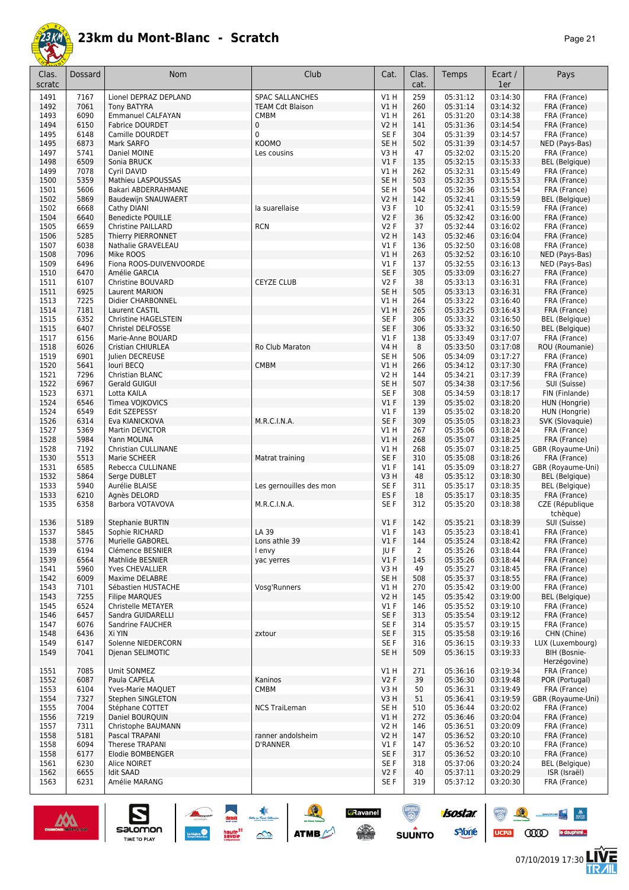

| г<br>н |  |
|--------|--|
|--------|--|

| Clas.<br>scratc | Dossard      | <b>Nom</b>                           | Club                    | Cat.                    | Clas.<br>cat. | Temps                | Ecart /<br>1er       | Pays                                  |
|-----------------|--------------|--------------------------------------|-------------------------|-------------------------|---------------|----------------------|----------------------|---------------------------------------|
| 1491            | 7167         | Lionel DEPRAZ DEPLAND                | <b>SPAC SALLANCHES</b>  | V1 H                    | 259           | 05:31:12             | 03:14:30             | FRA (France)                          |
| 1492            | 7061         | <b>Tony BATYRA</b>                   | <b>TEAM Cdt Blaison</b> | V1H                     | 260           | 05:31:14             | 03:14:32             | FRA (France)                          |
| 1493            | 6090         | <b>Emmanuel CALFAYAN</b>             | <b>CMBM</b>             | <b>V1 H</b>             | 261           | 05:31:20             | 03:14:38             | FRA (France)                          |
| 1494            | 6150         | <b>Fabrice DOURDET</b>               | $\mathbf 0$             | <b>V2 H</b>             | 141           | 05:31:36             | 03:14:54             | FRA (France)                          |
| 1495            | 6148         | Camille DOURDET                      | 0                       | SE <sub>F</sub>         | 304           | 05:31:39             | 03:14:57             | FRA (France)                          |
| 1495            | 6873         | Mark SARFO                           | <b>KOOMO</b>            | SE <sub>H</sub>         | 502           | 05:31:39             | 03:14:57             | NED (Pays-Bas)                        |
| 1497            | 5741         | Daniel MOINE                         | Les cousins             | V3H                     | 47            | 05:32:02             | 03:15:20             | FRA (France)                          |
| 1498<br>1499    | 6509<br>7078 | Sonia BRUCK<br>Cyril DAVID           |                         | V1F<br>V1 H             | 135<br>262    | 05:32:15<br>05:32:31 | 03:15:33<br>03:15:49 | <b>BEL</b> (Belgique)<br>FRA (France) |
| 1500            | 5359         | Mathieu LASPOUSSAS                   |                         | SE <sub>H</sub>         | 503           | 05:32:35             | 03:15:53             | FRA (France)                          |
| 1501            | 5606         | <b>Bakari ABDERRAHMANE</b>           |                         | SE H                    | 504           | 05:32:36             | 03:15:54             | FRA (France)                          |
| 1502            | 5869         | <b>Baudewijn SNAUWAERT</b>           |                         | <b>V2 H</b>             | 142           | 05:32:41             | 03:15:59             | <b>BEL</b> (Belgique)                 |
| 1502            | 6668         | Cathy DIANI                          | la suarellaise          | V3F                     | 10            | 05:32:41             | 03:15:59             | FRA (France)                          |
| 1504            | 6640         | <b>Benedicte POUILLE</b>             |                         | <b>V2F</b>              | 36            | 05:32:42             | 03:16:00             | FRA (France)                          |
| 1505            | 6659         | <b>Christine PAILLARD</b>            | <b>RCN</b>              | <b>V2F</b>              | 37            | 05:32:44             | 03:16:02             | FRA (France)                          |
| 1506            | 5285         | Thierry PIERRONNET                   |                         | <b>V2 H</b>             | 143           | 05:32:46             | 03:16:04             | FRA (France)                          |
| 1507            | 6038         | Nathalie GRAVELEAU                   |                         | $VI$ F                  | 136           | 05:32:50             | 03:16:08             | FRA (France)                          |
| 1508            | 7096         | Mike ROOS                            |                         | V1H                     | 263           | 05:32:52             | 03:16:10             | NED (Pays-Bas)                        |
| 1509            | 6496         | Fiona ROOS-DUIVENVOORDE              |                         | $VI$ F                  | 137           | 05:32:55             | 03:16:13             | NED (Pays-Bas)                        |
| 1510            | 6470         | Amélie GARCIA                        |                         | SE F                    | 305           | 05:33:09             | 03:16:27             | FRA (France)                          |
| 1511            | 6107         | Christine BOUVARD                    | <b>CEYZE CLUB</b>       | <b>V2F</b>              | 38            | 05:33:13             | 03:16:31             | FRA (France)                          |
| 1511<br>1513    | 6925<br>7225 | Laurent MARION<br>Didier CHARBONNEL  |                         | SE <sub>H</sub><br>V1 H | 505<br>264    | 05:33:13<br>05:33:22 | 03:16:31<br>03:16:40 | FRA (France)<br>FRA (France)          |
| 1514            | 7181         | Laurent CASTIL                       |                         | V1 H                    | 265           | 05:33:25             | 03:16:43             | FRA (France)                          |
| 1515            | 6352         | Christine HAGELSTEIN                 |                         | SE F                    | 306           | 05:33:32             | 03:16:50             | <b>BEL</b> (Belgique)                 |
| 1515            | 6407         | Christel DELFOSSE                    |                         | SE <sub>F</sub>         | 306           | 05:33:32             | 03:16:50             | <b>BEL</b> (Belgique)                 |
| 1517            | 6156         | Marie-Anne BOUARD                    |                         | $VI$ F                  | 138           | 05:33:49             | 03:17:07             | FRA (France)                          |
| 1518            | 6026         | <b>Cristian CHIURLEA</b>             | Ro Club Maraton         | V4 H                    | 8             | 05:33:50             | 03:17:08             | ROU (Roumanie)                        |
| 1519            | 6901         | Julien DECREUSE                      |                         | SE H                    | 506           | 05:34:09             | 03:17:27             | FRA (France)                          |
| 1520            | 5641         | Iouri BECQ                           | <b>CMBM</b>             | V1H                     | 266           | 05:34:12             | 03:17:30             | FRA (France)                          |
| 1521            | 7296         | Christian BLANC                      |                         | <b>V2 H</b>             | 144           | 05:34:21             | 03:17:39             | FRA (France)                          |
| 1522            | 6967         | Gerald GUIGUI                        |                         | SE <sub>H</sub>         | 507           | 05:34:38             | 03:17:56             | SUI (Suisse)                          |
| 1523            | 6371         | Lotta KAILA                          |                         | SE F                    | 308           | 05:34:59             | 03:18:17             | FIN (Finlande)                        |
| 1524            | 6546         | Timea VOJKOVICS                      |                         | $VI$ F                  | 139           | 05:35:02             | 03:18:20             | HUN (Hongrie)                         |
| 1524            | 6549         | Edit SZEPESSY                        |                         | $VI$ F                  | 139           | 05:35:02             | 03:18:20             | HUN (Hongrie)                         |
| 1526            | 6314         | Eva KIANICKOVA                       | M.R.C.I.N.A.            | SE F                    | 309           | 05:35:05             | 03:18:23             | SVK (Slovaquie)                       |
| 1527            | 5369         | Martin DEVICTOR                      |                         | V1 H                    | 267           | 05:35:06             | 03:18:24             | FRA (France)                          |
| 1528            | 5984         | Yann MOLINA                          |                         | V1H                     | 268           | 05:35:07             | 03:18:25             | FRA (France)                          |
| 1528<br>1530    | 7192<br>5513 | Christian CULLINANE<br>Marie SCHEER  | Matrat training         | V1H<br>SE F             | 268<br>310    | 05:35:07<br>05:35:08 | 03:18:25<br>03:18:26 | GBR (Royaume-Uni)<br>FRA (France)     |
| 1531            | 6585         | Rebecca CULLINANE                    |                         | $VI$ F                  | 141           | 05:35:09             | 03:18:27             | GBR (Royaume-Uni)                     |
| 1532            | 5864         | Serge DUBLET                         |                         | V3H                     | 48            | 05:35:12             | 03:18:30             | BEL (Belgique)                        |
| 1533            | 5940         | Aurélie BLAISE                       | Les gernouilles des mon | SE F                    | 311           | 05:35:17             | 03:18:35             | <b>BEL</b> (Belgique)                 |
| 1533            | 6210         | Agnès DELORD                         |                         | ES <sub>F</sub>         | 18            | 05:35:17             | 03:18:35             | FRA (France)                          |
| 1535            | 6358         | Barbora VOTAVOVA                     | M.R.C.I.N.A.            | SE F                    | 312           | 05:35:20             | 03:18:38             | CZE (République                       |
|                 |              |                                      |                         |                         |               |                      |                      | tchèque)                              |
| 1536            | 5189         | Stephanie BURTIN                     |                         | $VI$ F                  | 142           | 05:35:21             | 03:18:39             | SUI (Suisse)                          |
| 1537            | 5845         | Sophie RICHARD                       | LA 39                   | $VI$ F                  | 143           | 05:35:23             | 03:18:41             | FRA (France)                          |
| 1538            | 5776         | Murielle GABOREL                     | Lons athle 39           | V1 F                    | 144           | 05:35:24             | 03:18:42             | FRA (France)                          |
| 1539            | 6194         | Clémence BESNIER                     | I envy                  | JU F                    | 2             | 05:35:26             | 03:18:44             | FRA (France)                          |
| 1539            | 6564         | Mathlide BESNIER                     | yac yerres              | $VI$ F                  | 145           | 05:35:26             | 03:18:44<br>03:18:45 | FRA (France)                          |
| 1541<br>1542    | 5960<br>6009 | Yves CHEVALLIER<br>Maxime DELABRE    |                         | V3 H<br>SE H            | 49<br>508     | 05:35:27<br>05:35:37 | 03:18:55             | FRA (France)<br>FRA (France)          |
| 1543            | 7101         | Sébastien HUSTACHE                   | Vosg'Runners            | V1 H                    | 270           | 05:35:42             | 03:19:00             | FRA (France)                          |
| 1543            | 7255         | <b>Filipe MARQUES</b>                |                         | <b>V2 H</b>             | 145           | 05:35:42             | 03:19:00             | <b>BEL</b> (Belgique)                 |
| 1545            | 6524         | Christelle METAYER                   |                         | $VI$ F                  | 146           | 05:35:52             | 03:19:10             | FRA (France)                          |
| 1546            | 6457         | Sandra GUIDARELLI                    |                         | SE F                    | 313           | 05:35:54             | 03:19:12             | FRA (France)                          |
| 1547            | 6076         | Sandrine FAUCHER                     |                         | SE F                    | 314           | 05:35:57             | 03:19:15             | FRA (France)                          |
| 1548            | 6436         | Xi YIN                               | zxtour                  | SE F                    | 315           | 05:35:58             | 03:19:16             | CHN (Chine)                           |
| 1549            | 6147         | Solenne NIEDERCORN                   |                         | SE F                    | 316           | 05:36:15             | 03:19:33             | LUX (Luxembourg)                      |
| 1549            | 7041         | Djenan SELIMOTIC                     |                         | SE H                    | 509           | 05:36:15             | 03:19:33             | BIH (Bosnie-                          |
|                 |              |                                      |                         |                         |               |                      |                      | Herzégovine)                          |
| 1551            | 7085         | Umit SONMEZ                          |                         | VIH                     | 271           | 05:36:16             | 03:19:34             | FRA (France)                          |
| 1552            | 6087         | Paula CAPELA                         | Kaninos                 | V2F                     | 39            | 05:36:30             | 03:19:48             | POR (Portugal)                        |
| 1553            | 6104         | Yves-Marie MAQUET                    | CMBM                    | V3 H                    | 50            | 05:36:31             | 03:19:49             | FRA (France)                          |
| 1554<br>1555    | 7327<br>7004 | Stephen SINGLETON<br>Stéphane COTTET | <b>NCS TraiLeman</b>    | V3H<br>SE <sub>H</sub>  | 51<br>510     | 05:36:41<br>05:36:44 | 03:19:59<br>03:20:02 | GBR (Royaume-Uni)<br>FRA (France)     |
| 1556            | 7219         | Daniel BOURQUIN                      |                         | V1H                     | 272           | 05:36:46             | 03:20:04             | FRA (France)                          |
| 1557            | 7311         | Christophe BAUMANN                   |                         | V2 H                    | 146           | 05:36:51             | 03:20:09             | FRA (France)                          |
| 1558            | 5181         | Pascal TRAPANI                       | ranner andolsheim       | <b>V2 H</b>             | 147           | 05:36:52             | 03:20:10             | FRA (France)                          |
| 1558            | 6094         | Therese TRAPANI                      | D'RANNER                | $VI$ F                  | 147           | 05:36:52             | 03:20:10             | FRA (France)                          |
| 1558            | 6177         | Elodie BOMBENGER                     |                         | SE F                    | 317           | 05:36:52             | 03:20:10             | FRA (France)                          |
| 1561            | 6230         | Alice NOIRET                         |                         | SE F                    | 318           | 05:37:06             | 03:20:24             | <b>BEL</b> (Belgique)                 |
| 1562            | 6655         | <b>Idit SAAD</b>                     |                         | V2F                     | 40            | 05:37:11             | 03:20:29             | ISR (Israël)                          |
| 1563            | 6231         | Amélie MARANG                        |                         | SE F                    | 319           | 05:37:12             | 03:20:30             | FRA (France)                          |
|                 |              |                                      |                         |                         |               |                      |                      |                                       |





UCPa **COOD** le dauphiné...

 $\mathbb{R}$ 

左<br>孤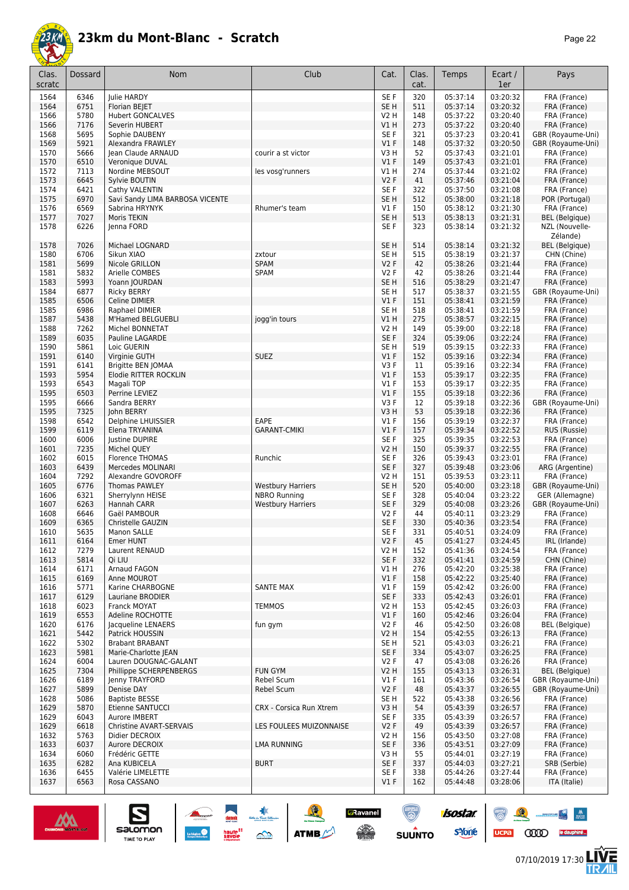

| Clas.<br>scratc | Dossard      | <b>Nom</b>                                        | Club                     | Cat.                     | Clas.<br>cat. | Temps                | Ecart /<br>1er       | Pays                                   |
|-----------------|--------------|---------------------------------------------------|--------------------------|--------------------------|---------------|----------------------|----------------------|----------------------------------------|
| 1564            | 6346         | Julie HARDY                                       |                          | SE F                     | 320           | 05:37:14             | 03:20:32             | FRA (France)                           |
| 1564            | 6751         | Florian BEJET                                     |                          | SE <sub>H</sub>          | 511           | 05:37:14             | 03:20:32             | FRA (France)                           |
| 1566            | 5780         | <b>Hubert GONCALVES</b>                           |                          | V2 H                     | 148           | 05:37:22             | 03:20:40             | FRA (France)                           |
| 1566<br>1568    | 7176<br>5695 | Severin HUBERT<br>Sophie DAUBENY                  |                          | VIH<br>SE F              | 273<br>321    | 05:37:22<br>05:37:23 | 03:20:40<br>03:20:41 | FRA (France)<br>GBR (Royaume-Uni)      |
| 1569            | 5921         | Alexandra FRAWLEY                                 |                          | V1F                      | 148           | 05:37:32             | 03:20:50             | GBR (Royaume-Uni)                      |
| 1570            | 5666         | Jean Claude ARNAUD                                | courir a st victor       | V3H                      | 52            | 05:37:43             | 03:21:01             | FRA (France)                           |
| 1570            | 6510         | Veronique DUVAL                                   |                          | V1F                      | 149           | 05:37:43             | 03:21:01             | FRA (France)                           |
| 1572            | 7113         | Nordine MEBSOUT                                   | les vosg'runners         | V1 H                     | 274           | 05:37:44             | 03:21:02             | FRA (France)                           |
| 1573            | 6645         | Sylvie BOUTIN                                     |                          | <b>V2F</b>               | 41            | 05:37:46             | 03:21:04             | FRA (France)                           |
| 1574<br>1575    | 6421<br>6970 | Cathy VALENTIN<br>Savi Sandy LIMA BARBOSA VICENTE |                          | SE F<br>SE H             | 322<br>512    | 05:37:50<br>05:38:00 | 03:21:08<br>03:21:18 | FRA (France)<br>POR (Portugal)         |
| 1576            | 6569         | Sabrina HRYNYK                                    | Rhumer's team            | $VI$ F                   | 150           | 05:38:12             | 03:21:30             | FRA (France)                           |
| 1577            | 7027         | Moris TEKIN                                       |                          | SE <sub>H</sub>          | 513           | 05:38:13             | 03:21:31             | BEL (Belgique)                         |
| 1578            | 6226         | Jenna FORD                                        |                          | SE F                     | 323           | 05:38:14             | 03:21:32             | NZL (Nouvelle-                         |
|                 |              |                                                   |                          |                          |               |                      |                      | Zélande)                               |
| 1578            | 7026         | Michael LOGNARD                                   |                          | SE <sub>H</sub>          | 514           | 05:38:14             | 03:21:32             | <b>BEL</b> (Belgique)                  |
| 1580            | 6706         | Sikun XIAO                                        | zxtour                   | SE <sub>H</sub>          | 515           | 05:38:19             | 03:21:37             | CHN (Chine)                            |
| 1581<br>1581    | 5699<br>5832 | Nicole GRILLON<br>Arielle COMBES                  | <b>SPAM</b><br>SPAM      | <b>V2F</b><br><b>V2F</b> | 42<br>42      | 05:38:26<br>05:38:26 | 03:21:44<br>03:21:44 | FRA (France)<br>FRA (France)           |
| 1583            | 5993         | Yoann JOURDAN                                     |                          | SE <sub>H</sub>          | 516           | 05:38:29             | 03:21:47             | FRA (France)                           |
| 1584            | 6877         | <b>Ricky BERRY</b>                                |                          | SE <sub>H</sub>          | 517           | 05:38:37             | 03:21:55             | GBR (Royaume-Uni)                      |
| 1585            | 6506         | Celine DIMIER                                     |                          | $VI$ F                   | 151           | 05:38:41             | 03:21:59             | FRA (France)                           |
| 1585            | 6986         | Raphael DIMIER                                    |                          | SE <sub>H</sub>          | 518           | 05:38:41             | 03:21:59             | FRA (France)                           |
| 1587            | 5438         | M'Hamed BELGUEBLI                                 | jogg'in tours            | V1 H                     | 275           | 05:38:57             | 03:22:15             | FRA (France)                           |
| 1588<br>1589    | 7262<br>6035 | Michel BONNETAT<br>Pauline LAGARDE                |                          | V2 H<br>SE F             | 149<br>324    | 05:39:00<br>05:39:06 | 03:22:18<br>03:22:24 | FRA (France)<br>FRA (France)           |
| 1590            | 5861         | Loic GUERIN                                       |                          | SE <sub>H</sub>          | 519           | 05:39:15             | 03:22:33             | FRA (France)                           |
| 1591            | 6140         | Virginie GUTH                                     | <b>SUEZ</b>              | V1F                      | 152           | 05:39:16             | 03:22:34             | FRA (France)                           |
| 1591            | 6141         | Brigitte BEN JOMAA                                |                          | V3F                      | 11            | 05:39:16             | 03:22:34             | FRA (France)                           |
| 1593            | 5954         | Elodie RITTER ROCKLIN                             |                          | V1F                      | 153           | 05:39:17             | 03:22:35             | FRA (France)                           |
| 1593            | 6543         | Magali TOP                                        |                          | $VI$ F                   | 153           | 05:39:17             | 03:22:35             | FRA (France)                           |
| 1595            | 6503         | Perrine LEVIEZ                                    |                          | V1F                      | 155           | 05:39:18             | 03:22:36             | FRA (France)                           |
| 1595<br>1595    | 6666<br>7325 | Sandra BERRY<br>John BERRY                        |                          | V3F<br>V3H               | 12<br>53      | 05:39:18<br>05:39:18 | 03:22:36<br>03:22:36 | GBR (Royaume-Uni)<br>FRA (France)      |
| 1598            | 6542         | Delphine LHUISSIER                                | EAPE                     | $VI$ F                   | 156           | 05:39:19             | 03:22:37             | FRA (France)                           |
| 1599            | 6119         | Elena TRYANINA                                    | <b>GARANT-CMIKI</b>      | V1F                      | 157           | 05:39:34             | 03:22:52             | RUS (Russie)                           |
| 1600            | 6006         | Justine DUPIRE                                    |                          | SE F                     | 325           | 05:39:35             | 03:22:53             | FRA (France)                           |
| 1601            | 7235         | Michel QUEY                                       |                          | V2 H                     | 150           | 05:39:37             | 03:22:55             | FRA (France)                           |
| 1602            | 6015         | <b>Florence THOMAS</b>                            | Runchic                  | SE F                     | 326           | 05:39:43             | 03:23:01             | FRA (France)                           |
| 1603            | 6439         | Mercedes MOLINARI<br>Alexandre GOVOROFF           |                          | SE F                     | 327           | 05:39:48             | 03:23:06             | ARG (Argentine)                        |
| 1604<br>1605    | 7292<br>6776 | <b>Thomas PAWLEY</b>                              | <b>Westbury Harriers</b> | V2 H<br>SE <sub>H</sub>  | 151<br>520    | 05:39:53<br>05:40:00 | 03:23:11<br>03:23:18 | FRA (France)<br>GBR (Royaume-Uni)      |
| 1606            | 6321         | Sherrylynn HEISE                                  | <b>NBRO Running</b>      | SE F                     | 328           | 05:40:04             | 03:23:22             | GER (Allemagne)                        |
| 1607            | 6263         | <b>Hannah CARR</b>                                | <b>Westbury Harriers</b> | SE F                     | 329           | 05:40:08             | 03:23:26             | GBR (Royaume-Uni)                      |
| 1608            | 6646         | Gaël PAMBOUR                                      |                          | <b>V2F</b>               | 44            | 05:40:11             | 03:23:29             | FRA (France)                           |
| 1609            | 6365         | Christelle GAUZIN                                 |                          | SE <sub>F</sub>          | 330           | 05:40:36             | 03:23:54             | FRA (France)                           |
| 1610            | 5635         | Manon SALLE                                       |                          | SE F                     | 331           | 05:40:51             | 03:24:09             | FRA (France)                           |
| 1611<br>1612    | 6164<br>7279 | Emer HUNT<br>Laurent RENAUD                       |                          | V2 F<br>V2 H             | 45<br>152     | 05:41:27<br>05:41:36 | 03:24:45<br>03:24:54 | IRL (Irlande)<br>FRA (France)          |
| 1613            | 5814         | Qi LIU                                            |                          | SE F                     | 332           | 05:41:41             | 03:24:59             | CHN (Chine)                            |
| 1614            | 6171         | Arnaud FAGON                                      |                          | VIH                      | 276           | 05:42:20             | 03:25:38             | FRA (France)                           |
| 1615            | 6169         | Anne MOUROT                                       |                          | $VI$ F                   | 158           | 05:42:22             | 03:25:40             | FRA (France)                           |
| 1616            | 5771         | Karine CHARBOGNE                                  | <b>SANTE MAX</b>         | $VI$ F                   | 159           | 05:42:42             | 03:26:00             | FRA (France)                           |
| 1617            | 6129         | Lauriane BRODIER                                  |                          | SE F                     | 333           | 05:42:43             | 03:26:01             | FRA (France)                           |
| 1618            | 6023         | Franck MOYAT<br>Adeline ROCHOTTE                  | <b>TEMMOS</b>            | V2 H                     | 153           | 05:42:45             | 03:26:03             | FRA (France)                           |
| 1619<br>1620    | 6553<br>6176 | Jacqueline LENAERS                                | fun gym                  | $VI$ F<br>V2F            | 160<br>46     | 05:42:46<br>05:42:50 | 03:26:04<br>03:26:08 | FRA (France)<br><b>BEL</b> (Belgique)  |
| 1621            | 5442         | Patrick HOUSSIN                                   |                          | V2 H                     | 154           | 05:42:55             | 03:26:13             | FRA (France)                           |
| 1622            | 5302         | <b>Brabant BRABANT</b>                            |                          | SE H                     | 521           | 05:43:03             | 03:26:21             | FRA (France)                           |
| 1623            | 5981         | Marie-Charlotte JEAN                              |                          | SE F                     | 334           | 05:43:07             | 03:26:25             | FRA (France)                           |
| 1624            | 6004         | Lauren DOUGNAC-GALANT                             |                          | V2F                      | 47            | 05:43:08             | 03:26:26             | FRA (France)                           |
| 1625            | 7304         | Phillippe SCHERPENBERGS                           | <b>FUN GYM</b>           | V2 H                     | 155           | 05:43:13             | 03:26:31             | BEL (Belgique)                         |
| 1626<br>1627    | 6189<br>5899 | Jenny TRAYFORD<br>Denise DAY                      | Rebel Scum<br>Rebel Scum | $VI$ F<br>V2F            | 161<br>48     | 05:43:36<br>05:43:37 | 03:26:54<br>03:26:55 | GBR (Royaume-Uni)<br>GBR (Royaume-Uni) |
| 1628            | 5086         | <b>Baptiste BESSE</b>                             |                          | SE H                     | 522           | 05:43:38             | 03:26:56             | FRA (France)                           |
| 1629            | 5870         | Etienne SANTUCCI                                  | CRX - Corsica Run Xtrem  | V3 H                     | 54            | 05:43:39             | 03:26:57             | FRA (France)                           |
| 1629            | 6043         | Aurore IMBERT                                     |                          | SE F                     | 335           | 05:43:39             | 03:26:57             | FRA (France)                           |
| 1629            | 6618         | Christine AVART-SERVAIS                           | LES FOULEES MUIZONNAISE  | V2F                      | 49            | 05:43:39             | 03:26:57             | FRA (France)                           |
| 1632            | 5763         | Didier DECROIX                                    |                          | V2 H                     | 156           | 05:43:50             | 03:27:08             | FRA (France)                           |
| 1633            | 6037         | Aurore DECROIX                                    | <b>LMA RUNNING</b>       | SE F                     | 336           | 05:43:51             | 03:27:09             | FRA (France)                           |
| 1634<br>1635    | 6060<br>6282 | Frédéric GETTE<br>Ana KUBICELA                    | <b>BURT</b>              | V3 H<br>SE F             | 55<br>337     | 05:44:01<br>05:44:03 | 03:27:19<br>03:27:21 | FRA (France)<br>SRB (Serbie)           |
| 1636            | 6455         | Valérie LIMELETTE                                 |                          | SE F                     | 338           | 05:44:26             | 03:27:44             | FRA (France)                           |
| 1637            | 6563         | Rosa CASSANO                                      |                          | $VI$ F                   | 162           | 05:44:48             | 03:28:06             | ITA (Italie)                           |
|                 |              |                                                   |                          |                          |               |                      |                      |                                        |

 $\frac{1}{\sqrt{2}}$ 

**GRavanel** 

 $\begin{array}{c} \mathcal{N}^{\text{c}} \longrightarrow \\ \text{peritivity} \end{array}$ 

 $\odot$ 

 $\mathbf{r}$ 



 $\sum_{\text{SALOMOM}}$ 



isostar.



 $\frac{M}{2}$ 

**Mark Septe**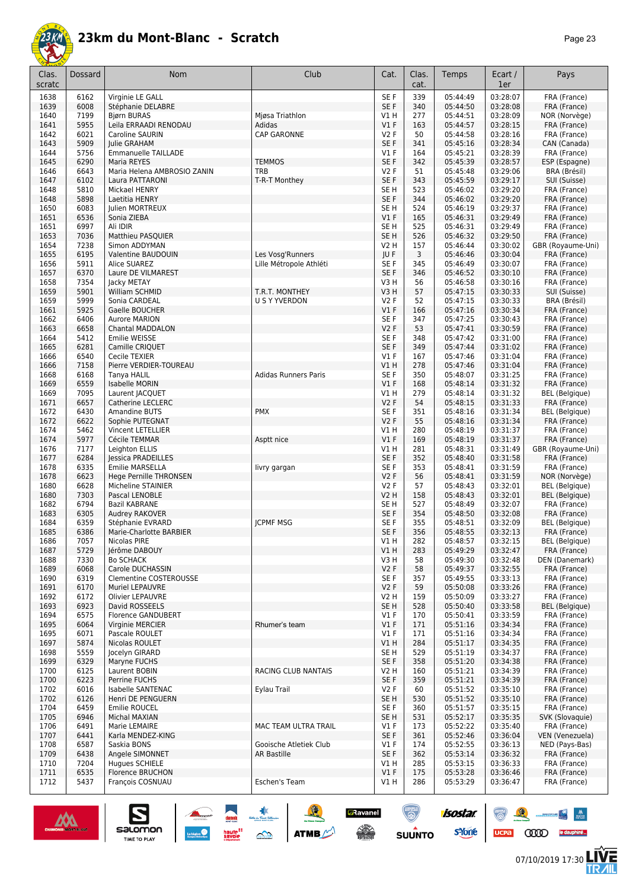

| age |  |
|-----|--|
|-----|--|

| Clas.<br>scratc | Dossard      | Nom                                       | Club                         | Cat.                               | Clas.<br>cat. | Temps                | Ecart /<br>1er       | Pays                            |
|-----------------|--------------|-------------------------------------------|------------------------------|------------------------------------|---------------|----------------------|----------------------|---------------------------------|
| 1638            | 6162         | Virginie LE GALL                          |                              | SE <sub>F</sub>                    | 339           | 05:44:49             | 03:28:07             | FRA (France)                    |
| 1639            | 6008         | Stéphanie DELABRE                         |                              | SE F                               | 340           | 05:44:50             | 03:28:08             | FRA (France)                    |
| 1640            | 7199         | <b>Bjørn BURAS</b>                        | Miøsa Triathlon              | V1H                                | 277           | 05:44:51             | 03:28:09             | NOR (Norvège)                   |
| 1641            | 5955         | Leila ERRAADI RENODAU                     | Adidas<br><b>CAP GARONNE</b> | $VI$ F<br><b>V2F</b>               | 163<br>50     | 05:44:57<br>05:44:58 | 03:28:15<br>03:28:16 | FRA (France)<br>FRA (France)    |
| 1642<br>1643    | 6021<br>5909 | Caroline SAURIN<br>Julie GRAHAM           |                              | SE <sub>F</sub>                    | 341           | 05:45:16             | 03:28:34             | CAN (Canada)                    |
| 1644            | 5756         | <b>Emmanuelle TAILLADE</b>                |                              | $VI$ F                             | 164           | 05:45:21             | 03:28:39             | FRA (France)                    |
| 1645            | 6290         | Maria REYES                               | <b>TEMMOS</b>                | SE <sub>F</sub>                    | 342           | 05:45:39             | 03:28:57             | ESP (Espagne)                   |
| 1646            | 6643         | Maria Helena AMBROSIO ZANIN               | TRB                          | <b>V2F</b>                         | 51            | 05:45:48             | 03:29:06             | BRA (Brésil)                    |
| 1647            | 6102         | Laura PATTARONI                           | T-R-T Monthey                | SE F                               | 343           | 05:45:59             | 03:29:17             | SUI (Suisse)                    |
| 1648            | 5810<br>5898 | Mickael HENRY<br>Laetitia HENRY           |                              | SE <sub>H</sub><br>SE F            | 523           | 05:46:02             | 03:29:20             | FRA (France)                    |
| 1648<br>1650    | 6083         | Julien MORTREUX                           |                              | SE <sub>H</sub>                    | 344<br>524    | 05:46:02<br>05:46:19 | 03:29:20<br>03:29:37 | FRA (France)<br>FRA (France)    |
| 1651            | 6536         | Sonia ZIEBA                               |                              | V1F                                | 165           | 05:46:31             | 03:29:49             | FRA (France)                    |
| 1651            | 6997         | Ali IDIR                                  |                              | SE <sub>H</sub>                    | 525           | 05:46:31             | 03:29:49             | FRA (France)                    |
| 1653            | 7036         | Matthieu PASQUIER                         |                              | SE <sub>H</sub>                    | 526           | 05:46:32             | 03:29:50             | FRA (France)                    |
| 1654            | 7238         | Simon ADDYMAN                             |                              | V2 H                               | 157           | 05:46:44             | 03:30:02             | GBR (Royaume-Uni)               |
| 1655            | 6195         | Valentine BAUDOUIN                        | Les Vosg'Runners             | JU F                               | 3             | 05:46:46             | 03:30:04             | FRA (France)                    |
| 1656            | 5911         | Alice SUAREZ                              | Lille Métropole Athléti      | SE F                               | 345           | 05:46:49             | 03:30:07             | FRA (France)                    |
| 1657<br>1658    | 6370<br>7354 | Laure DE VILMAREST<br>lacky METAY         |                              | SE F<br>V3H                        | 346<br>56     | 05:46:52<br>05:46:58 | 03:30:10<br>03:30:16 | FRA (France)<br>FRA (France)    |
| 1659            | 5901         | William SCHMID                            | T.R.T. MONTHEY               | V3H                                | 57            | 05:47:15             | 03:30:33             | SUI (Suisse)                    |
| 1659            | 5999         | Sonia CARDEAL                             | U S Y YVERDON                | <b>V2F</b>                         | 52            | 05:47:15             | 03:30:33             | BRA (Brésil)                    |
| 1661            | 5925         | Gaelle BOUCHER                            |                              | V1F                                | 166           | 05:47:16             | 03:30:34             | FRA (France)                    |
| 1662            | 6406         | <b>Aurore MARION</b>                      |                              | SE <sub>F</sub>                    | 347           | 05:47:25             | 03:30:43             | FRA (France)                    |
| 1663            | 6658         | <b>Chantal MADDALON</b>                   |                              | <b>V2F</b>                         | 53            | 05:47:41             | 03:30:59             | FRA (France)                    |
| 1664            | 5412         | Emilie WEISSE                             |                              | SE <sub>F</sub>                    | 348           | 05:47:42             | 03:31:00             | FRA (France)                    |
| 1665            | 6281         | Camille CRIQUET                           |                              | SE F                               | 349           | 05:47:44             | 03:31:02             | FRA (France)                    |
| 1666<br>1666    | 6540<br>7158 | Cecile TEXIER<br>Pierre VERDIER-TOUREAU   |                              | $VI$ F<br>V1H                      | 167<br>278    | 05:47:46<br>05:47:46 | 03:31:04<br>03:31:04 | FRA (France)<br>FRA (France)    |
| 1668            | 6168         | Tanya HALIL                               | <b>Adidas Runners Paris</b>  | SE <sub>F</sub>                    | 350           | 05:48:07             | 03:31:25             | FRA (France)                    |
| 1669            | 6559         | Isabelle MORIN                            |                              | $VI$ F                             | 168           | 05:48:14             | 03:31:32             | FRA (France)                    |
| 1669            | 7095         | Laurent JACQUET                           |                              | V1H                                | 279           | 05:48:14             | 03:31:32             | <b>BEL</b> (Belgique)           |
| 1671            | 6657         | Catherine LECLERC                         |                              | <b>V2F</b>                         | 54            | 05:48:15             | 03:31:33             | FRA (France)                    |
| 1672            | 6430         | Amandine BUTS                             | <b>PMX</b>                   | SE F                               | 351           | 05:48:16             | 03:31:34             | BEL (Belgique)                  |
| 1672            | 6622         | Sophie PUTEGNAT                           |                              | <b>V2F</b>                         | 55            | 05:48:16             | 03:31:34             | FRA (France)                    |
| 1674<br>1674    | 5462<br>5977 | Vincent LETELLIER<br>Cécile TEMMAR        | Asptt nice                   | V1 H<br>V1F                        | 280<br>169    | 05:48:19<br>05:48:19 | 03:31:37<br>03:31:37 | FRA (France)<br>FRA (France)    |
| 1676            | 7177         | Leighton ELLIS                            |                              | V1 H                               | 281           | 05:48:31             | 03:31:49             | GBR (Royaume-Uni)               |
| 1677            | 6284         | Jessica PRADEILLES                        |                              | SE <sub>F</sub>                    | 352           | 05:48:40             | 03:31:58             | FRA (France)                    |
| 1678            | 6335         | Emilie MARSELLA                           | livry gargan                 | SE <sub>F</sub>                    | 353           | 05:48:41             | 03:31:59             | FRA (France)                    |
| 1678            | 6623         | Hege Pernille THRONSEN                    |                              | <b>V2F</b>                         | 56            | 05:48:41             | 03:31:59             | NOR (Norvège)                   |
| 1680            | 6628         | Micheline STAINIER                        |                              | <b>V2F</b>                         | 57            | 05:48:43             | 03:32:01             | BEL (Belgique)                  |
| 1680            | 7303         | Pascal LENOBLE                            |                              | V <sub>2</sub> H                   | 158           | 05:48:43             | 03:32:01             | <b>BEL</b> (Belgique)           |
| 1682<br>1683    | 6794<br>6305 | Bazil KABRANE<br>Audrey RAKOVER           |                              | SE <sub>H</sub><br>SE <sub>F</sub> | 527<br>354    | 05:48:49<br>05:48:50 | 03:32:07<br>03:32:08 | FRA (France)<br>FRA (France)    |
| 1684            | 6359         | Stéphanie EVRARD                          | <b>ICPMF MSG</b>             | SE F                               | 355           | 05:48:51             | 03:32:09             | BEL (Belgique)                  |
| 1685            | 6386         | Marie-Charlotte BARBIER                   |                              | SE F                               | 356           | 05:48:55             | 03:32:13             | FRA (France)                    |
| 1686            | 7057         | Nicolas PIRE                              |                              | V1 H                               | 282           | 05:48:57             | 03:32:15             | <b>BEL</b> (Belgique)           |
| 1687            | 5729         | Jérôme DABOUY                             |                              | V1H                                | 283           | 05:49:29             | 03:32:47             | FRA (France)                    |
| 1688            | 7330         | <b>Bo SCHACK</b>                          |                              | V3H                                | 58            | 05:49:30             | 03:32:48             | DEN (Danemark)                  |
| 1689            | 6068         | Carole DUCHASSIN                          |                              | V2F                                | 58            | 05:49:37             | 03:32:55             | FRA (France)                    |
| 1690<br>1691    | 6319<br>6170 | Clementine COSTEROUSSE<br>Muriel LEPAUVRE |                              | SE F<br>V2F                        | 357<br>59     | 05:49:55<br>05:50:08 | 03:33:13<br>03:33:26 | FRA (France)<br>FRA (France)    |
| 1692            | 6172         | Olivier LEPAUVRE                          |                              | V2 H                               | 159           | 05:50:09             | 03:33:27             | FRA (France)                    |
| 1693            | 6923         | David ROSSEELS                            |                              | SE <sub>H</sub>                    | 528           | 05:50:40             | 03:33:58             | <b>BEL</b> (Belgique)           |
| 1694            | 6575         | Florence GANDUBERT                        |                              | $VI$ F                             | 170           | 05:50:41             | 03:33:59             | FRA (France)                    |
| 1695            | 6064         | Virginie MERCIER                          | Rhumer's team                | $VI$ F                             | 171           | 05:51:16             | 03:34:34             | FRA (France)                    |
| 1695            | 6071         | Pascale ROULET                            |                              | $VI$ F                             | 171           | 05:51:16             | 03:34:34             | FRA (France)                    |
| 1697            | 5874         | Nicolas ROULET                            |                              | V1 H                               | 284           | 05:51:17             | 03:34:35             | FRA (France)                    |
| 1698            | 5559         | Jocelyn GIRARD<br>Marvne FUCHS            |                              | SE H                               | 529           | 05:51:19             | 03:34:37             | FRA (France)                    |
| 1699<br>1700    | 6329<br>6125 | Laurent BOBIN                             | RACING CLUB NANTAIS          | SE F<br>V2 H                       | 358<br>160    | 05:51:20<br>05:51:21 | 03:34:38<br>03:34:39 | FRA (France)<br>FRA (France)    |
| 1700            | 6223         | Perrine FUCHS                             |                              | SE F                               | 359           | 05:51:21             | 03:34:39             | FRA (France)                    |
| 1702            | 6016         | Isabelle SANTENAC                         | Eylau Trail                  | V2F                                | 60            | 05:51:52             | 03:35:10             | FRA (France)                    |
| 1702            | 6126         | Henri DE PENGUERN                         |                              | SE <sub>H</sub>                    | 530           | 05:51:52             | 03:35:10             | FRA (France)                    |
| 1704            | 6459         | Emilie ROUCEL                             |                              | SE F                               | 360           | 05:51:57             | 03:35:15             | FRA (France)                    |
| 1705            | 6946         | Michal MAXIAN                             |                              | SE <sub>H</sub>                    | 531           | 05:52:17             | 03:35:35             | SVK (Slovaquie)                 |
| 1706<br>1707    | 6491<br>6441 | Marie LEMAIRE<br>Karla MENDEZ-KING        | MAC TEAM ULTRA TRAIL         | $VI$ F<br>SE F                     | 173<br>361    | 05:52:22<br>05:52:46 | 03:35:40<br>03:36:04 | FRA (France)<br>VEN (Venezuela) |
| 1708            | 6587         | Saskia BONS                               | Gooische Atletiek Club       | $VI$ F                             | 174           | 05:52:55             | 03:36:13             | NED (Pays-Bas)                  |
| 1709            | 6438         | Angele SIMONNET                           | <b>AR Bastille</b>           | SE F                               | 362           | 05:53:14             | 03:36:32             | FRA (France)                    |
| 1710            | 7204         | Hugues SCHIELE                            |                              | V1 H                               | 285           | 05:53:15             | 03:36:33             | FRA (France)                    |
| 1711            | 6535         | <b>Florence BRUCHON</b>                   |                              | $VI$ F                             | 175           | 05:53:28             | 03:36:46             | FRA (France)                    |
| 1712            | 5437         | François COSNUAU                          | Eschen's Team                | V1 H                               | 286           | 05:53:29             | 03:36:47             | FRA (France)                    |
|                 |              |                                           |                              |                                    |               |                      |                      |                                 |





UCPa **COOD** le dauphiné...

 $\mathbb{Z}$ 

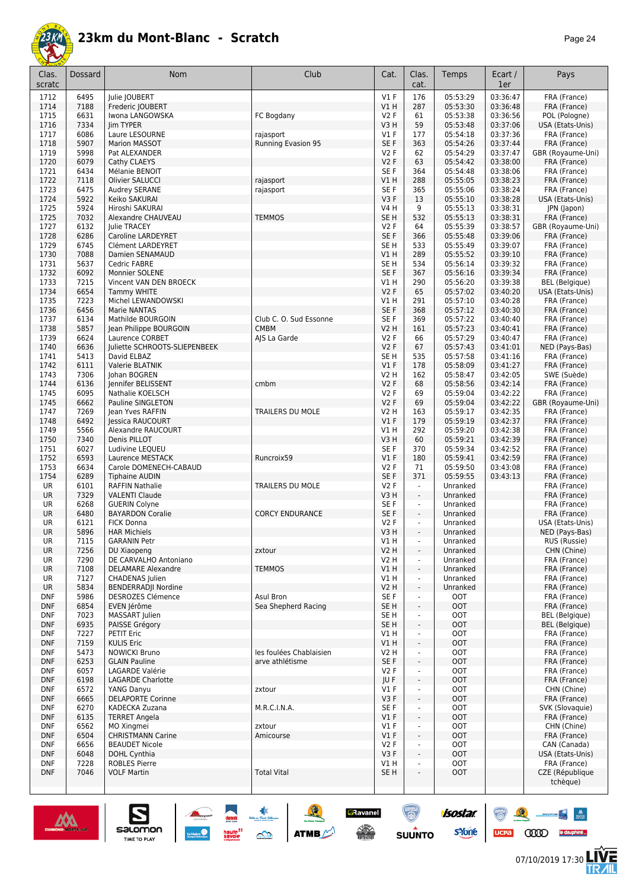

| age | л |
|-----|---|
|-----|---|

| 6495<br>$VI$ F<br>176<br>05:53:29<br>03:36:47<br>FRA (France)<br>1712<br>Julie JOUBERT<br>7188<br>V1H<br>287<br>05:53:30<br>03:36:48<br>1714<br>Frederic JOUBERT<br>FRA (France)<br>1715<br>6631<br>Iwona LANGOWSKA<br>FC Bogdany<br>V2F<br>61<br>05:53:38<br>03:36:56<br>POL (Pologne)<br>7334<br>Jim TYPER<br>V3H<br>59<br>05:53:48<br>03:37:06<br>USA (Etats-Unis)<br>1716<br>1717<br>6086<br>$VI$ F<br>177<br>05:54:18<br>03:37:36<br>FRA (France)<br>Laure LESOURNE<br>raiasport<br>03:37:44<br>5907<br>SE F<br>363<br>05:54:26<br>FRA (France)<br>1718<br><b>Marion MASSOT</b><br>Running Evasion 95<br>03:37:47<br>1719<br>5998<br>V2F<br>62<br>05:54:29<br>GBR (Royaume-Uni)<br>Pat ALEXANDER<br>03:38:00<br>1720<br>6079<br>V2F<br>63<br>05:54:42<br>FRA (France)<br>Cathy CLAEYS<br>6434<br>SE F<br>364<br>05:54:48<br>03:38:06<br>FRA (France)<br>1721<br>Mélanie BENOIT<br>VIH<br>288<br>05:55:05<br>03:38:23<br>FRA (France)<br>1722<br>7118<br>Olivier SALUCCI<br>rajasport<br>6475<br>03:38:24<br>1723<br>Audrey SERANE<br>SE F<br>365<br>05:55:06<br>FRA (France)<br>rajasport<br>5922<br>13<br>1724<br>V3F<br>05:55:10<br>03:38:28<br>USA (Etats-Unis)<br>Keiko SAKURAI<br>9<br>5924<br><b>V4 H</b><br>05:55:13<br>03:38:31<br>JPN (Japon)<br>1725<br>Hiroshi SAKURAI<br>1725<br>7032<br>Alexandre CHAUVEAU<br><b>TEMMOS</b><br>SE <sub>H</sub><br>532<br>05:55:13<br>03:38:31<br>FRA (France)<br>6132<br>V2F<br>64<br>05:55:39<br>03:38:57<br>GBR (Royaume-Uni)<br>1727<br>Julie TRACEY<br>1728<br>6286<br>Caroline LARDEYRET<br>SE F<br>366<br>05:55:48<br>03:39:06<br>FRA (France)<br>03:39:07<br>6745<br>SE <sub>H</sub><br>05:55:49<br>FRA (France)<br>1729<br>Clément LARDEYRET<br>533<br>1730<br>7088<br>Damien SENAMAUD<br>VIH<br>289<br>05:55:52<br>03:39:10<br>FRA (France)<br>5637<br>SE <sub>H</sub><br>05:56:14<br>03:39:32<br>1731<br>Cedric FABRE<br>534<br>FRA (France)<br>1732<br>6092<br>Monnier SOLENE<br>SE F<br>367<br>05:56:16<br>03:39:34<br>FRA (France)<br>290<br>03:39:38<br><b>BEL</b> (Belgique)<br>1733<br>7215<br>Vincent VAN DEN BROECK<br>V1 H<br>05:56:20<br>6654<br>V2F<br>65<br>03:40:20<br>USA (Etats-Unis)<br>1734<br><b>Tammy WHITE</b><br>05:57:02<br>7223<br>291<br>03:40:28<br>1735<br>Michel LEWANDOWSKI<br>V1 H<br>05:57:10<br>FRA (France)<br>6456<br>03:40:30<br>1736<br>Marie NANTAS<br>SE F<br>368<br>05:57:12<br>FRA (France)<br>6134<br>Club C. O. Sud Essonne<br>SE F<br>369<br>03:40:40<br>1737<br>Mathilde BOURGOIN<br>05:57:22<br>FRA (France)<br>5857<br><b>V2 H</b><br>03:40:41<br>1738<br>Jean Philippe BOURGOIN<br><b>CMBM</b><br>161<br>05:57:23<br>FRA (France)<br>1739<br>6624<br>AJS La Garde<br>V2F<br>03:40:47<br>Laurence CORBET<br>66<br>05:57:29<br>FRA (France)<br>1740<br>6636<br>Juliette SCHROOTS-SLIEPENBEEK<br>V2F<br>67<br>05:57:43<br>03:41:01<br>NED (Pays-Bas)<br>1741<br>5413<br>David ELBAZ<br>SE <sub>H</sub><br>535<br>05:57:58<br>03:41:16<br>FRA (France)<br>6111<br>$VI$ F<br>178<br>05:58:09<br>03:41:27<br>FRA (France)<br>1742<br>Valerie BLATNIK<br>7306<br>1743<br>V2 H<br>162<br>05:58:47<br>03:42:05<br>SWE (Suède)<br>Johan BOGREN<br>1744<br>6136<br>V2F<br>68<br>05:58:56<br>03:42:14<br>Jennifer BELISSENT<br>cmbm<br>FRA (France)<br>1745<br>6095<br>Nathalie KOELSCH<br>V2F<br>69<br>05:59:04<br>03:42:22<br>FRA (France)<br>6662<br>V2F<br>69<br>05:59:04<br>03:42:22<br>GBR (Royaume-Uni)<br>1745<br>Pauline SINGLETON<br>7269<br><b>TRAILERS DU MOLE</b><br>163<br>05:59:17<br>03:42:35<br>1747<br>lean Yves RAFFIN<br>V2 H<br>FRA (France)<br>6492<br>179<br>03:42:37<br>1748<br>Jessica RAUCOURT<br>$VI$ F<br>05:59:19<br>FRA (France)<br>5566<br>V1H<br>292<br>05:59:20<br>03:42:38<br>1749<br>Alexandre RAUCOURT<br>FRA (France)<br>1750<br>7340<br>V3H<br>60<br>05:59:21<br>03:42:39<br>Denis PILLOT<br>FRA (France)<br>6027<br>SE F<br>370<br>05:59:34<br>03:42:52<br>FRA (France)<br>1751<br>Ludivine LEQUEU<br>1752<br>6593<br>Runcroix59<br>$VI$ F<br>180<br>05:59:41<br>03:42:59<br>Laurence MESTACK<br>FRA (France)<br>6634<br>71<br>05:59:50<br>03:43:08<br>1753<br>Carole DOMENECH-CABAUD<br>V2F<br>FRA (France)<br>1754<br>6289<br>SE F<br>371<br>05:59:55<br><b>Tiphaine AUDIN</b><br>03:43:13<br>FRA (France)<br>6101<br>V2F<br>Unranked<br><b>RAFFIN Nathalie</b><br>TRAILERS DU MOLE<br>FRA (France)<br>UR<br>$\blacksquare$<br>7329<br>V3H<br><b>UR</b><br><b>VALENTI Claude</b><br>$\omega$<br>Unranked<br>FRA (France)<br>6268<br>SE F<br>UR<br><b>GUERIN Colyne</b><br>Unranked<br>FRA (France)<br>$\blacksquare$<br>6480<br><b>BAYARDON Coralie</b><br>SE F<br>UR<br><b>CORCY ENDURANCE</b><br>$\omega$<br>Unranked<br>FRA (France)<br>UR<br>6121<br><b>FICK Donna</b><br>V2F<br>Unranked<br>USA (Etats-Unis)<br>$\blacksquare$<br>5896<br>UR<br><b>HAR Michiels</b><br>V3H<br>Unranked<br>NED (Pays-Bas)<br>۷<br>UR<br>7115<br>GARANIN Petr<br>V1 H<br>Unranked<br>RUS (Russie)<br>$\overline{\phantom{a}}$<br>V2H<br><b>UR</b><br>7256<br>CHN (Chine)<br>DU Xiaopeng<br>zxtour<br>Unranked<br>$\blacksquare$<br>7290<br>DE CARVALHO Antoniano<br><b>V2 H</b><br>UR<br>Unranked<br>FRA (France)<br>ä,<br>7108<br><b>DELAMARE Alexandre</b><br>V1H<br><b>UR</b><br><b>TEMMOS</b><br>Unranked<br>FRA (France)<br>$\blacksquare$<br>7127<br>Unranked<br>UR<br>CHADENAS Julien<br>V1 H<br>FRA (France)<br>$\overline{\phantom{a}}$<br>5834<br><b>BENDERRADII Nordine</b><br><b>V2 H</b><br><b>UR</b><br>Unranked<br>FRA (France)<br>$\overline{\phantom{a}}$<br>5986<br><b>DESROZES Clémence</b><br>Asul Bron<br><b>OOT</b><br>DNF<br>SE F<br>FRA (France)<br>$\blacksquare$<br>EVEN Jérôme<br>Sea Shepherd Racing<br>SE <sub>H</sub><br><b>OOT</b><br><b>DNF</b><br>6854<br>÷.<br>FRA (France)<br>7023<br>SE <sub>H</sub><br><b>OOT</b><br><b>DNF</b><br>MASSART Julien<br><b>BEL</b> (Belgique)<br>$\blacksquare$<br>PAISSE Grégory<br>SE <sub>H</sub><br><b>OOT</b><br><b>BEL</b> (Belgique)<br><b>DNF</b><br>6935<br>÷.<br><b>OOT</b><br>7227<br><b>PETIT Eric</b><br>VIH<br>FRA (France)<br><b>DNF</b><br>$\overline{\phantom{a}}$<br><b>OOT</b><br><b>DNF</b><br>7159<br><b>KULIS Eric</b><br>V1H<br>FRA (France)<br>$\overline{\phantom{a}}$<br>les foulées Chablaisien<br>5473<br><b>NOWICKI Bruno</b><br>V2 H<br><b>OOT</b><br>FRA (France)<br><b>DNF</b><br>$\blacksquare$<br>6253<br>SE F<br><b>OOT</b><br><b>DNF</b><br><b>GLAIN Pauline</b><br>arve athlétisme<br>FRA (France)<br>$\omega$<br>6057<br>V2F<br><b>OOT</b><br>LAGARDE Valérie<br>FRA (France)<br><b>DNF</b><br>$\overline{\phantom{a}}$<br>6198<br>JUF<br><b>OOT</b><br><b>DNF</b><br><b>LAGARDE Charlotte</b><br>FRA (France)<br>YANG Danyu<br>$VI$ F<br><b>OOT</b><br>CHN (Chine)<br><b>DNF</b><br>6572<br>zxtour<br>$\blacksquare$<br><b>DELAPORTE Corinne</b><br>V3F<br><b>OOT</b><br>FRA (France)<br><b>DNF</b><br>6665<br>$\overline{\phantom{a}}$<br><b>OOT</b><br>6270<br>KADECKA Zuzana<br>M.R.C.I.N.A.<br>SE F<br>SVK (Slovaquie)<br><b>DNF</b><br>$\blacksquare$<br>6135<br>$VI$ F<br><b>OOT</b><br><b>DNF</b><br><b>TERRET Angela</b><br>FRA (France)<br>zxtour<br>$VI$ F<br>CHN (Chine)<br>DNF<br>6562<br>MO Xingmei<br><b>OOT</b><br>$\overline{\phantom{a}}$<br><b>OOT</b><br><b>DNF</b><br>6504<br><b>CHRISTMANN Carine</b><br>Amicourse<br>$VI$ F<br>FRA (France)<br>$\blacksquare$<br><b>BEAUDET Nicole</b><br><b>DNF</b><br>6656<br>V2F<br><b>OOT</b><br>CAN (Canada)<br>$\blacksquare$<br>6048<br>DOHL Cynthia<br>V3F<br><b>OOT</b><br>USA (Etats-Unis)<br><b>DNF</b><br>$\blacksquare$<br><b>ROBLES Pierre</b><br><b>DNF</b><br>7228<br>V1 H<br>OOT<br>FRA (France)<br>÷.<br><b>DNF</b><br>7046<br><b>VOLF Martin</b><br><b>Total Vital</b><br>SE H<br><b>OOT</b><br>CZE (République<br>÷,<br>tchèque) | Clas.<br>scratc | <b>Dossard</b> | Nom | Club | Cat. | Clas.<br>cat. | Temps | Ecart /<br>1er | Pays |
|-----------------------------------------------------------------------------------------------------------------------------------------------------------------------------------------------------------------------------------------------------------------------------------------------------------------------------------------------------------------------------------------------------------------------------------------------------------------------------------------------------------------------------------------------------------------------------------------------------------------------------------------------------------------------------------------------------------------------------------------------------------------------------------------------------------------------------------------------------------------------------------------------------------------------------------------------------------------------------------------------------------------------------------------------------------------------------------------------------------------------------------------------------------------------------------------------------------------------------------------------------------------------------------------------------------------------------------------------------------------------------------------------------------------------------------------------------------------------------------------------------------------------------------------------------------------------------------------------------------------------------------------------------------------------------------------------------------------------------------------------------------------------------------------------------------------------------------------------------------------------------------------------------------------------------------------------------------------------------------------------------------------------------------------------------------------------------------------------------------------------------------------------------------------------------------------------------------------------------------------------------------------------------------------------------------------------------------------------------------------------------------------------------------------------------------------------------------------------------------------------------------------------------------------------------------------------------------------------------------------------------------------------------------------------------------------------------------------------------------------------------------------------------------------------------------------------------------------------------------------------------------------------------------------------------------------------------------------------------------------------------------------------------------------------------------------------------------------------------------------------------------------------------------------------------------------------------------------------------------------------------------------------------------------------------------------------------------------------------------------------------------------------------------------------------------------------------------------------------------------------------------------------------------------------------------------------------------------------------------------------------------------------------------------------------------------------------------------------------------------------------------------------------------------------------------------------------------------------------------------------------------------------------------------------------------------------------------------------------------------------------------------------------------------------------------------------------------------------------------------------------------------------------------------------------------------------------------------------------------------------------------------------------------------------------------------------------------------------------------------------------------------------------------------------------------------------------------------------------------------------------------------------------------------------------------------------------------------------------------------------------------------------------------------------------------------------------------------------------------------------------------------------------------------------------------------------------------------------------------------------------------------------------------------------------------------------------------------------------------------------------------------------------------------------------------------------------------------------------------------------------------------------------------------------------------------------------------------------------------------------------------------------------------------------------------------------------------------------------------------------------------------------------------------------------------------------------------------------------------------------------------------------------------------------------------------------------------------------------------------------------------------------------------------------------------------------------------------------------------------------------------------------------------------------------------------------------------------------------------------------------------------------------------------------------------------------------------------------------------------------------------------------------------------------------------------------------------------------------------------------------------------------------------------------------------------------------------------------------------------------------------------------------------------------------------------------------------------------------------------------------------------------------------------------------------------------------------------------------------------------------------------------------------------------------------------------------------------------------------------------------------------------------------------------------------------------------------------------------------------------------------------------------------------------------------------------------------------------------------------------------------------------------------------------------------------------------------------------------------------------------------------------------------------------------------------------------------------------------------------------------------------------------------------------------------------------------------------------------------------------------------------------------------------------------------------------------------------------------------------------------------------------------------------------------------------------------------------------------------------------------------------------------------------------------------------------------------------------------------------------------------------------------------------------------------------------------------------------------------------------|-----------------|----------------|-----|------|------|---------------|-------|----------------|------|
|                                                                                                                                                                                                                                                                                                                                                                                                                                                                                                                                                                                                                                                                                                                                                                                                                                                                                                                                                                                                                                                                                                                                                                                                                                                                                                                                                                                                                                                                                                                                                                                                                                                                                                                                                                                                                                                                                                                                                                                                                                                                                                                                                                                                                                                                                                                                                                                                                                                                                                                                                                                                                                                                                                                                                                                                                                                                                                                                                                                                                                                                                                                                                                                                                                                                                                                                                                                                                                                                                                                                                                                                                                                                                                                                                                                                                                                                                                                                                                                                                                                                                                                                                                                                                                                                                                                                                                                                                                                                                                                                                                                                                                                                                                                                                                                                                                                                                                                                                                                                                                                                                                                                                                                                                                                                                                                                                                                                                                                                                                                                                                                                                                                                                                                                                                                                                                                                                                                                                                                                                                                                                                                                                                                                                                                                                                                                                                                                                                                                                                                                                                                                                                                                                                                                                                                                                                                                                                                                                                                                                                                                                                                                                                                                                                                                                                                                                                                                                                                                                                                                                                                                                                                                                                                                               |                 |                |     |      |      |               |       |                |      |
|                                                                                                                                                                                                                                                                                                                                                                                                                                                                                                                                                                                                                                                                                                                                                                                                                                                                                                                                                                                                                                                                                                                                                                                                                                                                                                                                                                                                                                                                                                                                                                                                                                                                                                                                                                                                                                                                                                                                                                                                                                                                                                                                                                                                                                                                                                                                                                                                                                                                                                                                                                                                                                                                                                                                                                                                                                                                                                                                                                                                                                                                                                                                                                                                                                                                                                                                                                                                                                                                                                                                                                                                                                                                                                                                                                                                                                                                                                                                                                                                                                                                                                                                                                                                                                                                                                                                                                                                                                                                                                                                                                                                                                                                                                                                                                                                                                                                                                                                                                                                                                                                                                                                                                                                                                                                                                                                                                                                                                                                                                                                                                                                                                                                                                                                                                                                                                                                                                                                                                                                                                                                                                                                                                                                                                                                                                                                                                                                                                                                                                                                                                                                                                                                                                                                                                                                                                                                                                                                                                                                                                                                                                                                                                                                                                                                                                                                                                                                                                                                                                                                                                                                                                                                                                                                               |                 |                |     |      |      |               |       |                |      |
|                                                                                                                                                                                                                                                                                                                                                                                                                                                                                                                                                                                                                                                                                                                                                                                                                                                                                                                                                                                                                                                                                                                                                                                                                                                                                                                                                                                                                                                                                                                                                                                                                                                                                                                                                                                                                                                                                                                                                                                                                                                                                                                                                                                                                                                                                                                                                                                                                                                                                                                                                                                                                                                                                                                                                                                                                                                                                                                                                                                                                                                                                                                                                                                                                                                                                                                                                                                                                                                                                                                                                                                                                                                                                                                                                                                                                                                                                                                                                                                                                                                                                                                                                                                                                                                                                                                                                                                                                                                                                                                                                                                                                                                                                                                                                                                                                                                                                                                                                                                                                                                                                                                                                                                                                                                                                                                                                                                                                                                                                                                                                                                                                                                                                                                                                                                                                                                                                                                                                                                                                                                                                                                                                                                                                                                                                                                                                                                                                                                                                                                                                                                                                                                                                                                                                                                                                                                                                                                                                                                                                                                                                                                                                                                                                                                                                                                                                                                                                                                                                                                                                                                                                                                                                                                                               |                 |                |     |      |      |               |       |                |      |
|                                                                                                                                                                                                                                                                                                                                                                                                                                                                                                                                                                                                                                                                                                                                                                                                                                                                                                                                                                                                                                                                                                                                                                                                                                                                                                                                                                                                                                                                                                                                                                                                                                                                                                                                                                                                                                                                                                                                                                                                                                                                                                                                                                                                                                                                                                                                                                                                                                                                                                                                                                                                                                                                                                                                                                                                                                                                                                                                                                                                                                                                                                                                                                                                                                                                                                                                                                                                                                                                                                                                                                                                                                                                                                                                                                                                                                                                                                                                                                                                                                                                                                                                                                                                                                                                                                                                                                                                                                                                                                                                                                                                                                                                                                                                                                                                                                                                                                                                                                                                                                                                                                                                                                                                                                                                                                                                                                                                                                                                                                                                                                                                                                                                                                                                                                                                                                                                                                                                                                                                                                                                                                                                                                                                                                                                                                                                                                                                                                                                                                                                                                                                                                                                                                                                                                                                                                                                                                                                                                                                                                                                                                                                                                                                                                                                                                                                                                                                                                                                                                                                                                                                                                                                                                                                               |                 |                |     |      |      |               |       |                |      |
|                                                                                                                                                                                                                                                                                                                                                                                                                                                                                                                                                                                                                                                                                                                                                                                                                                                                                                                                                                                                                                                                                                                                                                                                                                                                                                                                                                                                                                                                                                                                                                                                                                                                                                                                                                                                                                                                                                                                                                                                                                                                                                                                                                                                                                                                                                                                                                                                                                                                                                                                                                                                                                                                                                                                                                                                                                                                                                                                                                                                                                                                                                                                                                                                                                                                                                                                                                                                                                                                                                                                                                                                                                                                                                                                                                                                                                                                                                                                                                                                                                                                                                                                                                                                                                                                                                                                                                                                                                                                                                                                                                                                                                                                                                                                                                                                                                                                                                                                                                                                                                                                                                                                                                                                                                                                                                                                                                                                                                                                                                                                                                                                                                                                                                                                                                                                                                                                                                                                                                                                                                                                                                                                                                                                                                                                                                                                                                                                                                                                                                                                                                                                                                                                                                                                                                                                                                                                                                                                                                                                                                                                                                                                                                                                                                                                                                                                                                                                                                                                                                                                                                                                                                                                                                                                               |                 |                |     |      |      |               |       |                |      |
|                                                                                                                                                                                                                                                                                                                                                                                                                                                                                                                                                                                                                                                                                                                                                                                                                                                                                                                                                                                                                                                                                                                                                                                                                                                                                                                                                                                                                                                                                                                                                                                                                                                                                                                                                                                                                                                                                                                                                                                                                                                                                                                                                                                                                                                                                                                                                                                                                                                                                                                                                                                                                                                                                                                                                                                                                                                                                                                                                                                                                                                                                                                                                                                                                                                                                                                                                                                                                                                                                                                                                                                                                                                                                                                                                                                                                                                                                                                                                                                                                                                                                                                                                                                                                                                                                                                                                                                                                                                                                                                                                                                                                                                                                                                                                                                                                                                                                                                                                                                                                                                                                                                                                                                                                                                                                                                                                                                                                                                                                                                                                                                                                                                                                                                                                                                                                                                                                                                                                                                                                                                                                                                                                                                                                                                                                                                                                                                                                                                                                                                                                                                                                                                                                                                                                                                                                                                                                                                                                                                                                                                                                                                                                                                                                                                                                                                                                                                                                                                                                                                                                                                                                                                                                                                                               |                 |                |     |      |      |               |       |                |      |
|                                                                                                                                                                                                                                                                                                                                                                                                                                                                                                                                                                                                                                                                                                                                                                                                                                                                                                                                                                                                                                                                                                                                                                                                                                                                                                                                                                                                                                                                                                                                                                                                                                                                                                                                                                                                                                                                                                                                                                                                                                                                                                                                                                                                                                                                                                                                                                                                                                                                                                                                                                                                                                                                                                                                                                                                                                                                                                                                                                                                                                                                                                                                                                                                                                                                                                                                                                                                                                                                                                                                                                                                                                                                                                                                                                                                                                                                                                                                                                                                                                                                                                                                                                                                                                                                                                                                                                                                                                                                                                                                                                                                                                                                                                                                                                                                                                                                                                                                                                                                                                                                                                                                                                                                                                                                                                                                                                                                                                                                                                                                                                                                                                                                                                                                                                                                                                                                                                                                                                                                                                                                                                                                                                                                                                                                                                                                                                                                                                                                                                                                                                                                                                                                                                                                                                                                                                                                                                                                                                                                                                                                                                                                                                                                                                                                                                                                                                                                                                                                                                                                                                                                                                                                                                                                               |                 |                |     |      |      |               |       |                |      |
|                                                                                                                                                                                                                                                                                                                                                                                                                                                                                                                                                                                                                                                                                                                                                                                                                                                                                                                                                                                                                                                                                                                                                                                                                                                                                                                                                                                                                                                                                                                                                                                                                                                                                                                                                                                                                                                                                                                                                                                                                                                                                                                                                                                                                                                                                                                                                                                                                                                                                                                                                                                                                                                                                                                                                                                                                                                                                                                                                                                                                                                                                                                                                                                                                                                                                                                                                                                                                                                                                                                                                                                                                                                                                                                                                                                                                                                                                                                                                                                                                                                                                                                                                                                                                                                                                                                                                                                                                                                                                                                                                                                                                                                                                                                                                                                                                                                                                                                                                                                                                                                                                                                                                                                                                                                                                                                                                                                                                                                                                                                                                                                                                                                                                                                                                                                                                                                                                                                                                                                                                                                                                                                                                                                                                                                                                                                                                                                                                                                                                                                                                                                                                                                                                                                                                                                                                                                                                                                                                                                                                                                                                                                                                                                                                                                                                                                                                                                                                                                                                                                                                                                                                                                                                                                                               |                 |                |     |      |      |               |       |                |      |
|                                                                                                                                                                                                                                                                                                                                                                                                                                                                                                                                                                                                                                                                                                                                                                                                                                                                                                                                                                                                                                                                                                                                                                                                                                                                                                                                                                                                                                                                                                                                                                                                                                                                                                                                                                                                                                                                                                                                                                                                                                                                                                                                                                                                                                                                                                                                                                                                                                                                                                                                                                                                                                                                                                                                                                                                                                                                                                                                                                                                                                                                                                                                                                                                                                                                                                                                                                                                                                                                                                                                                                                                                                                                                                                                                                                                                                                                                                                                                                                                                                                                                                                                                                                                                                                                                                                                                                                                                                                                                                                                                                                                                                                                                                                                                                                                                                                                                                                                                                                                                                                                                                                                                                                                                                                                                                                                                                                                                                                                                                                                                                                                                                                                                                                                                                                                                                                                                                                                                                                                                                                                                                                                                                                                                                                                                                                                                                                                                                                                                                                                                                                                                                                                                                                                                                                                                                                                                                                                                                                                                                                                                                                                                                                                                                                                                                                                                                                                                                                                                                                                                                                                                                                                                                                                               |                 |                |     |      |      |               |       |                |      |
|                                                                                                                                                                                                                                                                                                                                                                                                                                                                                                                                                                                                                                                                                                                                                                                                                                                                                                                                                                                                                                                                                                                                                                                                                                                                                                                                                                                                                                                                                                                                                                                                                                                                                                                                                                                                                                                                                                                                                                                                                                                                                                                                                                                                                                                                                                                                                                                                                                                                                                                                                                                                                                                                                                                                                                                                                                                                                                                                                                                                                                                                                                                                                                                                                                                                                                                                                                                                                                                                                                                                                                                                                                                                                                                                                                                                                                                                                                                                                                                                                                                                                                                                                                                                                                                                                                                                                                                                                                                                                                                                                                                                                                                                                                                                                                                                                                                                                                                                                                                                                                                                                                                                                                                                                                                                                                                                                                                                                                                                                                                                                                                                                                                                                                                                                                                                                                                                                                                                                                                                                                                                                                                                                                                                                                                                                                                                                                                                                                                                                                                                                                                                                                                                                                                                                                                                                                                                                                                                                                                                                                                                                                                                                                                                                                                                                                                                                                                                                                                                                                                                                                                                                                                                                                                                               |                 |                |     |      |      |               |       |                |      |
|                                                                                                                                                                                                                                                                                                                                                                                                                                                                                                                                                                                                                                                                                                                                                                                                                                                                                                                                                                                                                                                                                                                                                                                                                                                                                                                                                                                                                                                                                                                                                                                                                                                                                                                                                                                                                                                                                                                                                                                                                                                                                                                                                                                                                                                                                                                                                                                                                                                                                                                                                                                                                                                                                                                                                                                                                                                                                                                                                                                                                                                                                                                                                                                                                                                                                                                                                                                                                                                                                                                                                                                                                                                                                                                                                                                                                                                                                                                                                                                                                                                                                                                                                                                                                                                                                                                                                                                                                                                                                                                                                                                                                                                                                                                                                                                                                                                                                                                                                                                                                                                                                                                                                                                                                                                                                                                                                                                                                                                                                                                                                                                                                                                                                                                                                                                                                                                                                                                                                                                                                                                                                                                                                                                                                                                                                                                                                                                                                                                                                                                                                                                                                                                                                                                                                                                                                                                                                                                                                                                                                                                                                                                                                                                                                                                                                                                                                                                                                                                                                                                                                                                                                                                                                                                                               |                 |                |     |      |      |               |       |                |      |
|                                                                                                                                                                                                                                                                                                                                                                                                                                                                                                                                                                                                                                                                                                                                                                                                                                                                                                                                                                                                                                                                                                                                                                                                                                                                                                                                                                                                                                                                                                                                                                                                                                                                                                                                                                                                                                                                                                                                                                                                                                                                                                                                                                                                                                                                                                                                                                                                                                                                                                                                                                                                                                                                                                                                                                                                                                                                                                                                                                                                                                                                                                                                                                                                                                                                                                                                                                                                                                                                                                                                                                                                                                                                                                                                                                                                                                                                                                                                                                                                                                                                                                                                                                                                                                                                                                                                                                                                                                                                                                                                                                                                                                                                                                                                                                                                                                                                                                                                                                                                                                                                                                                                                                                                                                                                                                                                                                                                                                                                                                                                                                                                                                                                                                                                                                                                                                                                                                                                                                                                                                                                                                                                                                                                                                                                                                                                                                                                                                                                                                                                                                                                                                                                                                                                                                                                                                                                                                                                                                                                                                                                                                                                                                                                                                                                                                                                                                                                                                                                                                                                                                                                                                                                                                                                               |                 |                |     |      |      |               |       |                |      |
|                                                                                                                                                                                                                                                                                                                                                                                                                                                                                                                                                                                                                                                                                                                                                                                                                                                                                                                                                                                                                                                                                                                                                                                                                                                                                                                                                                                                                                                                                                                                                                                                                                                                                                                                                                                                                                                                                                                                                                                                                                                                                                                                                                                                                                                                                                                                                                                                                                                                                                                                                                                                                                                                                                                                                                                                                                                                                                                                                                                                                                                                                                                                                                                                                                                                                                                                                                                                                                                                                                                                                                                                                                                                                                                                                                                                                                                                                                                                                                                                                                                                                                                                                                                                                                                                                                                                                                                                                                                                                                                                                                                                                                                                                                                                                                                                                                                                                                                                                                                                                                                                                                                                                                                                                                                                                                                                                                                                                                                                                                                                                                                                                                                                                                                                                                                                                                                                                                                                                                                                                                                                                                                                                                                                                                                                                                                                                                                                                                                                                                                                                                                                                                                                                                                                                                                                                                                                                                                                                                                                                                                                                                                                                                                                                                                                                                                                                                                                                                                                                                                                                                                                                                                                                                                                               |                 |                |     |      |      |               |       |                |      |
|                                                                                                                                                                                                                                                                                                                                                                                                                                                                                                                                                                                                                                                                                                                                                                                                                                                                                                                                                                                                                                                                                                                                                                                                                                                                                                                                                                                                                                                                                                                                                                                                                                                                                                                                                                                                                                                                                                                                                                                                                                                                                                                                                                                                                                                                                                                                                                                                                                                                                                                                                                                                                                                                                                                                                                                                                                                                                                                                                                                                                                                                                                                                                                                                                                                                                                                                                                                                                                                                                                                                                                                                                                                                                                                                                                                                                                                                                                                                                                                                                                                                                                                                                                                                                                                                                                                                                                                                                                                                                                                                                                                                                                                                                                                                                                                                                                                                                                                                                                                                                                                                                                                                                                                                                                                                                                                                                                                                                                                                                                                                                                                                                                                                                                                                                                                                                                                                                                                                                                                                                                                                                                                                                                                                                                                                                                                                                                                                                                                                                                                                                                                                                                                                                                                                                                                                                                                                                                                                                                                                                                                                                                                                                                                                                                                                                                                                                                                                                                                                                                                                                                                                                                                                                                                                               |                 |                |     |      |      |               |       |                |      |
|                                                                                                                                                                                                                                                                                                                                                                                                                                                                                                                                                                                                                                                                                                                                                                                                                                                                                                                                                                                                                                                                                                                                                                                                                                                                                                                                                                                                                                                                                                                                                                                                                                                                                                                                                                                                                                                                                                                                                                                                                                                                                                                                                                                                                                                                                                                                                                                                                                                                                                                                                                                                                                                                                                                                                                                                                                                                                                                                                                                                                                                                                                                                                                                                                                                                                                                                                                                                                                                                                                                                                                                                                                                                                                                                                                                                                                                                                                                                                                                                                                                                                                                                                                                                                                                                                                                                                                                                                                                                                                                                                                                                                                                                                                                                                                                                                                                                                                                                                                                                                                                                                                                                                                                                                                                                                                                                                                                                                                                                                                                                                                                                                                                                                                                                                                                                                                                                                                                                                                                                                                                                                                                                                                                                                                                                                                                                                                                                                                                                                                                                                                                                                                                                                                                                                                                                                                                                                                                                                                                                                                                                                                                                                                                                                                                                                                                                                                                                                                                                                                                                                                                                                                                                                                                                               |                 |                |     |      |      |               |       |                |      |
|                                                                                                                                                                                                                                                                                                                                                                                                                                                                                                                                                                                                                                                                                                                                                                                                                                                                                                                                                                                                                                                                                                                                                                                                                                                                                                                                                                                                                                                                                                                                                                                                                                                                                                                                                                                                                                                                                                                                                                                                                                                                                                                                                                                                                                                                                                                                                                                                                                                                                                                                                                                                                                                                                                                                                                                                                                                                                                                                                                                                                                                                                                                                                                                                                                                                                                                                                                                                                                                                                                                                                                                                                                                                                                                                                                                                                                                                                                                                                                                                                                                                                                                                                                                                                                                                                                                                                                                                                                                                                                                                                                                                                                                                                                                                                                                                                                                                                                                                                                                                                                                                                                                                                                                                                                                                                                                                                                                                                                                                                                                                                                                                                                                                                                                                                                                                                                                                                                                                                                                                                                                                                                                                                                                                                                                                                                                                                                                                                                                                                                                                                                                                                                                                                                                                                                                                                                                                                                                                                                                                                                                                                                                                                                                                                                                                                                                                                                                                                                                                                                                                                                                                                                                                                                                                               |                 |                |     |      |      |               |       |                |      |
|                                                                                                                                                                                                                                                                                                                                                                                                                                                                                                                                                                                                                                                                                                                                                                                                                                                                                                                                                                                                                                                                                                                                                                                                                                                                                                                                                                                                                                                                                                                                                                                                                                                                                                                                                                                                                                                                                                                                                                                                                                                                                                                                                                                                                                                                                                                                                                                                                                                                                                                                                                                                                                                                                                                                                                                                                                                                                                                                                                                                                                                                                                                                                                                                                                                                                                                                                                                                                                                                                                                                                                                                                                                                                                                                                                                                                                                                                                                                                                                                                                                                                                                                                                                                                                                                                                                                                                                                                                                                                                                                                                                                                                                                                                                                                                                                                                                                                                                                                                                                                                                                                                                                                                                                                                                                                                                                                                                                                                                                                                                                                                                                                                                                                                                                                                                                                                                                                                                                                                                                                                                                                                                                                                                                                                                                                                                                                                                                                                                                                                                                                                                                                                                                                                                                                                                                                                                                                                                                                                                                                                                                                                                                                                                                                                                                                                                                                                                                                                                                                                                                                                                                                                                                                                                                               |                 |                |     |      |      |               |       |                |      |
|                                                                                                                                                                                                                                                                                                                                                                                                                                                                                                                                                                                                                                                                                                                                                                                                                                                                                                                                                                                                                                                                                                                                                                                                                                                                                                                                                                                                                                                                                                                                                                                                                                                                                                                                                                                                                                                                                                                                                                                                                                                                                                                                                                                                                                                                                                                                                                                                                                                                                                                                                                                                                                                                                                                                                                                                                                                                                                                                                                                                                                                                                                                                                                                                                                                                                                                                                                                                                                                                                                                                                                                                                                                                                                                                                                                                                                                                                                                                                                                                                                                                                                                                                                                                                                                                                                                                                                                                                                                                                                                                                                                                                                                                                                                                                                                                                                                                                                                                                                                                                                                                                                                                                                                                                                                                                                                                                                                                                                                                                                                                                                                                                                                                                                                                                                                                                                                                                                                                                                                                                                                                                                                                                                                                                                                                                                                                                                                                                                                                                                                                                                                                                                                                                                                                                                                                                                                                                                                                                                                                                                                                                                                                                                                                                                                                                                                                                                                                                                                                                                                                                                                                                                                                                                                                               |                 |                |     |      |      |               |       |                |      |
|                                                                                                                                                                                                                                                                                                                                                                                                                                                                                                                                                                                                                                                                                                                                                                                                                                                                                                                                                                                                                                                                                                                                                                                                                                                                                                                                                                                                                                                                                                                                                                                                                                                                                                                                                                                                                                                                                                                                                                                                                                                                                                                                                                                                                                                                                                                                                                                                                                                                                                                                                                                                                                                                                                                                                                                                                                                                                                                                                                                                                                                                                                                                                                                                                                                                                                                                                                                                                                                                                                                                                                                                                                                                                                                                                                                                                                                                                                                                                                                                                                                                                                                                                                                                                                                                                                                                                                                                                                                                                                                                                                                                                                                                                                                                                                                                                                                                                                                                                                                                                                                                                                                                                                                                                                                                                                                                                                                                                                                                                                                                                                                                                                                                                                                                                                                                                                                                                                                                                                                                                                                                                                                                                                                                                                                                                                                                                                                                                                                                                                                                                                                                                                                                                                                                                                                                                                                                                                                                                                                                                                                                                                                                                                                                                                                                                                                                                                                                                                                                                                                                                                                                                                                                                                                                               |                 |                |     |      |      |               |       |                |      |
|                                                                                                                                                                                                                                                                                                                                                                                                                                                                                                                                                                                                                                                                                                                                                                                                                                                                                                                                                                                                                                                                                                                                                                                                                                                                                                                                                                                                                                                                                                                                                                                                                                                                                                                                                                                                                                                                                                                                                                                                                                                                                                                                                                                                                                                                                                                                                                                                                                                                                                                                                                                                                                                                                                                                                                                                                                                                                                                                                                                                                                                                                                                                                                                                                                                                                                                                                                                                                                                                                                                                                                                                                                                                                                                                                                                                                                                                                                                                                                                                                                                                                                                                                                                                                                                                                                                                                                                                                                                                                                                                                                                                                                                                                                                                                                                                                                                                                                                                                                                                                                                                                                                                                                                                                                                                                                                                                                                                                                                                                                                                                                                                                                                                                                                                                                                                                                                                                                                                                                                                                                                                                                                                                                                                                                                                                                                                                                                                                                                                                                                                                                                                                                                                                                                                                                                                                                                                                                                                                                                                                                                                                                                                                                                                                                                                                                                                                                                                                                                                                                                                                                                                                                                                                                                                               |                 |                |     |      |      |               |       |                |      |
|                                                                                                                                                                                                                                                                                                                                                                                                                                                                                                                                                                                                                                                                                                                                                                                                                                                                                                                                                                                                                                                                                                                                                                                                                                                                                                                                                                                                                                                                                                                                                                                                                                                                                                                                                                                                                                                                                                                                                                                                                                                                                                                                                                                                                                                                                                                                                                                                                                                                                                                                                                                                                                                                                                                                                                                                                                                                                                                                                                                                                                                                                                                                                                                                                                                                                                                                                                                                                                                                                                                                                                                                                                                                                                                                                                                                                                                                                                                                                                                                                                                                                                                                                                                                                                                                                                                                                                                                                                                                                                                                                                                                                                                                                                                                                                                                                                                                                                                                                                                                                                                                                                                                                                                                                                                                                                                                                                                                                                                                                                                                                                                                                                                                                                                                                                                                                                                                                                                                                                                                                                                                                                                                                                                                                                                                                                                                                                                                                                                                                                                                                                                                                                                                                                                                                                                                                                                                                                                                                                                                                                                                                                                                                                                                                                                                                                                                                                                                                                                                                                                                                                                                                                                                                                                                               |                 |                |     |      |      |               |       |                |      |
|                                                                                                                                                                                                                                                                                                                                                                                                                                                                                                                                                                                                                                                                                                                                                                                                                                                                                                                                                                                                                                                                                                                                                                                                                                                                                                                                                                                                                                                                                                                                                                                                                                                                                                                                                                                                                                                                                                                                                                                                                                                                                                                                                                                                                                                                                                                                                                                                                                                                                                                                                                                                                                                                                                                                                                                                                                                                                                                                                                                                                                                                                                                                                                                                                                                                                                                                                                                                                                                                                                                                                                                                                                                                                                                                                                                                                                                                                                                                                                                                                                                                                                                                                                                                                                                                                                                                                                                                                                                                                                                                                                                                                                                                                                                                                                                                                                                                                                                                                                                                                                                                                                                                                                                                                                                                                                                                                                                                                                                                                                                                                                                                                                                                                                                                                                                                                                                                                                                                                                                                                                                                                                                                                                                                                                                                                                                                                                                                                                                                                                                                                                                                                                                                                                                                                                                                                                                                                                                                                                                                                                                                                                                                                                                                                                                                                                                                                                                                                                                                                                                                                                                                                                                                                                                                               |                 |                |     |      |      |               |       |                |      |
|                                                                                                                                                                                                                                                                                                                                                                                                                                                                                                                                                                                                                                                                                                                                                                                                                                                                                                                                                                                                                                                                                                                                                                                                                                                                                                                                                                                                                                                                                                                                                                                                                                                                                                                                                                                                                                                                                                                                                                                                                                                                                                                                                                                                                                                                                                                                                                                                                                                                                                                                                                                                                                                                                                                                                                                                                                                                                                                                                                                                                                                                                                                                                                                                                                                                                                                                                                                                                                                                                                                                                                                                                                                                                                                                                                                                                                                                                                                                                                                                                                                                                                                                                                                                                                                                                                                                                                                                                                                                                                                                                                                                                                                                                                                                                                                                                                                                                                                                                                                                                                                                                                                                                                                                                                                                                                                                                                                                                                                                                                                                                                                                                                                                                                                                                                                                                                                                                                                                                                                                                                                                                                                                                                                                                                                                                                                                                                                                                                                                                                                                                                                                                                                                                                                                                                                                                                                                                                                                                                                                                                                                                                                                                                                                                                                                                                                                                                                                                                                                                                                                                                                                                                                                                                                                               |                 |                |     |      |      |               |       |                |      |
|                                                                                                                                                                                                                                                                                                                                                                                                                                                                                                                                                                                                                                                                                                                                                                                                                                                                                                                                                                                                                                                                                                                                                                                                                                                                                                                                                                                                                                                                                                                                                                                                                                                                                                                                                                                                                                                                                                                                                                                                                                                                                                                                                                                                                                                                                                                                                                                                                                                                                                                                                                                                                                                                                                                                                                                                                                                                                                                                                                                                                                                                                                                                                                                                                                                                                                                                                                                                                                                                                                                                                                                                                                                                                                                                                                                                                                                                                                                                                                                                                                                                                                                                                                                                                                                                                                                                                                                                                                                                                                                                                                                                                                                                                                                                                                                                                                                                                                                                                                                                                                                                                                                                                                                                                                                                                                                                                                                                                                                                                                                                                                                                                                                                                                                                                                                                                                                                                                                                                                                                                                                                                                                                                                                                                                                                                                                                                                                                                                                                                                                                                                                                                                                                                                                                                                                                                                                                                                                                                                                                                                                                                                                                                                                                                                                                                                                                                                                                                                                                                                                                                                                                                                                                                                                                               |                 |                |     |      |      |               |       |                |      |
|                                                                                                                                                                                                                                                                                                                                                                                                                                                                                                                                                                                                                                                                                                                                                                                                                                                                                                                                                                                                                                                                                                                                                                                                                                                                                                                                                                                                                                                                                                                                                                                                                                                                                                                                                                                                                                                                                                                                                                                                                                                                                                                                                                                                                                                                                                                                                                                                                                                                                                                                                                                                                                                                                                                                                                                                                                                                                                                                                                                                                                                                                                                                                                                                                                                                                                                                                                                                                                                                                                                                                                                                                                                                                                                                                                                                                                                                                                                                                                                                                                                                                                                                                                                                                                                                                                                                                                                                                                                                                                                                                                                                                                                                                                                                                                                                                                                                                                                                                                                                                                                                                                                                                                                                                                                                                                                                                                                                                                                                                                                                                                                                                                                                                                                                                                                                                                                                                                                                                                                                                                                                                                                                                                                                                                                                                                                                                                                                                                                                                                                                                                                                                                                                                                                                                                                                                                                                                                                                                                                                                                                                                                                                                                                                                                                                                                                                                                                                                                                                                                                                                                                                                                                                                                                                               |                 |                |     |      |      |               |       |                |      |
|                                                                                                                                                                                                                                                                                                                                                                                                                                                                                                                                                                                                                                                                                                                                                                                                                                                                                                                                                                                                                                                                                                                                                                                                                                                                                                                                                                                                                                                                                                                                                                                                                                                                                                                                                                                                                                                                                                                                                                                                                                                                                                                                                                                                                                                                                                                                                                                                                                                                                                                                                                                                                                                                                                                                                                                                                                                                                                                                                                                                                                                                                                                                                                                                                                                                                                                                                                                                                                                                                                                                                                                                                                                                                                                                                                                                                                                                                                                                                                                                                                                                                                                                                                                                                                                                                                                                                                                                                                                                                                                                                                                                                                                                                                                                                                                                                                                                                                                                                                                                                                                                                                                                                                                                                                                                                                                                                                                                                                                                                                                                                                                                                                                                                                                                                                                                                                                                                                                                                                                                                                                                                                                                                                                                                                                                                                                                                                                                                                                                                                                                                                                                                                                                                                                                                                                                                                                                                                                                                                                                                                                                                                                                                                                                                                                                                                                                                                                                                                                                                                                                                                                                                                                                                                                                               |                 |                |     |      |      |               |       |                |      |
|                                                                                                                                                                                                                                                                                                                                                                                                                                                                                                                                                                                                                                                                                                                                                                                                                                                                                                                                                                                                                                                                                                                                                                                                                                                                                                                                                                                                                                                                                                                                                                                                                                                                                                                                                                                                                                                                                                                                                                                                                                                                                                                                                                                                                                                                                                                                                                                                                                                                                                                                                                                                                                                                                                                                                                                                                                                                                                                                                                                                                                                                                                                                                                                                                                                                                                                                                                                                                                                                                                                                                                                                                                                                                                                                                                                                                                                                                                                                                                                                                                                                                                                                                                                                                                                                                                                                                                                                                                                                                                                                                                                                                                                                                                                                                                                                                                                                                                                                                                                                                                                                                                                                                                                                                                                                                                                                                                                                                                                                                                                                                                                                                                                                                                                                                                                                                                                                                                                                                                                                                                                                                                                                                                                                                                                                                                                                                                                                                                                                                                                                                                                                                                                                                                                                                                                                                                                                                                                                                                                                                                                                                                                                                                                                                                                                                                                                                                                                                                                                                                                                                                                                                                                                                                                                               |                 |                |     |      |      |               |       |                |      |
|                                                                                                                                                                                                                                                                                                                                                                                                                                                                                                                                                                                                                                                                                                                                                                                                                                                                                                                                                                                                                                                                                                                                                                                                                                                                                                                                                                                                                                                                                                                                                                                                                                                                                                                                                                                                                                                                                                                                                                                                                                                                                                                                                                                                                                                                                                                                                                                                                                                                                                                                                                                                                                                                                                                                                                                                                                                                                                                                                                                                                                                                                                                                                                                                                                                                                                                                                                                                                                                                                                                                                                                                                                                                                                                                                                                                                                                                                                                                                                                                                                                                                                                                                                                                                                                                                                                                                                                                                                                                                                                                                                                                                                                                                                                                                                                                                                                                                                                                                                                                                                                                                                                                                                                                                                                                                                                                                                                                                                                                                                                                                                                                                                                                                                                                                                                                                                                                                                                                                                                                                                                                                                                                                                                                                                                                                                                                                                                                                                                                                                                                                                                                                                                                                                                                                                                                                                                                                                                                                                                                                                                                                                                                                                                                                                                                                                                                                                                                                                                                                                                                                                                                                                                                                                                                               |                 |                |     |      |      |               |       |                |      |
|                                                                                                                                                                                                                                                                                                                                                                                                                                                                                                                                                                                                                                                                                                                                                                                                                                                                                                                                                                                                                                                                                                                                                                                                                                                                                                                                                                                                                                                                                                                                                                                                                                                                                                                                                                                                                                                                                                                                                                                                                                                                                                                                                                                                                                                                                                                                                                                                                                                                                                                                                                                                                                                                                                                                                                                                                                                                                                                                                                                                                                                                                                                                                                                                                                                                                                                                                                                                                                                                                                                                                                                                                                                                                                                                                                                                                                                                                                                                                                                                                                                                                                                                                                                                                                                                                                                                                                                                                                                                                                                                                                                                                                                                                                                                                                                                                                                                                                                                                                                                                                                                                                                                                                                                                                                                                                                                                                                                                                                                                                                                                                                                                                                                                                                                                                                                                                                                                                                                                                                                                                                                                                                                                                                                                                                                                                                                                                                                                                                                                                                                                                                                                                                                                                                                                                                                                                                                                                                                                                                                                                                                                                                                                                                                                                                                                                                                                                                                                                                                                                                                                                                                                                                                                                                                               |                 |                |     |      |      |               |       |                |      |
|                                                                                                                                                                                                                                                                                                                                                                                                                                                                                                                                                                                                                                                                                                                                                                                                                                                                                                                                                                                                                                                                                                                                                                                                                                                                                                                                                                                                                                                                                                                                                                                                                                                                                                                                                                                                                                                                                                                                                                                                                                                                                                                                                                                                                                                                                                                                                                                                                                                                                                                                                                                                                                                                                                                                                                                                                                                                                                                                                                                                                                                                                                                                                                                                                                                                                                                                                                                                                                                                                                                                                                                                                                                                                                                                                                                                                                                                                                                                                                                                                                                                                                                                                                                                                                                                                                                                                                                                                                                                                                                                                                                                                                                                                                                                                                                                                                                                                                                                                                                                                                                                                                                                                                                                                                                                                                                                                                                                                                                                                                                                                                                                                                                                                                                                                                                                                                                                                                                                                                                                                                                                                                                                                                                                                                                                                                                                                                                                                                                                                                                                                                                                                                                                                                                                                                                                                                                                                                                                                                                                                                                                                                                                                                                                                                                                                                                                                                                                                                                                                                                                                                                                                                                                                                                                               |                 |                |     |      |      |               |       |                |      |
|                                                                                                                                                                                                                                                                                                                                                                                                                                                                                                                                                                                                                                                                                                                                                                                                                                                                                                                                                                                                                                                                                                                                                                                                                                                                                                                                                                                                                                                                                                                                                                                                                                                                                                                                                                                                                                                                                                                                                                                                                                                                                                                                                                                                                                                                                                                                                                                                                                                                                                                                                                                                                                                                                                                                                                                                                                                                                                                                                                                                                                                                                                                                                                                                                                                                                                                                                                                                                                                                                                                                                                                                                                                                                                                                                                                                                                                                                                                                                                                                                                                                                                                                                                                                                                                                                                                                                                                                                                                                                                                                                                                                                                                                                                                                                                                                                                                                                                                                                                                                                                                                                                                                                                                                                                                                                                                                                                                                                                                                                                                                                                                                                                                                                                                                                                                                                                                                                                                                                                                                                                                                                                                                                                                                                                                                                                                                                                                                                                                                                                                                                                                                                                                                                                                                                                                                                                                                                                                                                                                                                                                                                                                                                                                                                                                                                                                                                                                                                                                                                                                                                                                                                                                                                                                                               |                 |                |     |      |      |               |       |                |      |
|                                                                                                                                                                                                                                                                                                                                                                                                                                                                                                                                                                                                                                                                                                                                                                                                                                                                                                                                                                                                                                                                                                                                                                                                                                                                                                                                                                                                                                                                                                                                                                                                                                                                                                                                                                                                                                                                                                                                                                                                                                                                                                                                                                                                                                                                                                                                                                                                                                                                                                                                                                                                                                                                                                                                                                                                                                                                                                                                                                                                                                                                                                                                                                                                                                                                                                                                                                                                                                                                                                                                                                                                                                                                                                                                                                                                                                                                                                                                                                                                                                                                                                                                                                                                                                                                                                                                                                                                                                                                                                                                                                                                                                                                                                                                                                                                                                                                                                                                                                                                                                                                                                                                                                                                                                                                                                                                                                                                                                                                                                                                                                                                                                                                                                                                                                                                                                                                                                                                                                                                                                                                                                                                                                                                                                                                                                                                                                                                                                                                                                                                                                                                                                                                                                                                                                                                                                                                                                                                                                                                                                                                                                                                                                                                                                                                                                                                                                                                                                                                                                                                                                                                                                                                                                                                               |                 |                |     |      |      |               |       |                |      |
|                                                                                                                                                                                                                                                                                                                                                                                                                                                                                                                                                                                                                                                                                                                                                                                                                                                                                                                                                                                                                                                                                                                                                                                                                                                                                                                                                                                                                                                                                                                                                                                                                                                                                                                                                                                                                                                                                                                                                                                                                                                                                                                                                                                                                                                                                                                                                                                                                                                                                                                                                                                                                                                                                                                                                                                                                                                                                                                                                                                                                                                                                                                                                                                                                                                                                                                                                                                                                                                                                                                                                                                                                                                                                                                                                                                                                                                                                                                                                                                                                                                                                                                                                                                                                                                                                                                                                                                                                                                                                                                                                                                                                                                                                                                                                                                                                                                                                                                                                                                                                                                                                                                                                                                                                                                                                                                                                                                                                                                                                                                                                                                                                                                                                                                                                                                                                                                                                                                                                                                                                                                                                                                                                                                                                                                                                                                                                                                                                                                                                                                                                                                                                                                                                                                                                                                                                                                                                                                                                                                                                                                                                                                                                                                                                                                                                                                                                                                                                                                                                                                                                                                                                                                                                                                                               |                 |                |     |      |      |               |       |                |      |
|                                                                                                                                                                                                                                                                                                                                                                                                                                                                                                                                                                                                                                                                                                                                                                                                                                                                                                                                                                                                                                                                                                                                                                                                                                                                                                                                                                                                                                                                                                                                                                                                                                                                                                                                                                                                                                                                                                                                                                                                                                                                                                                                                                                                                                                                                                                                                                                                                                                                                                                                                                                                                                                                                                                                                                                                                                                                                                                                                                                                                                                                                                                                                                                                                                                                                                                                                                                                                                                                                                                                                                                                                                                                                                                                                                                                                                                                                                                                                                                                                                                                                                                                                                                                                                                                                                                                                                                                                                                                                                                                                                                                                                                                                                                                                                                                                                                                                                                                                                                                                                                                                                                                                                                                                                                                                                                                                                                                                                                                                                                                                                                                                                                                                                                                                                                                                                                                                                                                                                                                                                                                                                                                                                                                                                                                                                                                                                                                                                                                                                                                                                                                                                                                                                                                                                                                                                                                                                                                                                                                                                                                                                                                                                                                                                                                                                                                                                                                                                                                                                                                                                                                                                                                                                                                               |                 |                |     |      |      |               |       |                |      |
|                                                                                                                                                                                                                                                                                                                                                                                                                                                                                                                                                                                                                                                                                                                                                                                                                                                                                                                                                                                                                                                                                                                                                                                                                                                                                                                                                                                                                                                                                                                                                                                                                                                                                                                                                                                                                                                                                                                                                                                                                                                                                                                                                                                                                                                                                                                                                                                                                                                                                                                                                                                                                                                                                                                                                                                                                                                                                                                                                                                                                                                                                                                                                                                                                                                                                                                                                                                                                                                                                                                                                                                                                                                                                                                                                                                                                                                                                                                                                                                                                                                                                                                                                                                                                                                                                                                                                                                                                                                                                                                                                                                                                                                                                                                                                                                                                                                                                                                                                                                                                                                                                                                                                                                                                                                                                                                                                                                                                                                                                                                                                                                                                                                                                                                                                                                                                                                                                                                                                                                                                                                                                                                                                                                                                                                                                                                                                                                                                                                                                                                                                                                                                                                                                                                                                                                                                                                                                                                                                                                                                                                                                                                                                                                                                                                                                                                                                                                                                                                                                                                                                                                                                                                                                                                                               |                 |                |     |      |      |               |       |                |      |
|                                                                                                                                                                                                                                                                                                                                                                                                                                                                                                                                                                                                                                                                                                                                                                                                                                                                                                                                                                                                                                                                                                                                                                                                                                                                                                                                                                                                                                                                                                                                                                                                                                                                                                                                                                                                                                                                                                                                                                                                                                                                                                                                                                                                                                                                                                                                                                                                                                                                                                                                                                                                                                                                                                                                                                                                                                                                                                                                                                                                                                                                                                                                                                                                                                                                                                                                                                                                                                                                                                                                                                                                                                                                                                                                                                                                                                                                                                                                                                                                                                                                                                                                                                                                                                                                                                                                                                                                                                                                                                                                                                                                                                                                                                                                                                                                                                                                                                                                                                                                                                                                                                                                                                                                                                                                                                                                                                                                                                                                                                                                                                                                                                                                                                                                                                                                                                                                                                                                                                                                                                                                                                                                                                                                                                                                                                                                                                                                                                                                                                                                                                                                                                                                                                                                                                                                                                                                                                                                                                                                                                                                                                                                                                                                                                                                                                                                                                                                                                                                                                                                                                                                                                                                                                                                               |                 |                |     |      |      |               |       |                |      |
|                                                                                                                                                                                                                                                                                                                                                                                                                                                                                                                                                                                                                                                                                                                                                                                                                                                                                                                                                                                                                                                                                                                                                                                                                                                                                                                                                                                                                                                                                                                                                                                                                                                                                                                                                                                                                                                                                                                                                                                                                                                                                                                                                                                                                                                                                                                                                                                                                                                                                                                                                                                                                                                                                                                                                                                                                                                                                                                                                                                                                                                                                                                                                                                                                                                                                                                                                                                                                                                                                                                                                                                                                                                                                                                                                                                                                                                                                                                                                                                                                                                                                                                                                                                                                                                                                                                                                                                                                                                                                                                                                                                                                                                                                                                                                                                                                                                                                                                                                                                                                                                                                                                                                                                                                                                                                                                                                                                                                                                                                                                                                                                                                                                                                                                                                                                                                                                                                                                                                                                                                                                                                                                                                                                                                                                                                                                                                                                                                                                                                                                                                                                                                                                                                                                                                                                                                                                                                                                                                                                                                                                                                                                                                                                                                                                                                                                                                                                                                                                                                                                                                                                                                                                                                                                                               |                 |                |     |      |      |               |       |                |      |
|                                                                                                                                                                                                                                                                                                                                                                                                                                                                                                                                                                                                                                                                                                                                                                                                                                                                                                                                                                                                                                                                                                                                                                                                                                                                                                                                                                                                                                                                                                                                                                                                                                                                                                                                                                                                                                                                                                                                                                                                                                                                                                                                                                                                                                                                                                                                                                                                                                                                                                                                                                                                                                                                                                                                                                                                                                                                                                                                                                                                                                                                                                                                                                                                                                                                                                                                                                                                                                                                                                                                                                                                                                                                                                                                                                                                                                                                                                                                                                                                                                                                                                                                                                                                                                                                                                                                                                                                                                                                                                                                                                                                                                                                                                                                                                                                                                                                                                                                                                                                                                                                                                                                                                                                                                                                                                                                                                                                                                                                                                                                                                                                                                                                                                                                                                                                                                                                                                                                                                                                                                                                                                                                                                                                                                                                                                                                                                                                                                                                                                                                                                                                                                                                                                                                                                                                                                                                                                                                                                                                                                                                                                                                                                                                                                                                                                                                                                                                                                                                                                                                                                                                                                                                                                                                               |                 |                |     |      |      |               |       |                |      |
|                                                                                                                                                                                                                                                                                                                                                                                                                                                                                                                                                                                                                                                                                                                                                                                                                                                                                                                                                                                                                                                                                                                                                                                                                                                                                                                                                                                                                                                                                                                                                                                                                                                                                                                                                                                                                                                                                                                                                                                                                                                                                                                                                                                                                                                                                                                                                                                                                                                                                                                                                                                                                                                                                                                                                                                                                                                                                                                                                                                                                                                                                                                                                                                                                                                                                                                                                                                                                                                                                                                                                                                                                                                                                                                                                                                                                                                                                                                                                                                                                                                                                                                                                                                                                                                                                                                                                                                                                                                                                                                                                                                                                                                                                                                                                                                                                                                                                                                                                                                                                                                                                                                                                                                                                                                                                                                                                                                                                                                                                                                                                                                                                                                                                                                                                                                                                                                                                                                                                                                                                                                                                                                                                                                                                                                                                                                                                                                                                                                                                                                                                                                                                                                                                                                                                                                                                                                                                                                                                                                                                                                                                                                                                                                                                                                                                                                                                                                                                                                                                                                                                                                                                                                                                                                                               |                 |                |     |      |      |               |       |                |      |
|                                                                                                                                                                                                                                                                                                                                                                                                                                                                                                                                                                                                                                                                                                                                                                                                                                                                                                                                                                                                                                                                                                                                                                                                                                                                                                                                                                                                                                                                                                                                                                                                                                                                                                                                                                                                                                                                                                                                                                                                                                                                                                                                                                                                                                                                                                                                                                                                                                                                                                                                                                                                                                                                                                                                                                                                                                                                                                                                                                                                                                                                                                                                                                                                                                                                                                                                                                                                                                                                                                                                                                                                                                                                                                                                                                                                                                                                                                                                                                                                                                                                                                                                                                                                                                                                                                                                                                                                                                                                                                                                                                                                                                                                                                                                                                                                                                                                                                                                                                                                                                                                                                                                                                                                                                                                                                                                                                                                                                                                                                                                                                                                                                                                                                                                                                                                                                                                                                                                                                                                                                                                                                                                                                                                                                                                                                                                                                                                                                                                                                                                                                                                                                                                                                                                                                                                                                                                                                                                                                                                                                                                                                                                                                                                                                                                                                                                                                                                                                                                                                                                                                                                                                                                                                                                               |                 |                |     |      |      |               |       |                |      |
|                                                                                                                                                                                                                                                                                                                                                                                                                                                                                                                                                                                                                                                                                                                                                                                                                                                                                                                                                                                                                                                                                                                                                                                                                                                                                                                                                                                                                                                                                                                                                                                                                                                                                                                                                                                                                                                                                                                                                                                                                                                                                                                                                                                                                                                                                                                                                                                                                                                                                                                                                                                                                                                                                                                                                                                                                                                                                                                                                                                                                                                                                                                                                                                                                                                                                                                                                                                                                                                                                                                                                                                                                                                                                                                                                                                                                                                                                                                                                                                                                                                                                                                                                                                                                                                                                                                                                                                                                                                                                                                                                                                                                                                                                                                                                                                                                                                                                                                                                                                                                                                                                                                                                                                                                                                                                                                                                                                                                                                                                                                                                                                                                                                                                                                                                                                                                                                                                                                                                                                                                                                                                                                                                                                                                                                                                                                                                                                                                                                                                                                                                                                                                                                                                                                                                                                                                                                                                                                                                                                                                                                                                                                                                                                                                                                                                                                                                                                                                                                                                                                                                                                                                                                                                                                                               |                 |                |     |      |      |               |       |                |      |
|                                                                                                                                                                                                                                                                                                                                                                                                                                                                                                                                                                                                                                                                                                                                                                                                                                                                                                                                                                                                                                                                                                                                                                                                                                                                                                                                                                                                                                                                                                                                                                                                                                                                                                                                                                                                                                                                                                                                                                                                                                                                                                                                                                                                                                                                                                                                                                                                                                                                                                                                                                                                                                                                                                                                                                                                                                                                                                                                                                                                                                                                                                                                                                                                                                                                                                                                                                                                                                                                                                                                                                                                                                                                                                                                                                                                                                                                                                                                                                                                                                                                                                                                                                                                                                                                                                                                                                                                                                                                                                                                                                                                                                                                                                                                                                                                                                                                                                                                                                                                                                                                                                                                                                                                                                                                                                                                                                                                                                                                                                                                                                                                                                                                                                                                                                                                                                                                                                                                                                                                                                                                                                                                                                                                                                                                                                                                                                                                                                                                                                                                                                                                                                                                                                                                                                                                                                                                                                                                                                                                                                                                                                                                                                                                                                                                                                                                                                                                                                                                                                                                                                                                                                                                                                                                               |                 |                |     |      |      |               |       |                |      |
|                                                                                                                                                                                                                                                                                                                                                                                                                                                                                                                                                                                                                                                                                                                                                                                                                                                                                                                                                                                                                                                                                                                                                                                                                                                                                                                                                                                                                                                                                                                                                                                                                                                                                                                                                                                                                                                                                                                                                                                                                                                                                                                                                                                                                                                                                                                                                                                                                                                                                                                                                                                                                                                                                                                                                                                                                                                                                                                                                                                                                                                                                                                                                                                                                                                                                                                                                                                                                                                                                                                                                                                                                                                                                                                                                                                                                                                                                                                                                                                                                                                                                                                                                                                                                                                                                                                                                                                                                                                                                                                                                                                                                                                                                                                                                                                                                                                                                                                                                                                                                                                                                                                                                                                                                                                                                                                                                                                                                                                                                                                                                                                                                                                                                                                                                                                                                                                                                                                                                                                                                                                                                                                                                                                                                                                                                                                                                                                                                                                                                                                                                                                                                                                                                                                                                                                                                                                                                                                                                                                                                                                                                                                                                                                                                                                                                                                                                                                                                                                                                                                                                                                                                                                                                                                                               |                 |                |     |      |      |               |       |                |      |
|                                                                                                                                                                                                                                                                                                                                                                                                                                                                                                                                                                                                                                                                                                                                                                                                                                                                                                                                                                                                                                                                                                                                                                                                                                                                                                                                                                                                                                                                                                                                                                                                                                                                                                                                                                                                                                                                                                                                                                                                                                                                                                                                                                                                                                                                                                                                                                                                                                                                                                                                                                                                                                                                                                                                                                                                                                                                                                                                                                                                                                                                                                                                                                                                                                                                                                                                                                                                                                                                                                                                                                                                                                                                                                                                                                                                                                                                                                                                                                                                                                                                                                                                                                                                                                                                                                                                                                                                                                                                                                                                                                                                                                                                                                                                                                                                                                                                                                                                                                                                                                                                                                                                                                                                                                                                                                                                                                                                                                                                                                                                                                                                                                                                                                                                                                                                                                                                                                                                                                                                                                                                                                                                                                                                                                                                                                                                                                                                                                                                                                                                                                                                                                                                                                                                                                                                                                                                                                                                                                                                                                                                                                                                                                                                                                                                                                                                                                                                                                                                                                                                                                                                                                                                                                                                               |                 |                |     |      |      |               |       |                |      |
|                                                                                                                                                                                                                                                                                                                                                                                                                                                                                                                                                                                                                                                                                                                                                                                                                                                                                                                                                                                                                                                                                                                                                                                                                                                                                                                                                                                                                                                                                                                                                                                                                                                                                                                                                                                                                                                                                                                                                                                                                                                                                                                                                                                                                                                                                                                                                                                                                                                                                                                                                                                                                                                                                                                                                                                                                                                                                                                                                                                                                                                                                                                                                                                                                                                                                                                                                                                                                                                                                                                                                                                                                                                                                                                                                                                                                                                                                                                                                                                                                                                                                                                                                                                                                                                                                                                                                                                                                                                                                                                                                                                                                                                                                                                                                                                                                                                                                                                                                                                                                                                                                                                                                                                                                                                                                                                                                                                                                                                                                                                                                                                                                                                                                                                                                                                                                                                                                                                                                                                                                                                                                                                                                                                                                                                                                                                                                                                                                                                                                                                                                                                                                                                                                                                                                                                                                                                                                                                                                                                                                                                                                                                                                                                                                                                                                                                                                                                                                                                                                                                                                                                                                                                                                                                                               |                 |                |     |      |      |               |       |                |      |
|                                                                                                                                                                                                                                                                                                                                                                                                                                                                                                                                                                                                                                                                                                                                                                                                                                                                                                                                                                                                                                                                                                                                                                                                                                                                                                                                                                                                                                                                                                                                                                                                                                                                                                                                                                                                                                                                                                                                                                                                                                                                                                                                                                                                                                                                                                                                                                                                                                                                                                                                                                                                                                                                                                                                                                                                                                                                                                                                                                                                                                                                                                                                                                                                                                                                                                                                                                                                                                                                                                                                                                                                                                                                                                                                                                                                                                                                                                                                                                                                                                                                                                                                                                                                                                                                                                                                                                                                                                                                                                                                                                                                                                                                                                                                                                                                                                                                                                                                                                                                                                                                                                                                                                                                                                                                                                                                                                                                                                                                                                                                                                                                                                                                                                                                                                                                                                                                                                                                                                                                                                                                                                                                                                                                                                                                                                                                                                                                                                                                                                                                                                                                                                                                                                                                                                                                                                                                                                                                                                                                                                                                                                                                                                                                                                                                                                                                                                                                                                                                                                                                                                                                                                                                                                                                               |                 |                |     |      |      |               |       |                |      |
|                                                                                                                                                                                                                                                                                                                                                                                                                                                                                                                                                                                                                                                                                                                                                                                                                                                                                                                                                                                                                                                                                                                                                                                                                                                                                                                                                                                                                                                                                                                                                                                                                                                                                                                                                                                                                                                                                                                                                                                                                                                                                                                                                                                                                                                                                                                                                                                                                                                                                                                                                                                                                                                                                                                                                                                                                                                                                                                                                                                                                                                                                                                                                                                                                                                                                                                                                                                                                                                                                                                                                                                                                                                                                                                                                                                                                                                                                                                                                                                                                                                                                                                                                                                                                                                                                                                                                                                                                                                                                                                                                                                                                                                                                                                                                                                                                                                                                                                                                                                                                                                                                                                                                                                                                                                                                                                                                                                                                                                                                                                                                                                                                                                                                                                                                                                                                                                                                                                                                                                                                                                                                                                                                                                                                                                                                                                                                                                                                                                                                                                                                                                                                                                                                                                                                                                                                                                                                                                                                                                                                                                                                                                                                                                                                                                                                                                                                                                                                                                                                                                                                                                                                                                                                                                                               |                 |                |     |      |      |               |       |                |      |
|                                                                                                                                                                                                                                                                                                                                                                                                                                                                                                                                                                                                                                                                                                                                                                                                                                                                                                                                                                                                                                                                                                                                                                                                                                                                                                                                                                                                                                                                                                                                                                                                                                                                                                                                                                                                                                                                                                                                                                                                                                                                                                                                                                                                                                                                                                                                                                                                                                                                                                                                                                                                                                                                                                                                                                                                                                                                                                                                                                                                                                                                                                                                                                                                                                                                                                                                                                                                                                                                                                                                                                                                                                                                                                                                                                                                                                                                                                                                                                                                                                                                                                                                                                                                                                                                                                                                                                                                                                                                                                                                                                                                                                                                                                                                                                                                                                                                                                                                                                                                                                                                                                                                                                                                                                                                                                                                                                                                                                                                                                                                                                                                                                                                                                                                                                                                                                                                                                                                                                                                                                                                                                                                                                                                                                                                                                                                                                                                                                                                                                                                                                                                                                                                                                                                                                                                                                                                                                                                                                                                                                                                                                                                                                                                                                                                                                                                                                                                                                                                                                                                                                                                                                                                                                                                               |                 |                |     |      |      |               |       |                |      |
|                                                                                                                                                                                                                                                                                                                                                                                                                                                                                                                                                                                                                                                                                                                                                                                                                                                                                                                                                                                                                                                                                                                                                                                                                                                                                                                                                                                                                                                                                                                                                                                                                                                                                                                                                                                                                                                                                                                                                                                                                                                                                                                                                                                                                                                                                                                                                                                                                                                                                                                                                                                                                                                                                                                                                                                                                                                                                                                                                                                                                                                                                                                                                                                                                                                                                                                                                                                                                                                                                                                                                                                                                                                                                                                                                                                                                                                                                                                                                                                                                                                                                                                                                                                                                                                                                                                                                                                                                                                                                                                                                                                                                                                                                                                                                                                                                                                                                                                                                                                                                                                                                                                                                                                                                                                                                                                                                                                                                                                                                                                                                                                                                                                                                                                                                                                                                                                                                                                                                                                                                                                                                                                                                                                                                                                                                                                                                                                                                                                                                                                                                                                                                                                                                                                                                                                                                                                                                                                                                                                                                                                                                                                                                                                                                                                                                                                                                                                                                                                                                                                                                                                                                                                                                                                                               |                 |                |     |      |      |               |       |                |      |
|                                                                                                                                                                                                                                                                                                                                                                                                                                                                                                                                                                                                                                                                                                                                                                                                                                                                                                                                                                                                                                                                                                                                                                                                                                                                                                                                                                                                                                                                                                                                                                                                                                                                                                                                                                                                                                                                                                                                                                                                                                                                                                                                                                                                                                                                                                                                                                                                                                                                                                                                                                                                                                                                                                                                                                                                                                                                                                                                                                                                                                                                                                                                                                                                                                                                                                                                                                                                                                                                                                                                                                                                                                                                                                                                                                                                                                                                                                                                                                                                                                                                                                                                                                                                                                                                                                                                                                                                                                                                                                                                                                                                                                                                                                                                                                                                                                                                                                                                                                                                                                                                                                                                                                                                                                                                                                                                                                                                                                                                                                                                                                                                                                                                                                                                                                                                                                                                                                                                                                                                                                                                                                                                                                                                                                                                                                                                                                                                                                                                                                                                                                                                                                                                                                                                                                                                                                                                                                                                                                                                                                                                                                                                                                                                                                                                                                                                                                                                                                                                                                                                                                                                                                                                                                                                               |                 |                |     |      |      |               |       |                |      |
|                                                                                                                                                                                                                                                                                                                                                                                                                                                                                                                                                                                                                                                                                                                                                                                                                                                                                                                                                                                                                                                                                                                                                                                                                                                                                                                                                                                                                                                                                                                                                                                                                                                                                                                                                                                                                                                                                                                                                                                                                                                                                                                                                                                                                                                                                                                                                                                                                                                                                                                                                                                                                                                                                                                                                                                                                                                                                                                                                                                                                                                                                                                                                                                                                                                                                                                                                                                                                                                                                                                                                                                                                                                                                                                                                                                                                                                                                                                                                                                                                                                                                                                                                                                                                                                                                                                                                                                                                                                                                                                                                                                                                                                                                                                                                                                                                                                                                                                                                                                                                                                                                                                                                                                                                                                                                                                                                                                                                                                                                                                                                                                                                                                                                                                                                                                                                                                                                                                                                                                                                                                                                                                                                                                                                                                                                                                                                                                                                                                                                                                                                                                                                                                                                                                                                                                                                                                                                                                                                                                                                                                                                                                                                                                                                                                                                                                                                                                                                                                                                                                                                                                                                                                                                                                                               |                 |                |     |      |      |               |       |                |      |
|                                                                                                                                                                                                                                                                                                                                                                                                                                                                                                                                                                                                                                                                                                                                                                                                                                                                                                                                                                                                                                                                                                                                                                                                                                                                                                                                                                                                                                                                                                                                                                                                                                                                                                                                                                                                                                                                                                                                                                                                                                                                                                                                                                                                                                                                                                                                                                                                                                                                                                                                                                                                                                                                                                                                                                                                                                                                                                                                                                                                                                                                                                                                                                                                                                                                                                                                                                                                                                                                                                                                                                                                                                                                                                                                                                                                                                                                                                                                                                                                                                                                                                                                                                                                                                                                                                                                                                                                                                                                                                                                                                                                                                                                                                                                                                                                                                                                                                                                                                                                                                                                                                                                                                                                                                                                                                                                                                                                                                                                                                                                                                                                                                                                                                                                                                                                                                                                                                                                                                                                                                                                                                                                                                                                                                                                                                                                                                                                                                                                                                                                                                                                                                                                                                                                                                                                                                                                                                                                                                                                                                                                                                                                                                                                                                                                                                                                                                                                                                                                                                                                                                                                                                                                                                                                               |                 |                |     |      |      |               |       |                |      |
|                                                                                                                                                                                                                                                                                                                                                                                                                                                                                                                                                                                                                                                                                                                                                                                                                                                                                                                                                                                                                                                                                                                                                                                                                                                                                                                                                                                                                                                                                                                                                                                                                                                                                                                                                                                                                                                                                                                                                                                                                                                                                                                                                                                                                                                                                                                                                                                                                                                                                                                                                                                                                                                                                                                                                                                                                                                                                                                                                                                                                                                                                                                                                                                                                                                                                                                                                                                                                                                                                                                                                                                                                                                                                                                                                                                                                                                                                                                                                                                                                                                                                                                                                                                                                                                                                                                                                                                                                                                                                                                                                                                                                                                                                                                                                                                                                                                                                                                                                                                                                                                                                                                                                                                                                                                                                                                                                                                                                                                                                                                                                                                                                                                                                                                                                                                                                                                                                                                                                                                                                                                                                                                                                                                                                                                                                                                                                                                                                                                                                                                                                                                                                                                                                                                                                                                                                                                                                                                                                                                                                                                                                                                                                                                                                                                                                                                                                                                                                                                                                                                                                                                                                                                                                                                                               |                 |                |     |      |      |               |       |                |      |
|                                                                                                                                                                                                                                                                                                                                                                                                                                                                                                                                                                                                                                                                                                                                                                                                                                                                                                                                                                                                                                                                                                                                                                                                                                                                                                                                                                                                                                                                                                                                                                                                                                                                                                                                                                                                                                                                                                                                                                                                                                                                                                                                                                                                                                                                                                                                                                                                                                                                                                                                                                                                                                                                                                                                                                                                                                                                                                                                                                                                                                                                                                                                                                                                                                                                                                                                                                                                                                                                                                                                                                                                                                                                                                                                                                                                                                                                                                                                                                                                                                                                                                                                                                                                                                                                                                                                                                                                                                                                                                                                                                                                                                                                                                                                                                                                                                                                                                                                                                                                                                                                                                                                                                                                                                                                                                                                                                                                                                                                                                                                                                                                                                                                                                                                                                                                                                                                                                                                                                                                                                                                                                                                                                                                                                                                                                                                                                                                                                                                                                                                                                                                                                                                                                                                                                                                                                                                                                                                                                                                                                                                                                                                                                                                                                                                                                                                                                                                                                                                                                                                                                                                                                                                                                                                               |                 |                |     |      |      |               |       |                |      |
|                                                                                                                                                                                                                                                                                                                                                                                                                                                                                                                                                                                                                                                                                                                                                                                                                                                                                                                                                                                                                                                                                                                                                                                                                                                                                                                                                                                                                                                                                                                                                                                                                                                                                                                                                                                                                                                                                                                                                                                                                                                                                                                                                                                                                                                                                                                                                                                                                                                                                                                                                                                                                                                                                                                                                                                                                                                                                                                                                                                                                                                                                                                                                                                                                                                                                                                                                                                                                                                                                                                                                                                                                                                                                                                                                                                                                                                                                                                                                                                                                                                                                                                                                                                                                                                                                                                                                                                                                                                                                                                                                                                                                                                                                                                                                                                                                                                                                                                                                                                                                                                                                                                                                                                                                                                                                                                                                                                                                                                                                                                                                                                                                                                                                                                                                                                                                                                                                                                                                                                                                                                                                                                                                                                                                                                                                                                                                                                                                                                                                                                                                                                                                                                                                                                                                                                                                                                                                                                                                                                                                                                                                                                                                                                                                                                                                                                                                                                                                                                                                                                                                                                                                                                                                                                                               |                 |                |     |      |      |               |       |                |      |
|                                                                                                                                                                                                                                                                                                                                                                                                                                                                                                                                                                                                                                                                                                                                                                                                                                                                                                                                                                                                                                                                                                                                                                                                                                                                                                                                                                                                                                                                                                                                                                                                                                                                                                                                                                                                                                                                                                                                                                                                                                                                                                                                                                                                                                                                                                                                                                                                                                                                                                                                                                                                                                                                                                                                                                                                                                                                                                                                                                                                                                                                                                                                                                                                                                                                                                                                                                                                                                                                                                                                                                                                                                                                                                                                                                                                                                                                                                                                                                                                                                                                                                                                                                                                                                                                                                                                                                                                                                                                                                                                                                                                                                                                                                                                                                                                                                                                                                                                                                                                                                                                                                                                                                                                                                                                                                                                                                                                                                                                                                                                                                                                                                                                                                                                                                                                                                                                                                                                                                                                                                                                                                                                                                                                                                                                                                                                                                                                                                                                                                                                                                                                                                                                                                                                                                                                                                                                                                                                                                                                                                                                                                                                                                                                                                                                                                                                                                                                                                                                                                                                                                                                                                                                                                                                               |                 |                |     |      |      |               |       |                |      |
|                                                                                                                                                                                                                                                                                                                                                                                                                                                                                                                                                                                                                                                                                                                                                                                                                                                                                                                                                                                                                                                                                                                                                                                                                                                                                                                                                                                                                                                                                                                                                                                                                                                                                                                                                                                                                                                                                                                                                                                                                                                                                                                                                                                                                                                                                                                                                                                                                                                                                                                                                                                                                                                                                                                                                                                                                                                                                                                                                                                                                                                                                                                                                                                                                                                                                                                                                                                                                                                                                                                                                                                                                                                                                                                                                                                                                                                                                                                                                                                                                                                                                                                                                                                                                                                                                                                                                                                                                                                                                                                                                                                                                                                                                                                                                                                                                                                                                                                                                                                                                                                                                                                                                                                                                                                                                                                                                                                                                                                                                                                                                                                                                                                                                                                                                                                                                                                                                                                                                                                                                                                                                                                                                                                                                                                                                                                                                                                                                                                                                                                                                                                                                                                                                                                                                                                                                                                                                                                                                                                                                                                                                                                                                                                                                                                                                                                                                                                                                                                                                                                                                                                                                                                                                                                                               |                 |                |     |      |      |               |       |                |      |
|                                                                                                                                                                                                                                                                                                                                                                                                                                                                                                                                                                                                                                                                                                                                                                                                                                                                                                                                                                                                                                                                                                                                                                                                                                                                                                                                                                                                                                                                                                                                                                                                                                                                                                                                                                                                                                                                                                                                                                                                                                                                                                                                                                                                                                                                                                                                                                                                                                                                                                                                                                                                                                                                                                                                                                                                                                                                                                                                                                                                                                                                                                                                                                                                                                                                                                                                                                                                                                                                                                                                                                                                                                                                                                                                                                                                                                                                                                                                                                                                                                                                                                                                                                                                                                                                                                                                                                                                                                                                                                                                                                                                                                                                                                                                                                                                                                                                                                                                                                                                                                                                                                                                                                                                                                                                                                                                                                                                                                                                                                                                                                                                                                                                                                                                                                                                                                                                                                                                                                                                                                                                                                                                                                                                                                                                                                                                                                                                                                                                                                                                                                                                                                                                                                                                                                                                                                                                                                                                                                                                                                                                                                                                                                                                                                                                                                                                                                                                                                                                                                                                                                                                                                                                                                                                               |                 |                |     |      |      |               |       |                |      |
|                                                                                                                                                                                                                                                                                                                                                                                                                                                                                                                                                                                                                                                                                                                                                                                                                                                                                                                                                                                                                                                                                                                                                                                                                                                                                                                                                                                                                                                                                                                                                                                                                                                                                                                                                                                                                                                                                                                                                                                                                                                                                                                                                                                                                                                                                                                                                                                                                                                                                                                                                                                                                                                                                                                                                                                                                                                                                                                                                                                                                                                                                                                                                                                                                                                                                                                                                                                                                                                                                                                                                                                                                                                                                                                                                                                                                                                                                                                                                                                                                                                                                                                                                                                                                                                                                                                                                                                                                                                                                                                                                                                                                                                                                                                                                                                                                                                                                                                                                                                                                                                                                                                                                                                                                                                                                                                                                                                                                                                                                                                                                                                                                                                                                                                                                                                                                                                                                                                                                                                                                                                                                                                                                                                                                                                                                                                                                                                                                                                                                                                                                                                                                                                                                                                                                                                                                                                                                                                                                                                                                                                                                                                                                                                                                                                                                                                                                                                                                                                                                                                                                                                                                                                                                                                                               |                 |                |     |      |      |               |       |                |      |
|                                                                                                                                                                                                                                                                                                                                                                                                                                                                                                                                                                                                                                                                                                                                                                                                                                                                                                                                                                                                                                                                                                                                                                                                                                                                                                                                                                                                                                                                                                                                                                                                                                                                                                                                                                                                                                                                                                                                                                                                                                                                                                                                                                                                                                                                                                                                                                                                                                                                                                                                                                                                                                                                                                                                                                                                                                                                                                                                                                                                                                                                                                                                                                                                                                                                                                                                                                                                                                                                                                                                                                                                                                                                                                                                                                                                                                                                                                                                                                                                                                                                                                                                                                                                                                                                                                                                                                                                                                                                                                                                                                                                                                                                                                                                                                                                                                                                                                                                                                                                                                                                                                                                                                                                                                                                                                                                                                                                                                                                                                                                                                                                                                                                                                                                                                                                                                                                                                                                                                                                                                                                                                                                                                                                                                                                                                                                                                                                                                                                                                                                                                                                                                                                                                                                                                                                                                                                                                                                                                                                                                                                                                                                                                                                                                                                                                                                                                                                                                                                                                                                                                                                                                                                                                                                               |                 |                |     |      |      |               |       |                |      |
|                                                                                                                                                                                                                                                                                                                                                                                                                                                                                                                                                                                                                                                                                                                                                                                                                                                                                                                                                                                                                                                                                                                                                                                                                                                                                                                                                                                                                                                                                                                                                                                                                                                                                                                                                                                                                                                                                                                                                                                                                                                                                                                                                                                                                                                                                                                                                                                                                                                                                                                                                                                                                                                                                                                                                                                                                                                                                                                                                                                                                                                                                                                                                                                                                                                                                                                                                                                                                                                                                                                                                                                                                                                                                                                                                                                                                                                                                                                                                                                                                                                                                                                                                                                                                                                                                                                                                                                                                                                                                                                                                                                                                                                                                                                                                                                                                                                                                                                                                                                                                                                                                                                                                                                                                                                                                                                                                                                                                                                                                                                                                                                                                                                                                                                                                                                                                                                                                                                                                                                                                                                                                                                                                                                                                                                                                                                                                                                                                                                                                                                                                                                                                                                                                                                                                                                                                                                                                                                                                                                                                                                                                                                                                                                                                                                                                                                                                                                                                                                                                                                                                                                                                                                                                                                                               |                 |                |     |      |      |               |       |                |      |
|                                                                                                                                                                                                                                                                                                                                                                                                                                                                                                                                                                                                                                                                                                                                                                                                                                                                                                                                                                                                                                                                                                                                                                                                                                                                                                                                                                                                                                                                                                                                                                                                                                                                                                                                                                                                                                                                                                                                                                                                                                                                                                                                                                                                                                                                                                                                                                                                                                                                                                                                                                                                                                                                                                                                                                                                                                                                                                                                                                                                                                                                                                                                                                                                                                                                                                                                                                                                                                                                                                                                                                                                                                                                                                                                                                                                                                                                                                                                                                                                                                                                                                                                                                                                                                                                                                                                                                                                                                                                                                                                                                                                                                                                                                                                                                                                                                                                                                                                                                                                                                                                                                                                                                                                                                                                                                                                                                                                                                                                                                                                                                                                                                                                                                                                                                                                                                                                                                                                                                                                                                                                                                                                                                                                                                                                                                                                                                                                                                                                                                                                                                                                                                                                                                                                                                                                                                                                                                                                                                                                                                                                                                                                                                                                                                                                                                                                                                                                                                                                                                                                                                                                                                                                                                                                               |                 |                |     |      |      |               |       |                |      |
|                                                                                                                                                                                                                                                                                                                                                                                                                                                                                                                                                                                                                                                                                                                                                                                                                                                                                                                                                                                                                                                                                                                                                                                                                                                                                                                                                                                                                                                                                                                                                                                                                                                                                                                                                                                                                                                                                                                                                                                                                                                                                                                                                                                                                                                                                                                                                                                                                                                                                                                                                                                                                                                                                                                                                                                                                                                                                                                                                                                                                                                                                                                                                                                                                                                                                                                                                                                                                                                                                                                                                                                                                                                                                                                                                                                                                                                                                                                                                                                                                                                                                                                                                                                                                                                                                                                                                                                                                                                                                                                                                                                                                                                                                                                                                                                                                                                                                                                                                                                                                                                                                                                                                                                                                                                                                                                                                                                                                                                                                                                                                                                                                                                                                                                                                                                                                                                                                                                                                                                                                                                                                                                                                                                                                                                                                                                                                                                                                                                                                                                                                                                                                                                                                                                                                                                                                                                                                                                                                                                                                                                                                                                                                                                                                                                                                                                                                                                                                                                                                                                                                                                                                                                                                                                                               |                 |                |     |      |      |               |       |                |      |
|                                                                                                                                                                                                                                                                                                                                                                                                                                                                                                                                                                                                                                                                                                                                                                                                                                                                                                                                                                                                                                                                                                                                                                                                                                                                                                                                                                                                                                                                                                                                                                                                                                                                                                                                                                                                                                                                                                                                                                                                                                                                                                                                                                                                                                                                                                                                                                                                                                                                                                                                                                                                                                                                                                                                                                                                                                                                                                                                                                                                                                                                                                                                                                                                                                                                                                                                                                                                                                                                                                                                                                                                                                                                                                                                                                                                                                                                                                                                                                                                                                                                                                                                                                                                                                                                                                                                                                                                                                                                                                                                                                                                                                                                                                                                                                                                                                                                                                                                                                                                                                                                                                                                                                                                                                                                                                                                                                                                                                                                                                                                                                                                                                                                                                                                                                                                                                                                                                                                                                                                                                                                                                                                                                                                                                                                                                                                                                                                                                                                                                                                                                                                                                                                                                                                                                                                                                                                                                                                                                                                                                                                                                                                                                                                                                                                                                                                                                                                                                                                                                                                                                                                                                                                                                                                               |                 |                |     |      |      |               |       |                |      |
|                                                                                                                                                                                                                                                                                                                                                                                                                                                                                                                                                                                                                                                                                                                                                                                                                                                                                                                                                                                                                                                                                                                                                                                                                                                                                                                                                                                                                                                                                                                                                                                                                                                                                                                                                                                                                                                                                                                                                                                                                                                                                                                                                                                                                                                                                                                                                                                                                                                                                                                                                                                                                                                                                                                                                                                                                                                                                                                                                                                                                                                                                                                                                                                                                                                                                                                                                                                                                                                                                                                                                                                                                                                                                                                                                                                                                                                                                                                                                                                                                                                                                                                                                                                                                                                                                                                                                                                                                                                                                                                                                                                                                                                                                                                                                                                                                                                                                                                                                                                                                                                                                                                                                                                                                                                                                                                                                                                                                                                                                                                                                                                                                                                                                                                                                                                                                                                                                                                                                                                                                                                                                                                                                                                                                                                                                                                                                                                                                                                                                                                                                                                                                                                                                                                                                                                                                                                                                                                                                                                                                                                                                                                                                                                                                                                                                                                                                                                                                                                                                                                                                                                                                                                                                                                                               |                 |                |     |      |      |               |       |                |      |

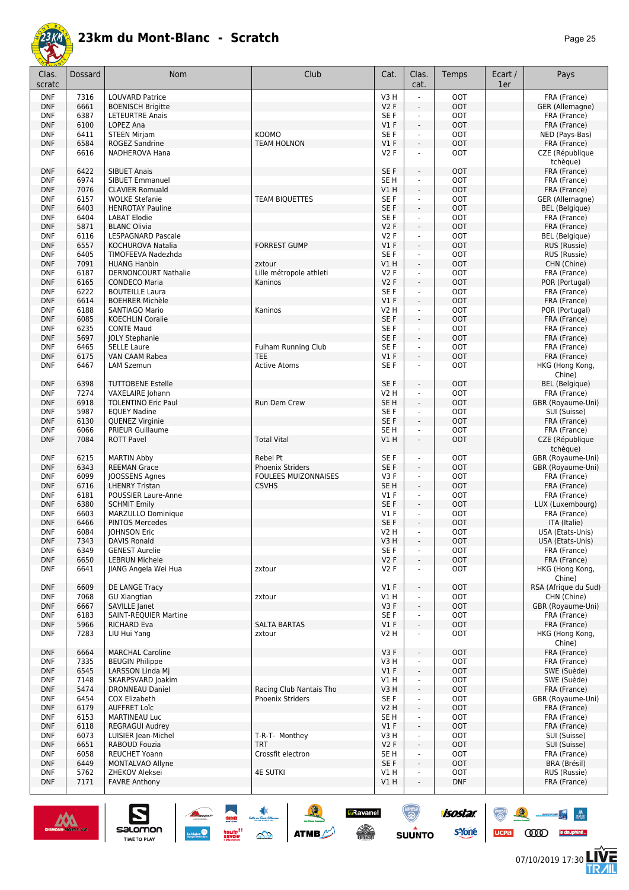

| Clas.                    | Dossard      | Nom                                         | Club                                | Cat.                     | Clas.                                        | Temps                    | Ecart / | Pays                                  |
|--------------------------|--------------|---------------------------------------------|-------------------------------------|--------------------------|----------------------------------------------|--------------------------|---------|---------------------------------------|
| scratc                   |              |                                             |                                     |                          | cat.                                         |                          | 1er     |                                       |
| <b>DNF</b>               | 7316         | <b>LOUVARD Patrice</b>                      |                                     | V3H                      | ä,                                           | <b>OOT</b>               |         | FRA (France)                          |
| <b>DNF</b>               | 6661         | <b>BOENISCH Brigitte</b>                    |                                     | <b>V2F</b>               | ÷                                            | <b>OOT</b>               |         | GER (Allemagne)                       |
| <b>DNF</b><br><b>DNF</b> | 6387<br>6100 | <b>LETEURTRE Anais</b><br>LOPEZ Ana         |                                     | SE F<br>$VI$ F           | $\blacksquare$<br>$\blacksquare$             | <b>OOT</b><br><b>OOT</b> |         | FRA (France)<br>FRA (France)          |
| <b>DNF</b>               | 6411         | <b>STEEN Mirjam</b>                         | KOOMO                               | SE F                     | ÷,                                           | <b>OOT</b>               |         | NED (Pays-Bas)                        |
| <b>DNF</b>               | 6584         | ROGEZ Sandrine                              | <b>TEAM HOLNON</b>                  | $VI$ F                   | ÷,                                           | <b>OOT</b>               |         | FRA (France)                          |
| <b>DNF</b>               | 6616         | NADHEROVA Hana                              |                                     | V2F                      | ÷,                                           | <b>OOT</b>               |         | CZE (République                       |
|                          |              |                                             |                                     |                          |                                              |                          |         | tchèque)                              |
| <b>DNF</b>               | 6422         | <b>SIBUET Anais</b>                         |                                     | SE F                     | ÷.                                           | <b>OOT</b>               |         | FRA (France)                          |
| <b>DNF</b>               | 6974         | <b>SIBUET Emmanuel</b>                      |                                     | SE <sub>H</sub>          | ÷,                                           | <b>OOT</b>               |         | FRA (France)                          |
| <b>DNF</b>               | 7076         | <b>CLAVIER Romuald</b>                      |                                     | V1H                      | ÷.                                           | <b>OOT</b>               |         | FRA (France)                          |
| <b>DNF</b>               | 6157         | <b>WOLKE Stefanie</b>                       | <b>TEAM BIQUETTES</b>               | SE F                     | $\blacksquare$                               | <b>OOT</b>               |         | GER (Allemagne)                       |
| <b>DNF</b>               | 6403         | <b>HENROTAY Pauline</b>                     |                                     | SE F                     | $\blacksquare$                               | <b>OOT</b>               |         | <b>BEL</b> (Belgique)                 |
| <b>DNF</b>               | 6404<br>5871 | <b>LABAT Elodie</b>                         |                                     | SE F                     | $\blacksquare$                               | <b>OOT</b>               |         | FRA (France)                          |
| <b>DNF</b><br><b>DNF</b> | 6116         | <b>BLANC Olivia</b><br>LESPAGNARD Pascale   |                                     | <b>V2F</b><br><b>V2F</b> | ÷.<br>$\blacksquare$                         | <b>OOT</b><br><b>OOT</b> |         | FRA (France)<br><b>BEL</b> (Belgique) |
| <b>DNF</b>               | 6557         | KOCHUROVA Natalia                           | <b>FORREST GUMP</b>                 | $VI$ F                   | ÷,                                           | <b>OOT</b>               |         | RUS (Russie)                          |
| <b>DNF</b>               | 6405         | TIMOFEEVA Nadezhda                          |                                     | SE F                     | $\overline{\phantom{a}}$                     | <b>OOT</b>               |         | RUS (Russie)                          |
| <b>DNF</b>               | 7091         | <b>HUANG Hanbin</b>                         | zxtour                              | VIH                      | ÷,                                           | <b>OOT</b>               |         | CHN (Chine)                           |
| <b>DNF</b>               | 6187         | <b>DERNONCOURT Nathalie</b>                 | Lille métropole athleti             | V2F                      | ÷,                                           | <b>OOT</b>               |         | FRA (France)                          |
| <b>DNF</b>               | 6165         | <b>CONDECO Maria</b>                        | Kaninos                             | <b>V2F</b>               | ÷,                                           | <b>OOT</b>               |         | POR (Portugal)                        |
| <b>DNF</b>               | 6222         | <b>BOUTEILLE Laura</b>                      |                                     | SE <sub>F</sub>          | ÷,                                           | <b>OOT</b>               |         | FRA (France)                          |
| <b>DNF</b>               | 6614         | <b>BOEHRER Michèle</b>                      |                                     | $VI$ F                   | ÷,                                           | <b>OOT</b>               |         | FRA (France)                          |
| <b>DNF</b>               | 6188         | <b>SANTIAGO Mario</b>                       | Kaninos                             | V2 H                     | $\blacksquare$                               | <b>OOT</b>               |         | POR (Portugal)                        |
| <b>DNF</b>               | 6085         | <b>KOECHLIN Coralie</b>                     |                                     | SE F                     | $\frac{1}{2}$                                | <b>OOT</b>               |         | FRA (France)                          |
| <b>DNF</b>               | 6235         | <b>CONTE Maud</b>                           |                                     | SE F                     | ä,                                           | <b>OOT</b>               |         | FRA (France)                          |
| <b>DNF</b>               | 5697         | <b>JOLY Stephanie</b>                       |                                     | SE F                     | $\blacksquare$                               | <b>OOT</b>               |         | FRA (France)                          |
| <b>DNF</b><br><b>DNF</b> | 6465<br>6175 | <b>SELLE Laure</b><br>VAN CAAM Rabea        | Fulham Running Club<br>TEE          | SE F<br>$VI$ F           | ä,<br>$\overline{\phantom{a}}$               | <b>OOT</b><br><b>OOT</b> |         | FRA (France)<br>FRA (France)          |
| <b>DNF</b>               | 6467         | LAM Szemun                                  | <b>Active Atoms</b>                 | SE F                     | L                                            | <b>OOT</b>               |         | HKG (Hong Kong,                       |
|                          |              |                                             |                                     |                          |                                              |                          |         | Chine)                                |
| <b>DNF</b>               | 6398         | <b>TUTTOBENE Estelle</b>                    |                                     | SE F                     | ÷,                                           | <b>OOT</b>               |         | <b>BEL</b> (Belgique)                 |
| <b>DNF</b>               | 7274         | VAXELAIRE Johann                            |                                     | <b>V2 H</b>              | ä,                                           | <b>OOT</b>               |         | FRA (France)                          |
| <b>DNF</b>               | 6918         | <b>TOLENTINO Eric Paul</b>                  | Run Dem Crew                        | SE <sub>H</sub>          | $\blacksquare$                               | <b>OOT</b>               |         | GBR (Royaume-Uni)                     |
| <b>DNF</b>               | 5987         | <b>EQUEY Nadine</b>                         |                                     | SE F                     | ä,                                           | <b>OOT</b>               |         | SUI (Suisse)                          |
| <b>DNF</b>               | 6130         | QUENEZ Virginie                             |                                     | SE F                     | ÷,                                           | <b>OOT</b>               |         | FRA (France)                          |
| <b>DNF</b>               | 6066         | PRIEUR Guillaume                            |                                     | SE <sub>H</sub>          | $\blacksquare$                               | <b>OOT</b>               |         | FRA (France)                          |
| <b>DNF</b>               | 7084         | <b>ROTT Pavel</b>                           | <b>Total Vital</b>                  | VIH                      | ÷,                                           | <b>OOT</b>               |         | CZE (République                       |
|                          |              |                                             |                                     |                          |                                              |                          |         | tchèque)                              |
| <b>DNF</b><br><b>DNF</b> | 6215         | <b>MARTIN Abby</b>                          | Rebel Pt<br><b>Phoenix Striders</b> | SE F                     | $\mathcal{L}_{\mathcal{A}}$<br>$\frac{1}{2}$ | <b>OOT</b><br><b>OOT</b> |         | GBR (Royaume-Uni)                     |
| <b>DNF</b>               | 6343<br>6099 | <b>REEMAN Grace</b><br>JOOSSENS Agnes       | <b>FOULEES MUIZONNAISES</b>         | SE F<br>V3F              | ÷,                                           | <b>OOT</b>               |         | GBR (Royaume-Uni)<br>FRA (France)     |
| <b>DNF</b>               | 6716         | <b>LHENRY Tristan</b>                       | <b>CSVHS</b>                        | SE <sub>H</sub>          | ÷,                                           | <b>OOT</b>               |         | FRA (France)                          |
| <b>DNF</b>               | 6181         | <b>POUSSIER Laure-Anne</b>                  |                                     | $VI$ F                   | $\overline{\phantom{a}}$                     | <b>OOT</b>               |         | FRA (France)                          |
| <b>DNF</b>               | 6380         | <b>SCHMIT Emily</b>                         |                                     | SE F                     | ÷,                                           | <b>OOT</b>               |         | LUX (Luxembourg)                      |
| <b>DNF</b>               | 6603         | MARZULLO Dominique                          |                                     | V1 F                     | $\blacksquare$                               | <b>OOT</b>               |         | FRA (France)                          |
| <b>DNF</b>               | 6466         | <b>PINTOS Mercedes</b>                      |                                     | SE F                     | ÷                                            | <b>OOT</b>               |         | ITA (Italie)                          |
| <b>DNF</b>               | 6084         | <b>JOHNSON Eric</b>                         |                                     | V2 H                     | ÷,                                           | <b>OOT</b>               |         | USA (Etats-Unis)                      |
| <b>DNF</b>               | 7343         | DAVIS Ronald                                |                                     | V3 H                     |                                              | <b>OOT</b>               |         | USA (Etats-Unis)                      |
| <b>DNF</b>               | 6349         | <b>GENEST Aurelie</b>                       |                                     | SE F                     | $\blacksquare$                               | <b>OOT</b>               |         | FRA (France)                          |
| <b>DNF</b><br><b>DNF</b> | 6650         | <b>LEBRUN Michele</b>                       |                                     | V2F                      | ÷.<br>÷.                                     | <b>OOT</b><br><b>OOT</b> |         | FRA (France)<br>HKG (Hong Kong,       |
|                          | 6641         | JIANG Angela Wei Hua                        | zxtour                              | V2F                      |                                              |                          |         | Chine)                                |
| DNF                      | 6609         | DE LANGE Tracy                              |                                     | V1F                      | ÷,                                           | <b>OOT</b>               |         | RSA (Afrique du Sud)                  |
| <b>DNF</b>               | 7068         | <b>GU Xiangtian</b>                         | zxtour                              | VIH                      | ÷,                                           | <b>OOT</b>               |         | CHN (Chine)                           |
| <b>DNF</b>               | 6667         | SAVILLE Janet                               |                                     | V3F                      | $\blacksquare$                               | <b>OOT</b>               |         | GBR (Royaume-Uni)                     |
| <b>DNF</b>               | 6183         | <b>SAINT-REOUIER Martine</b>                |                                     | SE F                     | ä,                                           | <b>OOT</b>               |         | FRA (France)                          |
| <b>DNF</b>               | 5966         | <b>RICHARD Eva</b>                          | <b>SALTA BARTAS</b>                 | V1F                      | $\overline{\phantom{a}}$                     | <b>OOT</b>               |         | FRA (France)                          |
| <b>DNF</b>               | 7283         | LIU Hui Yang                                | zxtour                              | V2 H                     | ÷,                                           | <b>OOT</b>               |         | HKG (Hong Kong,                       |
|                          |              |                                             |                                     |                          |                                              |                          |         | Chine)                                |
| <b>DNF</b>               | 6664         | <b>MARCHAL Caroline</b>                     |                                     | V3F                      | ÷.                                           | <b>TOO</b>               |         | FRA (France)                          |
| <b>DNF</b>               | 7335         | <b>BEUGIN Philippe</b>                      |                                     | V3H                      | $\blacksquare$                               | <b>OOT</b>               |         | FRA (France)                          |
| <b>DNF</b>               | 6545         | LARSSON Linda Mi                            |                                     | $VI$ F                   | $\overline{\phantom{a}}$                     | <b>OOT</b>               |         | SWE (Suède)                           |
| <b>DNF</b><br><b>DNF</b> | 7148<br>5474 | SKARPSVARD Joakim<br><b>DRONNEAU Daniel</b> | Racing Club Nantais Tho             | V1 H<br>V3H              | $\blacksquare$<br>÷.                         | <b>OOT</b><br><b>OOT</b> |         | SWE (Suède)<br>FRA (France)           |
| <b>DNF</b>               | 6454         | COX Elizabeth                               | Phoenix Striders                    | SE F                     | ÷,                                           | <b>OOT</b>               |         | GBR (Royaume-Uni)                     |
| <b>DNF</b>               | 6179         | AUFFRET Loïc                                |                                     | <b>V2 H</b>              | $\blacksquare$                               | <b>OOT</b>               |         | FRA (France)                          |
| <b>DNF</b>               | 6153         | MARTINEAU Luc                               |                                     | SE H                     | ÷,                                           | <b>OOT</b>               |         | FRA (France)                          |
| <b>DNF</b>               | 6118         | <b>REGRAGUI Audrey</b>                      |                                     | V1F                      | $\overline{\phantom{a}}$                     | <b>OOT</b>               |         | FRA (France)                          |
| <b>DNF</b>               | 6073         | LUISIER Jean-Michel                         | T-R-T- Monthey                      | V3H                      | ÷,                                           | <b>OOT</b>               |         | SUI (Suisse)                          |
| <b>DNF</b>               | 6651         | RABOUD Fouzia                               | <b>TRT</b>                          | V2F                      | $\overline{\phantom{a}}$                     | <b>OOT</b>               |         | SUI (Suisse)                          |
| <b>DNF</b>               | 6058         | <b>REUCHET Yoann</b>                        | Crossfit electron                   | SE H                     | ÷,                                           | <b>OOT</b>               |         | FRA (France)                          |
| <b>DNF</b>               | 6449         | MONTALVAO Allyne                            |                                     | SE F                     | ÷,                                           | <b>OOT</b>               |         | BRA (Brésil)                          |
| <b>DNF</b>               | 5762         | ZHEKOV Aleksei                              | <b>4E SUTKI</b>                     | V1 H                     | ÷                                            | <b>TOO</b>               |         | RUS (Russie)                          |
| <b>DNF</b>               | 7171         | <b>FAVRE Anthony</b>                        |                                     | V1 H                     |                                              | <b>DNF</b>               |         | FRA (France)                          |

SOLUTION ATME



 $\sum_{\text{SALOMOM}}$ 

 $\binom{m}{\binom{n}{2}}$ 

 $ucpa$ 

 $\frac{1}{\sqrt{2}}\left|\frac{\partial}{\partial x}\right|=\frac{1}{\sqrt{2}}\left|\frac{\partial}{\partial x}\right|$ 

左<br>孤

**CODO** le dauphiné...

**isostar** 

**s**Yone

**a**Ravanel

 $\begin{array}{c} \mathcal{N}^{\text{c}} \longrightarrow \\ \text{peritivity} \end{array}$ 

 $\overline{\odot}$ 

**SUUNTO**